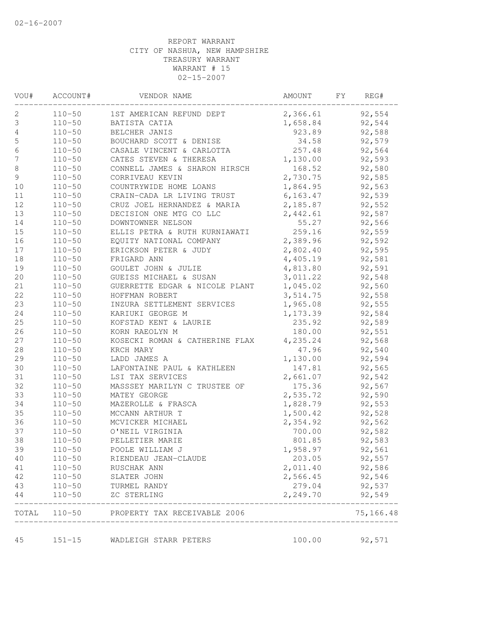| VOU#             | ACCOUNT#   | VENDOR NAME                               | AMOUNT    | FY | REG#                 |
|------------------|------------|-------------------------------------------|-----------|----|----------------------|
| 2                | $110 - 50$ | 1ST AMERICAN REFUND DEPT                  | 2,366.61  |    | 92,554               |
| $\mathsf 3$      | $110 - 50$ | BATISTA CATIA                             | 1,658.84  |    | 92,544               |
| 4                | $110 - 50$ | BELCHER JANIS                             | 923.89    |    | 92,588               |
| $\mathsf S$      | $110 - 50$ | BOUCHARD SCOTT & DENISE                   | 34.58     |    | 92,579               |
| $\sqrt{6}$       | $110 - 50$ | CASALE VINCENT & CARLOTTA                 | 257.48    |    | 92,564               |
| $\boldsymbol{7}$ | $110 - 50$ | CATES STEVEN & THERESA                    | 1,130.00  |    | 92,593               |
| $\,8\,$          | $110 - 50$ | CONNELL JAMES & SHARON HIRSCH             | 168.52    |    | 92,580               |
| 9                | $110 - 50$ | CORRIVEAU KEVIN                           | 2,730.75  |    | 92,585               |
| 10               | $110 - 50$ | COUNTRYWIDE HOME LOANS                    | 1,864.95  |    | 92,563               |
| 11               | $110 - 50$ | CRAIN-CADA LR LIVING TRUST                | 6, 163.47 |    | 92,539               |
| 12               | $110 - 50$ | CRUZ JOEL HERNANDEZ & MARIA               | 2,185.87  |    | 92,552               |
| 13               | $110 - 50$ | DECISION ONE MTG CO LLC                   | 2,442.61  |    | 92,587               |
| 14               | $110 - 50$ | DOWNTOWNER NELSON                         | 55.27     |    | 92,566               |
| 15               | $110 - 50$ | ELLIS PETRA & RUTH KURNIAWATI             | 259.16    |    | 92,559               |
| 16               | $110 - 50$ | EQUITY NATIONAL COMPANY                   | 2,389.96  |    | 92,592               |
| $17$             | $110 - 50$ | ERICKSON PETER & JUDY                     | 2,802.40  |    | 92,595               |
| $18\,$           | $110 - 50$ | FRIGARD ANN                               | 4,405.19  |    | 92,581               |
| 19               | $110 - 50$ | GOULET JOHN & JULIE                       | 4,813.80  |    | 92,591               |
| 20               | $110 - 50$ | GUEISS MICHAEL & SUSAN                    | 3,011.22  |    | 92,548               |
| 21               | $110 - 50$ | GUERRETTE EDGAR & NICOLE PLANT            | 1,045.02  |    | 92,560               |
| 22               | $110 - 50$ | HOFFMAN ROBERT                            | 3,514.75  |    | 92,558               |
| 23               | $110 - 50$ | INZURA SETTLEMENT SERVICES                | 1,965.08  |    | 92,555               |
| 24               | $110 - 50$ | KARIUKI GEORGE M                          | 1,173.39  |    | 92,584               |
| 25               | $110 - 50$ | KOFSTAD KENT & LAURIE                     | 235.92    |    | 92,589               |
| 26               | $110 - 50$ | KORN RAEOLYN M                            | 180.00    |    | 92,551               |
| 27               | $110 - 50$ | KOSECKI ROMAN & CATHERINE FLAX            | 4,235.24  |    | 92,568               |
| $2\,8$           | $110 - 50$ | KRCH MARY                                 | 47.96     |    | 92,540               |
| 29               | $110 - 50$ | LADD JAMES A                              | 1,130.00  |    | 92,594               |
| 30               | $110 - 50$ | LAFONTAINE PAUL & KATHLEEN                | 147.81    |    | 92,565               |
| 31               | $110 - 50$ | LSI TAX SERVICES                          | 2,661.07  |    | 92,542               |
| 32               | $110 - 50$ | MASSSEY MARILYN C TRUSTEE OF              | 175.36    |    | 92,567               |
| 33               | $110 - 50$ | MATEY GEORGE                              | 2,535.72  |    | 92,590               |
| 34               | $110 - 50$ | MAZEROLLE & FRASCA                        | 1,828.79  |    | 92,553               |
| 35               | $110 - 50$ | MCCANN ARTHUR T                           | 1,500.42  |    | 92,528               |
| 36               | $110 - 50$ | MCVICKER MICHAEL                          | 2,354.92  |    | 92,562               |
| 37               | $110 - 50$ | O'NEIL VIRGINIA                           | 700.00    |    | 92,582               |
| 38               | $110 - 50$ | PELLETIER MARIE                           | 801.85    |    | 92,583               |
| 39               | $110 - 50$ | POOLE WILLIAM J                           | 1,958.97  |    | 92,561               |
| 40               | $110 - 50$ | RIENDEAU JEAN-CLAUDE                      | 203.05    |    | 92,557               |
| 41               | $110 - 50$ | RUSCHAK ANN                               | 2,011.40  |    | 92,586               |
| 42               | $110 - 50$ | SLATER JOHN                               | 2,566.45  |    | 92,546               |
| 43               | $110 - 50$ | TURMEL RANDY                              | 279.04    |    | 92,537               |
| 44               | $110 - 50$ | ZC STERLING                               | 2,249.70  |    | 92,549               |
|                  |            | TOTAL 110-50 PROPERTY TAX RECEIVABLE 2006 |           |    | -------<br>75,166.48 |
| 45               | $151 - 15$ | WADLEIGH STARR PETERS                     | 100.00    |    | 92,571               |
|                  |            |                                           |           |    |                      |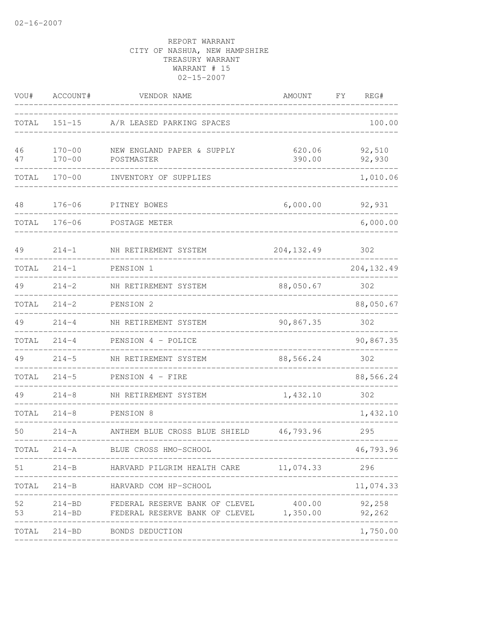| VOU#     | ACCOUNT#                 | VENDOR NAME                                                                      | AMOUNT           | REG#<br>FΥ                |  |
|----------|--------------------------|----------------------------------------------------------------------------------|------------------|---------------------------|--|
| TOTAL    | $151 - 15$               | A/R LEASED PARKING SPACES                                                        |                  | 100.00                    |  |
| 46<br>47 | $170 - 00$<br>$170 - 00$ | NEW ENGLAND PAPER & SUPPLY<br>POSTMASTER                                         | 620.06<br>390.00 | 92,510<br>92,930          |  |
| TOTAL    | $170 - 00$               | INVENTORY OF SUPPLIES                                                            |                  | 1,010.06                  |  |
| 48       | $176 - 06$               | PITNEY BOWES                                                                     | 6,000.00         | 92,931                    |  |
| TOTAL    | $176 - 06$               | POSTAGE METER                                                                    |                  | 6,000.00                  |  |
| 49       | $214 - 1$                | NH RETIREMENT SYSTEM                                                             | 204, 132.49      | 302                       |  |
| TOTAL    | $214 - 1$                | PENSION 1                                                                        |                  | 204, 132.49               |  |
| 49       | $214 - 2$                | NH RETIREMENT SYSTEM                                                             | 88,050.67        | 302                       |  |
| TOTAL    | $214 - 2$                | PENSION 2                                                                        |                  | 88,050.67                 |  |
| 49       | $214 - 4$                | NH RETIREMENT SYSTEM                                                             | 90,867.35        | 302                       |  |
| TOTAL    | $214 - 4$                | PENSION 4 - POLICE                                                               |                  | 90,867.35                 |  |
| 49       | $214 - 5$                | NH RETIREMENT SYSTEM                                                             | 88,566.24        | 302                       |  |
| TOTAL    | $214 - 5$                | PENSION 4 - FIRE                                                                 |                  | 88,566.24                 |  |
| 49       | $214 - 8$                | NH RETIREMENT SYSTEM                                                             | 1,432.10         | 302                       |  |
| TOTAL    | $214 - 8$                | PENSION 8                                                                        |                  | 1,432.10                  |  |
| 50       | $214 - A$                | ANTHEM BLUE CROSS BLUE SHIELD                                                    | 46,793.96        | 295                       |  |
| TOTAL    | $214 - A$                | BLUE CROSS HMO-SCHOOL                                                            |                  | 46,793.96                 |  |
|          |                          | 51 214-B HARVARD PILGRIM HEALTH CARE 11,074.33                                   | ---------        | 296                       |  |
|          |                          | TOTAL 214-B HARVARD COM HP-SCHOOL                                                |                  | 11,074.33                 |  |
| 52<br>53 | $214 - BD$               | 214-BD FEDERAL RESERVE BANK OF CLEVEL<br>FEDERAL RESERVE BANK OF CLEVEL 1,350.00 | 400.00           | 92,258<br>92,262<br>$---$ |  |
|          |                          | TOTAL 214-BD BONDS DEDUCTION                                                     |                  | 1,750.00                  |  |
|          |                          |                                                                                  |                  |                           |  |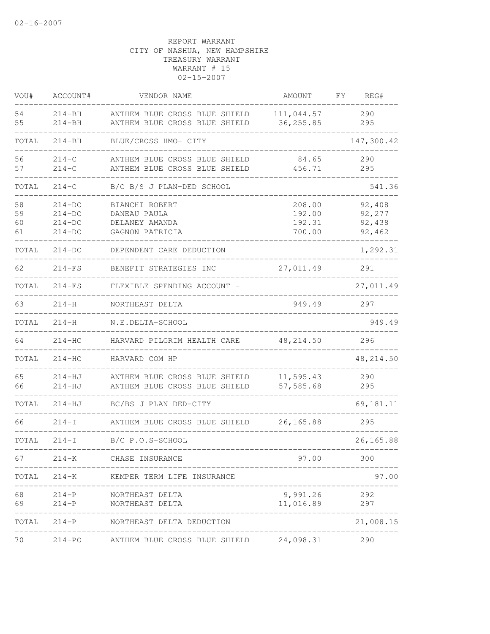| VOU#                 | ACCOUNT#                                     | VENDOR NAME                                                         | AMOUNT                               | FΥ<br>REG#                           |
|----------------------|----------------------------------------------|---------------------------------------------------------------------|--------------------------------------|--------------------------------------|
| 54<br>55             | $214 - BH$<br>$214 - BH$                     | ANTHEM BLUE CROSS BLUE SHIELD<br>ANTHEM BLUE CROSS BLUE SHIELD      | 111,044.57<br>36, 255.85             | 290<br>295                           |
| TOTAL                | $214 - BH$                                   | BLUE/CROSS HMO- CITY                                                |                                      | 147,300.42                           |
| 56<br>57             | $214 - C$<br>$214 - C$                       | ANTHEM BLUE CROSS BLUE SHIELD<br>ANTHEM BLUE CROSS BLUE SHIELD      | 84.65<br>456.71                      | 290<br>295                           |
| TOTAL                | $214 - C$                                    | B/C B/S J PLAN-DED SCHOOL                                           |                                      | 541.36                               |
| 58<br>59<br>60<br>61 | $214-DC$<br>$214-DC$<br>$214-DC$<br>$214-DC$ | BIANCHI ROBERT<br>DANEAU PAULA<br>DELANEY AMANDA<br>GAGNON PATRICIA | 208.00<br>192.00<br>192.31<br>700.00 | 92,408<br>92,277<br>92,438<br>92,462 |
| TOTAL                | $214-DC$                                     | DEPENDENT CARE DEDUCTION                                            |                                      | 1,292.31                             |
| 62                   | $214-FS$                                     | BENEFIT STRATEGIES INC                                              | 27,011.49                            | 291                                  |
| TOTAL                | $214-FS$                                     | FLEXIBLE SPENDING ACCOUNT -                                         |                                      | 27,011.49                            |
| 63                   | $214 - H$                                    | NORTHEAST DELTA                                                     | 949.49                               | 297                                  |
| TOTAL                | $214 - H$                                    | N.E.DELTA-SCHOOL                                                    |                                      | 949.49                               |
| 64                   | $214 - HC$                                   | HARVARD PILGRIM HEALTH CARE                                         | 48, 214.50                           | 296                                  |
| TOTAL                | $214-HC$                                     | HARVARD COM HP                                                      |                                      | 48, 214.50                           |
| 65<br>66             | $214 - HJ$<br>$214 - HJ$                     | ANTHEM BLUE CROSS BLUE SHIELD<br>ANTHEM BLUE CROSS BLUE SHIELD      | 11,595.43<br>57,585.68               | 290<br>295                           |
| TOTAL                | $214 - HJ$                                   | BC/BS J PLAN DED-CITY                                               |                                      | 69,181.11                            |
| 66                   | $214-I$                                      | ANTHEM BLUE CROSS BLUE SHIELD                                       | 26, 165.88                           | 295                                  |
| TOTAL                | $214-I$                                      | B/C P.O.S-SCHOOL                                                    |                                      | 26, 165.88                           |
| 67                   | $214 - K$                                    | CHASE INSURANCE                                                     | 97.00                                | 300                                  |
|                      |                                              | TOTAL 214-K KEMPER TERM LIFE INSURANCE                              |                                      | 97.00                                |
| 68<br>69             | $214-P$                                      | 214-P NORTHEAST DELTA<br>NORTHEAST DELTA<br>_____________________   | 9,991.26<br>11,016.89                | 292<br>297                           |
| TOTAL                |                                              | 214-P NORTHEAST DELTA DEDUCTION                                     |                                      | --------------<br>21,008.15          |
| 70                   | $214 - PO$                                   | ANTHEM BLUE CROSS BLUE SHIELD 24,098.31                             |                                      | 290                                  |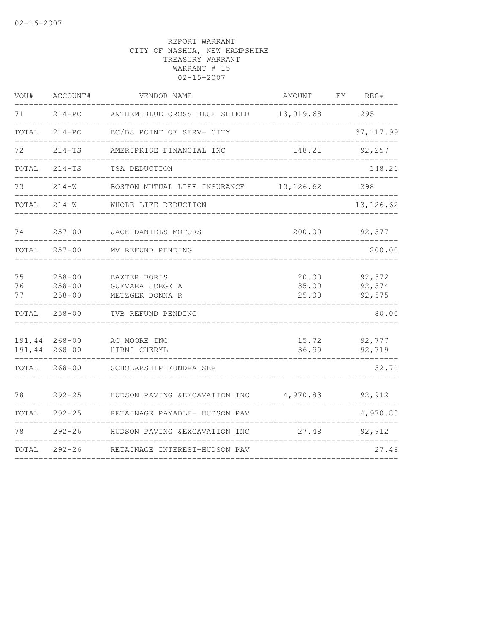| VOU#             | ACCOUNT#                               | VENDOR NAME                                               | AMOUNT                  | FY REG#                    |
|------------------|----------------------------------------|-----------------------------------------------------------|-------------------------|----------------------------|
| 71               | $214 - PQ$                             | ANTHEM BLUE CROSS BLUE SHIELD 13,019.68                   |                         | 295                        |
| TOTAL            | $214 - PQ$                             | BC/BS POINT OF SERV- CITY                                 |                         | 37, 117.99                 |
| 72               | $214-TS$                               | AMERIPRISE FINANCIAL INC                                  | 148.21                  | 92,257                     |
| TOTAL            | $214-TS$                               | TSA DEDUCTION                                             |                         | 148.21                     |
| 73               | $214 - W$                              | BOSTON MUTUAL LIFE INSURANCE                              | 13, 126.62              | 298                        |
| TOTAL            | $214 - W$                              | WHOLE LIFE DEDUCTION                                      |                         | 13, 126.62                 |
| 74               | $257 - 00$                             | JACK DANIELS MOTORS                                       | 200.00                  | 92,577                     |
| TOTAL            | $257 - 00$                             | MV REFUND PENDING                                         |                         | 200.00                     |
| 75<br>76<br>77   | $258 - 00$<br>$258 - 00$<br>$258 - 00$ | <b>BAXTER BORIS</b><br>GUEVARA JORGE A<br>METZGER DONNA R | 20.00<br>35.00<br>25.00 | 92,572<br>92,574<br>92,575 |
| TOTAL            | $258 - 00$                             | TVB REFUND PENDING                                        |                         | 80.00                      |
| 191,44<br>191,44 | $268 - 00$<br>$268 - 00$               | AC MOORE INC<br>HIRNI CHERYL                              | 15.72<br>36.99          | 92,777<br>92,719           |
| TOTAL            | $268 - 00$                             | SCHOLARSHIP FUNDRAISER                                    |                         | 52.71                      |
| 78               | $292 - 25$                             | HUDSON PAVING & EXCAVATION INC                            | 4,970.83                | 92,912                     |
| TOTAL            | $292 - 25$                             | RETAINAGE PAYABLE- HUDSON PAV                             |                         | 4,970.83                   |
| 78               | $292 - 26$                             | HUDSON PAVING & EXCAVATION INC                            | 27.48                   | 92,912                     |
| TOTAL            | $292 - 26$                             | RETAINAGE INTEREST-HUDSON PAV                             |                         | 27.48                      |
|                  |                                        |                                                           |                         |                            |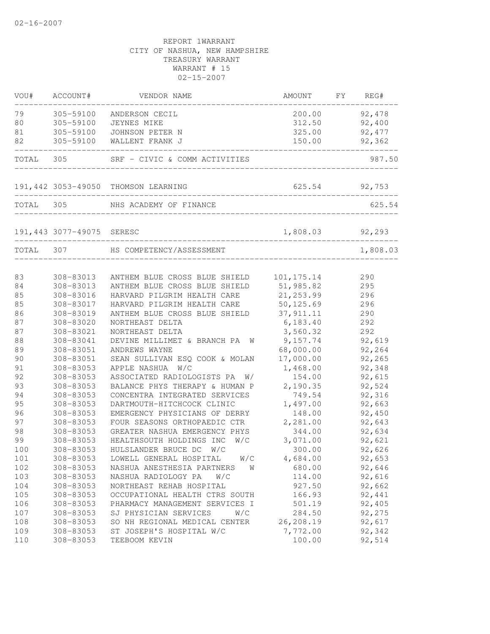| VOU#  | ACCOUNT#                  | VENDOR NAME                         | AMOUNT                                 | FΥ | REG#     |
|-------|---------------------------|-------------------------------------|----------------------------------------|----|----------|
| 79    | 305-59100                 | ANDERSON CECIL                      | 200.00                                 |    | 92,478   |
| 80    | 305-59100                 | JEYNES MIKE                         | 312.50                                 |    | 92,400   |
| 81    | 305-59100                 | JOHNSON PETER N                     | 325.00                                 |    | 92, 477  |
| 82    | 305-59100                 | WALLENT FRANK J                     | 150.00<br>____________________________ |    | 92,362   |
| TOTAL | 305                       | SRF - CIVIC & COMM ACTIVITIES       |                                        |    | 987.50   |
|       |                           | 191,442 3053-49050 THOMSON LEARNING | 625.54                                 |    | 92,753   |
| TOTAL | 305                       | NHS ACADEMY OF FINANCE              |                                        |    | 625.54   |
|       |                           |                                     |                                        |    |          |
|       | 191,443 3077-49075 SERESC |                                     | 1,808.03                               |    | 92,293   |
|       |                           | TOTAL 307 HS COMPETENCY/ASSESSMENT  |                                        |    | 1,808.03 |
| 83    | 308-83013                 | ANTHEM BLUE CROSS BLUE SHIELD       | 101, 175.14                            |    | 290      |
| 84    | 308-83013                 | ANTHEM BLUE CROSS BLUE SHIELD       | 51,985.82                              |    | 295      |
| 85    | 308-83016                 | HARVARD PILGRIM HEALTH CARE         | 21, 253.99                             |    | 296      |
| 85    | 308-83017                 | HARVARD PILGRIM HEALTH CARE         | 50, 125.69                             |    | 296      |
| 86    | 308-83019                 | ANTHEM BLUE CROSS BLUE SHIELD       | 37, 911.11                             |    | 290      |
| 87    | 308-83020                 | NORTHEAST DELTA                     | 6, 183.40                              |    | 292      |
| 87    | 308-83021                 | NORTHEAST DELTA                     | 3,560.32                               |    | 292      |
| 88    | 308-83041                 | DEVINE MILLIMET & BRANCH PA<br>W    | 9,157.74                               |    | 92,619   |
| 89    | 308-83051                 | ANDREWS WAYNE                       | 68,000.00                              |    | 92,264   |
| 90    | 308-83051                 | SEAN SULLIVAN ESQ COOK & MOLAN      | 17,000.00                              |    | 92,265   |
| 91    | 308-83053                 | APPLE NASHUA<br>W/C                 | 1,468.00                               |    | 92,348   |
| 92    | 308-83053                 | ASSOCIATED RADIOLOGISTS PA<br>W/    | 154.00                                 |    | 92,615   |
| 93    | 308-83053                 | BALANCE PHYS THERAPY & HUMAN P      | 2,190.35                               |    | 92,524   |
| 94    | 308-83053                 | CONCENTRA INTEGRATED SERVICES       | 749.54                                 |    | 92,316   |
| 95    | 308-83053                 | DARTMOUTH-HITCHCOCK CLINIC          | 1,497.00                               |    | 92,663   |
| 96    | 308-83053                 | EMERGENCY PHYSICIANS OF DERRY       | 148.00                                 |    | 92,450   |
| 97    | 308-83053                 | FOUR SEASONS ORTHOPAEDIC CTR        | 2,281.00                               |    | 92,643   |
| 98    | 308-83053                 | GREATER NASHUA EMERGENCY PHYS       | 344.00                                 |    | 92,634   |
| 99    | 308-83053                 | HEALTHSOUTH HOLDINGS INC<br>W/C     | 3,071.00                               |    | 92,621   |
| 100   | 308-83053                 | HULSLANDER BRUCE DC W/C             | 300.00                                 |    | 92,626   |
| 101   | 308-83053                 | LOWELL GENERAL HOSPITAL<br>W/C      | 4,684.00                               |    | 92,653   |
| 102   | 308-83053                 | NASHUA ANESTHESIA PARTNERS<br>W     | 680.00                                 |    | 92,646   |
| 103   | 308-83053                 | NASHUA RADIOLOGY PA<br>W/C          | 114.00                                 |    | 92,616   |
| 104   | 308-83053                 | NORTHEAST REHAB HOSPITAL            | 927.50                                 |    | 92,662   |
| 105   | 308-83053                 | OCCUPATIONAL HEALTH CTRS SOUTH      | 166.93                                 |    | 92,441   |
| 106   | 308-83053                 | PHARMACY MANAGEMENT SERVICES I      | 501.19                                 |    | 92,405   |
| 107   | 308-83053                 | SJ PHYSICIAN SERVICES<br>W/C        | 284.50                                 |    | 92,275   |
| 108   | 308-83053                 | SO NH REGIONAL MEDICAL CENTER       | 26,208.19                              |    | 92,617   |
| 109   | 308-83053                 | ST JOSEPH'S HOSPITAL W/C            | 7,772.00                               |    | 92,342   |
| 110   | 308-83053                 | TEEBOOM KEVIN                       | 100.00                                 |    | 92,514   |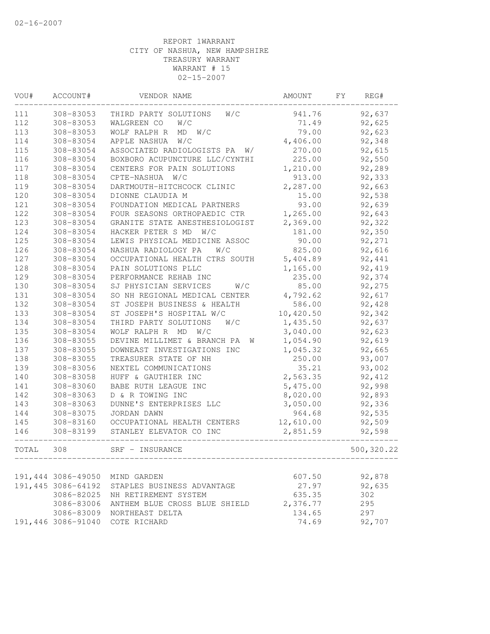| VOU#  | ACCOUNT#           | VENDOR NAME                      | AMOUNT    | FY. | REG#       |
|-------|--------------------|----------------------------------|-----------|-----|------------|
| 111   | 308-83053          | THIRD PARTY SOLUTIONS<br>W/C     | 941.76    |     | 92,637     |
| 112   | 308-83053          | W/C<br>WALGREEN CO               | 71.49     |     | 92,625     |
| 113   | 308-83053          | WOLF RALPH R<br>MD<br>W/C        | 79.00     |     | 92,623     |
| 114   | 308-83054          | APPLE NASHUA<br>W/C              | 4,406.00  |     | 92,348     |
| 115   | 308-83054          | ASSOCIATED RADIOLOGISTS PA<br>W/ | 270.00    |     | 92,615     |
| 116   | 308-83054          | BOXBORO ACUPUNCTURE LLC/CYNTHI   | 225.00    |     | 92,550     |
| 117   | 308-83054          | CENTERS FOR PAIN SOLUTIONS       | 1,210.00  |     | 92,289     |
| 118   | 308-83054          | CPTE-NASHUA<br>W/C               | 913.00    |     | 92,333     |
| 119   | 308-83054          | DARTMOUTH-HITCHCOCK CLINIC       | 2,287.00  |     | 92,663     |
| 120   | 308-83054          | DIONNE CLAUDIA M                 | 15.00     |     | 92,538     |
| 121   | 308-83054          | FOUNDATION MEDICAL PARTNERS      | 93.00     |     | 92,639     |
| 122   | 308-83054          | FOUR SEASONS ORTHOPAEDIC CTR     | 1,265.00  |     | 92,643     |
| 123   | 308-83054          | GRANITE STATE ANESTHESIOLOGIST   | 2,369.00  |     | 92,322     |
| 124   | 308-83054          | HACKER PETER S MD<br>W/C         | 181.00    |     | 92,350     |
| 125   | 308-83054          | LEWIS PHYSICAL MEDICINE ASSOC    | 90.00     |     | 92,271     |
| 126   | 308-83054          | NASHUA RADIOLOGY PA<br>W/C       | 825.00    |     | 92,616     |
| 127   | 308-83054          | OCCUPATIONAL HEALTH CTRS SOUTH   | 5,404.89  |     | 92,441     |
| 128   | 308-83054          | PAIN SOLUTIONS PLLC              | 1,165.00  |     | 92,419     |
| 129   | 308-83054          | PERFORMANCE REHAB INC            | 235.00    |     | 92,374     |
| 130   | 308-83054          | SJ PHYSICIAN SERVICES<br>W/C     | 85.00     |     | 92,275     |
| 131   | 308-83054          | SO NH REGIONAL MEDICAL CENTER    | 4,792.62  |     | 92,617     |
| 132   | 308-83054          | ST JOSEPH BUSINESS & HEALTH      | 586.00    |     | 92,428     |
| 133   | 308-83054          | ST JOSEPH'S HOSPITAL W/C         | 10,420.50 |     | 92,342     |
| 134   | 308-83054          | THIRD PARTY SOLUTIONS<br>W/C     | 1,435.50  |     | 92,637     |
| 135   | 308-83054          | WOLF RALPH R MD<br>W/C           | 3,040.00  |     | 92,623     |
| 136   | 308-83055          | DEVINE MILLIMET & BRANCH PA<br>W | 1,054.90  |     | 92,619     |
| 137   | 308-83055          | DOWNEAST INVESTIGATIONS INC      | 1,045.32  |     | 92,665     |
| 138   | 308-83055          | TREASURER STATE OF NH            | 250.00    |     | 93,007     |
| 139   | 308-83056          | NEXTEL COMMUNICATIONS            | 35.21     |     | 93,002     |
| 140   | 308-83058          | HUFF & GAUTHIER INC              | 2,563.35  |     | 92,412     |
| 141   | 308-83060          | BABE RUTH LEAGUE INC             | 5,475.00  |     | 92,998     |
| 142   | 308-83063          | D & R TOWING INC                 | 8,020.00  |     | 92,893     |
| 143   | 308-83063          | DUNNE'S ENTERPRISES LLC          | 3,050.00  |     | 92,336     |
| 144   | 308-83075          | <b>JORDAN DAWN</b>               | 964.68    |     | 92,535     |
| 145   | 308-83160          | OCCUPATIONAL HEALTH CENTERS      | 12,610.00 |     | 92,509     |
| 146   | 308-83199          | STANLEY ELEVATOR CO INC          | 2,851.59  |     | 92,598     |
| TOTAL | 308                | SRF - INSURANCE                  |           |     | 500,320.22 |
|       |                    |                                  |           |     |            |
|       | 191,444 3086-49050 | MIND GARDEN                      | 607.50    |     | 92,878     |
|       | 191,445 3086-64192 | STAPLES BUSINESS ADVANTAGE       | 27.97     |     | 92,635     |
|       | 3086-82025         | NH RETIREMENT SYSTEM             | 635.35    | 302 |            |
|       | 3086-83006         | ANTHEM BLUE CROSS BLUE SHIELD    | 2,376.77  | 295 |            |
|       | 3086-83009         | NORTHEAST DELTA                  | 134.65    | 297 |            |
|       | 191,446 3086-91040 | COTE RICHARD                     | 74.69     |     | 92,707     |
|       |                    |                                  |           |     |            |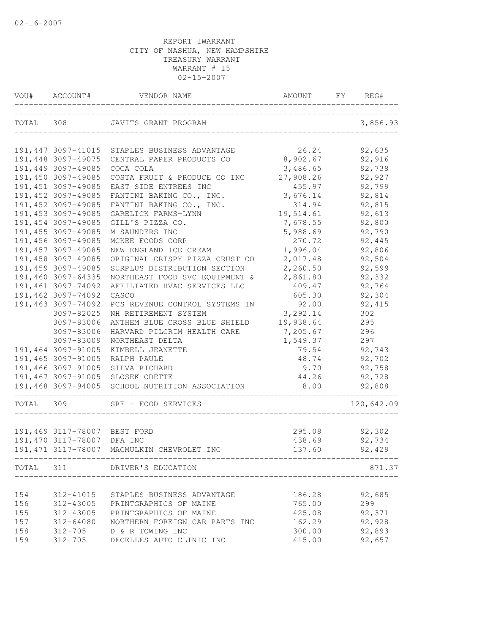| VOU#  | ACCOUNT#                                 | VENDOR NAME                                   | AMOUNT         | FY<br>REG#       |
|-------|------------------------------------------|-----------------------------------------------|----------------|------------------|
|       |                                          | TOTAL 308 JAVITS GRANT PROGRAM                |                | 3,856.93         |
|       |                                          | 191,447 3097-41015 STAPLES BUSINESS ADVANTAGE | 26.24          | 92,635           |
|       | 191,448 3097-49075                       | CENTRAL PAPER PRODUCTS CO                     | 8,902.67       | 92,916           |
|       | 191,449 3097-49085                       | COCA COLA                                     | 3,486.65       | 92,738           |
|       | 191,450 3097-49085                       | COSTA FRUIT & PRODUCE CO INC                  | 27,908.26      | 92,927           |
|       | 191, 451 3097-49085                      | EAST SIDE ENTREES INC                         | 455.97         | 92,799           |
|       | 191,452 3097-49085                       | FANTINI BAKING CO., INC.                      | 3,676.14       | 92,814           |
|       | 191,452 3097-49085                       | FANTINI BAKING CO., INC.                      | 314.94         | 92,815           |
|       | 191,453 3097-49085                       | GARELICK FARMS-LYNN                           | 19,514.61      | 92,613           |
|       | 191,454 3097-49085                       | GILL'S PIZZA CO.                              | 7,678.55       | 92,800           |
|       | 191, 455 3097-49085                      | M SAUNDERS INC                                | 5,988.69       | 92,790           |
|       | 191,456 3097-49085                       | MCKEE FOODS CORP                              | 270.72         | 92,445           |
|       | 191,457 3097-49085                       | NEW ENGLAND ICE CREAM                         | 1,996.04       | 92,806           |
|       | 191,458 3097-49085                       | ORIGINAL CRISPY PIZZA CRUST CO                | 2,017.48       | 92,504           |
|       | 191,459 3097-49085                       | SURPLUS DISTRIBUTION SECTION                  | 2,260.50       | 92,599           |
|       | 191,460 3097-64335                       | NORTHEAST FOOD SVC EQUIPMENT &                | 2,861.80       | 92,332           |
|       | 191,461 3097-74092                       | AFFILIATED HVAC SERVICES LLC                  | 409.47         | 92,764           |
|       | 191,462 3097-74092                       | CASCO                                         | 605.30         | 92,304           |
|       | 191,463 3097-74092                       | PCS REVENUE CONTROL SYSTEMS IN                | 92.00          | 92, 415          |
|       | 3097-82025                               | NH RETIREMENT SYSTEM                          | 3,292.14       | 302              |
|       | 3097-83006                               | ANTHEM BLUE CROSS BLUE SHIELD                 | 19,938.64      | 295              |
|       | 3097-83006                               | HARVARD PILGRIM HEALTH CARE                   | 7,205.67       | 296              |
|       | 3097-83009                               | NORTHEAST DELTA                               | 1,549.37       | 297              |
|       | 191,464 3097-91005<br>191,465 3097-91005 | KIMBELL JEANETTE                              | 79.54<br>48.74 | 92,743<br>92,702 |
|       | 191,466 3097-91005                       | RALPH PAULE<br>SILVA RICHARD                  | 9.70           | 92,758           |
|       | 191,467 3097-91005                       | SLOSEK ODETTE                                 | 44.26          | 92,728           |
|       | 191,468 3097-94005                       | SCHOOL NUTRITION ASSOCIATION                  | 8.00           | 92,808           |
| TOTAL | 309                                      | SRF - FOOD SERVICES                           |                | 120,642.09       |
|       |                                          |                                               |                |                  |
|       | 191,469 3117-78007 BEST FORD             |                                               | 295.08         | 92,302           |
|       | 191,470 3117-78007 DFA INC               |                                               | 438.69         | 92,734           |
|       | 191,471 3117-78007                       | MACMULKIN CHEVROLET INC                       | 137.60         | 92,429           |
|       |                                          | TOTAL 311 DRIVER'S EDUCATION                  |                | 871.37           |
|       |                                          |                                               |                |                  |
| 154   | 312-41015                                | STAPLES BUSINESS ADVANTAGE                    | 186.28         | 92,685           |
| 156   | 312-43005                                | PRINTGRAPHICS OF MAINE                        | 765.00         | 299              |
| 155   | 312-43005                                | PRINTGRAPHICS OF MAINE                        | 425.08         | 92,371           |
| 157   | 312-64080                                | NORTHERN FOREIGN CAR PARTS INC                | 162.29         | 92,928           |
| 158   |                                          | 312-705 D & R TOWING INC                      | 300.00         | 92,893           |
| 159   | 312-705                                  | DECELLES AUTO CLINIC INC                      | 415.00         | 92,657           |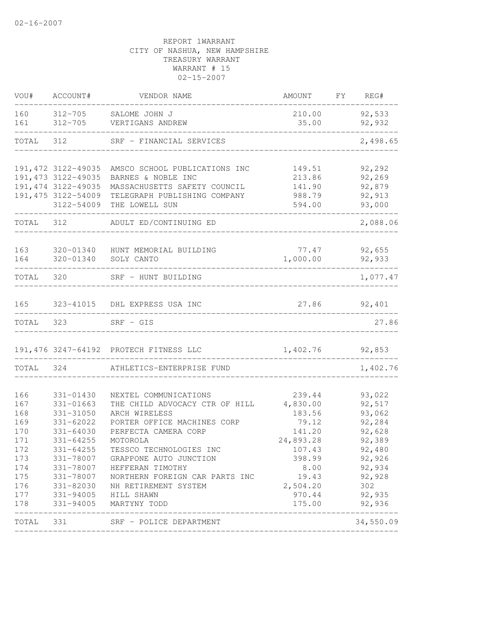| VOU#       | ACCOUNT#                         | VENDOR NAME                                       | AMOUNT           | $\boldsymbol{\mathrm{F}}\boldsymbol{\mathrm{Y}}$ | REG#             |
|------------|----------------------------------|---------------------------------------------------|------------------|--------------------------------------------------|------------------|
| 160<br>161 |                                  | 312-705 SALOME JOHN J<br>312-705 VERTIGANS ANDREW | 210.00<br>35.00  |                                                  | 92,533<br>92,932 |
| TOTAL      | 312                              | SRF - FINANCIAL SERVICES                          |                  |                                                  | 2,498.65         |
|            | 191, 472 3122-49035              | AMSCO SCHOOL PUBLICATIONS INC                     | 149.51           |                                                  | 92,292           |
|            | 191, 473 3122-49035              | BARNES & NOBLE INC                                | 213.86           |                                                  | 92,269           |
|            | 191, 474 3122-49035              | MASSACHUSETTS SAFETY COUNCIL                      | 141.90           |                                                  | 92,879           |
|            | 191,475 3122-54009<br>3122-54009 | TELEGRAPH PUBLISHING COMPANY<br>THE LOWELL SUN    | 988.79<br>594.00 |                                                  | 92,913<br>93,000 |
| TOTAL 312  |                                  | ADULT ED/CONTINUING ED                            |                  |                                                  | 2,088.06         |
|            |                                  |                                                   |                  |                                                  |                  |
| 163        | 320-01340                        | HUNT MEMORIAL BUILDING                            | 77.47            |                                                  | 92,655           |
| 164        | 320-01340                        | SOLY CANTO                                        | 1,000.00         |                                                  | 92,933           |
| TOTAL      | 320                              | SRF - HUNT BUILDING                               |                  |                                                  | 1,077.47         |
| 165        |                                  | 323-41015 DHL EXPRESS USA INC                     |                  |                                                  | 27.86 92,401     |
| TOTAL 323  |                                  | $SRF - GIS$                                       |                  |                                                  | 27.86            |
|            |                                  | 191,476 3247-64192 PROTECH FITNESS LLC            | 1,402.76         |                                                  | 92,853           |
| TOTAL      | 324                              | ATHLETICS-ENTERPRISE FUND                         |                  |                                                  | 1,402.76         |
| 166        | 331-01430                        | NEXTEL COMMUNICATIONS                             | 239.44           |                                                  | 93,022           |
| 167        | $331 - 01663$                    | THE CHILD ADVOCACY CTR OF HILL                    | 4,830.00         |                                                  | 92,517           |
| 168        | 331-31050                        | ARCH WIRELESS                                     | 183.56           |                                                  | 93,062           |
| 169        | 331-62022                        | PORTER OFFICE MACHINES CORP                       | 79.12            |                                                  | 92,284           |
| 170        | $331 - 64030$                    | PERFECTA CAMERA CORP                              | 141.20           |                                                  | 92,628           |
| 171        | $331 - 64255$                    | MOTOROLA                                          | 24,893.28        |                                                  | 92,389           |
| 172        | $331 - 64255$                    | TESSCO TECHNOLOGIES INC                           | 107.43           |                                                  | 92,480           |
| 173        | 331-78007                        | GRAPPONE AUTO JUNCTION                            | 398.99           |                                                  | 92,926           |
| 174        | 331-78007                        | HEFFERAN TIMOTHY                                  | 8.00             |                                                  | 92,934           |
| 175        | 331-78007                        | NORTHERN FOREIGN CAR PARTS INC                    | 19.43            |                                                  | 92,928           |
| 176        | 331-82030                        | NH RETIREMENT SYSTEM                              | 2,504.20         |                                                  | 302              |
| 177        | 331-94005                        | HILL SHAWN                                        | 970.44           |                                                  | 92,935           |
| 178        | 331-94005                        | MARTYNY TODD                                      | 175.00           |                                                  | 92,936           |
| TOTAL      | 331                              | SRF - POLICE DEPARTMENT                           |                  |                                                  | 34,550.09        |
|            |                                  |                                                   |                  |                                                  |                  |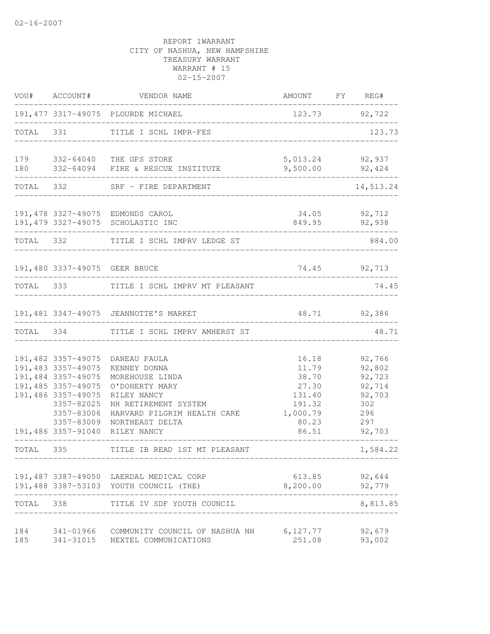|            | VOU# ACCOUNT#                                                                                                                                         | VENDOR NAME                                                                                                                                                | AMOUNT FY                                                                 | REG#                                                                |
|------------|-------------------------------------------------------------------------------------------------------------------------------------------------------|------------------------------------------------------------------------------------------------------------------------------------------------------------|---------------------------------------------------------------------------|---------------------------------------------------------------------|
|            |                                                                                                                                                       | 191, 477 3317-49075 PLOURDE MICHAEL                                                                                                                        |                                                                           | 123.73 92,722                                                       |
| TOTAL 331  |                                                                                                                                                       | TITLE I SCHL IMPR-FES                                                                                                                                      |                                                                           | 123.73                                                              |
|            |                                                                                                                                                       | 179 332-64040 THE GPS STORE<br>180 332-64094 FIRE & RESCUE INSTITUTE                                                                                       | 5,013.24<br>9,500.00                                                      | 92,937<br>92,424                                                    |
|            | TOTAL 332                                                                                                                                             | SRF - FIRE DEPARTMENT                                                                                                                                      |                                                                           | 14,513.24                                                           |
|            |                                                                                                                                                       | 191,478 3327-49075 EDMONDS CAROL<br>191,479 3327-49075 SCHOLASTIC INC                                                                                      |                                                                           | 34.05 92,712<br>849.95 92,938                                       |
|            |                                                                                                                                                       | TOTAL 332 TITLE I SCHL IMPRV LEDGE ST                                                                                                                      | ___________                                                               | 884.00                                                              |
|            |                                                                                                                                                       | 191,480 3337-49075 GEER BRUCE<br>________________                                                                                                          | 74.45 92,713                                                              |                                                                     |
|            |                                                                                                                                                       | TOTAL 333 TITLE I SCHL IMPRV MT PLEASANT                                                                                                                   |                                                                           | 74.45                                                               |
|            |                                                                                                                                                       | 191,481 3347-49075 JEANNOTTE'S MARKET                                                                                                                      |                                                                           | 48.71 92,386                                                        |
| TOTAL 334  |                                                                                                                                                       | TITLE I SCHL IMPRV AMHERST ST                                                                                                                              |                                                                           | 48.71                                                               |
|            | 191,482 3357-49075<br>191,483 3357-49075<br>191,484 3357-49075<br>191, 485 3357-49075<br>191,486 3357-49075<br>3357-82025<br>3357-83006<br>3357-83009 | DANEAU PAULA<br>KENNEY DONNA<br>MOREHOUSE LINDA<br>O'DOHERTY MARY<br>RILEY NANCY<br>NH RETIREMENT SYSTEM<br>HARVARD PILGRIM HEALTH CARE<br>NORTHEAST DELTA | 16.18<br>11.79<br>38.70<br>27.30<br>131.40<br>191.32<br>1,000.79<br>80.23 | 92,766<br>92,802<br>92,723<br>92,714<br>92,703<br>302<br>296<br>297 |
|            | 191,486 3357-91040                                                                                                                                    | RILEY NANCY                                                                                                                                                | 86.51                                                                     | 92,703                                                              |
| TOTAL 335  |                                                                                                                                                       | TITLE IB READ 1ST MT PLEASANT                                                                                                                              |                                                                           | 1,584.22                                                            |
|            |                                                                                                                                                       | 191,487 3387-49050 LAERDAL MEDICAL CORP<br>191,488 3387-53103 YOUTH COUNCIL (THE)<br>-----------                                                           | 8,200.00                                                                  | 613.85 92,644<br>92,779                                             |
| TOTAL 338  |                                                                                                                                                       | TITLE IV SDF YOUTH COUNCIL                                                                                                                                 |                                                                           | 8,813.85                                                            |
| 184<br>185 |                                                                                                                                                       | 341-01966 COMMUNITY COUNCIL OF NASHUA NH 6,127.77<br>341-31015 NEXTEL COMMUNICATIONS                                                                       | 251.08                                                                    | 92,679<br>93,002                                                    |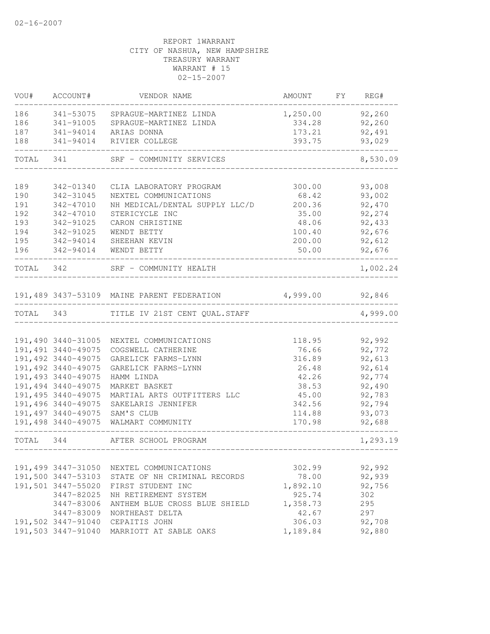| VOU#      | ACCOUNT#           | VENDOR NAME                                | AMOUNT FY | REG#     |
|-----------|--------------------|--------------------------------------------|-----------|----------|
| 186       |                    | 341-53075 SPRAGUE-MARTINEZ LINDA           | 1,250.00  | 92,260   |
| 186       | 341-91005          | SPRAGUE-MARTINEZ LINDA                     | 334.28    | 92,260   |
|           |                    | 187 341-94014 ARIAS DONNA                  | 173.21    | 92,491   |
| 188       |                    | 341-94014 RIVIER COLLEGE                   | 393.75    | 93,029   |
| TOTAL 341 |                    | SRF - COMMUNITY SERVICES                   |           | 8,530.09 |
| 189       | 342-01340          | CLIA LABORATORY PROGRAM                    | 300.00    | 93,008   |
| 190       | 342-31045          | NEXTEL COMMUNICATIONS                      | 68.42     | 93,002   |
| 191       | 342-47010          | NH MEDICAL/DENTAL SUPPLY LLC/D             | 200.36    | 92,470   |
| 192       | 342-47010          | STERICYCLE INC                             | 35.00     | 92,274   |
| 193       | 342-91025          | CARON CHRISTINE                            | 48.06     | 92,433   |
| 194       | 342-91025          | WENDT BETTY                                | 100.40    | 92,676   |
| 195       | 342-94014          | SHEEHAN KEVIN                              | 200.00    | 92,612   |
| 196       | 342-94014          | WENDT BETTY                                | 50.00     | 92,676   |
|           |                    |                                            |           |          |
| TOTAL 342 |                    | SRF - COMMUNITY HEALTH                     |           | 1,002.24 |
|           |                    |                                            |           |          |
|           |                    | 191,489 3437-53109 MAINE PARENT FEDERATION | 4,999.00  | 92,846   |
|           |                    | TOTAL 343 TITLE IV 21ST CENT QUAL.STAFF    |           | 4,999.00 |
|           |                    |                                            |           |          |
|           |                    | 191,490 3440-31005 NEXTEL COMMUNICATIONS   | 118.95    | 92,992   |
|           | 191,491 3440-49075 | COGSWELL CATHERINE                         | 76.66     | 92,772   |
|           | 191,492 3440-49075 | GARELICK FARMS-LYNN                        | 316.89    | 92,613   |
|           | 191,492 3440-49075 | GARELICK FARMS-LYNN                        | 26.48     | 92,614   |
|           | 191,493 3440-49075 | HAMM LINDA                                 | 42.26     | 92,774   |
|           | 191,494 3440-49075 | MARKET BASKET                              | 38.53     | 92,490   |
|           | 191,495 3440-49075 | MARTIAL ARTS OUTFITTERS LLC                | 45.00     | 92,783   |
|           | 191,496 3440-49075 | SAKELARIS JENNIFER                         | 342.56    | 92,794   |
|           | 191,497 3440-49075 | SAM'S CLUB                                 | 114.88    | 93,073   |
|           | 191,498 3440-49075 | WALMART COMMUNITY                          | 170.98    | 92,688   |
| TOTAL 344 |                    | AFTER SCHOOL PROGRAM                       |           | 1,293.19 |
|           |                    |                                            |           |          |
|           | 191,499 3447-31050 | NEXTEL COMMUNICATIONS                      | 302.99    | 92,992   |
|           | 191,500 3447-53103 | STATE OF NH CRIMINAL RECORDS               | 78.00     | 92,939   |
|           | 191,501 3447-55020 | FIRST STUDENT INC                          | 1,892.10  | 92,756   |
|           | 3447-82025         | NH RETIREMENT SYSTEM                       | 925.74    | 302      |
|           | 3447-83006         | ANTHEM BLUE CROSS BLUE SHIELD              | 1,358.73  | 295      |
|           | 3447-83009         | NORTHEAST DELTA                            | 42.67     | 297      |
|           | 191,502 3447-91040 | CEPAITIS JOHN                              | 306.03    | 92,708   |
|           | 191,503 3447-91040 | MARRIOTT AT SABLE OAKS                     | 1,189.84  | 92,880   |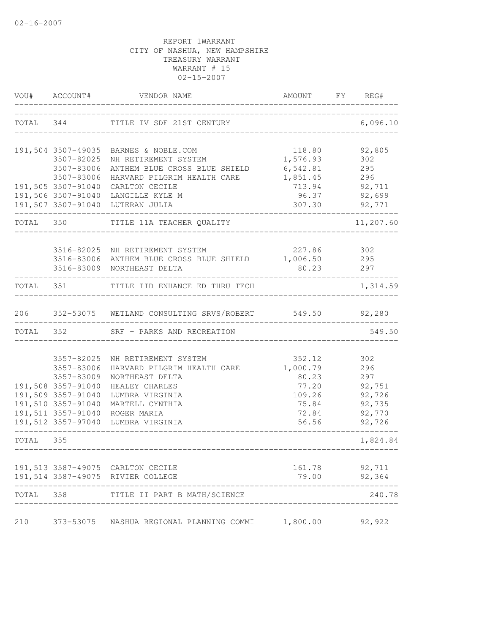| VOU#      | ACCOUNT#                 | VENDOR NAME                                                  | AMOUNT FY REG#       |            |
|-----------|--------------------------|--------------------------------------------------------------|----------------------|------------|
|           | TOTAL 344                | TITLE IV SDF 21ST CENTURY                                    | __________________   | 6,096.10   |
|           | 191,504 3507-49035       | BARNES & NOBLE.COM                                           | 118.80               | 92,805     |
|           | 3507-82025               | NH RETIREMENT SYSTEM                                         | 1,576.93             | 302        |
|           | 3507-83006<br>3507-83006 | ANTHEM BLUE CROSS BLUE SHIELD<br>HARVARD PILGRIM HEALTH CARE | 6,542.81<br>1,851.45 | 295<br>296 |
|           | 191,505 3507-91040       | CARLTON CECILE                                               | 713.94               | 92,711     |
|           | 191,506 3507-91040       | LANGILLE KYLE M                                              | 96.37                | 92,699     |
|           | 191,507 3507-91040       | LUTERAN JULIA                                                | 307.30               | 92,771     |
| TOTAL 350 |                          | TITLE 11A TEACHER QUALITY                                    |                      | 11,207.60  |
|           | 3516-82025               | NH RETIREMENT SYSTEM                                         | 227.86               | 302        |
|           |                          | 3516-83006 ANTHEM BLUE CROSS BLUE SHIELD                     | 1,006.50             | 295        |
|           |                          | 3516-83009 NORTHEAST DELTA                                   | 80.23                | 297        |
| TOTAL     |                          | 351 TITLE IID ENHANCE ED THRU TECH                           |                      | 1,314.59   |
| 206       |                          | 352-53075 WETLAND CONSULTING SRVS/ROBERT 549.50 92,280       |                      |            |
| TOTAL 352 |                          | SRF - PARKS AND RECREATION                                   |                      | 549.50     |
|           |                          |                                                              |                      |            |
|           | 3557-82025               | NH RETIREMENT SYSTEM<br>HARVARD PILGRIM HEALTH CARE          | 352.12               | 302        |
|           | 3557-83006<br>3557-83009 | NORTHEAST DELTA                                              | 1,000.79<br>80.23    | 296<br>297 |
|           | 191,508 3557-91040       | HEALEY CHARLES                                               | 77.20                | 92,751     |
|           | 191,509 3557-91040       | LUMBRA VIRGINIA                                              | 109.26               | 92,726     |
|           | 191,510 3557-91040       | MARTELL CYNTHIA                                              | 75.84                | 92,735     |
|           |                          | 191,511 3557-91040 ROGER MARIA                               | 72.84                | 92,770     |
|           | 191,512 3557-97040       | LUMBRA VIRGINIA                                              | 56.56                | 92,726     |
| TOTAL 355 |                          |                                                              |                      | 1,824.84   |
|           |                          | 191,513 3587-49075 CARLTON CECILE                            | 161.78               | 92,711     |
|           |                          | 191,514 3587-49075 RIVIER COLLEGE                            | 79.00                | 92,364     |
| TOTAL     | 358                      | TITLE II PART B MATH/SCIENCE                                 |                      | 240.78     |
| 210       | 373-53075                | NASHUA REGIONAL PLANNING COMMI                               | 1,800.00             | 92,922     |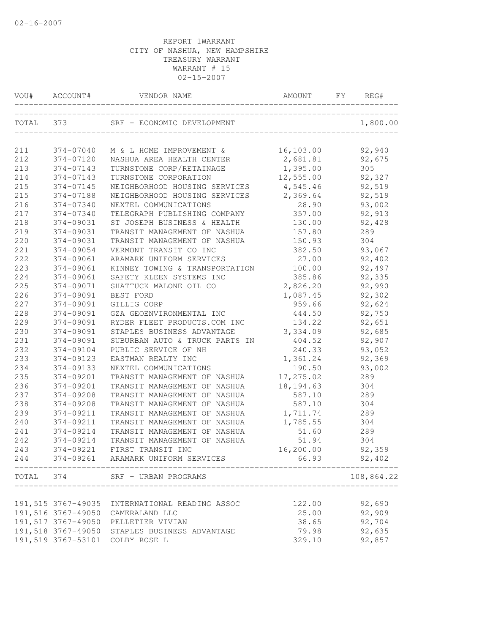| TOTAL 373<br>1,800.00<br>SRF - ECONOMIC DEVELOPMENT<br>16,103.00<br>211<br>374-07040<br>92,940<br>M & L HOME IMPROVEMENT &<br>212<br>374-07120<br>2,681.81<br>92,675<br>NASHUA AREA HEALTH CENTER<br>1,395.00<br>213<br>374-07143<br>TURNSTONE CORP/RETAINAGE<br>305<br>214<br>12,555.00<br>92,327<br>374-07143<br>TURNSTONE CORPORATION<br>215<br>NEIGHBORHOOD HOUSING SERVICES<br>4,545.46<br>92,519<br>374-07145<br>2,369.64<br>92,519<br>215<br>374-07188<br>NEIGHBORHOOD HOUSING SERVICES<br>93,002<br>216<br>374-07340<br>28.90<br>NEXTEL COMMUNICATIONS<br>217<br>374-07340<br>357.00<br>92,913<br>TELEGRAPH PUBLISHING COMPANY<br>218<br>374-09031<br>ST JOSEPH BUSINESS & HEALTH<br>130.00<br>92,428<br>219<br>374-09031<br>157.80<br>TRANSIT MANAGEMENT OF NASHUA<br>289<br>220<br>374-09031<br>150.93<br>304<br>TRANSIT MANAGEMENT OF NASHUA<br>221<br>374-09054<br>382.50<br>93,067<br>VERMONT TRANSIT CO INC<br>222<br>374-09061<br>ARAMARK UNIFORM SERVICES<br>27.00<br>92,402<br>223<br>374-09061<br>KINNEY TOWING & TRANSPORTATION<br>100.00<br>92,497<br>92,335<br>224<br>374-09061<br>SAFETY KLEEN SYSTEMS INC<br>385.86<br>92,990<br>225<br>374-09071<br>SHATTUCK MALONE OIL CO<br>2,826.20<br>226<br>374-09091<br>1,087.45<br>92,302<br>BEST FORD<br>227<br>374-09091<br>959.66<br>92,624<br>GILLIG CORP<br>228<br>374-09091<br>GZA GEOENVIRONMENTAL INC<br>444.50<br>92,750<br>229<br>374-09091<br>134.22<br>92,651<br>RYDER FLEET PRODUCTS.COM INC<br>230<br>374-09091<br>3,334.09<br>92,685<br>STAPLES BUSINESS ADVANTAGE<br>231<br>374-09091<br>92,907<br>SUBURBAN AUTO & TRUCK PARTS IN<br>404.52<br>232<br>240.33<br>93,052<br>374-09104<br>PUBLIC SERVICE OF NH<br>233<br>1,361.24<br>92,369<br>374-09123<br>EASTMAN REALTY INC<br>234<br>374-09133<br>190.50<br>93,002<br>NEXTEL COMMUNICATIONS<br>235<br>374-09201<br>17,275.02<br>TRANSIT MANAGEMENT OF NASHUA<br>289<br>236<br>374-09201<br>18, 194.63<br>TRANSIT MANAGEMENT OF NASHUA<br>304<br>237<br>374-09208<br>TRANSIT MANAGEMENT OF NASHUA<br>587.10<br>289<br>238<br>587.10<br>374-09208<br>TRANSIT MANAGEMENT OF NASHUA<br>304<br>239<br>374-09211<br>1,711.74<br>289<br>TRANSIT MANAGEMENT OF NASHUA<br>240<br>374-09211<br>1,785.55<br>304<br>TRANSIT MANAGEMENT OF NASHUA<br>241<br>374-09214<br>51.60<br>289<br>TRANSIT MANAGEMENT OF NASHUA<br>242<br>51.94<br>304<br>374-09214<br>TRANSIT MANAGEMENT OF NASHUA<br>92,359<br>243<br>374-09221<br>FIRST TRANSIT INC<br>16,200.00<br>374-09261 ARAMARK UNIFORM SERVICES<br>66.93<br>92,402<br>244<br>_______________<br>108,864.22<br>TOTAL 374<br>SRF - URBAN PROGRAMS<br>92,690<br>122.00<br>191,515 3767-49035 INTERNATIONAL READING ASSOC<br>92,909<br>191,516 3767-49050 CAMERALAND LLC<br>25.00<br>191,517 3767-49050 PELLETIER VIVIAN<br>92,704<br>38.65<br>92,635<br>191,518 3767-49050 STAPLES BUSINESS ADVANTAGE<br>79.98<br>191,519 3767-53101 COLBY ROSE L<br>92,857<br>329.10 | VOU# | ACCOUNT# | VENDOR NAME | AMOUNT | FY | REG# |
|---------------------------------------------------------------------------------------------------------------------------------------------------------------------------------------------------------------------------------------------------------------------------------------------------------------------------------------------------------------------------------------------------------------------------------------------------------------------------------------------------------------------------------------------------------------------------------------------------------------------------------------------------------------------------------------------------------------------------------------------------------------------------------------------------------------------------------------------------------------------------------------------------------------------------------------------------------------------------------------------------------------------------------------------------------------------------------------------------------------------------------------------------------------------------------------------------------------------------------------------------------------------------------------------------------------------------------------------------------------------------------------------------------------------------------------------------------------------------------------------------------------------------------------------------------------------------------------------------------------------------------------------------------------------------------------------------------------------------------------------------------------------------------------------------------------------------------------------------------------------------------------------------------------------------------------------------------------------------------------------------------------------------------------------------------------------------------------------------------------------------------------------------------------------------------------------------------------------------------------------------------------------------------------------------------------------------------------------------------------------------------------------------------------------------------------------------------------------------------------------------------------------------------------------------------------------------------------------------------------------------------------------------------------------------------------------------------------------------------------------------------------------------------------------------------------------------------------------------------------------------------------------------------------------------------------|------|----------|-------------|--------|----|------|
|                                                                                                                                                                                                                                                                                                                                                                                                                                                                                                                                                                                                                                                                                                                                                                                                                                                                                                                                                                                                                                                                                                                                                                                                                                                                                                                                                                                                                                                                                                                                                                                                                                                                                                                                                                                                                                                                                                                                                                                                                                                                                                                                                                                                                                                                                                                                                                                                                                                                                                                                                                                                                                                                                                                                                                                                                                                                                                                                       |      |          |             |        |    |      |
|                                                                                                                                                                                                                                                                                                                                                                                                                                                                                                                                                                                                                                                                                                                                                                                                                                                                                                                                                                                                                                                                                                                                                                                                                                                                                                                                                                                                                                                                                                                                                                                                                                                                                                                                                                                                                                                                                                                                                                                                                                                                                                                                                                                                                                                                                                                                                                                                                                                                                                                                                                                                                                                                                                                                                                                                                                                                                                                                       |      |          |             |        |    |      |
|                                                                                                                                                                                                                                                                                                                                                                                                                                                                                                                                                                                                                                                                                                                                                                                                                                                                                                                                                                                                                                                                                                                                                                                                                                                                                                                                                                                                                                                                                                                                                                                                                                                                                                                                                                                                                                                                                                                                                                                                                                                                                                                                                                                                                                                                                                                                                                                                                                                                                                                                                                                                                                                                                                                                                                                                                                                                                                                                       |      |          |             |        |    |      |
|                                                                                                                                                                                                                                                                                                                                                                                                                                                                                                                                                                                                                                                                                                                                                                                                                                                                                                                                                                                                                                                                                                                                                                                                                                                                                                                                                                                                                                                                                                                                                                                                                                                                                                                                                                                                                                                                                                                                                                                                                                                                                                                                                                                                                                                                                                                                                                                                                                                                                                                                                                                                                                                                                                                                                                                                                                                                                                                                       |      |          |             |        |    |      |
|                                                                                                                                                                                                                                                                                                                                                                                                                                                                                                                                                                                                                                                                                                                                                                                                                                                                                                                                                                                                                                                                                                                                                                                                                                                                                                                                                                                                                                                                                                                                                                                                                                                                                                                                                                                                                                                                                                                                                                                                                                                                                                                                                                                                                                                                                                                                                                                                                                                                                                                                                                                                                                                                                                                                                                                                                                                                                                                                       |      |          |             |        |    |      |
|                                                                                                                                                                                                                                                                                                                                                                                                                                                                                                                                                                                                                                                                                                                                                                                                                                                                                                                                                                                                                                                                                                                                                                                                                                                                                                                                                                                                                                                                                                                                                                                                                                                                                                                                                                                                                                                                                                                                                                                                                                                                                                                                                                                                                                                                                                                                                                                                                                                                                                                                                                                                                                                                                                                                                                                                                                                                                                                                       |      |          |             |        |    |      |
|                                                                                                                                                                                                                                                                                                                                                                                                                                                                                                                                                                                                                                                                                                                                                                                                                                                                                                                                                                                                                                                                                                                                                                                                                                                                                                                                                                                                                                                                                                                                                                                                                                                                                                                                                                                                                                                                                                                                                                                                                                                                                                                                                                                                                                                                                                                                                                                                                                                                                                                                                                                                                                                                                                                                                                                                                                                                                                                                       |      |          |             |        |    |      |
|                                                                                                                                                                                                                                                                                                                                                                                                                                                                                                                                                                                                                                                                                                                                                                                                                                                                                                                                                                                                                                                                                                                                                                                                                                                                                                                                                                                                                                                                                                                                                                                                                                                                                                                                                                                                                                                                                                                                                                                                                                                                                                                                                                                                                                                                                                                                                                                                                                                                                                                                                                                                                                                                                                                                                                                                                                                                                                                                       |      |          |             |        |    |      |
|                                                                                                                                                                                                                                                                                                                                                                                                                                                                                                                                                                                                                                                                                                                                                                                                                                                                                                                                                                                                                                                                                                                                                                                                                                                                                                                                                                                                                                                                                                                                                                                                                                                                                                                                                                                                                                                                                                                                                                                                                                                                                                                                                                                                                                                                                                                                                                                                                                                                                                                                                                                                                                                                                                                                                                                                                                                                                                                                       |      |          |             |        |    |      |
|                                                                                                                                                                                                                                                                                                                                                                                                                                                                                                                                                                                                                                                                                                                                                                                                                                                                                                                                                                                                                                                                                                                                                                                                                                                                                                                                                                                                                                                                                                                                                                                                                                                                                                                                                                                                                                                                                                                                                                                                                                                                                                                                                                                                                                                                                                                                                                                                                                                                                                                                                                                                                                                                                                                                                                                                                                                                                                                                       |      |          |             |        |    |      |
|                                                                                                                                                                                                                                                                                                                                                                                                                                                                                                                                                                                                                                                                                                                                                                                                                                                                                                                                                                                                                                                                                                                                                                                                                                                                                                                                                                                                                                                                                                                                                                                                                                                                                                                                                                                                                                                                                                                                                                                                                                                                                                                                                                                                                                                                                                                                                                                                                                                                                                                                                                                                                                                                                                                                                                                                                                                                                                                                       |      |          |             |        |    |      |
|                                                                                                                                                                                                                                                                                                                                                                                                                                                                                                                                                                                                                                                                                                                                                                                                                                                                                                                                                                                                                                                                                                                                                                                                                                                                                                                                                                                                                                                                                                                                                                                                                                                                                                                                                                                                                                                                                                                                                                                                                                                                                                                                                                                                                                                                                                                                                                                                                                                                                                                                                                                                                                                                                                                                                                                                                                                                                                                                       |      |          |             |        |    |      |
|                                                                                                                                                                                                                                                                                                                                                                                                                                                                                                                                                                                                                                                                                                                                                                                                                                                                                                                                                                                                                                                                                                                                                                                                                                                                                                                                                                                                                                                                                                                                                                                                                                                                                                                                                                                                                                                                                                                                                                                                                                                                                                                                                                                                                                                                                                                                                                                                                                                                                                                                                                                                                                                                                                                                                                                                                                                                                                                                       |      |          |             |        |    |      |
|                                                                                                                                                                                                                                                                                                                                                                                                                                                                                                                                                                                                                                                                                                                                                                                                                                                                                                                                                                                                                                                                                                                                                                                                                                                                                                                                                                                                                                                                                                                                                                                                                                                                                                                                                                                                                                                                                                                                                                                                                                                                                                                                                                                                                                                                                                                                                                                                                                                                                                                                                                                                                                                                                                                                                                                                                                                                                                                                       |      |          |             |        |    |      |
|                                                                                                                                                                                                                                                                                                                                                                                                                                                                                                                                                                                                                                                                                                                                                                                                                                                                                                                                                                                                                                                                                                                                                                                                                                                                                                                                                                                                                                                                                                                                                                                                                                                                                                                                                                                                                                                                                                                                                                                                                                                                                                                                                                                                                                                                                                                                                                                                                                                                                                                                                                                                                                                                                                                                                                                                                                                                                                                                       |      |          |             |        |    |      |
|                                                                                                                                                                                                                                                                                                                                                                                                                                                                                                                                                                                                                                                                                                                                                                                                                                                                                                                                                                                                                                                                                                                                                                                                                                                                                                                                                                                                                                                                                                                                                                                                                                                                                                                                                                                                                                                                                                                                                                                                                                                                                                                                                                                                                                                                                                                                                                                                                                                                                                                                                                                                                                                                                                                                                                                                                                                                                                                                       |      |          |             |        |    |      |
|                                                                                                                                                                                                                                                                                                                                                                                                                                                                                                                                                                                                                                                                                                                                                                                                                                                                                                                                                                                                                                                                                                                                                                                                                                                                                                                                                                                                                                                                                                                                                                                                                                                                                                                                                                                                                                                                                                                                                                                                                                                                                                                                                                                                                                                                                                                                                                                                                                                                                                                                                                                                                                                                                                                                                                                                                                                                                                                                       |      |          |             |        |    |      |
|                                                                                                                                                                                                                                                                                                                                                                                                                                                                                                                                                                                                                                                                                                                                                                                                                                                                                                                                                                                                                                                                                                                                                                                                                                                                                                                                                                                                                                                                                                                                                                                                                                                                                                                                                                                                                                                                                                                                                                                                                                                                                                                                                                                                                                                                                                                                                                                                                                                                                                                                                                                                                                                                                                                                                                                                                                                                                                                                       |      |          |             |        |    |      |
|                                                                                                                                                                                                                                                                                                                                                                                                                                                                                                                                                                                                                                                                                                                                                                                                                                                                                                                                                                                                                                                                                                                                                                                                                                                                                                                                                                                                                                                                                                                                                                                                                                                                                                                                                                                                                                                                                                                                                                                                                                                                                                                                                                                                                                                                                                                                                                                                                                                                                                                                                                                                                                                                                                                                                                                                                                                                                                                                       |      |          |             |        |    |      |
|                                                                                                                                                                                                                                                                                                                                                                                                                                                                                                                                                                                                                                                                                                                                                                                                                                                                                                                                                                                                                                                                                                                                                                                                                                                                                                                                                                                                                                                                                                                                                                                                                                                                                                                                                                                                                                                                                                                                                                                                                                                                                                                                                                                                                                                                                                                                                                                                                                                                                                                                                                                                                                                                                                                                                                                                                                                                                                                                       |      |          |             |        |    |      |
|                                                                                                                                                                                                                                                                                                                                                                                                                                                                                                                                                                                                                                                                                                                                                                                                                                                                                                                                                                                                                                                                                                                                                                                                                                                                                                                                                                                                                                                                                                                                                                                                                                                                                                                                                                                                                                                                                                                                                                                                                                                                                                                                                                                                                                                                                                                                                                                                                                                                                                                                                                                                                                                                                                                                                                                                                                                                                                                                       |      |          |             |        |    |      |
|                                                                                                                                                                                                                                                                                                                                                                                                                                                                                                                                                                                                                                                                                                                                                                                                                                                                                                                                                                                                                                                                                                                                                                                                                                                                                                                                                                                                                                                                                                                                                                                                                                                                                                                                                                                                                                                                                                                                                                                                                                                                                                                                                                                                                                                                                                                                                                                                                                                                                                                                                                                                                                                                                                                                                                                                                                                                                                                                       |      |          |             |        |    |      |
|                                                                                                                                                                                                                                                                                                                                                                                                                                                                                                                                                                                                                                                                                                                                                                                                                                                                                                                                                                                                                                                                                                                                                                                                                                                                                                                                                                                                                                                                                                                                                                                                                                                                                                                                                                                                                                                                                                                                                                                                                                                                                                                                                                                                                                                                                                                                                                                                                                                                                                                                                                                                                                                                                                                                                                                                                                                                                                                                       |      |          |             |        |    |      |
|                                                                                                                                                                                                                                                                                                                                                                                                                                                                                                                                                                                                                                                                                                                                                                                                                                                                                                                                                                                                                                                                                                                                                                                                                                                                                                                                                                                                                                                                                                                                                                                                                                                                                                                                                                                                                                                                                                                                                                                                                                                                                                                                                                                                                                                                                                                                                                                                                                                                                                                                                                                                                                                                                                                                                                                                                                                                                                                                       |      |          |             |        |    |      |
|                                                                                                                                                                                                                                                                                                                                                                                                                                                                                                                                                                                                                                                                                                                                                                                                                                                                                                                                                                                                                                                                                                                                                                                                                                                                                                                                                                                                                                                                                                                                                                                                                                                                                                                                                                                                                                                                                                                                                                                                                                                                                                                                                                                                                                                                                                                                                                                                                                                                                                                                                                                                                                                                                                                                                                                                                                                                                                                                       |      |          |             |        |    |      |
|                                                                                                                                                                                                                                                                                                                                                                                                                                                                                                                                                                                                                                                                                                                                                                                                                                                                                                                                                                                                                                                                                                                                                                                                                                                                                                                                                                                                                                                                                                                                                                                                                                                                                                                                                                                                                                                                                                                                                                                                                                                                                                                                                                                                                                                                                                                                                                                                                                                                                                                                                                                                                                                                                                                                                                                                                                                                                                                                       |      |          |             |        |    |      |
|                                                                                                                                                                                                                                                                                                                                                                                                                                                                                                                                                                                                                                                                                                                                                                                                                                                                                                                                                                                                                                                                                                                                                                                                                                                                                                                                                                                                                                                                                                                                                                                                                                                                                                                                                                                                                                                                                                                                                                                                                                                                                                                                                                                                                                                                                                                                                                                                                                                                                                                                                                                                                                                                                                                                                                                                                                                                                                                                       |      |          |             |        |    |      |
|                                                                                                                                                                                                                                                                                                                                                                                                                                                                                                                                                                                                                                                                                                                                                                                                                                                                                                                                                                                                                                                                                                                                                                                                                                                                                                                                                                                                                                                                                                                                                                                                                                                                                                                                                                                                                                                                                                                                                                                                                                                                                                                                                                                                                                                                                                                                                                                                                                                                                                                                                                                                                                                                                                                                                                                                                                                                                                                                       |      |          |             |        |    |      |
|                                                                                                                                                                                                                                                                                                                                                                                                                                                                                                                                                                                                                                                                                                                                                                                                                                                                                                                                                                                                                                                                                                                                                                                                                                                                                                                                                                                                                                                                                                                                                                                                                                                                                                                                                                                                                                                                                                                                                                                                                                                                                                                                                                                                                                                                                                                                                                                                                                                                                                                                                                                                                                                                                                                                                                                                                                                                                                                                       |      |          |             |        |    |      |
|                                                                                                                                                                                                                                                                                                                                                                                                                                                                                                                                                                                                                                                                                                                                                                                                                                                                                                                                                                                                                                                                                                                                                                                                                                                                                                                                                                                                                                                                                                                                                                                                                                                                                                                                                                                                                                                                                                                                                                                                                                                                                                                                                                                                                                                                                                                                                                                                                                                                                                                                                                                                                                                                                                                                                                                                                                                                                                                                       |      |          |             |        |    |      |
|                                                                                                                                                                                                                                                                                                                                                                                                                                                                                                                                                                                                                                                                                                                                                                                                                                                                                                                                                                                                                                                                                                                                                                                                                                                                                                                                                                                                                                                                                                                                                                                                                                                                                                                                                                                                                                                                                                                                                                                                                                                                                                                                                                                                                                                                                                                                                                                                                                                                                                                                                                                                                                                                                                                                                                                                                                                                                                                                       |      |          |             |        |    |      |
|                                                                                                                                                                                                                                                                                                                                                                                                                                                                                                                                                                                                                                                                                                                                                                                                                                                                                                                                                                                                                                                                                                                                                                                                                                                                                                                                                                                                                                                                                                                                                                                                                                                                                                                                                                                                                                                                                                                                                                                                                                                                                                                                                                                                                                                                                                                                                                                                                                                                                                                                                                                                                                                                                                                                                                                                                                                                                                                                       |      |          |             |        |    |      |
|                                                                                                                                                                                                                                                                                                                                                                                                                                                                                                                                                                                                                                                                                                                                                                                                                                                                                                                                                                                                                                                                                                                                                                                                                                                                                                                                                                                                                                                                                                                                                                                                                                                                                                                                                                                                                                                                                                                                                                                                                                                                                                                                                                                                                                                                                                                                                                                                                                                                                                                                                                                                                                                                                                                                                                                                                                                                                                                                       |      |          |             |        |    |      |
|                                                                                                                                                                                                                                                                                                                                                                                                                                                                                                                                                                                                                                                                                                                                                                                                                                                                                                                                                                                                                                                                                                                                                                                                                                                                                                                                                                                                                                                                                                                                                                                                                                                                                                                                                                                                                                                                                                                                                                                                                                                                                                                                                                                                                                                                                                                                                                                                                                                                                                                                                                                                                                                                                                                                                                                                                                                                                                                                       |      |          |             |        |    |      |
|                                                                                                                                                                                                                                                                                                                                                                                                                                                                                                                                                                                                                                                                                                                                                                                                                                                                                                                                                                                                                                                                                                                                                                                                                                                                                                                                                                                                                                                                                                                                                                                                                                                                                                                                                                                                                                                                                                                                                                                                                                                                                                                                                                                                                                                                                                                                                                                                                                                                                                                                                                                                                                                                                                                                                                                                                                                                                                                                       |      |          |             |        |    |      |
|                                                                                                                                                                                                                                                                                                                                                                                                                                                                                                                                                                                                                                                                                                                                                                                                                                                                                                                                                                                                                                                                                                                                                                                                                                                                                                                                                                                                                                                                                                                                                                                                                                                                                                                                                                                                                                                                                                                                                                                                                                                                                                                                                                                                                                                                                                                                                                                                                                                                                                                                                                                                                                                                                                                                                                                                                                                                                                                                       |      |          |             |        |    |      |
|                                                                                                                                                                                                                                                                                                                                                                                                                                                                                                                                                                                                                                                                                                                                                                                                                                                                                                                                                                                                                                                                                                                                                                                                                                                                                                                                                                                                                                                                                                                                                                                                                                                                                                                                                                                                                                                                                                                                                                                                                                                                                                                                                                                                                                                                                                                                                                                                                                                                                                                                                                                                                                                                                                                                                                                                                                                                                                                                       |      |          |             |        |    |      |
|                                                                                                                                                                                                                                                                                                                                                                                                                                                                                                                                                                                                                                                                                                                                                                                                                                                                                                                                                                                                                                                                                                                                                                                                                                                                                                                                                                                                                                                                                                                                                                                                                                                                                                                                                                                                                                                                                                                                                                                                                                                                                                                                                                                                                                                                                                                                                                                                                                                                                                                                                                                                                                                                                                                                                                                                                                                                                                                                       |      |          |             |        |    |      |
|                                                                                                                                                                                                                                                                                                                                                                                                                                                                                                                                                                                                                                                                                                                                                                                                                                                                                                                                                                                                                                                                                                                                                                                                                                                                                                                                                                                                                                                                                                                                                                                                                                                                                                                                                                                                                                                                                                                                                                                                                                                                                                                                                                                                                                                                                                                                                                                                                                                                                                                                                                                                                                                                                                                                                                                                                                                                                                                                       |      |          |             |        |    |      |
|                                                                                                                                                                                                                                                                                                                                                                                                                                                                                                                                                                                                                                                                                                                                                                                                                                                                                                                                                                                                                                                                                                                                                                                                                                                                                                                                                                                                                                                                                                                                                                                                                                                                                                                                                                                                                                                                                                                                                                                                                                                                                                                                                                                                                                                                                                                                                                                                                                                                                                                                                                                                                                                                                                                                                                                                                                                                                                                                       |      |          |             |        |    |      |
|                                                                                                                                                                                                                                                                                                                                                                                                                                                                                                                                                                                                                                                                                                                                                                                                                                                                                                                                                                                                                                                                                                                                                                                                                                                                                                                                                                                                                                                                                                                                                                                                                                                                                                                                                                                                                                                                                                                                                                                                                                                                                                                                                                                                                                                                                                                                                                                                                                                                                                                                                                                                                                                                                                                                                                                                                                                                                                                                       |      |          |             |        |    |      |
|                                                                                                                                                                                                                                                                                                                                                                                                                                                                                                                                                                                                                                                                                                                                                                                                                                                                                                                                                                                                                                                                                                                                                                                                                                                                                                                                                                                                                                                                                                                                                                                                                                                                                                                                                                                                                                                                                                                                                                                                                                                                                                                                                                                                                                                                                                                                                                                                                                                                                                                                                                                                                                                                                                                                                                                                                                                                                                                                       |      |          |             |        |    |      |
|                                                                                                                                                                                                                                                                                                                                                                                                                                                                                                                                                                                                                                                                                                                                                                                                                                                                                                                                                                                                                                                                                                                                                                                                                                                                                                                                                                                                                                                                                                                                                                                                                                                                                                                                                                                                                                                                                                                                                                                                                                                                                                                                                                                                                                                                                                                                                                                                                                                                                                                                                                                                                                                                                                                                                                                                                                                                                                                                       |      |          |             |        |    |      |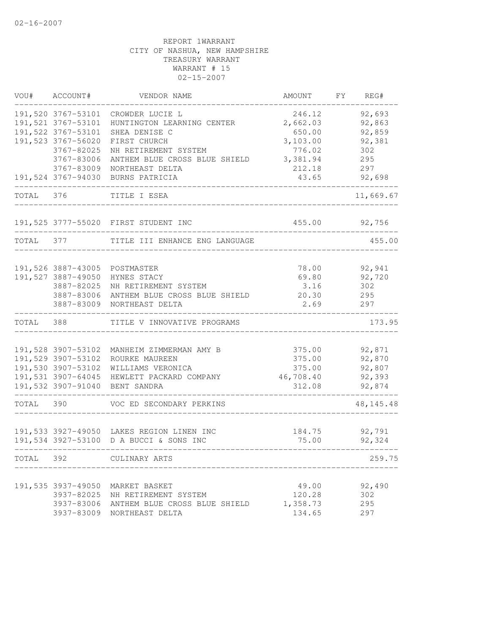| VOU#      | ACCOUNT#           | VENDOR NAME                                                                          | AMOUNT          | FY | REG#             |
|-----------|--------------------|--------------------------------------------------------------------------------------|-----------------|----|------------------|
|           | 191,520 3767-53101 | CROWDER LUCIE L                                                                      | 246.12          |    | 92,693           |
|           | 191,521 3767-53101 | HUNTINGTON LEARNING CENTER                                                           | 2,662.03        |    | 92,863           |
|           | 191,522 3767-53101 | SHEA DENISE C                                                                        | 650.00          |    | 92,859           |
|           | 191,523 3767-56020 | FIRST CHURCH                                                                         | 3,103.00        |    | 92,381           |
|           | 3767-82025         | NH RETIREMENT SYSTEM                                                                 | 776.02          |    | 302              |
|           | 3767-83006         | ANTHEM BLUE CROSS BLUE SHIELD                                                        | 3,381.94        |    | 295              |
|           | 3767-83009         | NORTHEAST DELTA                                                                      | 212.18          |    | 297              |
|           | 191,524 3767-94030 | BURNS PATRICIA                                                                       | 43.65           |    | 92,698           |
| TOTAL 376 |                    | TITLE I ESEA                                                                         |                 |    | 11,669.67        |
|           |                    | 191,525 3777-55020 FIRST STUDENT INC                                                 | 455.00          |    | 92,756           |
| TOTAL     | 377                | TITLE III ENHANCE ENG LANGUAGE                                                       |                 |    | 455.00           |
|           |                    |                                                                                      |                 |    |                  |
|           | 191,526 3887-43005 | POSTMASTER                                                                           | 78.00           |    | 92,941           |
|           | 191,527 3887-49050 | HYNES STACY                                                                          | 69.80           |    | 92,720           |
|           | 3887-82025         | NH RETIREMENT SYSTEM                                                                 | 3.16            |    | 302              |
|           | 3887-83006         | ANTHEM BLUE CROSS BLUE SHIELD                                                        | 20.30           |    | 295              |
|           | 3887-83009         | NORTHEAST DELTA                                                                      | 2.69            |    | 297              |
| TOTAL     | 388                | TITLE V INNOVATIVE PROGRAMS                                                          |                 |    | 173.95           |
|           |                    |                                                                                      |                 |    |                  |
|           | 191,528 3907-53102 | MANHEIM ZIMMERMAN AMY B                                                              | 375.00          |    | 92,871           |
|           | 191,529 3907-53102 | ROURKE MAUREEN                                                                       | 375.00          |    | 92,870           |
|           | 191,530 3907-53102 | WILLIAMS VERONICA                                                                    | 375.00          |    | 92,807           |
|           | 191,531 3907-64045 | HEWLETT PACKARD COMPANY                                                              | 46,708.40       |    | 92,393           |
|           | 191,532 3907-91040 | BENT SANDRA                                                                          | 312.08          |    | 92,874           |
| TOTAL     | 390                | VOC ED SECONDARY PERKINS                                                             |                 |    | 48, 145. 48      |
|           |                    |                                                                                      |                 |    |                  |
|           |                    | 191,533 3927-49050 LAKES REGION LINEN INC<br>191,534 3927-53100 D A BUCCI & SONS INC | 184.75<br>75.00 |    | 92,791<br>92,324 |
| TOTAL     | 392                | CULINARY ARTS                                                                        |                 |    | 259.75           |
|           |                    |                                                                                      |                 |    |                  |
|           | 191,535 3937-49050 | MARKET BASKET                                                                        | 49.00           |    | 92,490           |
|           | 3937-82025         | NH RETIREMENT SYSTEM                                                                 | 120.28          |    | 302              |
|           | 3937-83006         | ANTHEM BLUE CROSS BLUE SHIELD                                                        | 1,358.73        |    | 295              |
|           | 3937-83009         | NORTHEAST DELTA                                                                      | 134.65          |    | 297              |
|           |                    |                                                                                      |                 |    |                  |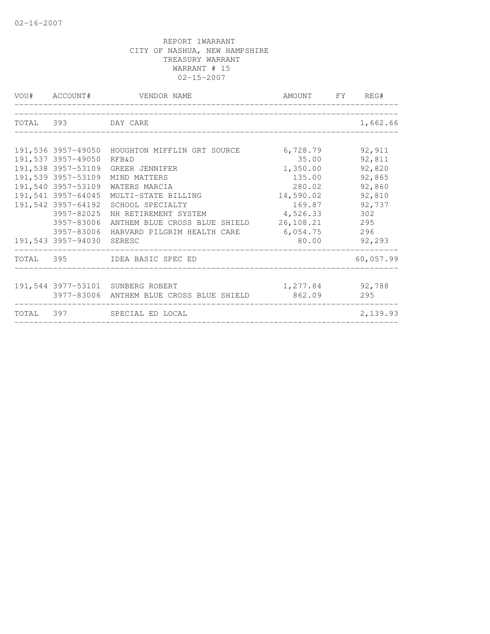| VOU# ACCOUNT#             | VENDOR NAME                                     | AMOUNT FY REG#  |           |
|---------------------------|-------------------------------------------------|-----------------|-----------|
|                           |                                                 |                 |           |
| TOTAL 393 DAY CARE        |                                                 |                 | 1,662.66  |
|                           | 191,536 3957-49050 HOUGHTON MIFFLIN GRT SOURCE  | 6,728.79        | 92,911    |
| 191,537 3957-49050        | RFB&D                                           | 35.00           | 92,811    |
|                           | 191,538 3957-53109 GREER JENNIFER               | 1,350.00        | 92,820    |
| 191,539 3957-53109        | MIND MATTERS                                    | 135.00          | 92,865    |
| 191,540 3957-53109        | WATERS MARCIA                                   | 280.02          | 92,860    |
| 191,541 3957-64045        | MULTI-STATE BILLING                             | 14,590.02       | 92,810    |
| 191,542 3957-64192        | SCHOOL SPECIALTY                                | 169.87          | 92,737    |
| 3957-82025                | NH RETIREMENT SYSTEM                            | 4,526.33        | 302       |
| 3957-83006                | ANTHEM BLUE CROSS BLUE SHIELD 26,108.21         |                 | 295       |
|                           | 3957-83006 HARVARD PILGRIM HEALTH CARE 6,054.75 |                 | 296       |
| 191,543 3957-94030 SERESC |                                                 | 80.00 00        | 92,293    |
|                           | TOTAL 395 IDEA BASIC SPEC ED                    |                 | 60,057.99 |
|                           |                                                 |                 |           |
|                           | 191,544 3977-53101 SUNBERG ROBERT               | 1,277.84 92,788 |           |
|                           | 3977-83006 ANTHEM BLUE CROSS BLUE SHIELD        | 862.09          | 295       |
|                           | TOTAL 397 SPECIAL ED LOCAL                      |                 | 2,139.93  |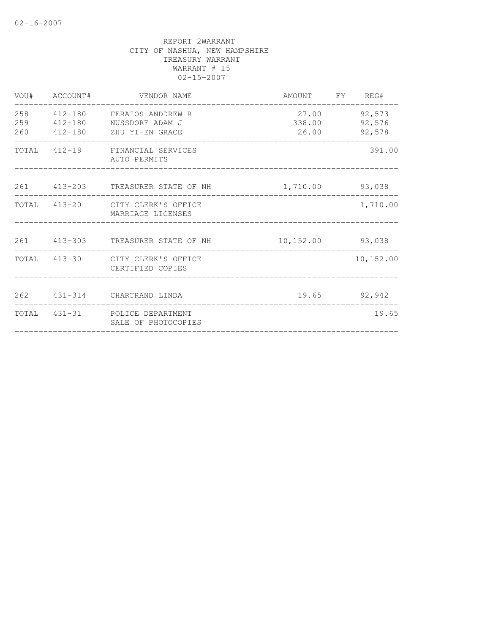|                   | VOU# ACCOUNT# | VENDOR NAME                                                                     | AMOUNT FY REG#           |                            |
|-------------------|---------------|---------------------------------------------------------------------------------|--------------------------|----------------------------|
| 258<br>259<br>260 |               | 412-180 FERAIOS ANDDREW R<br>412-180 NUSSDORF ADAM J<br>412-180 ZHU YI-EN GRACE | 27.00<br>338.00<br>26.00 | 92,573<br>92,576<br>92,578 |
|                   |               | TOTAL 412-18 FINANCIAL SERVICES<br>AUTO PERMITS                                 |                          | 391.00                     |
|                   |               | 261 413-203 TREASURER STATE OF NH                                               | 1,710.00 93,038          |                            |
|                   |               | TOTAL 413-20 CITY CLERK'S OFFICE<br>MARRIAGE LICENSES                           |                          | 1,710.00                   |
|                   |               | 261 413-303 TREASURER STATE OF NH                                               | 10,152.00 93,038         |                            |
|                   |               | TOTAL 413-30 CITY CLERK'S OFFICE<br>CERTIFIED COPIES                            |                          | 10, 152.00                 |
|                   |               | 262 431-314 CHARTRAND LINDA                                                     |                          | 19.65 92,942               |
| TOTAL             |               | 431-31 POLICE DEPARTMENT<br>SALE OF PHOTOCOPIES                                 |                          | 19.65                      |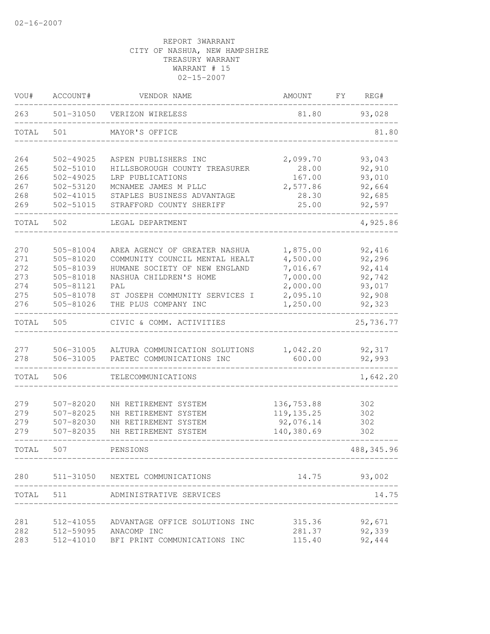| VOU#  | ACCOUNT#      | VENDOR NAME                     | AMOUNT                    | FY. | REG#        |
|-------|---------------|---------------------------------|---------------------------|-----|-------------|
| 263   | 501-31050     | VERIZON WIRELESS                | 81.80                     |     | 93,028      |
| TOTAL | 501           | MAYOR'S OFFICE                  |                           |     | 81.80       |
| 264   | 502-49025     | ASPEN PUBLISHERS INC            | 2,099.70                  |     | 93,043      |
| 265   | 502-51010     | HILLSBOROUGH COUNTY TREASURER   | 28.00                     |     | 92,910      |
| 266   | 502-49025     | LRP PUBLICATIONS                | 167.00                    |     | 93,010      |
| 267   | 502-53120     | MCNAMEE JAMES M PLLC            | 2,577.86                  |     | 92,664      |
| 268   | 502-41015     | STAPLES BUSINESS ADVANTAGE      | 28.30                     |     | 92,685      |
| 269   | 502-51015     | STRAFFORD COUNTY SHERIFF        | 25.00                     |     | 92,597      |
| TOTAL | 502           | LEGAL DEPARTMENT                |                           |     | 4,925.86    |
| 270   | 505-81004     | AREA AGENCY OF GREATER NASHUA   | 1,875.00                  |     | 92,416      |
| 271   | $505 - 81020$ | COMMUNITY COUNCIL MENTAL HEALT  | 4,500.00                  |     | 92,296      |
| 272   | 505-81039     | HUMANE SOCIETY OF NEW ENGLAND   | 7,016.67                  |     | 92, 414     |
| 273   | 505-81018     | NASHUA CHILDREN'S HOME          | 7,000.00                  |     | 92,742      |
| 274   | 505-81121     | PAL                             | 2,000.00                  |     | 93,017      |
| 275   | 505-81078     | ST JOSEPH COMMUNITY SERVICES I  | 2,095.10                  |     | 92,908      |
| 276   | 505-81026     | THE PLUS COMPANY INC            | 1,250.00                  |     | 92,323      |
| TOTAL | 505           | CIVIC & COMM. ACTIVITIES        |                           |     | 25,736.77   |
| 277   | 506-31005     | ALTURA COMMUNICATION SOLUTIONS  | 1,042.20                  |     | 92,317      |
| 278   | 506-31005     | PAETEC COMMUNICATIONS INC       | 600.00                    |     | 92,993      |
| TOTAL | 506           | TELECOMMUNICATIONS              |                           |     | 1,642.20    |
| 279   | 507-82020     | NH RETIREMENT SYSTEM            |                           |     |             |
| 279   | 507-82025     | NH RETIREMENT SYSTEM            | 136,753.88<br>119, 135.25 |     | 302         |
| 279   | 507-82030     | NH RETIREMENT SYSTEM            | 92,076.14                 |     | 302<br>302  |
| 279   | 507-82035     | NH RETIREMENT SYSTEM            | 140,380.69                |     | 302         |
| TOTAL | 507           | PENSIONS                        |                           |     | 488, 345.96 |
| 280   |               | 511-31050 NEXTEL COMMUNICATIONS | 14.75                     |     | 93,002      |
|       |               |                                 |                           |     |             |
| TOTAL | 511           | ADMINISTRATIVE SERVICES         |                           |     | 14.75       |
| 281   | 512-41055     | ADVANTAGE OFFICE SOLUTIONS INC  | 315.36                    |     | 92,671      |
| 282   | 512-59095     | ANACOMP INC                     | 281.37                    |     | 92,339      |
| 283   | 512-41010     | BFI PRINT COMMUNICATIONS INC    | 115.40                    |     | 92,444      |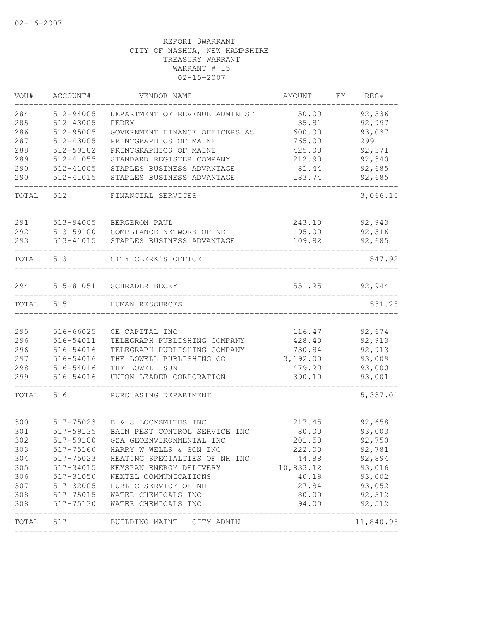| VOU#  | ACCOUNT#  | VENDOR NAME                    | AMOUNT    | FY | REG#      |
|-------|-----------|--------------------------------|-----------|----|-----------|
| 284   | 512-94005 | DEPARTMENT OF REVENUE ADMINIST | 50.00     |    | 92,536    |
| 285   | 512-43005 | FEDEX                          | 35.81     |    | 92,997    |
| 286   | 512-95005 | GOVERNMENT FINANCE OFFICERS AS | 600.00    |    | 93,037    |
| 287   | 512-43005 | PRINTGRAPHICS OF MAINE         | 765.00    |    | 299       |
| 288   | 512-59182 | PRINTGRAPHICS OF MAINE         | 425.08    |    | 92,371    |
| 289   | 512-41055 | STANDARD REGISTER COMPANY      | 212.90    |    | 92,340    |
| 290   | 512-41005 | STAPLES BUSINESS ADVANTAGE     | 81.44     |    | 92,685    |
| 290   | 512-41015 | STAPLES BUSINESS ADVANTAGE     | 183.74    |    | 92,685    |
| TOTAL | 512       | FINANCIAL SERVICES             |           |    | 3,066.10  |
| 291   |           |                                | 243.10    |    | 92,943    |
|       | 513-94005 | BERGERON PAUL                  |           |    |           |
| 292   | 513-59100 | COMPLIANCE NETWORK OF NE       | 195.00    |    | 92,516    |
| 293   | 513-41015 | STAPLES BUSINESS ADVANTAGE     | 109.82    |    | 92,685    |
| TOTAL | 513       | CITY CLERK'S OFFICE            |           |    | 547.92    |
| 294   | 515-81051 | SCHRADER BECKY                 | 551.25    |    | 92,944    |
| TOTAL | 515       | HUMAN RESOURCES                |           |    | 551.25    |
|       |           |                                |           |    |           |
| 295   | 516-66025 | GE CAPITAL INC                 | 116.47    |    | 92,674    |
| 296   | 516-54011 | TELEGRAPH PUBLISHING COMPANY   | 428.40    |    | 92,913    |
| 296   | 516-54016 | TELEGRAPH PUBLISHING COMPANY   | 730.84    |    | 92,913    |
| 297   | 516-54016 | THE LOWELL PUBLISHING CO       | 3,192.00  |    | 93,009    |
| 298   | 516-54016 | THE LOWELL SUN                 | 479.20    |    | 93,000    |
| 299   | 516-54016 | UNION LEADER CORPORATION       | 390.10    |    | 93,001    |
| TOTAL | 516       | PURCHASING DEPARTMENT          |           |    | 5,337.01  |
|       |           |                                |           |    |           |
| 300   | 517-75023 | B & S LOCKSMITHS INC           | 217.45    |    | 92,658    |
| 301   | 517-59135 | BAIN PEST CONTROL SERVICE INC  | 80.00     |    | 93,003    |
| 302   | 517-59100 | GZA GEOENVIRONMENTAL INC       | 201.50    |    | 92,750    |
| 303   | 517-75160 | HARRY W WELLS & SON INC        | 222.00    |    | 92,781    |
| 304   | 517-75023 | HEATING SPECIALTIES OF NH INC  | 44.88     |    | 92,894    |
| 305   | 517-34015 | KEYSPAN ENERGY DELIVERY        | 10,833.12 |    | 93,016    |
| 306   | 517-31050 | NEXTEL COMMUNICATIONS          | 40.19     |    | 93,002    |
| 307   | 517-32005 | PUBLIC SERVICE OF NH           | 27.84     |    | 93,052    |
| 308   |           | 517-75015 WATER CHEMICALS INC  | 80.00     |    | 92,512    |
| 308   | 517-75130 | WATER CHEMICALS INC            | 94.00     |    | 92,512    |
| TOTAL | 517       | BUILDING MAINT - CITY ADMIN    |           |    | 11,840.98 |
|       |           |                                |           |    |           |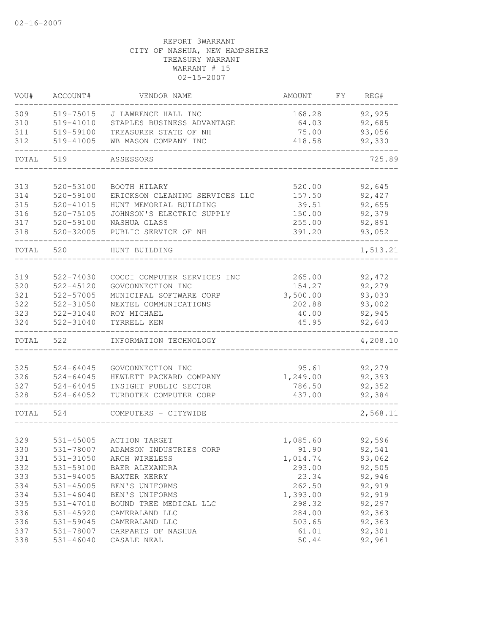| VOU#       | ACCOUNT#                   | VENDOR NAME                                     | AMOUNT           | FY. | REG#             |
|------------|----------------------------|-------------------------------------------------|------------------|-----|------------------|
| 309        | 519-75015                  | J LAWRENCE HALL INC                             | 168.28           |     | 92,925           |
| 310        | 519-41010                  | STAPLES BUSINESS ADVANTAGE                      | 64.03            |     | 92,685           |
| 311        | 519-59100                  | TREASURER STATE OF NH                           | 75.00            |     | 93,056           |
| 312        | 519-41005                  | WB MASON COMPANY INC                            | 418.58           |     | 92,330           |
| TOTAL      | 519                        | ASSESSORS                                       |                  |     | 725.89           |
|            |                            | BOOTH HILARY                                    | 520.00           |     |                  |
| 313<br>314 | 520-53100<br>$520 - 59100$ | ERICKSON CLEANING SERVICES LLC                  | 157.50           |     | 92,645<br>92,427 |
| 315        | 520-41015                  | HUNT MEMORIAL BUILDING                          | 39.51            |     | 92,655           |
| 316        | 520-75105                  | JOHNSON'S ELECTRIC SUPPLY                       | 150.00           |     | 92,379           |
| 317        | 520-59100                  | NASHUA GLASS                                    | 255.00           |     | 92,891           |
| 318        | 520-32005                  | PUBLIC SERVICE OF NH                            | 391.20           |     | 93,052           |
| TOTAL      | 520                        | HUNT BUILDING                                   |                  |     | 1,513.21         |
|            |                            |                                                 |                  |     |                  |
| 319        | 522-74030                  | COCCI COMPUTER SERVICES INC                     | 265.00           |     | 92, 472          |
| 320        | $522 - 45120$              | GOVCONNECTION INC                               | 154.27           |     | 92,279           |
| 321        | 522-57005                  | MUNICIPAL SOFTWARE CORP                         | 3,500.00         |     | 93,030           |
| 322        | 522-31050                  | NEXTEL COMMUNICATIONS                           | 202.88           |     | 93,002           |
| 323        | 522-31040                  | ROY MICHAEL                                     | 40.00            |     | 92,945           |
| 324        | 522-31040                  | TYRRELL KEN                                     | 45.95            |     | 92,640           |
| TOTAL      | 522                        | INFORMATION TECHNOLOGY                          |                  |     | 4,208.10         |
|            |                            |                                                 |                  |     |                  |
| 325        | $524 - 64045$              | GOVCONNECTION INC                               | 95.61            |     | 92,279           |
| 326        | 524-64045                  | HEWLETT PACKARD COMPANY                         | 1,249.00         |     | 92,393           |
| 327<br>328 | 524-64045<br>$524 - 64052$ | INSIGHT PUBLIC SECTOR<br>TURBOTEK COMPUTER CORP | 786.50<br>437.00 |     | 92,352<br>92,384 |
|            |                            |                                                 |                  |     |                  |
| TOTAL      | 524                        | COMPUTERS - CITYWIDE                            |                  |     | 2,568.11         |
| 329        | 531-45005                  | <b>ACTION TARGET</b>                            | 1,085.60         |     | 92,596           |
| 330        | 531-78007                  | ADAMSON INDUSTRIES CORP                         | 91.90            |     | 92,541           |
| 331        | 531-31050                  | ARCH WIRELESS                                   | 1,014.74         |     | 93,062           |
| 332        | 531-59100                  | BAER ALEXANDRA                                  | 293.00           |     | 92,505           |
| 333        | 531-94005                  | BAXTER KERRY                                    | 23.34            |     | 92,946           |
| 334        | 531-45005                  | BEN'S UNIFORMS                                  | 262.50           |     | 92,919           |
| 334        | $531 - 46040$              | BEN'S UNIFORMS                                  | 1,393.00         |     | 92,919           |
| 335        | 531-47010                  | BOUND TREE MEDICAL LLC                          | 298.32           |     | 92,297           |
| 336        | 531-45920                  | CAMERALAND LLC                                  | 284.00           |     | 92,363           |
| 336        | 531-59045                  | CAMERALAND LLC                                  | 503.65           |     | 92,363           |
| 337        | 531-78007                  | CARPARTS OF NASHUA                              | 61.01            |     | 92,301           |
| 338        | $531 - 46040$              | CASALE NEAL                                     | 50.44            |     | 92,961           |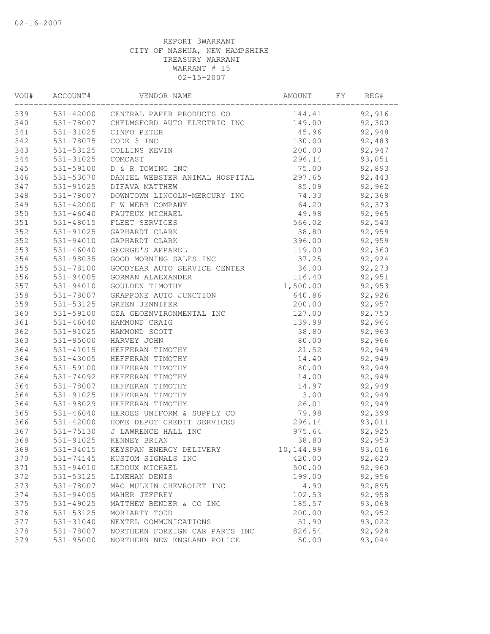| VOU# | ACCOUNT#      | VENDOR NAME                            | AMOUNT    | FY | REG#   |  |
|------|---------------|----------------------------------------|-----------|----|--------|--|
| 339  |               | 531-42000 CENTRAL PAPER PRODUCTS CO    | 144.41    |    | 92,916 |  |
| 340  |               | 531-78007 CHELMSFORD AUTO ELECTRIC INC | 149.00    |    | 92,300 |  |
| 341  | 531-31025     | CINFO PETER                            | 45.96     |    | 92,948 |  |
| 342  | 531-78075     | CODE 3 INC                             | 130.00    |    | 92,483 |  |
| 343  | 531-53125     | COLLINS KEVIN                          | 200.00    |    | 92,947 |  |
| 344  | 531-31025     | COMCAST                                | 296.14    |    | 93,051 |  |
| 345  | 531-59100     | D & R TOWING INC                       | 75.00     |    | 92,893 |  |
| 346  | 531-53070     | DANIEL WEBSTER ANIMAL HOSPITAL         | 297.65    |    | 92,443 |  |
| 347  | 531-91025     | DIFAVA MATTHEW                         | 85.09     |    | 92,962 |  |
| 348  | 531-78007     | DOWNTOWN LINCOLN-MERCURY INC           | 74.33     |    | 92,368 |  |
| 349  | 531-42000     | F W WEBB COMPANY                       | 64.20     |    | 92,373 |  |
| 350  | $531 - 46040$ | FAUTEUX MICHAEL                        | 49.98     |    | 92,965 |  |
| 351  | 531-48015     | FLEET SERVICES                         | 566.02    |    | 92,543 |  |
| 352  | 531-91025     | GAPHARDT CLARK                         | 38.80     |    | 92,959 |  |
| 352  | 531-94010     | GAPHARDT CLARK                         | 396.00    |    | 92,959 |  |
| 353  | $531 - 46040$ | GEORGE'S APPAREL                       | 119.00    |    | 92,360 |  |
| 354  | 531-98035     | GOOD MORNING SALES INC                 | 37.25     |    | 92,924 |  |
| 355  | 531-78100     | GOODYEAR AUTO SERVICE CENTER           | 36.00     |    | 92,273 |  |
| 356  | 531-94005     | GORMAN ALAEXANDER                      | 116.40    |    | 92,951 |  |
| 357  | 531-94010     | GOULDEN TIMOTHY                        | 1,500.00  |    | 92,953 |  |
| 358  | 531-78007     | GRAPPONE AUTO JUNCTION                 | 640.86    |    | 92,926 |  |
| 359  | 531-53125     | GREEN JENNIFER                         | 200.00    |    | 92,957 |  |
| 360  | 531-59100     | GZA GEOENVIRONMENTAL INC               | 127.00    |    | 92,750 |  |
| 361  | 531-46040     | HAMMOND CRAIG                          | 139.99    |    | 92,964 |  |
| 362  | 531-91025     | HAMMOND SCOTT                          | 38.80     |    | 92,963 |  |
| 363  | 531-95000     | HARVEY JOHN                            | 80.00     |    | 92,966 |  |
| 364  | 531-41015     | HEFFERAN TIMOTHY                       | 21.52     |    | 92,949 |  |
| 364  | 531-43005     | HEFFERAN TIMOTHY                       | 14.40     |    | 92,949 |  |
| 364  | 531-59100     | HEFFERAN TIMOTHY                       | 80.00     |    | 92,949 |  |
| 364  | 531-74092     | HEFFERAN TIMOTHY                       | 14.00     |    | 92,949 |  |
| 364  | 531-78007     | HEFFERAN TIMOTHY                       | 14.97     |    | 92,949 |  |
| 364  | 531-91025     | HEFFERAN TIMOTHY                       | 3.00      |    | 92,949 |  |
| 364  | 531-98029     | HEFFERAN TIMOTHY                       | 26.01     |    | 92,949 |  |
| 365  | 531-46040     | HEROES UNIFORM & SUPPLY CO             | 79.98     |    | 92,399 |  |
| 366  | 531-42000     | HOME DEPOT CREDIT SERVICES             | 296.14    |    | 93,011 |  |
| 367  | 531-75130     | J LAWRENCE HALL INC                    | 975.64    |    | 92,925 |  |
| 368  |               | 531-91025 KENNEY BRIAN                 | 38.80     |    | 92,950 |  |
| 369  | 531-34015     | KEYSPAN ENERGY DELIVERY                | 10,144.99 |    | 93,016 |  |
| 370  | 531-74145     | KUSTOM SIGNALS INC                     | 420.00    |    | 92,620 |  |
| 371  | 531-94010     | LEDOUX MICHAEL                         | 500.00    |    | 92,960 |  |
| 372  | 531-53125     | LINEHAN DENIS                          | 199.00    |    | 92,956 |  |
| 373  | 531-78007     | MAC MULKIN CHEVROLET INC               | 4.90      |    | 92,895 |  |
| 374  | 531-94005     | MAHER JEFFREY                          | 102.53    |    | 92,958 |  |
| 375  | 531-49025     | MATTHEW BENDER & CO INC                | 185.57    |    | 93,068 |  |
| 376  | 531-53125     | MORIARTY TODD                          | 200.00    |    | 92,952 |  |
| 377  | 531-31040     | NEXTEL COMMUNICATIONS                  | 51.90     |    | 93,022 |  |
| 378  | 531-78007     | NORTHERN FOREIGN CAR PARTS INC         | 826.54    |    | 92,928 |  |
| 379  | 531-95000     | NORTHERN NEW ENGLAND POLICE            | 50.00     |    | 93,044 |  |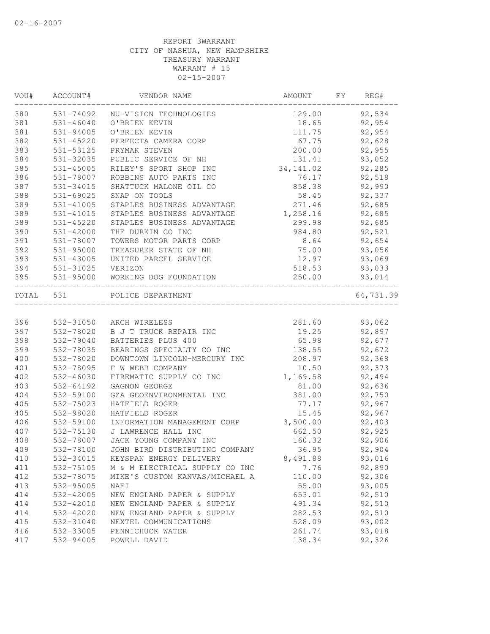| WOU#      | ACCOUNT#  | VENDOR NAME                      | AMOUNT     | FY | REG#      |
|-----------|-----------|----------------------------------|------------|----|-----------|
| 380       | 531-74092 | NU-VISION TECHNOLOGIES           | 129.00     |    | 92,534    |
| 381       | 531-46040 | O'BRIEN KEVIN                    | 18.65      |    | 92,954    |
| 381       | 531-94005 | O'BRIEN KEVIN                    | 111.75     |    | 92,954    |
| 382       | 531-45220 | PERFECTA CAMERA CORP             | 67.75      |    | 92,628    |
| 383       | 531-53125 | PRYMAK STEVEN                    | 200.00     |    | 92,955    |
| 384       | 531-32035 | PUBLIC SERVICE OF NH             | 131.41     |    | 93,052    |
| 385       | 531-45005 | RILEY'S SPORT SHOP INC           | 34, 141.02 |    | 92,285    |
| 386       | 531-78007 | ROBBINS AUTO PARTS INC           | 76.17      |    | 92,518    |
| 387       | 531-34015 | SHATTUCK MALONE OIL CO           | 858.38     |    | 92,990    |
| 388       | 531-69025 | SNAP ON TOOLS                    | 58.45      |    | 92,337    |
| 389       | 531-41005 | STAPLES BUSINESS ADVANTAGE       | 271.46     |    | 92,685    |
| 389       | 531-41015 | STAPLES BUSINESS ADVANTAGE       | 1,258.16   |    | 92,685    |
| 389       | 531-45220 | STAPLES BUSINESS ADVANTAGE       | 299.98     |    | 92,685    |
| 390       | 531-42000 | THE DURKIN CO INC                | 984.80     |    | 92,521    |
| 391       | 531-78007 | TOWERS MOTOR PARTS CORP          | 8.64       |    | 92,654    |
| 392       | 531-95000 | TREASURER STATE OF NH            | 75.00      |    | 93,056    |
| 393       | 531-43005 | UNITED PARCEL SERVICE            | 12.97      |    | 93,069    |
| 394       | 531-31025 | VERIZON                          | 518.53     |    | 93,033    |
| 395       |           | 531-95000 WORKING DOG FOUNDATION | 250.00     |    | 93,014    |
| TOTAL 531 |           | POLICE DEPARTMENT                |            |    | 64,731.39 |
|           |           |                                  |            |    |           |
| 396       | 532-31050 | ARCH WIRELESS                    | 281.60     |    | 93,062    |
| 397       | 532-78020 | B J T TRUCK REPAIR INC           | 19.25      |    | 92,897    |
| 398       | 532-79040 | BATTERIES PLUS 400               | 65.98      |    | 92,677    |
| 399       | 532-78035 | BEARINGS SPECIALTY CO INC        | 138.55     |    | 92,672    |
| 400       | 532-78020 | DOWNTOWN LINCOLN-MERCURY INC     | 208.97     |    | 92,368    |
| 401       | 532-78095 | F W WEBB COMPANY                 | 10.50      |    | 92,373    |
| 402       | 532-46030 | FIREMATIC SUPPLY CO INC          | 1,169.58   |    | 92,494    |
| 403       | 532-64192 | GAGNON GEORGE                    | 81.00      |    | 92,636    |
| 404       | 532-59100 | GZA GEOENVIRONMENTAL INC         | 381.00     |    | 92,750    |
| 405       | 532-75023 | HATFIELD ROGER                   | 77.17      |    | 92,967    |
| 405       | 532-98020 | HATFIELD ROGER                   | 15.45      |    | 92,967    |
| 406       | 532-59100 | INFORMATION MANAGEMENT CORP      | 3,500.00   |    | 92,403    |
| 407       | 532-75130 | J LAWRENCE HALL INC              | 662.50     |    | 92,925    |
| 408       | 532-78007 | JACK YOUNG COMPANY INC           | 160.32     |    | 92,906    |
| 409       | 532-78100 | JOHN BIRD DISTRIBUTING COMPANY   | 36.95      |    | 92,904    |
| 410       | 532-34015 | KEYSPAN ENERGY DELIVERY          | 8,491.88   |    | 93,016    |
| 411       | 532-75105 | M & M ELECTRICAL SUPPLY CO INC   | 7.76       |    | 92,890    |
| 412       | 532-78075 | MIKE'S CUSTOM KANVAS/MICHAEL A   | 110.00     |    | 92,306    |
| 413       | 532-95005 | NAF I                            | 55.00      |    | 93,005    |
| 414       | 532-42005 | NEW ENGLAND PAPER & SUPPLY       | 653.01     |    | 92,510    |
| 414       | 532-42010 | NEW ENGLAND PAPER & SUPPLY       | 491.34     |    | 92,510    |
| 414       | 532-42020 | NEW ENGLAND PAPER & SUPPLY       | 282.53     |    | 92,510    |
| 415       | 532-31040 | NEXTEL COMMUNICATIONS            | 528.09     |    | 93,002    |
| 416       | 532-33005 | PENNICHUCK WATER                 | 261.74     |    | 93,018    |
| 417       | 532-94005 | POWELL DAVID                     | 138.34     |    | 92,326    |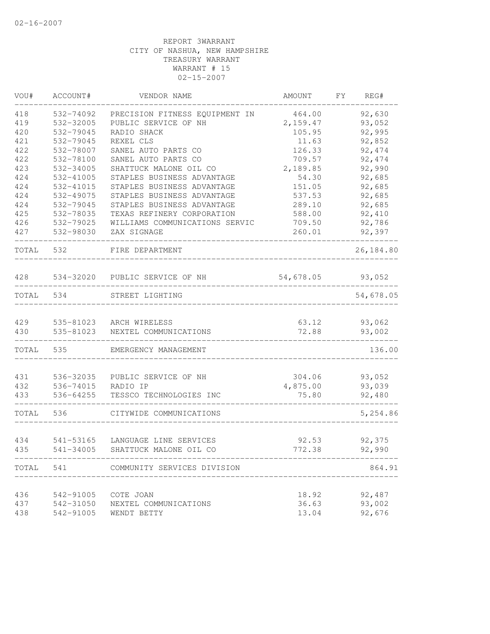| VOU#       | ACCOUNT#               | VENDOR NAME                      | AMOUNT                       | FY.<br>REG#      |
|------------|------------------------|----------------------------------|------------------------------|------------------|
| 418        | 532-74092              | PRECISION FITNESS EQUIPMENT IN   | 464.00                       | 92,630           |
| 419        | 532-32005              | PUBLIC SERVICE OF NH             | 2,159.47                     | 93,052           |
| 420        | 532-79045              | RADIO SHACK                      | 105.95                       | 92,995           |
| 421        | 532-79045              | REXEL CLS                        | 11.63                        | 92,852           |
| 422        | 532-78007              | SANEL AUTO PARTS CO              | 126.33                       | 92, 474          |
| 422        | 532-78100              | SANEL AUTO PARTS CO              | 709.57                       | 92, 474          |
| 423        | 532-34005              | SHATTUCK MALONE OIL CO           | 2,189.85                     | 92,990           |
| 424        | 532-41005              | STAPLES BUSINESS ADVANTAGE       | 54.30                        | 92,685           |
| 424        | 532-41015              | STAPLES BUSINESS ADVANTAGE       | 151.05                       | 92,685           |
| 424        | 532-49075              | STAPLES BUSINESS ADVANTAGE       | 537.53                       | 92,685           |
| 424        | 532-79045              | STAPLES BUSINESS ADVANTAGE       | 289.10                       | 92,685           |
| 425        | 532-78035              | TEXAS REFINERY CORPORATION       | 588.00                       | 92,410           |
| 426        | 532-79025              | WILLIAMS COMMUNICATIONS SERVIC   | 709.50                       | 92,786           |
| 427        | 532-98030              | ZAX SIGNAGE                      | 260.01                       | 92,397           |
| TOTAL      | 532                    | FIRE DEPARTMENT                  |                              | 26,184.80        |
| 428        |                        | 534-32020 PUBLIC SERVICE OF NH   | 54,678.05                    | 93,052           |
| TOTAL      | 534                    | STREET LIGHTING                  |                              | 54,678.05        |
|            |                        |                                  |                              |                  |
| 429        |                        | 535-81023 ARCH WIRELESS          | 63.12                        | 93,062           |
| 430        | 535-81023              | NEXTEL COMMUNICATIONS            | 72.88                        | 93,002           |
| TOTAL      | 535                    | EMERGENCY MANAGEMENT             |                              | 136.00           |
|            |                        |                                  |                              |                  |
| 431<br>432 | 536-32035<br>536-74015 | PUBLIC SERVICE OF NH<br>RADIO IP | 304.06<br>4,875.00           | 93,052<br>93,039 |
| 433        | 536-64255              | TESSCO TECHNOLOGIES INC          | 75.80                        | 92,480           |
|            |                        |                                  |                              |                  |
| TOTAL      | 536                    | CITYWIDE COMMUNICATIONS          |                              | 5,254.86         |
| 434        | 541-53165              | LANGUAGE LINE SERVICES           | 92.53                        | 92,375           |
| 435        | 541-34005              | SHATTUCK MALONE OIL CO           | 772.38                       | 92,990           |
| TOTAL 541  |                        | COMMUNITY SERVICES DIVISION      | ---------------------------- | 864.91           |
|            |                        |                                  |                              |                  |
| 436        | 542-91005              | COTE JOAN                        | 18.92                        | 92,487           |
| 437        | 542-31050              | NEXTEL COMMUNICATIONS            | 36.63                        | 93,002           |
| 438        | 542-91005              | WENDT BETTY                      | 13.04                        | 92,676           |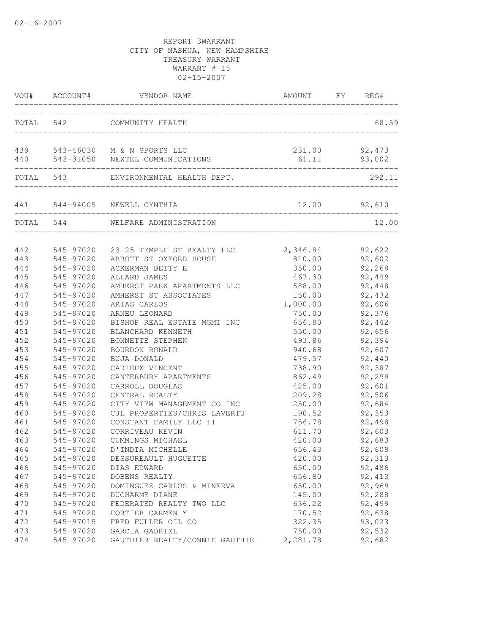|            | VOU# ACCOUNT# | VENDOR NAME                                                   | AMOUNT          | FY REG#          |
|------------|---------------|---------------------------------------------------------------|-----------------|------------------|
| TOTAL 542  |               | COMMUNITY HEALTH                                              |                 | 68.59            |
| 439<br>440 |               | 543-46030 M & N SPORTS LLC<br>543-31050 NEXTEL COMMUNICATIONS | 231.00<br>61.11 | 92,473<br>93,002 |
| TOTAL 543  |               | ENVIRONMENTAL HEALTH DEPT.                                    |                 | 292.11           |
|            |               | 441 544-94005 NEWELL CYNTHIA                                  | 12.00           | 92,610           |
| TOTAL 544  |               | WELFARE ADMINISTRATION                                        |                 | 12.00            |
| 442        | 545-97020     | 23-25 TEMPLE ST REALTY LLC                                    | 2,346.84        | 92,622           |
| 443        | 545-97020     | ABBOTT ST OXFORD HOUSE                                        | 810.00          | 92,602           |
| 444        | 545-97020     | ACKERMAN BETTY E                                              | 350.00          | 92,268           |
| 445        | 545-97020     | ALLARD JAMES                                                  | 467.30          | 92,449           |
| 446        | 545-97020     | AMHERST PARK APARTMENTS LLC                                   | 588.00          | 92,448           |
| 447        | 545-97020     | AMHERST ST ASSOCIATES                                         | 150.00          | 92,432           |
| 448        | 545-97020     | ARIAS CARLOS                                                  | 1,000.00        | 92,606           |
| 449        | 545-97020     | ARNEU LEONARD                                                 | 750.00          | 92,376           |
| 450        | 545-97020     | BISHOP REAL ESTATE MGMT INC                                   | 656.80          | 92,442           |
| 451        | 545-97020     | BLANCHARD KENNETH                                             | 550.00          | 92,656           |
| 452        | 545-97020     | BONNETTE STEPHEN                                              | 493.86          | 92,394           |
| 453        | 545-97020     | BOURDON RONALD                                                | 940.68          | 92,607           |
| 454        | 545-97020     | BUJA DONALD                                                   | 479.57          | 92,440           |
| 455        | 545-97020     | CADIEUX VINCENT                                               | 738.90          | 92,387           |
| 456        | 545-97020     | CANTERBURY APARTMENTS                                         | 862.49          | 92,299           |
| 457        | 545-97020     | CARROLL DOUGLAS                                               | 425.00          | 92,601           |
| 458        | 545-97020     | CENTRAL REALTY                                                | 209.28          | 92,506           |
| 459        | 545-97020     | CITY VIEW MANAGEMENT CO INC                                   | 250.00          | 92,684           |
| 460        | 545-97020     | CJL PROPERTIES/CHRIS LAVERTU                                  | 190.52          | 92,353           |
| 461        | 545-97020     | CONSTANT FAMILY LLC II                                        | 756.78          | 92,498           |
| 462        | 545-97020     | CORRIVEAU KEVIN                                               | 611.70          | 92,603           |
| 463        | 545-97020     | CUMMINGS MICHAEL                                              | 420.00          | 92,683           |
| 464        | 545-97020     | D'INDIA MICHELLE                                              | 656.43          | 92,608           |
| 465        | 545-97020     | DESSUREAULT HUGUETTE                                          | 420.00          | 92,313           |
| 466        | 545-97020     | DIAS EDWARD                                                   | 650.00          | 92,486           |
| 467        | 545-97020     | DOBENS REALTY                                                 | 656.80          | 92, 413          |
| 468        | 545-97020     | DOMINGUEZ CARLOS & MINERVA                                    | 650.00          | 92,969           |
| 469        | 545-97020     | DUCHARME DIANE                                                | 145.00          | 92,288           |
| 470        | 545-97020     | FEDERATED REALTY TWO LLC                                      | 636.22          | 92,499           |
| 471        | 545-97020     | FORTIER CARMEN Y                                              | 170.52          | 92,638           |
| 472        | 545-97015     | FRED FULLER OIL CO                                            | 322.35          | 93,023           |
| 473        | 545-97020     | GARCIA GABRIEL                                                | 750.00          | 92,532           |
| 474        | 545-97020     | GAUTHIER REALTY/CONNIE GAUTHIE                                | 2,281.78        | 92,682           |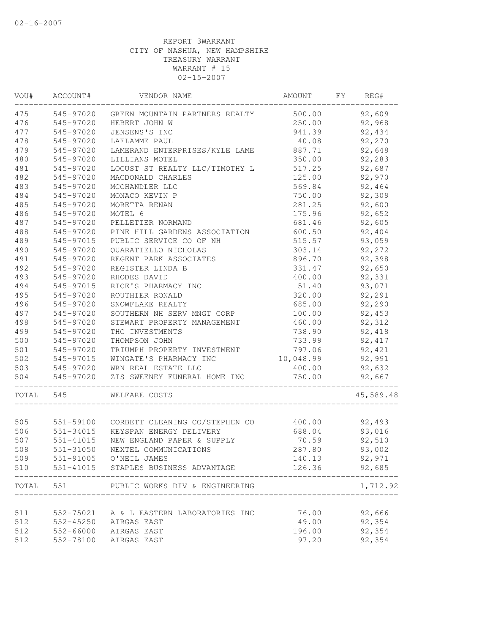| WOU#  | ACCOUNT#  | VENDOR NAME                          | AMOUNT    | FY | REG#      |
|-------|-----------|--------------------------------------|-----------|----|-----------|
| 475   | 545-97020 | GREEN MOUNTAIN PARTNERS REALTY       | 500.00    |    | 92,609    |
| 476   | 545-97020 | HEBERT JOHN W                        | 250.00    |    | 92,968    |
| 477   | 545-97020 | JENSENS'S INC                        | 941.39    |    | 92,434    |
| 478   | 545-97020 | LAFLAMME PAUL                        | 40.08     |    | 92,270    |
| 479   | 545-97020 | LAMERAND ENTERPRISES/KYLE LAME       | 887.71    |    | 92,648    |
| 480   | 545-97020 | LILLIANS MOTEL                       | 350.00    |    | 92,283    |
| 481   | 545-97020 | LOCUST ST REALTY LLC/TIMOTHY L       | 517.25    |    | 92,687    |
| 482   | 545-97020 | MACDONALD CHARLES                    | 125.00    |    | 92,970    |
| 483   | 545-97020 | MCCHANDLER LLC                       | 569.84    |    | 92,464    |
| 484   | 545-97020 | MONACO KEVIN P                       | 750.00    |    | 92,309    |
| 485   | 545-97020 | MORETTA RENAN                        | 281.25    |    | 92,600    |
| 486   | 545-97020 | MOTEL 6                              | 175.96    |    | 92,652    |
| 487   | 545-97020 | PELLETIER NORMAND                    | 681.46    |    | 92,605    |
| 488   | 545-97020 | PINE HILL GARDENS ASSOCIATION        | 600.50    |    | 92,404    |
| 489   | 545-97015 | PUBLIC SERVICE CO OF NH              | 515.57    |    | 93,059    |
| 490   | 545-97020 | QUARATIELLO NICHOLAS                 | 303.14    |    | 92,272    |
| 491   | 545-97020 | REGENT PARK ASSOCIATES               | 896.70    |    | 92,398    |
| 492   | 545-97020 | REGISTER LINDA B                     | 331.47    |    | 92,650    |
| 493   | 545-97020 | RHODES DAVID                         | 400.00    |    | 92,331    |
| 494   | 545-97015 | RICE'S PHARMACY INC                  | 51.40     |    | 93,071    |
| 495   | 545-97020 | ROUTHIER RONALD                      | 320.00    |    | 92,291    |
| 496   | 545-97020 | SNOWFLAKE REALTY                     | 685.00    |    | 92,290    |
| 497   | 545-97020 | SOUTHERN NH SERV MNGT CORP           | 100.00    |    | 92,453    |
| 498   | 545-97020 | STEWART PROPERTY MANAGEMENT          | 460.00    |    | 92,312    |
| 499   | 545-97020 | THC INVESTMENTS                      | 738.90    |    | 92,418    |
| 500   | 545-97020 | THOMPSON JOHN                        | 733.99    |    | 92, 417   |
| 501   | 545-97020 | TRIUMPH PROPERTY INVESTMENT          | 797.06    |    | 92,421    |
| 502   | 545-97015 | WINGATE'S PHARMACY INC               | 10,048.99 |    | 92,991    |
| 503   | 545-97020 | WRN REAL ESTATE LLC                  | 400.00    |    | 92,632    |
| 504   | 545-97020 | ZIS SWEENEY FUNERAL HOME INC         | 750.00    |    | 92,667    |
| TOTAL | 545       | WELFARE COSTS                        |           |    | 45,589.48 |
|       |           |                                      |           |    |           |
| 505   | 551-59100 | CORBETT CLEANING CO/STEPHEN CO       | 400.00    |    | 92,493    |
| 506   | 551-34015 | KEYSPAN ENERGY DELIVERY              | 688.04    |    | 93,016    |
| 507   | 551-41015 | NEW ENGLAND PAPER & SUPPLY           | 70.59     |    | 92,510    |
| 508   | 551-31050 | NEXTEL COMMUNICATIONS                | 287.80    |    | 93,002    |
| 509   |           | 551-91005 O'NEIL JAMES               | 140.13    |    | 92,971    |
| 510   |           | 551-41015 STAPLES BUSINESS ADVANTAGE | 126.36    |    | 92,685    |
| TOTAL | 551 7     | PUBLIC WORKS DIV & ENGINEERING       |           |    | 1,712.92  |
|       |           |                                      |           |    |           |
| 511   | 552-75021 | A & L EASTERN LABORATORIES INC       | 76.00     |    | 92,666    |
| 512   | 552-45250 | AIRGAS EAST                          | 49.00     |    | 92,354    |
| 512   |           | 552-66000 AIRGAS EAST                | 196.00    |    | 92,354    |
| 512   | 552-78100 | AIRGAS EAST                          | 97.20     |    | 92,354    |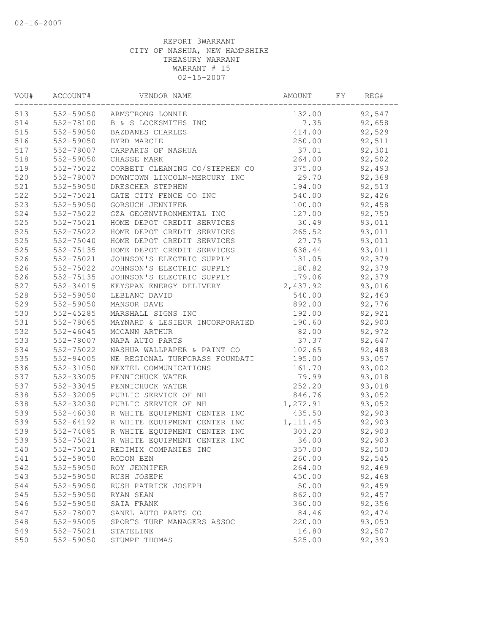| 92,547<br>552-59050<br>132.00<br>ARMSTRONG LONNIE<br>552-78100<br>B & S LOCKSMITHS INC<br>7.35<br>92,658<br>552-59050<br>92,529<br>BAZDANES CHARLES<br>414.00<br>552-59050<br>250.00<br>BYRD MARCIE<br>92,511<br>552-78007<br>37.01<br>92,301<br>CARPARTS OF NASHUA<br>552-59050<br>264.00<br>92,502<br>CHASSE MARK<br>552-75022<br>CORBETT CLEANING CO/STEPHEN CO<br>375.00<br>92,493<br>29.70<br>92,368<br>552-78007<br>DOWNTOWN LINCOLN-MERCURY INC<br>194.00<br>92,513<br>552-59050<br>DRESCHER STEPHEN<br>552-75021<br>540.00<br>92,426<br>GATE CITY FENCE CO INC<br>552-59050<br>GORSUCH JENNIFER<br>100.00<br>92,458<br>552-75022<br>GZA GEOENVIRONMENTAL INC<br>127.00<br>92,750<br>30.49<br>552-75021<br>HOME DEPOT CREDIT SERVICES<br>93,011<br>93,011<br>552-75022<br>HOME DEPOT CREDIT SERVICES<br>265.52<br>552-75040<br>HOME DEPOT CREDIT SERVICES<br>27.75<br>93,011<br>552-75135<br>HOME DEPOT CREDIT SERVICES<br>638.44<br>93,011<br>92,379<br>552-75021<br>JOHNSON'S ELECTRIC SUPPLY<br>131.05<br>92,379<br>552-75022<br>JOHNSON'S ELECTRIC SUPPLY<br>180.82<br>552-75135<br>JOHNSON'S ELECTRIC SUPPLY<br>179.06<br>92,379<br>552-34015<br>KEYSPAN ENERGY DELIVERY<br>2,437.92<br>93,016<br>552-59050<br>LEBLANC DAVID<br>540.00<br>92,460<br>892.00<br>552-59050<br>MANSOR DAVE<br>92,776<br>552-45285<br>MARSHALL SIGNS INC<br>192.00<br>92,921<br>552-78065<br>190.60<br>92,900<br>MAYNARD & LESIEUR INCORPORATED<br>82.00<br>92,972<br>552-46045<br>MCCANN ARTHUR<br>37.37<br>92,647<br>552-78007<br>NAPA AUTO PARTS<br>102.65<br>552-75022<br>NASHUA WALLPAPER & PAINT CO<br>92,488<br>552-94005<br>93,057<br>NE REGIONAL TURFGRASS FOUNDATI<br>195.00<br>552-31050<br>161.70<br>93,002<br>NEXTEL COMMUNICATIONS<br>552-33005<br>79.99<br>PENNICHUCK WATER<br>93,018<br>552-33045<br>252.20<br>PENNICHUCK WATER<br>93,018<br>552-32005<br>846.76<br>93,052<br>PUBLIC SERVICE OF NH<br>552-32030<br>PUBLIC SERVICE OF NH<br>1,272.91<br>93,052<br>435.50<br>R WHITE EQUIPMENT CENTER INC<br>92,903<br>552-46030<br>92,903<br>552-64192<br>R WHITE EQUIPMENT CENTER INC<br>1, 111.45<br>303.20<br>92,903<br>552-74085<br>R WHITE EQUIPMENT CENTER INC<br>552-75021<br>R WHITE EQUIPMENT CENTER INC<br>36.00<br>92,903<br>552-75021<br>REDIMIX COMPANIES INC<br>357.00<br>92,500<br>92,545<br>541<br>552-59050<br>260.00<br>RODON BEN<br>552-59050<br>264.00<br>92,469<br>ROY JENNIFER<br>552-59050<br>450.00<br>92,468<br>RUSH JOSEPH<br>552-59050<br>50.00<br>92,459<br>RUSH PATRICK JOSEPH<br>552-59050<br>862.00<br>92,457<br>RYAN SEAN<br>92,356<br>546<br>552-59050<br>360.00<br>SAIA FRANK<br>552-78007<br>SANEL AUTO PARTS CO<br>84.46<br>92, 474<br>552-95005<br>220.00<br>93,050<br>SPORTS TURF MANAGERS ASSOC<br>552-75021<br>16.80<br>92,507<br>STATELINE<br>552-59050<br>525.00<br>92,390<br>STUMPF THOMAS | VOU# | ACCOUNT# | VENDOR NAME | AMOUNT | FY. | REG# |  |
|---------------------------------------------------------------------------------------------------------------------------------------------------------------------------------------------------------------------------------------------------------------------------------------------------------------------------------------------------------------------------------------------------------------------------------------------------------------------------------------------------------------------------------------------------------------------------------------------------------------------------------------------------------------------------------------------------------------------------------------------------------------------------------------------------------------------------------------------------------------------------------------------------------------------------------------------------------------------------------------------------------------------------------------------------------------------------------------------------------------------------------------------------------------------------------------------------------------------------------------------------------------------------------------------------------------------------------------------------------------------------------------------------------------------------------------------------------------------------------------------------------------------------------------------------------------------------------------------------------------------------------------------------------------------------------------------------------------------------------------------------------------------------------------------------------------------------------------------------------------------------------------------------------------------------------------------------------------------------------------------------------------------------------------------------------------------------------------------------------------------------------------------------------------------------------------------------------------------------------------------------------------------------------------------------------------------------------------------------------------------------------------------------------------------------------------------------------------------------------------------------------------------------------------------------------------------------------------------------------------------------------------------------------------------------------------------------------------------------------------------------------------------------------------------------------------------------------------------|------|----------|-------------|--------|-----|------|--|
|                                                                                                                                                                                                                                                                                                                                                                                                                                                                                                                                                                                                                                                                                                                                                                                                                                                                                                                                                                                                                                                                                                                                                                                                                                                                                                                                                                                                                                                                                                                                                                                                                                                                                                                                                                                                                                                                                                                                                                                                                                                                                                                                                                                                                                                                                                                                                                                                                                                                                                                                                                                                                                                                                                                                                                                                                                             | 513  |          |             |        |     |      |  |
|                                                                                                                                                                                                                                                                                                                                                                                                                                                                                                                                                                                                                                                                                                                                                                                                                                                                                                                                                                                                                                                                                                                                                                                                                                                                                                                                                                                                                                                                                                                                                                                                                                                                                                                                                                                                                                                                                                                                                                                                                                                                                                                                                                                                                                                                                                                                                                                                                                                                                                                                                                                                                                                                                                                                                                                                                                             | 514  |          |             |        |     |      |  |
|                                                                                                                                                                                                                                                                                                                                                                                                                                                                                                                                                                                                                                                                                                                                                                                                                                                                                                                                                                                                                                                                                                                                                                                                                                                                                                                                                                                                                                                                                                                                                                                                                                                                                                                                                                                                                                                                                                                                                                                                                                                                                                                                                                                                                                                                                                                                                                                                                                                                                                                                                                                                                                                                                                                                                                                                                                             | 515  |          |             |        |     |      |  |
|                                                                                                                                                                                                                                                                                                                                                                                                                                                                                                                                                                                                                                                                                                                                                                                                                                                                                                                                                                                                                                                                                                                                                                                                                                                                                                                                                                                                                                                                                                                                                                                                                                                                                                                                                                                                                                                                                                                                                                                                                                                                                                                                                                                                                                                                                                                                                                                                                                                                                                                                                                                                                                                                                                                                                                                                                                             | 516  |          |             |        |     |      |  |
|                                                                                                                                                                                                                                                                                                                                                                                                                                                                                                                                                                                                                                                                                                                                                                                                                                                                                                                                                                                                                                                                                                                                                                                                                                                                                                                                                                                                                                                                                                                                                                                                                                                                                                                                                                                                                                                                                                                                                                                                                                                                                                                                                                                                                                                                                                                                                                                                                                                                                                                                                                                                                                                                                                                                                                                                                                             | 517  |          |             |        |     |      |  |
|                                                                                                                                                                                                                                                                                                                                                                                                                                                                                                                                                                                                                                                                                                                                                                                                                                                                                                                                                                                                                                                                                                                                                                                                                                                                                                                                                                                                                                                                                                                                                                                                                                                                                                                                                                                                                                                                                                                                                                                                                                                                                                                                                                                                                                                                                                                                                                                                                                                                                                                                                                                                                                                                                                                                                                                                                                             | 518  |          |             |        |     |      |  |
|                                                                                                                                                                                                                                                                                                                                                                                                                                                                                                                                                                                                                                                                                                                                                                                                                                                                                                                                                                                                                                                                                                                                                                                                                                                                                                                                                                                                                                                                                                                                                                                                                                                                                                                                                                                                                                                                                                                                                                                                                                                                                                                                                                                                                                                                                                                                                                                                                                                                                                                                                                                                                                                                                                                                                                                                                                             | 519  |          |             |        |     |      |  |
|                                                                                                                                                                                                                                                                                                                                                                                                                                                                                                                                                                                                                                                                                                                                                                                                                                                                                                                                                                                                                                                                                                                                                                                                                                                                                                                                                                                                                                                                                                                                                                                                                                                                                                                                                                                                                                                                                                                                                                                                                                                                                                                                                                                                                                                                                                                                                                                                                                                                                                                                                                                                                                                                                                                                                                                                                                             | 520  |          |             |        |     |      |  |
|                                                                                                                                                                                                                                                                                                                                                                                                                                                                                                                                                                                                                                                                                                                                                                                                                                                                                                                                                                                                                                                                                                                                                                                                                                                                                                                                                                                                                                                                                                                                                                                                                                                                                                                                                                                                                                                                                                                                                                                                                                                                                                                                                                                                                                                                                                                                                                                                                                                                                                                                                                                                                                                                                                                                                                                                                                             | 521  |          |             |        |     |      |  |
|                                                                                                                                                                                                                                                                                                                                                                                                                                                                                                                                                                                                                                                                                                                                                                                                                                                                                                                                                                                                                                                                                                                                                                                                                                                                                                                                                                                                                                                                                                                                                                                                                                                                                                                                                                                                                                                                                                                                                                                                                                                                                                                                                                                                                                                                                                                                                                                                                                                                                                                                                                                                                                                                                                                                                                                                                                             | 522  |          |             |        |     |      |  |
|                                                                                                                                                                                                                                                                                                                                                                                                                                                                                                                                                                                                                                                                                                                                                                                                                                                                                                                                                                                                                                                                                                                                                                                                                                                                                                                                                                                                                                                                                                                                                                                                                                                                                                                                                                                                                                                                                                                                                                                                                                                                                                                                                                                                                                                                                                                                                                                                                                                                                                                                                                                                                                                                                                                                                                                                                                             | 523  |          |             |        |     |      |  |
|                                                                                                                                                                                                                                                                                                                                                                                                                                                                                                                                                                                                                                                                                                                                                                                                                                                                                                                                                                                                                                                                                                                                                                                                                                                                                                                                                                                                                                                                                                                                                                                                                                                                                                                                                                                                                                                                                                                                                                                                                                                                                                                                                                                                                                                                                                                                                                                                                                                                                                                                                                                                                                                                                                                                                                                                                                             | 524  |          |             |        |     |      |  |
|                                                                                                                                                                                                                                                                                                                                                                                                                                                                                                                                                                                                                                                                                                                                                                                                                                                                                                                                                                                                                                                                                                                                                                                                                                                                                                                                                                                                                                                                                                                                                                                                                                                                                                                                                                                                                                                                                                                                                                                                                                                                                                                                                                                                                                                                                                                                                                                                                                                                                                                                                                                                                                                                                                                                                                                                                                             | 525  |          |             |        |     |      |  |
|                                                                                                                                                                                                                                                                                                                                                                                                                                                                                                                                                                                                                                                                                                                                                                                                                                                                                                                                                                                                                                                                                                                                                                                                                                                                                                                                                                                                                                                                                                                                                                                                                                                                                                                                                                                                                                                                                                                                                                                                                                                                                                                                                                                                                                                                                                                                                                                                                                                                                                                                                                                                                                                                                                                                                                                                                                             | 525  |          |             |        |     |      |  |
|                                                                                                                                                                                                                                                                                                                                                                                                                                                                                                                                                                                                                                                                                                                                                                                                                                                                                                                                                                                                                                                                                                                                                                                                                                                                                                                                                                                                                                                                                                                                                                                                                                                                                                                                                                                                                                                                                                                                                                                                                                                                                                                                                                                                                                                                                                                                                                                                                                                                                                                                                                                                                                                                                                                                                                                                                                             | 525  |          |             |        |     |      |  |
|                                                                                                                                                                                                                                                                                                                                                                                                                                                                                                                                                                                                                                                                                                                                                                                                                                                                                                                                                                                                                                                                                                                                                                                                                                                                                                                                                                                                                                                                                                                                                                                                                                                                                                                                                                                                                                                                                                                                                                                                                                                                                                                                                                                                                                                                                                                                                                                                                                                                                                                                                                                                                                                                                                                                                                                                                                             | 525  |          |             |        |     |      |  |
|                                                                                                                                                                                                                                                                                                                                                                                                                                                                                                                                                                                                                                                                                                                                                                                                                                                                                                                                                                                                                                                                                                                                                                                                                                                                                                                                                                                                                                                                                                                                                                                                                                                                                                                                                                                                                                                                                                                                                                                                                                                                                                                                                                                                                                                                                                                                                                                                                                                                                                                                                                                                                                                                                                                                                                                                                                             | 526  |          |             |        |     |      |  |
|                                                                                                                                                                                                                                                                                                                                                                                                                                                                                                                                                                                                                                                                                                                                                                                                                                                                                                                                                                                                                                                                                                                                                                                                                                                                                                                                                                                                                                                                                                                                                                                                                                                                                                                                                                                                                                                                                                                                                                                                                                                                                                                                                                                                                                                                                                                                                                                                                                                                                                                                                                                                                                                                                                                                                                                                                                             | 526  |          |             |        |     |      |  |
|                                                                                                                                                                                                                                                                                                                                                                                                                                                                                                                                                                                                                                                                                                                                                                                                                                                                                                                                                                                                                                                                                                                                                                                                                                                                                                                                                                                                                                                                                                                                                                                                                                                                                                                                                                                                                                                                                                                                                                                                                                                                                                                                                                                                                                                                                                                                                                                                                                                                                                                                                                                                                                                                                                                                                                                                                                             | 526  |          |             |        |     |      |  |
|                                                                                                                                                                                                                                                                                                                                                                                                                                                                                                                                                                                                                                                                                                                                                                                                                                                                                                                                                                                                                                                                                                                                                                                                                                                                                                                                                                                                                                                                                                                                                                                                                                                                                                                                                                                                                                                                                                                                                                                                                                                                                                                                                                                                                                                                                                                                                                                                                                                                                                                                                                                                                                                                                                                                                                                                                                             | 527  |          |             |        |     |      |  |
|                                                                                                                                                                                                                                                                                                                                                                                                                                                                                                                                                                                                                                                                                                                                                                                                                                                                                                                                                                                                                                                                                                                                                                                                                                                                                                                                                                                                                                                                                                                                                                                                                                                                                                                                                                                                                                                                                                                                                                                                                                                                                                                                                                                                                                                                                                                                                                                                                                                                                                                                                                                                                                                                                                                                                                                                                                             | 528  |          |             |        |     |      |  |
|                                                                                                                                                                                                                                                                                                                                                                                                                                                                                                                                                                                                                                                                                                                                                                                                                                                                                                                                                                                                                                                                                                                                                                                                                                                                                                                                                                                                                                                                                                                                                                                                                                                                                                                                                                                                                                                                                                                                                                                                                                                                                                                                                                                                                                                                                                                                                                                                                                                                                                                                                                                                                                                                                                                                                                                                                                             | 529  |          |             |        |     |      |  |
|                                                                                                                                                                                                                                                                                                                                                                                                                                                                                                                                                                                                                                                                                                                                                                                                                                                                                                                                                                                                                                                                                                                                                                                                                                                                                                                                                                                                                                                                                                                                                                                                                                                                                                                                                                                                                                                                                                                                                                                                                                                                                                                                                                                                                                                                                                                                                                                                                                                                                                                                                                                                                                                                                                                                                                                                                                             | 530  |          |             |        |     |      |  |
|                                                                                                                                                                                                                                                                                                                                                                                                                                                                                                                                                                                                                                                                                                                                                                                                                                                                                                                                                                                                                                                                                                                                                                                                                                                                                                                                                                                                                                                                                                                                                                                                                                                                                                                                                                                                                                                                                                                                                                                                                                                                                                                                                                                                                                                                                                                                                                                                                                                                                                                                                                                                                                                                                                                                                                                                                                             | 531  |          |             |        |     |      |  |
|                                                                                                                                                                                                                                                                                                                                                                                                                                                                                                                                                                                                                                                                                                                                                                                                                                                                                                                                                                                                                                                                                                                                                                                                                                                                                                                                                                                                                                                                                                                                                                                                                                                                                                                                                                                                                                                                                                                                                                                                                                                                                                                                                                                                                                                                                                                                                                                                                                                                                                                                                                                                                                                                                                                                                                                                                                             | 532  |          |             |        |     |      |  |
|                                                                                                                                                                                                                                                                                                                                                                                                                                                                                                                                                                                                                                                                                                                                                                                                                                                                                                                                                                                                                                                                                                                                                                                                                                                                                                                                                                                                                                                                                                                                                                                                                                                                                                                                                                                                                                                                                                                                                                                                                                                                                                                                                                                                                                                                                                                                                                                                                                                                                                                                                                                                                                                                                                                                                                                                                                             | 533  |          |             |        |     |      |  |
|                                                                                                                                                                                                                                                                                                                                                                                                                                                                                                                                                                                                                                                                                                                                                                                                                                                                                                                                                                                                                                                                                                                                                                                                                                                                                                                                                                                                                                                                                                                                                                                                                                                                                                                                                                                                                                                                                                                                                                                                                                                                                                                                                                                                                                                                                                                                                                                                                                                                                                                                                                                                                                                                                                                                                                                                                                             | 534  |          |             |        |     |      |  |
|                                                                                                                                                                                                                                                                                                                                                                                                                                                                                                                                                                                                                                                                                                                                                                                                                                                                                                                                                                                                                                                                                                                                                                                                                                                                                                                                                                                                                                                                                                                                                                                                                                                                                                                                                                                                                                                                                                                                                                                                                                                                                                                                                                                                                                                                                                                                                                                                                                                                                                                                                                                                                                                                                                                                                                                                                                             | 535  |          |             |        |     |      |  |
|                                                                                                                                                                                                                                                                                                                                                                                                                                                                                                                                                                                                                                                                                                                                                                                                                                                                                                                                                                                                                                                                                                                                                                                                                                                                                                                                                                                                                                                                                                                                                                                                                                                                                                                                                                                                                                                                                                                                                                                                                                                                                                                                                                                                                                                                                                                                                                                                                                                                                                                                                                                                                                                                                                                                                                                                                                             | 536  |          |             |        |     |      |  |
|                                                                                                                                                                                                                                                                                                                                                                                                                                                                                                                                                                                                                                                                                                                                                                                                                                                                                                                                                                                                                                                                                                                                                                                                                                                                                                                                                                                                                                                                                                                                                                                                                                                                                                                                                                                                                                                                                                                                                                                                                                                                                                                                                                                                                                                                                                                                                                                                                                                                                                                                                                                                                                                                                                                                                                                                                                             | 537  |          |             |        |     |      |  |
|                                                                                                                                                                                                                                                                                                                                                                                                                                                                                                                                                                                                                                                                                                                                                                                                                                                                                                                                                                                                                                                                                                                                                                                                                                                                                                                                                                                                                                                                                                                                                                                                                                                                                                                                                                                                                                                                                                                                                                                                                                                                                                                                                                                                                                                                                                                                                                                                                                                                                                                                                                                                                                                                                                                                                                                                                                             | 537  |          |             |        |     |      |  |
|                                                                                                                                                                                                                                                                                                                                                                                                                                                                                                                                                                                                                                                                                                                                                                                                                                                                                                                                                                                                                                                                                                                                                                                                                                                                                                                                                                                                                                                                                                                                                                                                                                                                                                                                                                                                                                                                                                                                                                                                                                                                                                                                                                                                                                                                                                                                                                                                                                                                                                                                                                                                                                                                                                                                                                                                                                             | 538  |          |             |        |     |      |  |
|                                                                                                                                                                                                                                                                                                                                                                                                                                                                                                                                                                                                                                                                                                                                                                                                                                                                                                                                                                                                                                                                                                                                                                                                                                                                                                                                                                                                                                                                                                                                                                                                                                                                                                                                                                                                                                                                                                                                                                                                                                                                                                                                                                                                                                                                                                                                                                                                                                                                                                                                                                                                                                                                                                                                                                                                                                             | 538  |          |             |        |     |      |  |
|                                                                                                                                                                                                                                                                                                                                                                                                                                                                                                                                                                                                                                                                                                                                                                                                                                                                                                                                                                                                                                                                                                                                                                                                                                                                                                                                                                                                                                                                                                                                                                                                                                                                                                                                                                                                                                                                                                                                                                                                                                                                                                                                                                                                                                                                                                                                                                                                                                                                                                                                                                                                                                                                                                                                                                                                                                             | 539  |          |             |        |     |      |  |
|                                                                                                                                                                                                                                                                                                                                                                                                                                                                                                                                                                                                                                                                                                                                                                                                                                                                                                                                                                                                                                                                                                                                                                                                                                                                                                                                                                                                                                                                                                                                                                                                                                                                                                                                                                                                                                                                                                                                                                                                                                                                                                                                                                                                                                                                                                                                                                                                                                                                                                                                                                                                                                                                                                                                                                                                                                             | 539  |          |             |        |     |      |  |
|                                                                                                                                                                                                                                                                                                                                                                                                                                                                                                                                                                                                                                                                                                                                                                                                                                                                                                                                                                                                                                                                                                                                                                                                                                                                                                                                                                                                                                                                                                                                                                                                                                                                                                                                                                                                                                                                                                                                                                                                                                                                                                                                                                                                                                                                                                                                                                                                                                                                                                                                                                                                                                                                                                                                                                                                                                             | 539  |          |             |        |     |      |  |
|                                                                                                                                                                                                                                                                                                                                                                                                                                                                                                                                                                                                                                                                                                                                                                                                                                                                                                                                                                                                                                                                                                                                                                                                                                                                                                                                                                                                                                                                                                                                                                                                                                                                                                                                                                                                                                                                                                                                                                                                                                                                                                                                                                                                                                                                                                                                                                                                                                                                                                                                                                                                                                                                                                                                                                                                                                             | 539  |          |             |        |     |      |  |
|                                                                                                                                                                                                                                                                                                                                                                                                                                                                                                                                                                                                                                                                                                                                                                                                                                                                                                                                                                                                                                                                                                                                                                                                                                                                                                                                                                                                                                                                                                                                                                                                                                                                                                                                                                                                                                                                                                                                                                                                                                                                                                                                                                                                                                                                                                                                                                                                                                                                                                                                                                                                                                                                                                                                                                                                                                             | 540  |          |             |        |     |      |  |
|                                                                                                                                                                                                                                                                                                                                                                                                                                                                                                                                                                                                                                                                                                                                                                                                                                                                                                                                                                                                                                                                                                                                                                                                                                                                                                                                                                                                                                                                                                                                                                                                                                                                                                                                                                                                                                                                                                                                                                                                                                                                                                                                                                                                                                                                                                                                                                                                                                                                                                                                                                                                                                                                                                                                                                                                                                             |      |          |             |        |     |      |  |
|                                                                                                                                                                                                                                                                                                                                                                                                                                                                                                                                                                                                                                                                                                                                                                                                                                                                                                                                                                                                                                                                                                                                                                                                                                                                                                                                                                                                                                                                                                                                                                                                                                                                                                                                                                                                                                                                                                                                                                                                                                                                                                                                                                                                                                                                                                                                                                                                                                                                                                                                                                                                                                                                                                                                                                                                                                             | 542  |          |             |        |     |      |  |
|                                                                                                                                                                                                                                                                                                                                                                                                                                                                                                                                                                                                                                                                                                                                                                                                                                                                                                                                                                                                                                                                                                                                                                                                                                                                                                                                                                                                                                                                                                                                                                                                                                                                                                                                                                                                                                                                                                                                                                                                                                                                                                                                                                                                                                                                                                                                                                                                                                                                                                                                                                                                                                                                                                                                                                                                                                             | 543  |          |             |        |     |      |  |
|                                                                                                                                                                                                                                                                                                                                                                                                                                                                                                                                                                                                                                                                                                                                                                                                                                                                                                                                                                                                                                                                                                                                                                                                                                                                                                                                                                                                                                                                                                                                                                                                                                                                                                                                                                                                                                                                                                                                                                                                                                                                                                                                                                                                                                                                                                                                                                                                                                                                                                                                                                                                                                                                                                                                                                                                                                             | 544  |          |             |        |     |      |  |
|                                                                                                                                                                                                                                                                                                                                                                                                                                                                                                                                                                                                                                                                                                                                                                                                                                                                                                                                                                                                                                                                                                                                                                                                                                                                                                                                                                                                                                                                                                                                                                                                                                                                                                                                                                                                                                                                                                                                                                                                                                                                                                                                                                                                                                                                                                                                                                                                                                                                                                                                                                                                                                                                                                                                                                                                                                             | 545  |          |             |        |     |      |  |
|                                                                                                                                                                                                                                                                                                                                                                                                                                                                                                                                                                                                                                                                                                                                                                                                                                                                                                                                                                                                                                                                                                                                                                                                                                                                                                                                                                                                                                                                                                                                                                                                                                                                                                                                                                                                                                                                                                                                                                                                                                                                                                                                                                                                                                                                                                                                                                                                                                                                                                                                                                                                                                                                                                                                                                                                                                             |      |          |             |        |     |      |  |
|                                                                                                                                                                                                                                                                                                                                                                                                                                                                                                                                                                                                                                                                                                                                                                                                                                                                                                                                                                                                                                                                                                                                                                                                                                                                                                                                                                                                                                                                                                                                                                                                                                                                                                                                                                                                                                                                                                                                                                                                                                                                                                                                                                                                                                                                                                                                                                                                                                                                                                                                                                                                                                                                                                                                                                                                                                             | 547  |          |             |        |     |      |  |
|                                                                                                                                                                                                                                                                                                                                                                                                                                                                                                                                                                                                                                                                                                                                                                                                                                                                                                                                                                                                                                                                                                                                                                                                                                                                                                                                                                                                                                                                                                                                                                                                                                                                                                                                                                                                                                                                                                                                                                                                                                                                                                                                                                                                                                                                                                                                                                                                                                                                                                                                                                                                                                                                                                                                                                                                                                             | 548  |          |             |        |     |      |  |
|                                                                                                                                                                                                                                                                                                                                                                                                                                                                                                                                                                                                                                                                                                                                                                                                                                                                                                                                                                                                                                                                                                                                                                                                                                                                                                                                                                                                                                                                                                                                                                                                                                                                                                                                                                                                                                                                                                                                                                                                                                                                                                                                                                                                                                                                                                                                                                                                                                                                                                                                                                                                                                                                                                                                                                                                                                             | 549  |          |             |        |     |      |  |
|                                                                                                                                                                                                                                                                                                                                                                                                                                                                                                                                                                                                                                                                                                                                                                                                                                                                                                                                                                                                                                                                                                                                                                                                                                                                                                                                                                                                                                                                                                                                                                                                                                                                                                                                                                                                                                                                                                                                                                                                                                                                                                                                                                                                                                                                                                                                                                                                                                                                                                                                                                                                                                                                                                                                                                                                                                             | 550  |          |             |        |     |      |  |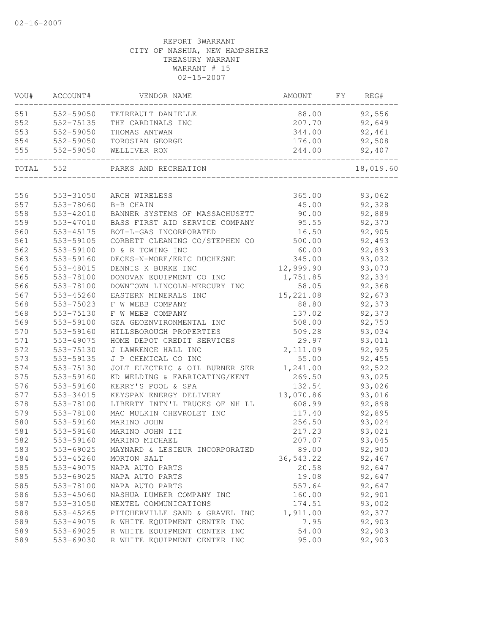| VOU#  | ACCOUNT#  | VENDOR NAME                    | AMOUNT    | FY | REG#      |
|-------|-----------|--------------------------------|-----------|----|-----------|
| 551   | 552-59050 | TETREAULT DANIELLE             | 88.00     |    | 92,556    |
| 552   | 552-75135 | THE CARDINALS INC              | 207.70    |    | 92,649    |
| 553   | 552-59050 | THOMAS ANTWAN                  | 344.00    |    | 92,461    |
| 554   | 552-59050 | TOROSIAN GEORGE                | 176.00    |    | 92,508    |
| 555   | 552-59050 | WELLIVER RON                   | 244.00    |    | 92,407    |
| TOTAL | 552       | PARKS AND RECREATION           |           |    | 18,019.60 |
| 556   | 553-31050 | ARCH WIRELESS                  | 365.00    |    | 93,062    |
| 557   | 553-78060 | B-B CHAIN                      | 45.00     |    | 92,328    |
| 558   | 553-42010 | BANNER SYSTEMS OF MASSACHUSETT | 90.00     |    | 92,889    |
| 559   | 553-47010 | BASS FIRST AID SERVICE COMPANY | 95.55     |    | 92,370    |
| 560   | 553-45175 | BOT-L-GAS INCORPORATED         | 16.50     |    | 92,905    |
| 561   | 553-59105 | CORBETT CLEANING CO/STEPHEN CO | 500.00    |    | 92,493    |
| 562   | 553-59100 | D & R TOWING INC               | 60.00     |    | 92,893    |
| 563   | 553-59160 | DECKS-N-MORE/ERIC DUCHESNE     | 345.00    |    | 93,032    |
| 564   | 553-48015 | DENNIS K BURKE INC             | 12,999.90 |    | 93,070    |
| 565   | 553-78100 | DONOVAN EQUIPMENT CO INC       | 1,751.85  |    | 92,334    |
| 566   | 553-78100 | DOWNTOWN LINCOLN-MERCURY INC   | 58.05     |    | 92,368    |
| 567   | 553-45260 | EASTERN MINERALS INC           | 15,221.08 |    | 92,673    |
| 568   | 553-75023 | F W WEBB COMPANY               | 88.80     |    | 92,373    |
| 568   | 553-75130 | F W WEBB COMPANY               | 137.02    |    | 92,373    |
| 569   | 553-59100 | GZA GEOENVIRONMENTAL INC       | 508.00    |    | 92,750    |
| 570   | 553-59160 | HILLSBOROUGH PROPERTIES        | 509.28    |    | 93,034    |
| 571   | 553-49075 | HOME DEPOT CREDIT SERVICES     | 29.97     |    | 93,011    |
| 572   | 553-75130 | J LAWRENCE HALL INC            | 2,111.09  |    | 92,925    |
| 573   | 553-59135 | J P CHEMICAL CO INC            | 55.00     |    | 92,455    |
| 574   | 553-75130 | JOLT ELECTRIC & OIL BURNER SER | 1,241.00  |    | 92,522    |
| 575   | 553-59160 | KD WELDING & FABRICATING/KENT  | 269.50    |    | 93,025    |
| 576   | 553-59160 | KERRY'S POOL & SPA             | 132.54    |    | 93,026    |
| 577   | 553-34015 | KEYSPAN ENERGY DELIVERY        | 13,070.86 |    | 93,016    |
| 578   | 553-78100 | LIBERTY INTN'L TRUCKS OF NH LL | 608.99    |    | 92,898    |
| 579   | 553-78100 | MAC MULKIN CHEVROLET INC       | 117.40    |    | 92,895    |
| 580   | 553-59160 | MARINO JOHN                    | 256.50    |    | 93,024    |
| 581   | 553-59160 | MARINO JOHN III                | 217.23    |    | 93,021    |
| 582   | 553-59160 | MARINO MICHAEL                 | 207.07    |    | 93,045    |
| 583   | 553-69025 | MAYNARD & LESIEUR INCORPORATED | 89.00     |    | 92,900    |
| 584   | 553-45260 | MORTON SALT                    | 36,543.22 |    | 92,467    |
| 585   | 553-49075 | NAPA AUTO PARTS                | 20.58     |    | 92,647    |
| 585   | 553-69025 | NAPA AUTO PARTS                | 19.08     |    | 92,647    |
| 585   | 553-78100 | NAPA AUTO PARTS                | 557.64    |    | 92,647    |
| 586   | 553-45060 | NASHUA LUMBER COMPANY INC      | 160.00    |    | 92,901    |
| 587   | 553-31050 | NEXTEL COMMUNICATIONS          | 174.51    |    | 93,002    |
| 588   | 553-45265 | PITCHERVILLE SAND & GRAVEL INC | 1,911.00  |    | 92,377    |
| 589   | 553-49075 | R WHITE EQUIPMENT CENTER INC   | 7.95      |    | 92,903    |
| 589   | 553-69025 | R WHITE EQUIPMENT CENTER INC   | 54.00     |    | 92,903    |
| 589   | 553-69030 | R WHITE EQUIPMENT CENTER INC   | 95.00     |    | 92,903    |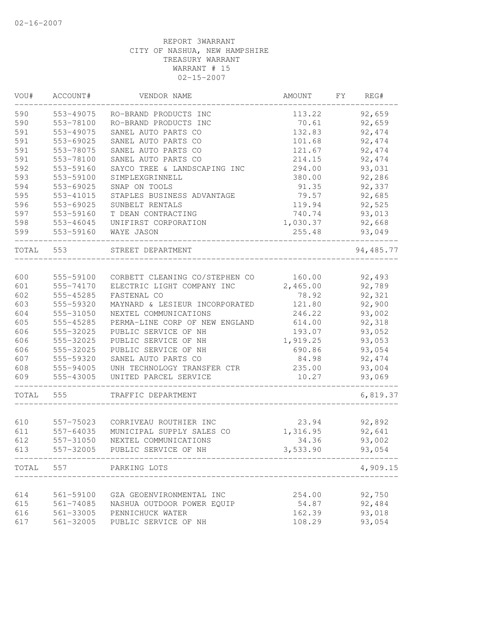| VOU#  | ACCOUNT#  | VENDOR NAME                                 | AMOUNT   | FΥ<br>REG# |
|-------|-----------|---------------------------------------------|----------|------------|
| 590   | 553-49075 | RO-BRAND PRODUCTS INC                       | 113.22   | 92,659     |
| 590   | 553-78100 | RO-BRAND PRODUCTS INC                       | 70.61    | 92,659     |
| 591   | 553-49075 | SANEL AUTO PARTS CO                         | 132.83   | 92, 474    |
| 591   | 553-69025 | SANEL AUTO PARTS CO                         | 101.68   | 92,474     |
| 591   | 553-78075 | SANEL AUTO PARTS CO                         | 121.67   | 92, 474    |
| 591   | 553-78100 | SANEL AUTO PARTS CO                         | 214.15   | 92,474     |
| 592   | 553-59160 | SAYCO TREE & LANDSCAPING INC                | 294.00   | 93,031     |
| 593   | 553-59100 | SIMPLEXGRINNELL                             | 380.00   | 92,286     |
| 594   | 553-69025 | SNAP ON TOOLS                               | 91.35    | 92,337     |
| 595   | 553-41015 | STAPLES BUSINESS ADVANTAGE                  | 79.57    | 92,685     |
| 596   | 553-69025 | SUNBELT RENTALS                             | 119.94   | 92,525     |
| 597   | 553-59160 | T DEAN CONTRACTING                          | 740.74   | 93,013     |
| 598   | 553-46045 | UNIFIRST CORPORATION                        | 1,030.37 | 92,668     |
| 599   | 553-59160 | WAYE JASON                                  | 255.48   | 93,049     |
| TOTAL | 553       | STREET DEPARTMENT                           |          | 94, 485.77 |
|       |           |                                             |          |            |
| 600   | 555-59100 | CORBETT CLEANING CO/STEPHEN CO              | 160.00   | 92,493     |
| 601   | 555-74170 | ELECTRIC LIGHT COMPANY INC                  | 2,465.00 | 92,789     |
| 602   | 555-45285 | FASTENAL CO                                 | 78.92    | 92,321     |
| 603   | 555-59320 | MAYNARD & LESIEUR INCORPORATED              | 121.80   | 92,900     |
| 604   | 555-31050 | NEXTEL COMMUNICATIONS                       | 246.22   | 93,002     |
| 605   | 555-45285 | PERMA-LINE CORP OF NEW ENGLAND              | 614.00   | 92,318     |
| 606   | 555-32025 | PUBLIC SERVICE OF NH                        | 193.07   | 93,052     |
| 606   | 555-32025 | PUBLIC SERVICE OF NH                        | 1,919.25 | 93,053     |
| 606   | 555-32025 | PUBLIC SERVICE OF NH                        | 690.86   | 93,054     |
| 607   | 555-59320 | SANEL AUTO PARTS CO                         | 84.98    | 92, 474    |
| 608   | 555-94005 | UNH TECHNOLOGY TRANSFER CTR                 | 235.00   | 93,004     |
| 609   | 555-43005 | UNITED PARCEL SERVICE                       | 10.27    | 93,069     |
| TOTAL | 555       | TRAFFIC DEPARTMENT                          |          | 6,819.37   |
|       |           |                                             |          |            |
| 610   | 557-75023 | CORRIVEAU ROUTHIER INC                      | 23.94    | 92,892     |
| 611   | 557-64035 | MUNICIPAL SUPPLY SALES CO                   | 1,316.95 | 92,641     |
| 612   | 557-31050 | NEXTEL COMMUNICATIONS                       | 34.36    | 93,002     |
| 613   | 557-32005 | PUBLIC SERVICE OF NH                        | 3,533.90 | 93,054     |
| TOTAL | 557       | PARKING LOTS<br>___________________________ |          | 4,909.15   |
|       |           |                                             |          |            |
| 614   | 561-59100 | GZA GEOENVIRONMENTAL INC                    | 254.00   | 92,750     |
| 615   | 561-74085 | NASHUA OUTDOOR POWER EQUIP                  | 54.87    | 92,484     |
| 616   | 561-33005 | PENNICHUCK WATER                            | 162.39   | 93,018     |
| 617   | 561-32005 | PUBLIC SERVICE OF NH                        | 108.29   | 93,054     |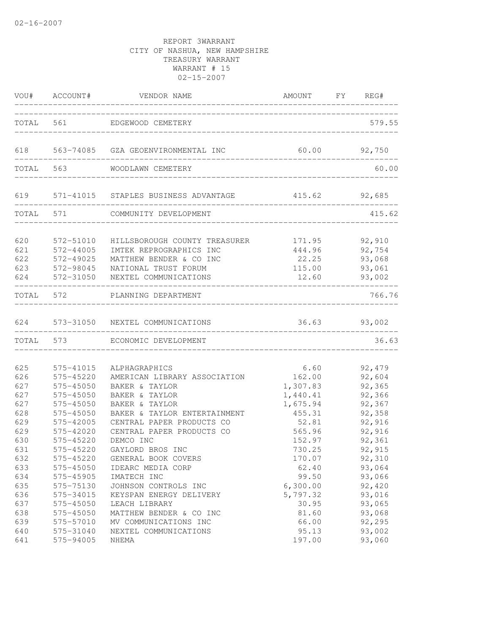|                                 | VOU# ACCOUNT#                                                 | VENDOR NAME                                                                                                                          | AMOUNT FY REG#                                      |                                      |
|---------------------------------|---------------------------------------------------------------|--------------------------------------------------------------------------------------------------------------------------------------|-----------------------------------------------------|--------------------------------------|
|                                 |                                                               | TOTAL 561 EDGEWOOD CEMETERY                                                                                                          |                                                     | 579.55                               |
|                                 |                                                               | 618 563-74085 GZA GEOENVIRONMENTAL INC                                                                                               | 60.00                                               | 92,750                               |
|                                 | TOTAL 563                                                     | WOODLAWN CEMETERY                                                                                                                    | ___________________________________                 | 60.00                                |
|                                 | ________________                                              | 619 571-41015 STAPLES BUSINESS ADVANTAGE 415.62 92,685                                                                               | ___________________________________                 |                                      |
|                                 | TOTAL 571                                                     | COMMUNITY DEVELOPMENT                                                                                                                |                                                     | 415.62                               |
| 620<br>621<br>622<br>623<br>624 | 572-51010<br>572-44005<br>572-49025<br>572-98045<br>572-31050 | HILLSBOROUGH COUNTY TREASURER<br>IMTEK REPROGRAPHICS INC<br>MATTHEW BENDER & CO INC<br>NATIONAL TRUST FORUM<br>NEXTEL COMMUNICATIONS | 171.95 92,910<br>444.96<br>22.25<br>115.00<br>12.60 | 92,754<br>93,068<br>93,061<br>93,002 |
| TOTAL 572                       |                                                               | PLANNING DEPARTMENT                                                                                                                  |                                                     | 766.76                               |
|                                 |                                                               | 624 573-31050 NEXTEL COMMUNICATIONS                                                                                                  | 36.63 93,002                                        |                                      |
|                                 | TOTAL 573                                                     | ECONOMIC DEVELOPMENT                                                                                                                 |                                                     | 36.63                                |
| 625<br>626<br>627               | 575-41015<br>575-45220<br>575-45050                           | ALPHAGRAPHICS<br>AMERICAN LIBRARY ASSOCIATION<br>BAKER & TAYLOR                                                                      | 6.60<br>162.00<br>1,307.83                          | 92,479<br>92,604<br>92,365           |
| 627<br>627<br>628<br>629        | 575-45050<br>575-45050<br>575-45050<br>575-42005              | BAKER & TAYLOR<br>BAKER & TAYLOR<br>BAKER & TAYLOR ENTERTAINMENT<br>CENTRAL PAPER PRODUCTS CO                                        | 1,440.41<br>1,675.94<br>455.31<br>52.81             | 92,366<br>92,367<br>92,358<br>92,916 |
| 629<br>630<br>631<br>632        | 575-42020<br>575-45220<br>575-45220<br>575-45220              | CENTRAL PAPER PRODUCTS CO<br>DEMCO INC<br>GAYLORD BROS INC<br>GENERAL BOOK COVERS                                                    | 565.96<br>152.97<br>730.25<br>170.07                | 92,916<br>92,361<br>92,915<br>92,310 |
| 633<br>634<br>635               | 575-45050<br>575-45905<br>575-75130                           | IDEARC MEDIA CORP<br>IMATECH INC<br>JOHNSON CONTROLS INC                                                                             | 62.40<br>99.50<br>6,300.00                          | 93,064<br>93,066<br>92,420           |
| 636<br>637<br>638<br>639        | 575-34015<br>575-45050<br>575-45050<br>575-57010              | KEYSPAN ENERGY DELIVERY<br>LEACH LIBRARY<br>MATTHEW BENDER & CO INC<br>MV COMMUNICATIONS INC                                         | 5,797.32<br>30.95<br>81.60<br>66.00                 | 93,016<br>93,065<br>93,068<br>92,295 |
| 640<br>641                      | 575-31040<br>575-94005                                        | NEXTEL COMMUNICATIONS<br>NHEMA                                                                                                       | 95.13<br>197.00                                     | 93,002<br>93,060                     |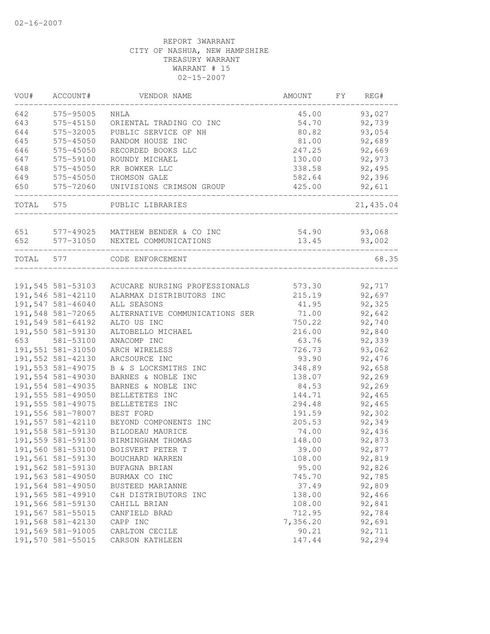| VOU#      | ACCOUNT#          | VENDOR NAME                                     | AMOUNT   | FY | REG#      |
|-----------|-------------------|-------------------------------------------------|----------|----|-----------|
| 642       | 575-95005         | NHLA                                            | 45.00    |    | 93,027    |
| 643       | 575-45150         | ORIENTAL TRADING CO INC                         | 54.70    |    | 92,739    |
| 644       | 575-32005         | PUBLIC SERVICE OF NH                            | 80.82    |    | 93,054    |
| 645       | 575-45050         | RANDOM HOUSE INC                                | 81.00    |    | 92,689    |
| 646       | 575-45050         | RECORDED BOOKS LLC                              | 247.25   |    | 92,669    |
| 647       | 575-59100         | ROUNDY MICHAEL                                  | 130.00   |    | 92,973    |
| 648       | 575-45050         | RR BOWKER LLC                                   | 338.58   |    | 92,495    |
| 649       | 575-45050         | THOMSON GALE                                    | 582.64   |    | 92,396    |
| 650       | 575-72060         | UNIVISIONS CRIMSON GROUP                        | 425.00   |    | 92,611    |
| TOTAL 575 |                   | PUBLIC LIBRARIES                                |          |    | 21,435.04 |
| 651       |                   | 577-49025 MATTHEW BENDER & CO INC               | 54.90    |    | 93,068    |
| 652       |                   | 577-31050 NEXTEL COMMUNICATIONS                 | 13.45    |    | 93,002    |
| TOTAL 577 |                   | CODE ENFORCEMENT                                |          |    | 68.35     |
|           |                   |                                                 |          |    |           |
|           |                   | 191,545 581-53103 ACUCARE NURSING PROFESSIONALS | 573.30   |    | 92,717    |
|           | 191,546 581-42110 | ALARMAX DISTRIBUTORS INC                        | 215.19   |    | 92,697    |
|           | 191,547 581-46040 | ALL SEASONS                                     | 41.95    |    | 92,325    |
|           | 191,548 581-72065 | ALTERNATIVE COMMUNICATIONS SER                  | 71.00    |    | 92,642    |
|           | 191,549 581-64192 | ALTO US INC                                     | 750.22   |    | 92,740    |
|           | 191,550 581-59130 | ALTOBELLO MICHAEL                               | 216.00   |    | 92,840    |
| 653       | 581-53100         | ANACOMP INC                                     | 63.76    |    | 92,339    |
|           | 191,551 581-31050 | ARCH WIRELESS                                   | 726.73   |    | 93,062    |
|           | 191,552 581-42130 | ARCSOURCE INC                                   | 93.90    |    | 92,476    |
|           | 191,553 581-49075 | B & S LOCKSMITHS INC                            | 348.89   |    | 92,658    |
|           | 191,554 581-49030 | BARNES & NOBLE INC                              | 138.07   |    | 92,269    |
|           | 191,554 581-49035 | BARNES & NOBLE INC                              | 84.53    |    | 92,269    |
|           | 191,555 581-49050 | BELLETETES INC                                  | 144.71   |    | 92,465    |
|           | 191,555 581-49075 | BELLETETES INC                                  | 294.48   |    | 92,465    |
|           | 191,556 581-78007 | BEST FORD                                       | 191.59   |    | 92,302    |
|           | 191,557 581-42110 | BEYOND COMPONENTS INC                           | 205.53   |    | 92,349    |
|           | 191,558 581-59130 | BILODEAU MAURICE                                | 74.00    |    | 92,436    |
|           | 191,559 581-59130 | BIRMINGHAM THOMAS                               | 148.00   |    | 92,873    |
|           | 191,560 581-53100 | BOISVERT PETER T                                | 39.00    |    | 92,877    |
|           | 191,561 581-59130 | BOUCHARD WARREN                                 | 108.00   |    | 92,819    |
|           | 191,562 581-59130 | BUFAGNA BRIAN                                   | 95.00    |    | 92,826    |
|           | 191,563 581-49050 | BURMAX CO INC                                   | 745.70   |    | 92,785    |
|           | 191,564 581-49050 | BUSTEED MARIANNE                                | 37.49    |    | 92,809    |
|           | 191,565 581-49910 | C&H DISTRIBUTORS INC                            | 138.00   |    | 92,466    |
|           | 191,566 581-59130 | CAHILL BRIAN                                    | 108.00   |    | 92,841    |
|           | 191,567 581-55015 | CANFIELD BRAD                                   | 712.95   |    | 92,784    |
|           | 191,568 581-42130 | CAPP INC                                        | 7,356.20 |    | 92,691    |
|           | 191,569 581-91005 | CARLTON CECILE                                  | 90.21    |    | 92,711    |
|           | 191,570 581-55015 | CARSON KATHLEEN                                 | 147.44   |    | 92,294    |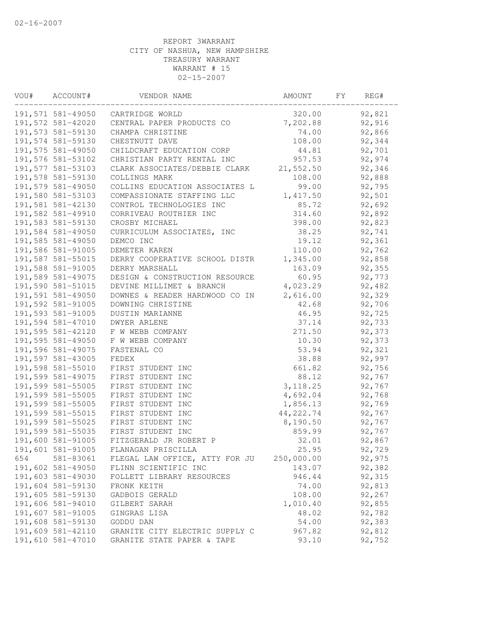| VOU# | ACCOUNT#          | VENDOR NAME                    | AMOUNT     | FΥ | REG#   |  |
|------|-------------------|--------------------------------|------------|----|--------|--|
|      | 191,571 581-49050 | CARTRIDGE WORLD                | 320.00     |    | 92,821 |  |
|      | 191,572 581-42020 | CENTRAL PAPER PRODUCTS CO      | 7,202.88   |    | 92,916 |  |
|      | 191,573 581-59130 | CHAMPA CHRISTINE               | 74.00      |    | 92,866 |  |
|      | 191,574 581-59130 | CHESTNUTT DAVE                 | 108.00     |    | 92,344 |  |
|      | 191,575 581-49050 | CHILDCRAFT EDUCATION CORP      | 44.81      |    | 92,701 |  |
|      | 191,576 581-53102 | CHRISTIAN PARTY RENTAL INC     | 957.53     |    | 92,974 |  |
|      | 191,577 581-53103 | CLARK ASSOCIATES/DEBBIE CLARK  | 21,552.50  |    | 92,346 |  |
|      | 191,578 581-59130 | COLLINGS MARK                  | 108.00     |    | 92,888 |  |
|      | 191,579 581-49050 | COLLINS EDUCATION ASSOCIATES L | 99.00      |    | 92,795 |  |
|      | 191,580 581-53103 | COMPASSIONATE STAFFING LLC     | 1,417.50   |    | 92,501 |  |
|      | 191,581 581-42130 | CONTROL TECHNOLOGIES INC       | 85.72      |    | 92,692 |  |
|      | 191,582 581-49910 | CORRIVEAU ROUTHIER INC         | 314.60     |    | 92,892 |  |
|      | 191,583 581-59130 | CROSBY MICHAEL                 | 398.00     |    | 92,823 |  |
|      | 191,584 581-49050 | CURRICULUM ASSOCIATES, INC     | 38.25      |    | 92,741 |  |
|      | 191,585 581-49050 | DEMCO INC                      | 19.12      |    | 92,361 |  |
|      | 191,586 581-91005 | DEMETER KAREN                  | 110.00     |    | 92,762 |  |
|      | 191,587 581-55015 | DERRY COOPERATIVE SCHOOL DISTR | 1,345.00   |    | 92,858 |  |
|      | 191,588 581-91005 | DERRY MARSHALL                 | 163.09     |    | 92,355 |  |
|      | 191,589 581-49075 | DESIGN & CONSTRUCTION RESOURCE | 60.95      |    | 92,773 |  |
|      | 191,590 581-51015 | DEVINE MILLIMET & BRANCH       | 4,023.29   |    | 92,482 |  |
|      | 191,591 581-49050 | DOWNES & READER HARDWOOD CO IN | 2,616.00   |    | 92,329 |  |
|      | 191,592 581-91005 | DOWNING CHRISTINE              | 42.68      |    | 92,706 |  |
|      | 191,593 581-91005 | DUSTIN MARIANNE                | 46.95      |    | 92,725 |  |
|      | 191,594 581-47010 | <b>DWYER ARLENE</b>            | 37.14      |    | 92,733 |  |
|      | 191,595 581-42120 | F W WEBB COMPANY               | 271.50     |    | 92,373 |  |
|      | 191,595 581-49050 | F W WEBB COMPANY               | 10.30      |    | 92,373 |  |
|      | 191,596 581-49075 | FASTENAL CO                    | 53.94      |    | 92,321 |  |
|      | 191,597 581-43005 | FEDEX                          | 38.88      |    | 92,997 |  |
|      | 191,598 581-55010 | FIRST STUDENT INC              | 661.82     |    | 92,756 |  |
|      | 191,599 581-49075 | FIRST STUDENT INC              | 88.12      |    | 92,767 |  |
|      | 191,599 581-55005 | FIRST STUDENT INC              | 3, 118.25  |    | 92,767 |  |
|      | 191,599 581-55005 | FIRST STUDENT INC              | 4,692.04   |    | 92,768 |  |
|      | 191,599 581-55005 | FIRST STUDENT INC              | 1,856.13   |    | 92,769 |  |
|      | 191,599 581-55015 | FIRST STUDENT INC              | 44,222.74  |    | 92,767 |  |
|      | 191,599 581-55025 | FIRST STUDENT INC              | 8,190.50   |    | 92,767 |  |
|      | 191,599 581-55035 | FIRST STUDENT INC              | 859.99     |    | 92,767 |  |
|      | 191,600 581-91005 | FITZGERALD JR ROBERT P         | 32.01      |    | 92,867 |  |
|      | 191,601 581-91005 | FLANAGAN PRISCILLA             | 25.95      |    | 92,729 |  |
| 654  | 581-83061         | FLEGAL LAW OFFICE, ATTY FOR JU | 250,000.00 |    | 92,975 |  |
|      | 191,602 581-49050 | FLINN SCIENTIFIC INC           | 143.07     |    | 92,382 |  |
|      | 191,603 581-49030 | FOLLETT LIBRARY RESOURCES      | 946.44     |    | 92,315 |  |
|      | 191,604 581-59130 | FRONK KEITH                    | 74.00      |    | 92,813 |  |
|      | 191,605 581-59130 | GADBOIS GERALD                 | 108.00     |    | 92,267 |  |
|      | 191,606 581-94010 | GILBERT SARAH                  | 1,010.40   |    | 92,855 |  |
|      | 191,607 581-91005 | GINGRAS LISA                   | 48.02      |    | 92,782 |  |
|      | 191,608 581-59130 | GODDU DAN                      | 54.00      |    | 92,383 |  |
|      | 191,609 581-42110 | GRANITE CITY ELECTRIC SUPPLY C | 967.82     |    | 92,812 |  |
|      | 191,610 581-47010 | GRANITE STATE PAPER & TAPE     | 93.10      |    | 92,752 |  |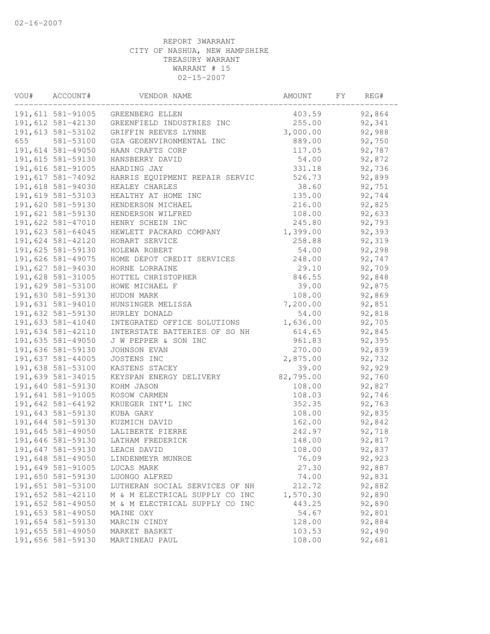| VOU# | ACCOUNT#          | VENDOR NAME                    | AMOUNT    | FY | REG#   |
|------|-------------------|--------------------------------|-----------|----|--------|
|      | 191,611 581-91005 | GREENBERG ELLEN                | 403.59    |    | 92,864 |
|      | 191,612 581-42130 | GREENFIELD INDUSTRIES INC      | 255.00    |    | 92,341 |
|      | 191,613 581-53102 | GRIFFIN REEVES LYNNE           | 3,000.00  |    | 92,988 |
| 655  | 581-53100         | GZA GEOENVIRONMENTAL INC       | 889.00    |    | 92,750 |
|      | 191,614 581-49050 | HAAN CRAFTS CORP               | 117.05    |    | 92,787 |
|      | 191,615 581-59130 | HANSBERRY DAVID                | 54.00     |    | 92,872 |
|      | 191,616 581-91005 | HARDING JAY                    | 331.18    |    | 92,736 |
|      | 191,617 581-74092 | HARRIS EQUIPMENT REPAIR SERVIC | 526.73    |    | 92,899 |
|      | 191,618 581-94030 | HEALEY CHARLES                 | 38.60     |    | 92,751 |
|      | 191,619 581-53103 | HEALTHY AT HOME INC            | 135.00    |    | 92,744 |
|      | 191,620 581-59130 | HENDERSON MICHAEL              | 216.00    |    | 92,825 |
|      | 191,621 581-59130 | HENDERSON WILFRED              | 108.00    |    | 92,633 |
|      | 191,622 581-47010 | HENRY SCHEIN INC               | 245.80    |    | 92,793 |
|      | 191,623 581-64045 | HEWLETT PACKARD COMPANY        | 1,399.00  |    | 92,393 |
|      | 191,624 581-42120 | HOBART SERVICE                 | 258.88    |    | 92,319 |
|      | 191,625 581-59130 | HOLEWA ROBERT                  | 54.00     |    | 92,298 |
|      | 191,626 581-49075 | HOME DEPOT CREDIT SERVICES     | 248.00    |    | 92,747 |
|      | 191,627 581-94030 | HORNE LORRAINE                 | 29.10     |    | 92,709 |
|      | 191,628 581-31005 | HOTTEL CHRISTOPHER             | 846.55    |    | 92,848 |
|      | 191,629 581-53100 | HOWE MICHAEL F                 | 39.00     |    | 92,875 |
|      | 191,630 581-59130 | HUDON MARK                     | 108.00    |    | 92,869 |
|      | 191,631 581-94010 | HUNSINGER MELISSA              | 7,200.00  |    | 92,851 |
|      | 191,632 581-59130 | HURLEY DONALD                  | 54.00     |    | 92,818 |
|      | 191,633 581-41040 | INTEGRATED OFFICE SOLUTIONS    | 1,636.00  |    | 92,705 |
|      | 191,634 581-42110 | INTERSTATE BATTERIES OF SO NH  | 614.65    |    | 92,845 |
|      | 191,635 581-49050 | J W PEPPER & SON INC           | 961.83    |    | 92,395 |
|      | 191,636 581-59130 | JOHNSON EVAN                   | 270.00    |    | 92,839 |
|      | 191,637 581-44005 | JOSTENS INC                    | 2,875.00  |    | 92,732 |
|      | 191,638 581-53100 | KASTENS STACEY                 | 39.00     |    | 92,929 |
|      | 191,639 581-34015 | KEYSPAN ENERGY DELIVERY        | 82,795.00 |    | 92,760 |
|      | 191,640 581-59130 | KOHM JASON                     | 108.00    |    | 92,827 |
|      | 191,641 581-91005 | KOSOW CARMEN                   | 108.03    |    | 92,746 |
|      | 191,642 581-64192 | KRUEGER INT'L INC              | 352.35    |    | 92,763 |
|      | 191,643 581-59130 | KUBA GARY                      | 108.00    |    | 92,835 |
|      | 191,644 581-59130 | KUZMICH DAVID                  | 162.00    |    | 92,842 |
|      | 191,645 581-49050 | LALIBERTE PIERRE               | 242.97    |    | 92,718 |
|      | 191,646 581-59130 | LATHAM FREDERICK               | 148.00    |    | 92,817 |
|      | 191,647 581-59130 | LEACH DAVID                    | 108.00    |    | 92,837 |
|      | 191,648 581-49050 | LINDENMEYR MUNROE              | 76.09     |    | 92,923 |
|      | 191,649 581-91005 | LUCAS MARK                     | 27.30     |    | 92,887 |
|      | 191,650 581-59130 | LUONGO ALFRED                  | 74.00     |    | 92,831 |
|      | 191,651 581-53100 | LUTHERAN SOCIAL SERVICES OF NH | 212.72    |    | 92,882 |
|      | 191,652 581-42110 | M & M ELECTRICAL SUPPLY CO INC | 1,570.30  |    | 92,890 |
|      | 191,652 581-49050 | M & M ELECTRICAL SUPPLY CO INC | 443.25    |    | 92,890 |
|      | 191,653 581-49050 | MAINE OXY                      | 54.67     |    | 92,801 |
|      | 191,654 581-59130 | MARCIN CINDY                   | 128.00    |    | 92,884 |
|      | 191,655 581-49050 | MARKET BASKET                  | 103.53    |    | 92,490 |
|      | 191,656 581-59130 | MARTINEAU PAUL                 | 108.00    |    | 92,681 |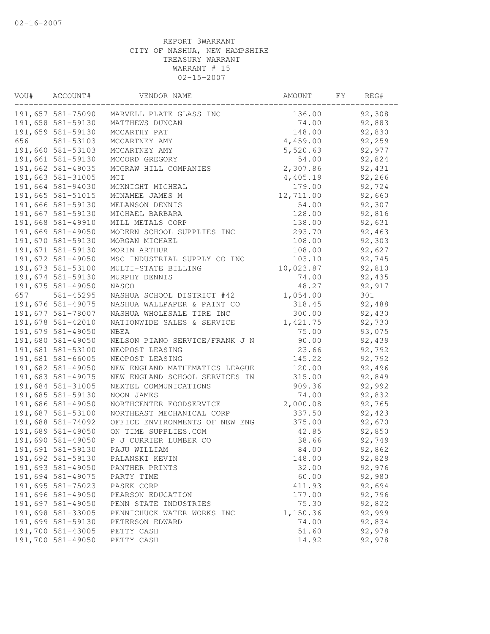| VOU# | ACCOUNT#          | VENDOR NAME                    | AMOUNT    | FY | REG#   |
|------|-------------------|--------------------------------|-----------|----|--------|
|      | 191,657 581-75090 | MARVELL PLATE GLASS INC        | 136.00    |    | 92,308 |
|      | 191,658 581-59130 | MATTHEWS DUNCAN                | 74.00     |    | 92,883 |
|      | 191,659 581-59130 | MCCARTHY PAT                   | 148.00    |    | 92,830 |
| 656  | 581-53103         | MCCARTNEY AMY                  | 4,459.00  |    | 92,259 |
|      | 191,660 581-53103 | MCCARTNEY AMY                  | 5,520.63  |    | 92,977 |
|      | 191,661 581-59130 | MCCORD GREGORY                 | 54.00     |    | 92,824 |
|      | 191,662 581-49035 | MCGRAW HILL COMPANIES          | 2,307.86  |    | 92,431 |
|      | 191,663 581-31005 | MCI                            | 4,405.19  |    | 92,266 |
|      | 191,664 581-94030 | MCKNIGHT MICHEAL               | 179.00    |    | 92,724 |
|      | 191,665 581-51015 | MCNAMEE JAMES M                | 12,711.00 |    | 92,660 |
|      | 191,666 581-59130 | MELANSON DENNIS                | 54.00     |    | 92,307 |
|      | 191,667 581-59130 | MICHAEL BARBARA                | 128.00    |    | 92,816 |
|      | 191,668 581-49910 | MILL METALS CORP               | 138.00    |    | 92,631 |
|      | 191,669 581-49050 | MODERN SCHOOL SUPPLIES INC     | 293.70    |    | 92,463 |
|      | 191,670 581-59130 | MORGAN MICHAEL                 | 108.00    |    | 92,303 |
|      | 191,671 581-59130 | MORIN ARTHUR                   | 108.00    |    | 92,627 |
|      | 191,672 581-49050 | MSC INDUSTRIAL SUPPLY CO INC   | 103.10    |    | 92,745 |
|      | 191,673 581-53100 | MULTI-STATE BILLING            | 10,023.87 |    | 92,810 |
|      | 191,674 581-59130 | MURPHY DENNIS                  | 74.00     |    | 92,435 |
|      | 191,675 581-49050 | NASCO                          | 48.27     |    | 92,917 |
| 657  | 581-45295         | NASHUA SCHOOL DISTRICT #42     | 1,054.00  |    | 301    |
|      | 191,676 581-49075 | NASHUA WALLPAPER & PAINT CO    | 318.45    |    | 92,488 |
|      | 191,677 581-78007 | NASHUA WHOLESALE TIRE INC      | 300.00    |    | 92,430 |
|      | 191,678 581-42010 | NATIONWIDE SALES & SERVICE     | 1,421.75  |    | 92,730 |
|      | 191,679 581-49050 | NBEA                           | 75.00     |    | 93,075 |
|      | 191,680 581-49050 | NELSON PIANO SERVICE/FRANK J N | 90.00     |    | 92,439 |
|      | 191,681 581-53100 | NEOPOST LEASING                | 23.66     |    | 92,792 |
|      | 191,681 581-66005 | NEOPOST LEASING                | 145.22    |    | 92,792 |
|      | 191,682 581-49050 | NEW ENGLAND MATHEMATICS LEAGUE | 120.00    |    | 92,496 |
|      | 191,683 581-49075 | NEW ENGLAND SCHOOL SERVICES IN | 315.00    |    | 92,849 |
|      | 191,684 581-31005 | NEXTEL COMMUNICATIONS          | 909.36    |    | 92,992 |
|      | 191,685 581-59130 | NOON JAMES                     | 74.00     |    | 92,832 |
|      | 191,686 581-49050 | NORTHCENTER FOODSERVICE        | 2,000.08  |    | 92,765 |
|      | 191,687 581-53100 | NORTHEAST MECHANICAL CORP      | 337.50    |    | 92,423 |
|      | 191,688 581-74092 | OFFICE ENVIRONMENTS OF NEW ENG | 375.00    |    | 92,670 |
|      | 191,689 581-49050 | ON TIME SUPPLIES.COM           | 42.85     |    | 92,850 |
|      | 191,690 581-49050 | P J CURRIER LUMBER CO          | 38.66     |    | 92,749 |
|      | 191,691 581-59130 | PAJU WILLIAM                   | 84.00     |    | 92,862 |
|      | 191,692 581-59130 | PALANSKI KEVIN                 | 148.00    |    | 92,828 |
|      | 191,693 581-49050 | PANTHER PRINTS                 | 32.00     |    | 92,976 |
|      | 191,694 581-49075 | PARTY TIME                     | 60.00     |    | 92,980 |
|      | 191,695 581-75023 | PASEK CORP                     | 411.93    |    | 92,694 |
|      | 191,696 581-49050 | PEARSON EDUCATION              | 177.00    |    | 92,796 |
|      | 191,697 581-49050 | PENN STATE INDUSTRIES          | 75.30     |    | 92,822 |
|      | 191,698 581-33005 | PENNICHUCK WATER WORKS INC     | 1,150.36  |    | 92,999 |
|      | 191,699 581-59130 | PETERSON EDWARD                | 74.00     |    | 92,834 |
|      | 191,700 581-43005 | PETTY CASH                     | 51.60     |    | 92,978 |
|      | 191,700 581-49050 | PETTY CASH                     | 14.92     |    | 92,978 |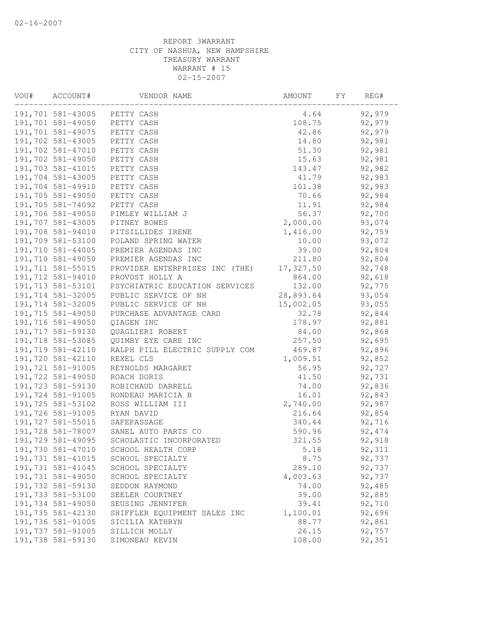| VOU# | ACCOUNT#           | VENDOR NAME                           | AMOUNT    | FΥ | REG#    |
|------|--------------------|---------------------------------------|-----------|----|---------|
|      | 191,701 581-43005  | PETTY CASH                            | 4.64      |    | 92,979  |
|      | 191,701 581-49050  | PETTY CASH                            | 108.75    |    | 92,979  |
|      | 191,701 581-49075  | PETTY CASH                            | 42.86     |    | 92,979  |
|      | 191,702 581-43005  | PETTY CASH                            | 14.80     |    | 92,981  |
|      | 191,702 581-47010  | PETTY CASH                            | 51.30     |    | 92,981  |
|      | 191,702 581-49050  | PETTY CASH                            | 15.63     |    | 92,981  |
|      | 191,703 581-41015  | PETTY CASH                            | 143.47    |    | 92,982  |
|      | 191,704 581-43005  | PETTY CASH                            | 41.79     |    | 92,983  |
|      | 191,704 581-49910  | PETTY CASH                            | 101.38    |    | 92,983  |
|      | 191,705 581-49050  | PETTY CASH                            | 70.66     |    | 92,984  |
|      | 191,705 581-74092  | PETTY CASH                            | 11.91     |    | 92,984  |
|      | 191,706 581-49050  | PIMLEY WILLIAM J                      | 56.37     |    | 92,700  |
|      | 191,707 581-43005  | PITNEY BOWES                          | 2,000.00  |    | 93,074  |
|      | 191,708 581-94010  | PITSILLIDES IRENE                     | 1,416.00  |    | 92,759  |
|      | 191,709 581-53100  | POLAND SPRING WATER                   | 10.00     |    | 93,072  |
|      | 191,710 581-44005  | PREMIER AGENDAS INC                   | 39.00     |    | 92,804  |
|      | 191,710 581-49050  | PREMIER AGENDAS INC                   | 211.80    |    | 92,804  |
|      | 191,711 581-55015  | PROVIDER ENTERPRISES INC<br>(THE)     | 17,327.50 |    | 92,748  |
|      | 191,712 581-94010  | PROVOST HOLLY A                       | 864.00    |    | 92,618  |
|      | 191, 713 581-53101 | PSYCHIATRIC EDUCATION SERVICES        | 132.00    |    | 92,775  |
|      | 191,714 581-32005  | PUBLIC SERVICE OF NH                  | 28,893.64 |    | 93,054  |
|      | 191,714 581-32005  | PUBLIC SERVICE OF NH                  | 15,002.05 |    | 93,055  |
|      | 191,715 581-49050  | PURCHASE ADVANTAGE CARD               | 32.78     |    | 92,844  |
|      | 191,716 581-49050  | QIAGEN INC                            | 178.97    |    | 92,881  |
|      | 191,717 581-59130  | QUAGLIERI ROBERT                      | 84.00     |    | 92,868  |
|      | 191,718 581-53085  | QUIMBY EYE CARE INC                   | 257.50    |    | 92,695  |
|      | 191,719 581-42110  | RALPH PILL ELECTRIC SUPPLY COM        | 469.87    |    | 92,896  |
|      | 191,720 581-42110  | REXEL CLS                             | 1,009.51  |    | 92,852  |
|      | 191,721 581-91005  | REYNOLDS MARGARET                     | 56.95     |    | 92,727  |
|      | 191,722 581-49050  | ROACH DORIS                           | 41.50     |    | 92,731  |
|      | 191,723 581-59130  | ROBICHAUD DARRELL                     | 74.00     |    | 92,836  |
|      | 191,724 581-91005  | RONDEAU MARICIA B                     | 16.01     |    | 92,843  |
|      | 191,725 581-53102  | ROSS WILLIAM III                      | 2,740.00  |    | 92,987  |
|      | 191,726 581-91005  | RYAN DAVID                            | 216.64    |    | 92,854  |
|      | 191,727 581-55015  | SAFEPASSAGE                           | 340.44    |    | 92,716  |
|      |                    | 191,728 581-78007 SANEL AUTO PARTS CO | 590.96    |    | 92, 474 |
|      | 191,729 581-49095  | SCHOLASTIC INCORPORATED               | 321.55    |    | 92,918  |
|      | 191,730 581-47010  | SCHOOL HEALTH CORP                    | 5.18      |    | 92,311  |
|      | 191,731 581-41015  | SCHOOL SPECIALTY                      | 8.75      |    | 92,737  |
|      | 191,731 581-41045  | SCHOOL SPECIALTY                      | 289.10    |    | 92,737  |
|      | 191,731 581-49050  | SCHOOL SPECIALTY                      | 4,003.63  |    | 92,737  |
|      | 191,732 581-59130  | SEDDON RAYMOND                        | 74.00     |    | 92,485  |
|      | 191,733 581-53100  | SEELER COURTNEY                       | 39.00     |    | 92,885  |
|      | 191,734 581-49050  | SEUSING JENNIFER                      | 39.41     |    | 92,710  |
|      | 191,735 581-42130  | SHIFFLER EQUIPMENT SALES INC          | 1,100.01  |    | 92,696  |
|      | 191,736 581-91005  | SICILIA KATHRYN                       | 88.77     |    | 92,861  |
|      | 191,737 581-91005  | SILLICH MOLLY                         | 26.15     |    | 92,757  |
|      | 191,738 581-59130  | SIMONEAU KEVIN                        | 108.00    |    | 92,351  |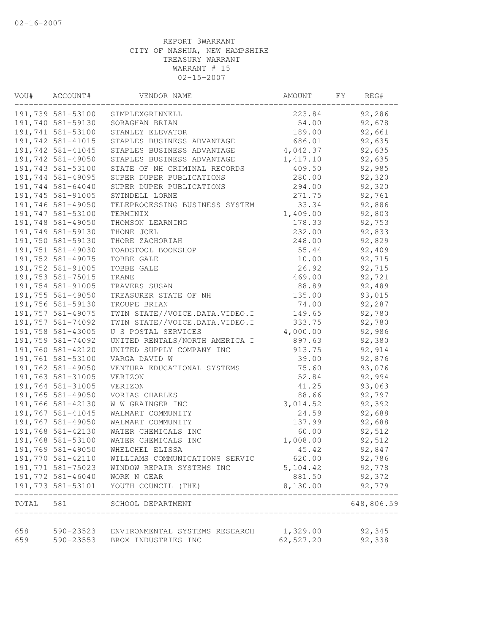| VOU#       | ACCOUNT#          | VENDOR NAME                                                                        | AMOUNT     | FΥ | REG#               |  |
|------------|-------------------|------------------------------------------------------------------------------------|------------|----|--------------------|--|
|            | 191,739 581-53100 | SIMPLEXGRINNELL                                                                    | 223.84     |    | 92,286             |  |
|            | 191,740 581-59130 | SORAGHAN BRIAN                                                                     | 54.00      |    | 92,678             |  |
|            | 191,741 581-53100 | STANLEY ELEVATOR                                                                   | 189.00     |    | 92,661             |  |
|            | 191,742 581-41015 | STAPLES BUSINESS ADVANTAGE                                                         | 686.01     |    | 92,635             |  |
|            | 191,742 581-41045 | STAPLES BUSINESS ADVANTAGE                                                         | 4,042.37   |    | 92,635             |  |
|            | 191,742 581-49050 | STAPLES BUSINESS ADVANTAGE                                                         | 1,417.10   |    | 92,635             |  |
|            | 191,743 581-53100 | STATE OF NH CRIMINAL RECORDS                                                       | 409.50     |    | 92,985             |  |
|            | 191,744 581-49095 | SUPER DUPER PUBLICATIONS                                                           | 280.00     |    | 92,320             |  |
|            | 191,744 581-64040 | SUPER DUPER PUBLICATIONS                                                           | 294.00     |    | 92,320             |  |
|            | 191,745 581-91005 | SWINDELL LORNE                                                                     | 271.75     |    | 92,761             |  |
|            | 191,746 581-49050 | TELEPROCESSING BUSINESS SYSTEM                                                     | 33.34      |    | 92,886             |  |
|            | 191,747 581-53100 | TERMINIX                                                                           | 1,409.00   |    | 92,803             |  |
|            | 191,748 581-49050 | THOMSON LEARNING                                                                   | 178.33     |    | 92,753             |  |
|            | 191,749 581-59130 | THONE JOEL                                                                         | 232.00     |    | 92,833             |  |
|            | 191,750 581-59130 | THORE ZACHORIAH                                                                    | 248.00     |    | 92,829             |  |
|            | 191,751 581-49030 | TOADSTOOL BOOKSHOP                                                                 | 55.44      |    | 92,409             |  |
|            | 191,752 581-49075 | TOBBE GALE                                                                         | 10.00      |    | 92,715             |  |
|            | 191,752 581-91005 | TOBBE GALE                                                                         | 26.92      |    | 92,715             |  |
|            | 191,753 581-75015 | <b>TRANE</b>                                                                       | 469.00     |    | 92,721             |  |
|            | 191,754 581-91005 | TRAVERS SUSAN                                                                      | 88.89      |    | 92,489             |  |
|            | 191,755 581-49050 | TREASURER STATE OF NH                                                              | 135.00     |    | 93,015             |  |
|            | 191,756 581-59130 | TROUPE BRIAN                                                                       | 74.00      |    | 92,287             |  |
|            | 191,757 581-49075 | TWIN STATE//VOICE.DATA.VIDEO.I                                                     | 149.65     |    | 92,780             |  |
|            | 191,757 581-74092 | TWIN STATE//VOICE.DATA.VIDEO.I                                                     | 333.75     |    | 92,780             |  |
|            | 191,758 581-43005 | U S POSTAL SERVICES                                                                | 4,000.00   |    | 92,986             |  |
|            | 191,759 581-74092 | UNITED RENTALS/NORTH AMERICA I                                                     | 897.63     |    | 92,380             |  |
|            | 191,760 581-42120 | UNITED SUPPLY COMPANY INC                                                          | 913.75     |    | 92,914             |  |
|            | 191,761 581-53100 | VARGA DAVID W                                                                      | 39.00      |    | 92,876             |  |
|            | 191,762 581-49050 |                                                                                    | 75.60      |    |                    |  |
|            |                   | VENTURA EDUCATIONAL SYSTEMS                                                        |            |    | 93,076             |  |
|            | 191,763 581-31005 | VERIZON                                                                            | 52.84      |    | 92,994             |  |
|            | 191,764 581-31005 | VERIZON                                                                            | 41.25      |    | 93,063             |  |
|            | 191,765 581-49050 | VORIAS CHARLES                                                                     | 88.66      |    | 92,797             |  |
|            | 191,766 581-42130 | W W GRAINGER INC                                                                   | 3,014.52   |    | 92,392             |  |
|            | 191,767 581-41045 | WALMART COMMUNITY                                                                  | 24.59      |    | 92,688             |  |
|            | 191,767 581-49050 | WALMART COMMUNITY                                                                  | 137.99     |    | 92,688             |  |
|            | 191,768 581-42130 | WATER CHEMICALS INC                                                                | 60.00      |    | 92,512             |  |
|            | 191,768 581-53100 | WATER CHEMICALS INC                                                                | 1,008.00   |    | 92,512             |  |
|            | 191,769 581-49050 | WHELCHEL ELISSA                                                                    | 45.42      |    | 92,847             |  |
|            | 191,770 581-42110 | WILLIAMS COMMUNICATIONS SERVIC                                                     | 620.00     |    | 92,786             |  |
|            | 191,771 581-75023 | WINDOW REPAIR SYSTEMS INC                                                          | 5,104.42   |    | 92,778             |  |
|            | 191,772 581-46040 | WORK N GEAR                                                                        | 881.50     |    | 92,372             |  |
|            | 191,773 581-53101 | YOUTH COUNCIL (THE)                                                                | 8,130.00   |    | 92,779<br>-------- |  |
|            |                   | TOTAL 581 SCHOOL DEPARTMENT                                                        |            |    | 648,806.59         |  |
|            |                   |                                                                                    |            |    |                    |  |
| 658<br>659 |                   | 590-23523 ENVIRONMENTAL SYSTEMS RESEARCH 1,329.00<br>590-23553 BROX INDUSTRIES INC | 62, 527.20 |    | 92,345             |  |
|            |                   |                                                                                    |            |    | 92,338             |  |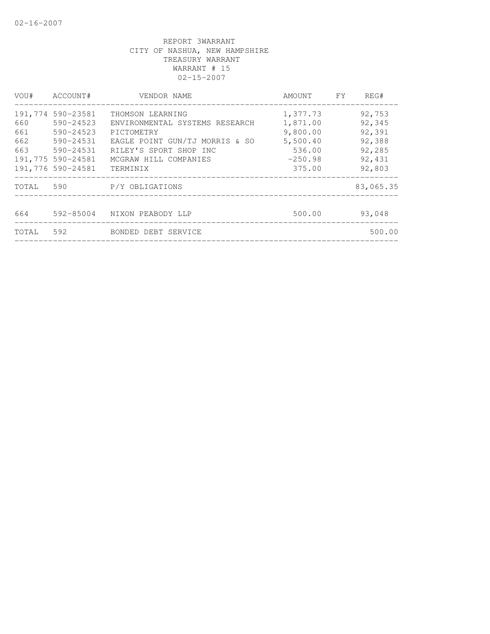| VOU#  | ACCOUNT#          | VENDOR NAME                    | AMOUNT FY | REG#      |
|-------|-------------------|--------------------------------|-----------|-----------|
|       | 191,774 590-23581 | THOMSON LEARNING               | 1,377.73  | 92,753    |
| 660   | 590-24523         | ENVIRONMENTAL SYSTEMS RESEARCH | 1,871.00  | 92,345    |
| 661   | 590-24523         | PICTOMETRY                     | 9,800.00  | 92,391    |
| 662   | 590-24531         | EAGLE POINT GUN/TJ MORRIS & SO | 5,500.40  | 92,388    |
| 663   | 590-24531         | RILEY'S SPORT SHOP INC         | 536.00    | 92,285    |
|       | 191,775 590-24581 | MCGRAW HILL COMPANIES          | $-250.98$ | 92,431    |
|       | 191,776 590-24581 | TERMINIX                       | 375.00    | 92,803    |
| TOTAL |                   | 590 P/Y OBLIGATIONS            |           | 83,065.35 |
|       |                   |                                |           |           |
| 664   | 592-85004         | NIXON PEABODY LLP              | 500.00    | 93,048    |
| TOTAL | 592               | BONDED DEBT SERVICE            |           | 500.00    |
|       |                   |                                |           |           |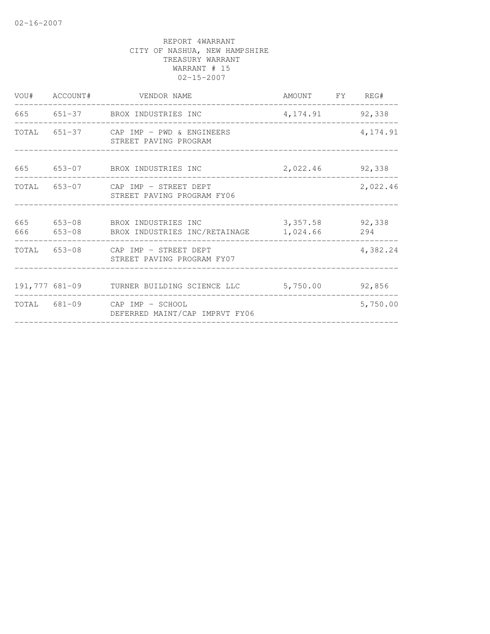| STREET PAVING PROGRAM          |                                                                                                                                                                                                                                                                                                                            | 4,174.91                                                                                                                                |
|--------------------------------|----------------------------------------------------------------------------------------------------------------------------------------------------------------------------------------------------------------------------------------------------------------------------------------------------------------------------|-----------------------------------------------------------------------------------------------------------------------------------------|
|                                |                                                                                                                                                                                                                                                                                                                            | 92,338                                                                                                                                  |
| STREET PAVING PROGRAM FY06     |                                                                                                                                                                                                                                                                                                                            | 2,022.46                                                                                                                                |
|                                |                                                                                                                                                                                                                                                                                                                            | 294                                                                                                                                     |
| STREET PAVING PROGRAM FY07     |                                                                                                                                                                                                                                                                                                                            | 4,382.24                                                                                                                                |
|                                |                                                                                                                                                                                                                                                                                                                            | 92,856                                                                                                                                  |
| DEFERRED MAINT/CAP IMPRVT FY06 |                                                                                                                                                                                                                                                                                                                            | 5,750.00                                                                                                                                |
|                                | VOU# ACCOUNT# VENDOR NAME<br>665 651-37 BROX INDUSTRIES INC<br>TOTAL 651-37 CAP IMP - PWD & ENGINEERS<br>653-07 BROX INDUSTRIES INC<br>TOTAL 653-07 CAP IMP - STREET DEPT<br>653-08 BROX INDUSTRIES INC<br>666 653-08 BROX INDUSTRIES INC/RETAINAGE<br>TOTAL 653-08 CAP IMP - STREET DEPT<br>TOTAL 681-09 CAP IMP - SCHOOL | AMOUNT FY REG#<br>4, 174.91 92, 338<br>2,022.46<br>3, 357.58 92, 338<br>1,024.66<br>191,777 681-09 TURNER BUILDING SCIENCE LLC 5,750.00 |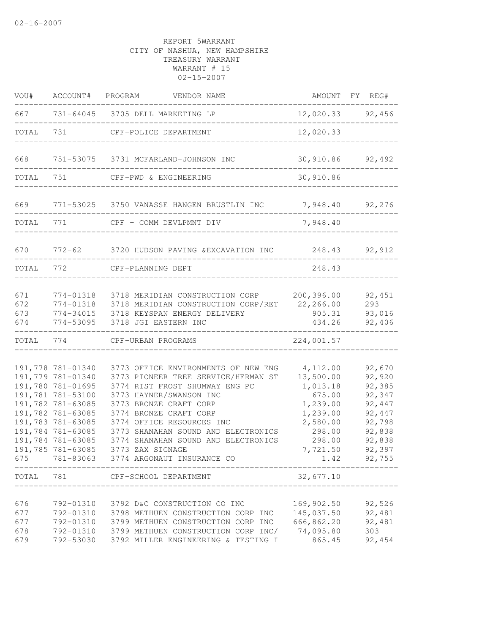| VOU#                            | ACCOUNT# PROGRAM                                                                                                                                                                                                      | VENDOR NAME                                                                                                                                                                                                                                                                                                                                                                                 |                                                                                                                                      | AMOUNT FY REG#                                                                                             |
|---------------------------------|-----------------------------------------------------------------------------------------------------------------------------------------------------------------------------------------------------------------------|---------------------------------------------------------------------------------------------------------------------------------------------------------------------------------------------------------------------------------------------------------------------------------------------------------------------------------------------------------------------------------------------|--------------------------------------------------------------------------------------------------------------------------------------|------------------------------------------------------------------------------------------------------------|
| 667                             |                                                                                                                                                                                                                       | 731-64045 3705 DELL MARKETING LP                                                                                                                                                                                                                                                                                                                                                            |                                                                                                                                      | 12,020.33 92,456                                                                                           |
| TOTAL                           | 731                                                                                                                                                                                                                   | CPF-POLICE DEPARTMENT                                                                                                                                                                                                                                                                                                                                                                       | 12,020.33                                                                                                                            |                                                                                                            |
| 668                             |                                                                                                                                                                                                                       | 751-53075 3731 MCFARLAND-JOHNSON INC                                                                                                                                                                                                                                                                                                                                                        | 30,910.86                                                                                                                            | 92,492                                                                                                     |
| TOTAL                           | 751                                                                                                                                                                                                                   | CPF-PWD & ENGINEERING                                                                                                                                                                                                                                                                                                                                                                       | 30,910.86                                                                                                                            |                                                                                                            |
| 669                             |                                                                                                                                                                                                                       | 771-53025 3750 VANASSE HANGEN BRUSTLIN INC                                                                                                                                                                                                                                                                                                                                                  | 7,948.40                                                                                                                             | 92,276                                                                                                     |
| TOTAL                           | 771                                                                                                                                                                                                                   | CPF - COMM DEVLPMNT DIV                                                                                                                                                                                                                                                                                                                                                                     | 7,948.40                                                                                                                             |                                                                                                            |
| 670                             | 772-62                                                                                                                                                                                                                | 3720 HUDSON PAVING & EXCAVATION INC 248.43 92,912                                                                                                                                                                                                                                                                                                                                           |                                                                                                                                      |                                                                                                            |
| TOTAL                           | 772                                                                                                                                                                                                                   | CPF-PLANNING DEPT                                                                                                                                                                                                                                                                                                                                                                           | 248.43                                                                                                                               |                                                                                                            |
| 671<br>672<br>673<br>674        | 774-01318<br>774-01318<br>774-53095                                                                                                                                                                                   | 3718 MERIDIAN CONSTRUCTION CORP<br>3718 MERIDIAN CONSTRUCTION CORP/RET<br>774-34015 3718 KEYSPAN ENERGY DELIVERY<br>3718 JGI EASTERN INC                                                                                                                                                                                                                                                    | 200,396.00<br>22,266.00<br>905.31<br>434.26                                                                                          | 92,451<br>293<br>93,016<br>92,406                                                                          |
| TOTAL                           | 774                                                                                                                                                                                                                   | CPF-URBAN PROGRAMS                                                                                                                                                                                                                                                                                                                                                                          | 224,001.57                                                                                                                           |                                                                                                            |
| 675<br>TOTAL                    | 191,778 781-01340<br>191,779 781-01340<br>191,780 781-01695<br>191,781 781-53100<br>191,782 781-63085<br>191,782 781-63085<br>191,783 781-63085<br>191,784 781-63085<br>191,784 781-63085<br>191,785 781-63085<br>781 | 3773 OFFICE ENVIRONMENTS OF NEW ENG<br>3773 PIONEER TREE SERVICE/HERMAN ST<br>3774 RIST FROST SHUMWAY ENG PC<br>3773 HAYNER/SWANSON INC<br>3773 BRONZE CRAFT CORP<br>3774 BRONZE CRAFT CORP<br>3774 OFFICE RESOURCES INC<br>3773 SHANAHAN SOUND AND ELECTRONICS<br>3774 SHANAHAN SOUND AND ELECTRONICS<br>3773 ZAX SIGNAGE<br>781-83063 3774 ARGONAUT INSURANCE CO<br>CPF-SCHOOL DEPARTMENT | 4,112.00<br>13,500.00<br>1,013.18<br>675.00<br>1,239.00<br>1,239.00<br>2,580.00<br>298.00<br>298.00<br>7,721.50<br>1.42<br>32,677.10 | 92,670<br>92,920<br>92,385<br>92,347<br>92,447<br>92,447<br>92,798<br>92,838<br>92,838<br>92,397<br>92,755 |
| 676<br>677<br>677<br>678<br>679 | 792-01310<br>792-01310<br>792-01310<br>792-01310<br>792-53030                                                                                                                                                         | 3792 D&C CONSTRUCTION CO INC<br>3798 METHUEN CONSTRUCTION CORP INC<br>3799 METHUEN CONSTRUCTION CORP INC<br>3799 METHUEN CONSTRUCTION CORP INC/<br>3792 MILLER ENGINEERING & TESTING I                                                                                                                                                                                                      | 169,902.50<br>145,037.50<br>666,862.20<br>74,095.80<br>865.45                                                                        | 92,526<br>92,481<br>92,481<br>303<br>92,454                                                                |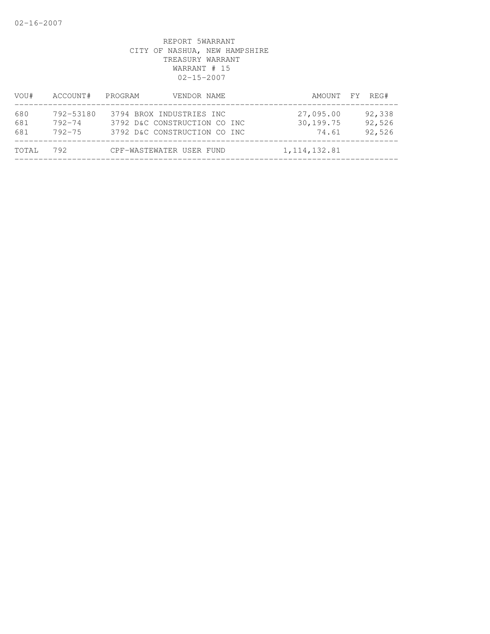| VOU#              | ACCOUNT#                              | PROGRAM<br>VENDOR NAME                                                                   |                                 | AMOUNT FY REG#             |
|-------------------|---------------------------------------|------------------------------------------------------------------------------------------|---------------------------------|----------------------------|
| 680<br>681<br>681 | 792-53180<br>$792 - 74$<br>$792 - 75$ | 3794 BROX INDUSTRIES INC<br>3792 D&C CONSTRUCTION CO INC<br>3792 D&C CONSTRUCTION CO INC | 27,095.00<br>30,199.75<br>74.61 | 92,338<br>92,526<br>92,526 |
| TOTAL             | 792                                   | CPF-WASTEWATER USER FUND                                                                 | 1, 114, 132.81                  |                            |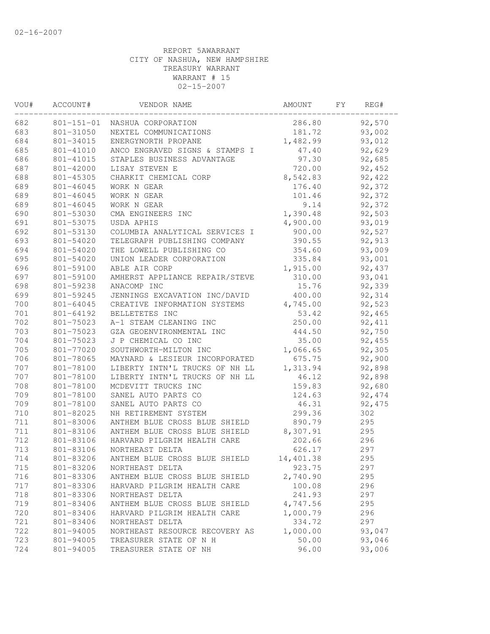| VOU#  | ACCOUNT#         | VENDOR NAME                    | AMOUNT    | FY. | REG#    |
|-------|------------------|--------------------------------|-----------|-----|---------|
| 682   | $801 - 151 - 01$ | NASHUA CORPORATION             | 286.80    |     | 92,570  |
| 683   | 801-31050        | NEXTEL COMMUNICATIONS          | 181.72    |     | 93,002  |
| 684   | 801-34015        | ENERGYNORTH PROPANE            | 1,482.99  |     | 93,012  |
| 685   | 801-41010        | ANCO ENGRAVED SIGNS & STAMPS I | 47.40     |     | 92,629  |
| 686   | 801-41015        | STAPLES BUSINESS ADVANTAGE     | 97.30     |     | 92,685  |
| 687   | 801-42000        | LISAY STEVEN E                 | 720.00    |     | 92,452  |
| 688   | 801-45305        | CHARKIT CHEMICAL CORP          | 8,542.83  |     | 92,422  |
| 689   | 801-46045        | WORK N GEAR                    | 176.40    |     | 92,372  |
| 689   | 801-46045        | WORK N GEAR                    | 101.46    |     | 92,372  |
| 689   | 801-46045        | WORK N GEAR                    | 9.14      |     | 92,372  |
| 690   | 801-53030        | CMA ENGINEERS INC              | 1,390.48  |     | 92,503  |
| 691   | 801-53075        | USDA APHIS                     | 4,900.00  |     | 93,019  |
| 692   | 801-53130        | COLUMBIA ANALYTICAL SERVICES I | 900.00    |     | 92,527  |
| 693   | 801-54020        | TELEGRAPH PUBLISHING COMPANY   | 390.55    |     | 92,913  |
| 694   | 801-54020        | THE LOWELL PUBLISHING CO       | 354.60    |     | 93,009  |
| 695   | 801-54020        | UNION LEADER CORPORATION       | 335.84    |     | 93,001  |
| 696   | 801-59100        | ABLE AIR CORP                  | 1,915.00  |     | 92,437  |
| 697   | 801-59100        | AMHERST APPLIANCE REPAIR/STEVE | 310.00    |     | 93,041  |
| 698   | 801-59238        | ANACOMP INC                    | 15.76     |     | 92,339  |
| 699   | 801-59245        | JENNINGS EXCAVATION INC/DAVID  | 400.00    |     | 92,314  |
| 700   | 801-64045        | CREATIVE INFORMATION SYSTEMS   | 4,745.00  |     | 92,523  |
| $701$ | 801-64192        | BELLETETES INC                 | 53.42     |     | 92,465  |
| 702   | 801-75023        | A-1 STEAM CLEANING INC         | 250.00    |     | 92, 411 |
| 703   | 801-75023        | GZA GEOENVIRONMENTAL INC       | 444.50    |     | 92,750  |
| 704   | 801-75023        | J P CHEMICAL CO INC            | 35.00     |     | 92,455  |
| 705   | 801-77020        | SOUTHWORTH-MILTON INC          | 1,066.65  |     | 92,305  |
| 706   | 801-78065        | MAYNARD & LESIEUR INCORPORATED | 675.75    |     | 92,900  |
| 707   | 801-78100        | LIBERTY INTN'L TRUCKS OF NH LL | 1,313.94  |     | 92,898  |
| 707   | 801-78100        | LIBERTY INTN'L TRUCKS OF NH LL | 46.12     |     | 92,898  |
| 708   | 801-78100        | MCDEVITT TRUCKS INC            | 159.83    |     | 92,680  |
| 709   | 801-78100        | SANEL AUTO PARTS CO            | 124.63    |     | 92, 474 |
| 709   | 801-78100        | SANEL AUTO PARTS CO            | 46.31     |     | 92, 475 |
| 710   | 801-82025        | NH RETIREMENT SYSTEM           | 299.36    |     | 302     |
| 711   | 801-83006        | ANTHEM BLUE CROSS BLUE SHIELD  | 890.79    |     | 295     |
| 711   | 801-83106        | ANTHEM BLUE CROSS BLUE SHIELD  | 8,307.91  |     | 295     |
| 712   | 801-83106        | HARVARD PILGRIM HEALTH CARE    | 202.66    |     | 296     |
| 713   | 801-83106        | NORTHEAST DELTA                | 626.17    |     | 297     |
| 714   | 801-83206        | ANTHEM BLUE CROSS BLUE SHIELD  | 14,401.38 |     | 295     |
| 715   | 801-83206        | NORTHEAST DELTA                | 923.75    |     | 297     |
| 716   | 801-83306        | ANTHEM BLUE CROSS BLUE SHIELD  | 2,740.90  |     | 295     |
| 717   | 801-83306        | HARVARD PILGRIM HEALTH CARE    | 100.08    |     | 296     |
| 718   | 801-83306        | NORTHEAST DELTA                | 241.93    |     | 297     |
| 719   | 801-83406        | ANTHEM BLUE CROSS BLUE SHIELD  | 4,747.56  |     | 295     |
| 720   | 801-83406        | HARVARD PILGRIM HEALTH CARE    | 1,000.79  |     | 296     |
| 721   | 801-83406        | NORTHEAST DELTA                | 334.72    |     | 297     |
| 722   | 801-94005        | NORTHEAST RESOURCE RECOVERY AS | 1,000.00  |     | 93,047  |
| 723   | 801-94005        | TREASURER STATE OF N H         | 50.00     |     | 93,046  |
| 724   | 801-94005        | TREASURER STATE OF NH          | 96.00     |     | 93,006  |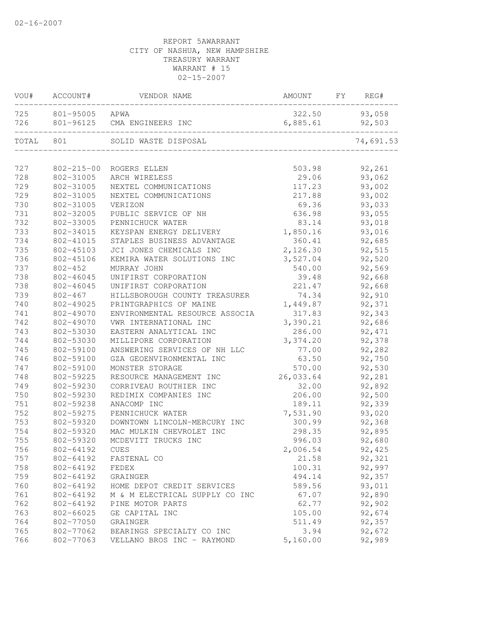| VOU#  | ACCOUNT#         | VENDOR NAME                    | AMOUNT    | FY | REG#      |
|-------|------------------|--------------------------------|-----------|----|-----------|
| 725   | 801-95005        | APWA                           | 322.50    |    | 93,058    |
| 726   | 801-96125        | CMA ENGINEERS INC              | 6,885.61  |    | 92,503    |
| TOTAL | 801              | SOLID WASTE DISPOSAL           |           |    | 74,691.53 |
|       |                  |                                |           |    |           |
| 727   | $802 - 215 - 00$ | ROGERS ELLEN                   | 503.98    |    | 92,261    |
| 728   | 802-31005        | ARCH WIRELESS                  | 29.06     |    | 93,062    |
| 729   | 802-31005        | NEXTEL COMMUNICATIONS          | 117.23    |    | 93,002    |
| 729   | 802-31005        | NEXTEL COMMUNICATIONS          | 217.88    |    | 93,002    |
| 730   | 802-31005        | VERIZON                        | 69.36     |    | 93,033    |
| 731   | 802-32005        | PUBLIC SERVICE OF NH           | 636.98    |    | 93,055    |
| 732   | 802-33005        | PENNICHUCK WATER               | 83.14     |    | 93,018    |
| 733   | 802-34015        | KEYSPAN ENERGY DELIVERY        | 1,850.16  |    | 93,016    |
| 734   | 802-41015        | STAPLES BUSINESS ADVANTAGE     | 360.41    |    | 92,685    |
| 735   | 802-45103        | JCI JONES CHEMICALS INC        | 2,126.30  |    | 92,515    |
| 736   | 802-45106        | KEMIRA WATER SOLUTIONS INC     | 3,527.04  |    | 92,520    |
| 737   | $802 - 452$      | MURRAY JOHN                    | 540.00    |    | 92,569    |
| 738   | 802-46045        | UNIFIRST CORPORATION           | 39.48     |    | 92,668    |
| 738   | 802-46045        | UNIFIRST CORPORATION           | 221.47    |    | 92,668    |
| 739   | $802 - 467$      | HILLSBOROUGH COUNTY TREASURER  | 74.34     |    | 92,910    |
| 740   | 802-49025        | PRINTGRAPHICS OF MAINE         | 1,449.87  |    | 92,371    |
| 741   | 802-49070        | ENVIRONMENTAL RESOURCE ASSOCIA | 317.83    |    | 92,343    |
| 742   | 802-49070        | VWR INTERNATIONAL INC          | 3,390.21  |    | 92,686    |
| 743   | 802-53030        | EASTERN ANALYTICAL INC         | 286.00    |    | 92, 471   |
| 744   | 802-53030        | MILLIPORE CORPORATION          | 3,374.20  |    | 92,378    |
| 745   | 802-59100        | ANSWERING SERVICES OF NH LLC   | 77.00     |    | 92,282    |
| 746   | 802-59100        | GZA GEOENVIRONMENTAL INC       | 63.50     |    | 92,750    |
| 747   | 802-59100        | MONSTER STORAGE                | 570.00    |    | 92,530    |
| 748   | 802-59225        | RESOURCE MANAGEMENT INC        | 26,033.64 |    | 92,281    |
| 749   | 802-59230        | CORRIVEAU ROUTHIER INC         | 32.00     |    | 92,892    |
| 750   | 802-59230        | REDIMIX COMPANIES INC          | 206.00    |    | 92,500    |
| 751   | 802-59238        | ANACOMP INC                    | 189.11    |    | 92,339    |
| 752   | 802-59275        | PENNICHUCK WATER               | 7,531.90  |    | 93,020    |
| 753   | 802-59320        | DOWNTOWN LINCOLN-MERCURY INC   | 300.99    |    | 92,368    |
| 754   | 802-59320        | MAC MULKIN CHEVROLET INC       | 298.35    |    | 92,895    |
| 755   | 802-59320        | MCDEVITT TRUCKS INC            | 996.03    |    | 92,680    |
| 756   | 802-64192        | CUES                           | 2,006.54  |    | 92,425    |
| 757   | 802-64192        | FASTENAL CO                    | 21.58     |    | 92,321    |
| 758   | 802-64192        | FEDEX                          | 100.31    |    | 92,997    |
| 759   | 802-64192        | GRAINGER                       | 494.14    |    | 92,357    |
| 760   | 802-64192        | HOME DEPOT CREDIT SERVICES     | 589.56    |    | 93,011    |
| 761   | 802-64192        | M & M ELECTRICAL SUPPLY CO INC | 67.07     |    | 92,890    |
| 762   | 802-64192        | PINE MOTOR PARTS               | 62.77     |    | 92,902    |
| 763   | 802-66025        | GE CAPITAL INC                 | 105.00    |    | 92,674    |
| 764   | 802-77050        | GRAINGER                       | 511.49    |    | 92,357    |
| 765   | 802-77062        | BEARINGS SPECIALTY CO INC      | 3.94      |    | 92,672    |
| 766   | 802-77063        | VELLANO BROS INC - RAYMOND     | 5,160.00  |    | 92,989    |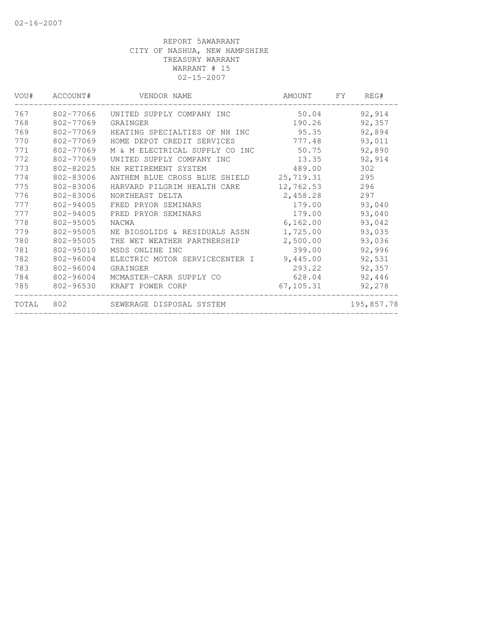| VOU#  | ACCOUNT#  | VENDOR NAME                    | AMOUNT     | FY. | REG#       |
|-------|-----------|--------------------------------|------------|-----|------------|
| 767   | 802-77066 | UNITED SUPPLY COMPANY INC      | 50.04      |     | 92,914     |
| 768   | 802-77069 | GRAINGER                       | 190.26     |     | 92,357     |
| 769   | 802-77069 | HEATING SPECIALTIES OF NH INC  | 95.35      |     | 92,894     |
| 770   | 802-77069 | HOME DEPOT CREDIT SERVICES     | 777.48     |     | 93,011     |
| 771   | 802-77069 | M & M ELECTRICAL SUPPLY CO INC | 50.75      |     | 92,890     |
| 772   | 802-77069 | UNITED SUPPLY COMPANY INC      | 13.35      |     | 92,914     |
| 773   | 802-82025 | NH RETIREMENT SYSTEM           | 489.00     |     | 302        |
| 774   | 802-83006 | ANTHEM BLUE CROSS BLUE SHIELD  | 25,719.31  |     | 295        |
| 775   | 802-83006 | HARVARD PILGRIM HEALTH CARE    | 12,762.53  |     | 296        |
| 776   | 802-83006 | NORTHEAST DELTA                | 2,458.28   |     | 297        |
| 777   | 802-94005 | FRED PRYOR SEMINARS            | 179.00     |     | 93,040     |
| 777   | 802-94005 | FRED PRYOR SEMINARS            | 179.00     |     | 93,040     |
| 778   | 802-95005 | NACWA                          | 6,162.00   |     | 93,042     |
| 779   | 802-95005 | NE BIOSOLIDS & RESIDUALS ASSN  | 1,725.00   |     | 93,035     |
| 780   | 802-95005 | THE WET WEATHER PARTNERSHIP    | 2,500.00   |     | 93,036     |
| 781   | 802-95010 | MSDS ONLINE INC                | 399.00     |     | 92,996     |
| 782   | 802-96004 | ELECTRIC MOTOR SERVICECENTER I | 9,445.00   |     | 92,531     |
| 783   | 802-96004 | GRAINGER                       | 293.22     |     | 92,357     |
| 784   | 802-96004 | MCMASTER-CARR SUPPLY CO        | 628.04     |     | 92,446     |
| 785   | 802-96530 | KRAFT POWER CORP               | 67, 105.31 |     | 92,278     |
| TOTAL | 802       | SEWERAGE DISPOSAL SYSTEM       |            |     | 195,857.78 |
|       |           |                                |            |     |            |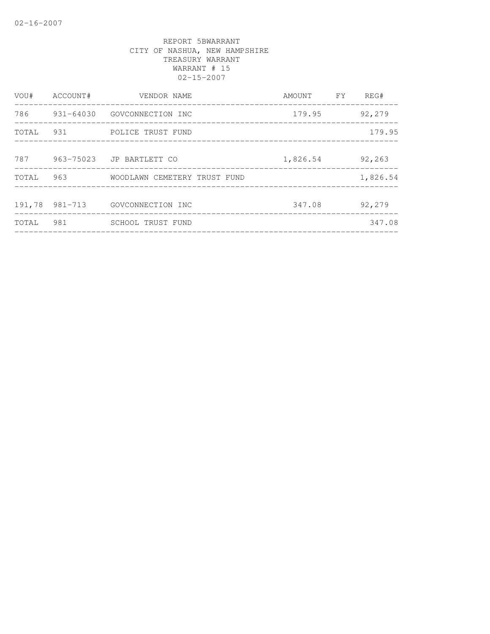| VOU#  | ACCOUNT#       | VENDOR NAME                  | AMOUNT   | <b>FY</b> | REG#     |
|-------|----------------|------------------------------|----------|-----------|----------|
| 786   | 931-64030      | GOVCONNECTION INC            | 179.95   |           | 92,279   |
| TOTAL | 931            | POLICE TRUST FUND            |          |           | 179.95   |
| 787   | 963-75023      | JP BARTLETT CO               | 1,826.54 |           | 92,263   |
| TOTAL | 963            | WOODLAWN CEMETERY TRUST FUND |          |           | 1,826.54 |
|       | 191,78 981-713 | GOVCONNECTION INC            | 347.08   |           | 92,279   |
| TOTAL | 981            | SCHOOL TRUST FUND            |          |           | 347.08   |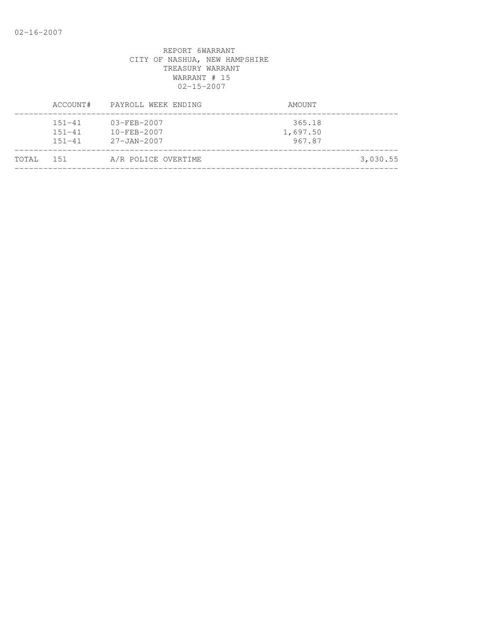|       | ACCOUNT#                               | PAYROLL WEEK ENDING                                         | AMOUNT                       |          |
|-------|----------------------------------------|-------------------------------------------------------------|------------------------------|----------|
|       | $151 - 41$<br>$151 - 41$<br>$151 - 41$ | $03 - FEB - 2007$<br>$10 - FEB - 2007$<br>$27 - JAN - 2007$ | 365.18<br>1,697.50<br>967.87 |          |
| TOTAL | 151                                    | A/R POLICE OVERTIME                                         |                              | 3,030.55 |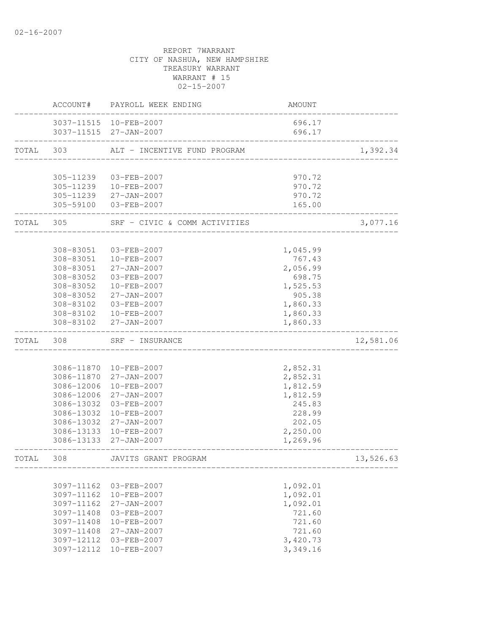|           | ACCOUNT#                 | PAYROLL WEEK ENDING                              | AMOUNT             |           |
|-----------|--------------------------|--------------------------------------------------|--------------------|-----------|
|           |                          | 3037-11515 10-FEB-2007<br>3037-11515 27-JAN-2007 | 696.17<br>696.17   |           |
| TOTAL 303 |                          | ALT - INCENTIVE FUND PROGRAM                     |                    | 1,392.34  |
|           |                          |                                                  |                    |           |
|           | 305-11239                | 03-FEB-2007                                      | 970.72             |           |
|           |                          | 305-11239  10-FEB-2007                           | 970.72             |           |
|           |                          | 305-11239 27-JAN-2007                            | 970.72             |           |
|           |                          | 305-59100 03-FEB-2007                            | 165.00             |           |
| TOTAL 305 |                          | SRF - CIVIC & COMM ACTIVITIES                    |                    | 3,077.16  |
|           | 308-83051                | 03-FEB-2007                                      |                    |           |
|           |                          | 308-83051 10-FEB-2007                            | 1,045.99<br>767.43 |           |
|           | 308-83051                | 27-JAN-2007                                      | 2,056.99           |           |
|           | 308-83052                | 03-FEB-2007                                      | 698.75             |           |
|           | 308-83052                | $10 - FEB - 2007$                                | 1,525.53           |           |
|           | 308-83052                | 27-JAN-2007                                      | 905.38             |           |
|           | 308-83102                | 03-FEB-2007                                      | 1,860.33           |           |
|           | 308-83102                | 10-FEB-2007                                      | 1,860.33           |           |
|           |                          | 308-83102 27-JAN-2007                            | 1,860.33           |           |
| TOTAL     | 308                      | SRF - INSURANCE                                  |                    | 12,581.06 |
|           |                          |                                                  |                    |           |
|           |                          | 3086-11870 10-FEB-2007                           | 2,852.31           |           |
|           |                          | 3086-11870 27-JAN-2007                           | 2,852.31           |           |
|           | 3086-12006               | 10-FEB-2007                                      | 1,812.59           |           |
|           | 3086-12006<br>3086-13032 | 27-JAN-2007<br>03-FEB-2007                       | 1,812.59<br>245.83 |           |
|           |                          | 3086-13032 10-FEB-2007                           | 228.99             |           |
|           |                          | 3086-13032 27-JAN-2007                           | 202.05             |           |
|           |                          | 3086-13133 10-FEB-2007                           | 2,250.00           |           |
|           |                          | 3086-13133 27-JAN-2007                           | 1,269.96           |           |
| TOTAL     | 308                      | JAVITS GRANT PROGRAM                             |                    | 13,526.63 |
|           |                          |                                                  |                    |           |
|           | 3097-11162               | 03-FEB-2007                                      | 1,092.01           |           |
|           | 3097-11162               | 10-FEB-2007                                      | 1,092.01           |           |
|           | 3097-11162               | 27-JAN-2007                                      | 1,092.01           |           |
|           | 3097-11408               | 03-FEB-2007                                      | 721.60             |           |
|           | 3097-11408               | 10-FEB-2007                                      | 721.60             |           |
|           | 3097-11408               | 27-JAN-2007                                      | 721.60             |           |
|           | 3097-12112               | 03-FEB-2007                                      | 3,420.73           |           |
|           | 3097-12112               | 10-FEB-2007                                      | 3,349.16           |           |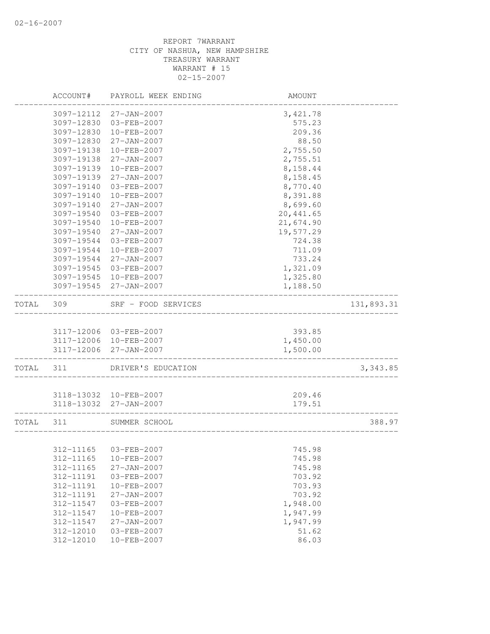|       | ACCOUNT#               | PAYROLL WEEK ENDING                              | AMOUNT               |            |
|-------|------------------------|--------------------------------------------------|----------------------|------------|
|       | 3097-12112             | 27-JAN-2007                                      | 3, 421.78            |            |
|       | 3097-12830             | 03-FEB-2007                                      | 575.23               |            |
|       | 3097-12830             | 10-FEB-2007                                      | 209.36               |            |
|       | 3097-12830             | 27-JAN-2007                                      | 88.50                |            |
|       | 3097-19138             | 10-FEB-2007                                      | 2,755.50             |            |
|       | 3097-19138             | $27 - JAN - 2007$                                | 2,755.51             |            |
|       | 3097-19139             | 10-FEB-2007                                      | 8,158.44             |            |
|       | 3097-19139             | $27 - JAN - 2007$                                | 8,158.45             |            |
|       | 3097-19140             | 03-FEB-2007                                      | 8,770.40             |            |
|       | 3097-19140             | 10-FEB-2007                                      | 8,391.88             |            |
|       | 3097-19140             | $27 - JAN - 2007$                                | 8,699.60             |            |
|       | 3097-19540             | 03-FEB-2007                                      | 20, 441.65           |            |
|       | 3097-19540             | 10-FEB-2007                                      | 21,674.90            |            |
|       | 3097-19540             | 27-JAN-2007                                      | 19,577.29            |            |
|       | 3097-19544             | 03-FEB-2007                                      | 724.38               |            |
|       | 3097-19544             | 10-FEB-2007                                      | 711.09               |            |
|       | 3097-19544             | $27 - JAN - 2007$                                | 733.24               |            |
|       | 3097-19545             | 03-FEB-2007                                      | 1,321.09             |            |
|       | 3097-19545             | 10-FEB-2007                                      | 1,325.80             |            |
|       | 3097-19545             | 27-JAN-2007                                      | 1,188.50             |            |
| TOTAL | 309                    | SRF - FOOD SERVICES                              | __________________   | 131,893.31 |
|       |                        |                                                  |                      |            |
|       |                        | 3117-12006 03-FEB-2007<br>3117-12006 10-FEB-2007 | 393.85               |            |
|       |                        |                                                  | 1,450.00             |            |
|       | 3117-12006             | 27-JAN-2007                                      | 1,500.00             |            |
| TOTAL | 311                    | DRIVER'S EDUCATION                               |                      | 3,343.85   |
|       |                        | 3118-13032 10-FEB-2007                           | 209.46               |            |
|       |                        | 3118-13032 27-JAN-2007                           | 179.51               |            |
|       |                        |                                                  |                      |            |
| TOTAL | 311                    | SUMMER SCHOOL                                    |                      | 388.97     |
|       |                        | 312-11165 03-FEB-2007                            | 745.98               |            |
|       | 312-11165              | $10 - FEB - 2007$                                | 745.98               |            |
|       | 312-11165              | $27 - JAN - 2007$                                | 745.98               |            |
|       |                        |                                                  |                      |            |
|       | 312-11191              | 03-FEB-2007                                      | 703.92               |            |
|       | 312-11191<br>312-11191 | 10-FEB-2007<br>27-JAN-2007                       | 703.93<br>703.92     |            |
|       | 312-11547              | 03-FEB-2007                                      | 1,948.00             |            |
|       | 312-11547              | 10-FEB-2007                                      |                      |            |
|       | 312-11547              | $27 - JAN - 2007$                                | 1,947.99<br>1,947.99 |            |
|       | 312-12010              | 03-FEB-2007                                      | 51.62                |            |
|       | 312-12010              | $10 - FEB - 2007$                                | 86.03                |            |
|       |                        |                                                  |                      |            |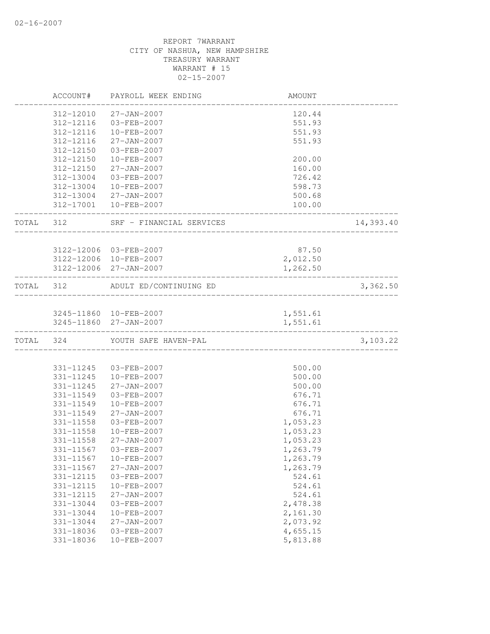|       | ACCOUNT#      | PAYROLL WEEK ENDING                              | AMOUNT   |           |
|-------|---------------|--------------------------------------------------|----------|-----------|
|       | 312-12010     | $27 - JAN - 2007$                                | 120.44   |           |
|       | 312-12116     | 03-FEB-2007                                      | 551.93   |           |
|       | 312-12116     | 10-FEB-2007                                      | 551.93   |           |
|       | 312-12116     | $27 - JAN - 2007$                                | 551.93   |           |
|       | 312-12150     | 03-FEB-2007                                      |          |           |
|       | 312-12150     | 10-FEB-2007                                      | 200.00   |           |
|       | 312-12150     | $27 - JAN - 2007$                                | 160.00   |           |
|       | 312-13004     | 03-FEB-2007                                      | 726.42   |           |
|       | 312-13004     | 10-FEB-2007                                      | 598.73   |           |
|       |               | 312-13004 27-JAN-2007                            | 500.68   |           |
|       |               | 312-17001 10-FEB-2007                            | 100.00   |           |
| TOTAL | 312           | SRF - FINANCIAL SERVICES                         |          | 14,393.40 |
|       |               |                                                  |          |           |
|       |               | 3122-12006 03-FEB-2007<br>3122-12006 10-FEB-2007 | 87.50    |           |
|       |               |                                                  | 2,012.50 |           |
|       |               | 3122-12006 27-JAN-2007                           | 1,262.50 |           |
| TOTAL | 312           | ADULT ED/CONTINUING ED                           |          | 3,362.50  |
|       |               | 3245-11860 10-FEB-2007                           | 1,551.61 |           |
|       |               | 3245-11860 27-JAN-2007                           | 1,551.61 |           |
|       | TOTAL 324     | YOUTH SAFE HAVEN-PAL                             |          | 3,103.22  |
|       |               |                                                  |          |           |
|       | 331-11245     | 03-FEB-2007                                      | 500.00   |           |
|       | 331-11245     | 10-FEB-2007                                      | 500.00   |           |
|       | 331-11245     | $27 - JAN - 2007$                                | 500.00   |           |
|       | 331-11549     | 03-FEB-2007                                      | 676.71   |           |
|       | 331-11549     | $10 - FEB - 2007$                                | 676.71   |           |
|       | 331-11549     | $27 - JAN - 2007$                                | 676.71   |           |
|       | 331-11558     | 03-FEB-2007                                      | 1,053.23 |           |
|       | $331 - 11558$ | $10 - FEB - 2007$                                | 1,053.23 |           |
|       | 331-11558     | $27 - JAN - 2007$                                | 1,053.23 |           |
|       | 331-11567     | $03 - FEB - 2007$                                | 1,263.79 |           |
|       | 331-11567     | 10-FEB-2007                                      | 1,263.79 |           |
|       | 331-11567     | 27-JAN-2007                                      | 1,263.79 |           |
|       | 331-12115     | 03-FEB-2007                                      | 524.61   |           |
|       | 331-12115     | 10-FEB-2007                                      | 524.61   |           |
|       | 331-12115     | $27 - JAN - 2007$                                | 524.61   |           |
|       | 331-13044     | 03-FEB-2007                                      | 2,478.38 |           |
|       | 331-13044     | $10 - FEB - 2007$                                | 2,161.30 |           |
|       | 331-13044     | $27 - JAN - 2007$                                | 2,073.92 |           |
|       | 331-18036     | 03-FEB-2007                                      | 4,655.15 |           |
|       | 331-18036     | 10-FEB-2007                                      | 5,813.88 |           |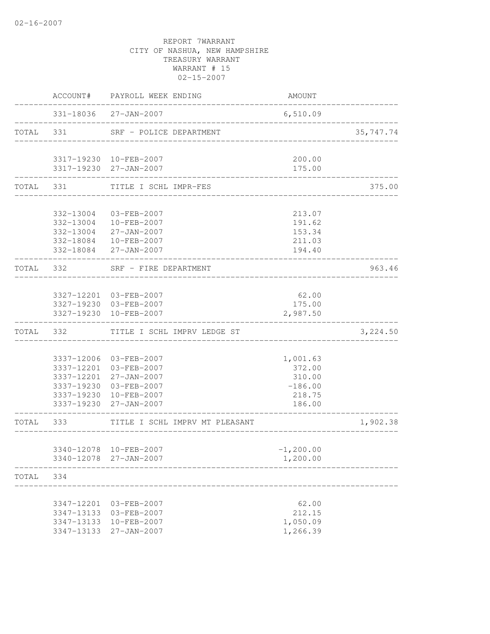|       |            | ACCOUNT# PAYROLL WEEK ENDING                     | AMOUNT                 |           |
|-------|------------|--------------------------------------------------|------------------------|-----------|
|       |            | 331-18036 27-JAN-2007                            | 6,510.09               |           |
|       |            | TOTAL 331 SRF - POLICE DEPARTMENT                |                        | 35,747.74 |
|       |            | 3317-19230 10-FEB-2007                           | 200.00                 |           |
|       |            | 3317-19230 27-JAN-2007                           | 175.00                 |           |
|       |            | TOTAL 331 TITLE I SCHL IMPR-FES                  |                        | 375.00    |
|       | 332-13004  | 03-FEB-2007                                      | 213.07                 |           |
|       |            | 332-13004 10-FEB-2007                            | 191.62                 |           |
|       |            | 332-13004 27-JAN-2007                            | 153.34                 |           |
|       |            | 332-18084 10-FEB-2007                            | 211.03                 |           |
|       |            | 332-18084 27-JAN-2007                            | 194.40                 |           |
|       |            | TOTAL 332 SRF - FIRE DEPARTMENT                  |                        | 963.46    |
|       |            |                                                  |                        |           |
|       |            | 3327-12201 03-FEB-2007<br>3327-19230 03-FEB-2007 | 62.00                  |           |
|       |            | 3327-19230 10-FEB-2007                           | 175.00<br>2,987.50     |           |
|       |            |                                                  |                        |           |
|       |            | TOTAL 332 TITLE I SCHL IMPRV LEDGE ST            |                        | 3,224.50  |
|       |            | 3337-12006 03-FEB-2007                           | 1,001.63               |           |
|       |            | 3337-12201 03-FEB-2007                           | 372.00                 |           |
|       |            | 3337-12201 27-JAN-2007                           | 310.00                 |           |
|       |            | 3337-19230 03-FEB-2007                           | $-186.00$              |           |
|       |            | 3337-19230 10-FEB-2007                           | 218.75                 |           |
|       |            | 3337-19230 27-JAN-2007                           | 186.00<br>------------ |           |
|       | TOTAL 333  | TITLE I SCHL IMPRV MT PLEASANT                   |                        | 1,902.38  |
|       |            | 3340-12078 10-FEB-2007                           | $-1, 200.00$           |           |
|       |            | 3340-12078 27-JAN-2007                           | 1,200.00               |           |
| TOTAL | 334        |                                                  |                        |           |
|       |            |                                                  |                        |           |
|       | 3347-12201 | 03-FEB-2007                                      | 62.00                  |           |
|       | 3347-13133 | 03-FEB-2007                                      | 212.15                 |           |
|       | 3347-13133 | 10-FEB-2007                                      | 1,050.09               |           |
|       | 3347-13133 | 27-JAN-2007                                      | 1,266.39               |           |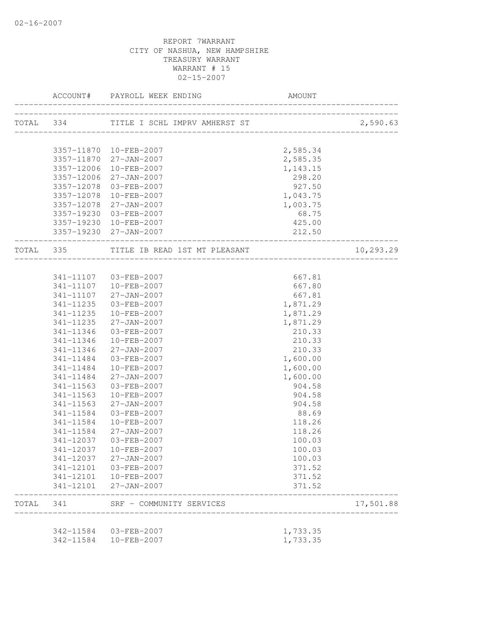|           | ACCOUNT#               | PAYROLL WEEK ENDING                     |                                              |           |
|-----------|------------------------|-----------------------------------------|----------------------------------------------|-----------|
|           |                        | TOTAL 334 TITLE I SCHL IMPRV AMHERST ST | ________________________                     | 2,590.63  |
|           |                        |                                         |                                              |           |
|           |                        | 3357-11870 10-FEB-2007                  | 2,585.34                                     |           |
|           |                        | 3357-11870 27-JAN-2007                  | 2,585.35                                     |           |
|           |                        | 3357-12006 10-FEB-2007                  | 1,143.15                                     |           |
|           | 3357-12006             | 27-JAN-2007                             | 298.20                                       |           |
|           | 3357-12078             | 03-FEB-2007                             | 927.50                                       |           |
|           | 3357-12078             | 10-FEB-2007                             | 1,043.75                                     |           |
|           | 3357-12078             | 27-JAN-2007                             | 1,003.75                                     |           |
|           | 3357-19230             | 03-FEB-2007                             | 68.75                                        |           |
|           |                        | 3357-19230 10-FEB-2007                  | 425.00                                       |           |
|           |                        | 3357-19230 27-JAN-2007                  | 212.50<br>__________________________________ |           |
| TOTAL 335 |                        |                                         |                                              | 10,293.29 |
|           |                        |                                         |                                              |           |
|           |                        | 341-11107 03-FEB-2007                   | 667.81                                       |           |
|           | 341-11107              | 10-FEB-2007                             | 667.80                                       |           |
|           |                        | 341-11107 27-JAN-2007                   | 667.81                                       |           |
|           | 341-11235<br>341-11235 | 03-FEB-2007<br>10-FEB-2007              | 1,871.29<br>1,871.29                         |           |
|           | 341-11235              | 27-JAN-2007                             | 1,871.29                                     |           |
|           | 341-11346              | 03-FEB-2007                             | 210.33                                       |           |
|           | 341-11346              | 10-FEB-2007                             | 210.33                                       |           |
|           | 341-11346              | 27-JAN-2007                             | 210.33                                       |           |
|           | 341-11484              | 03-FEB-2007                             | 1,600.00                                     |           |
|           | 341-11484              | 10-FEB-2007                             | 1,600.00                                     |           |
|           | 341-11484              | 27-JAN-2007                             | 1,600.00                                     |           |
|           | 341-11563              | 03-FEB-2007                             | 904.58                                       |           |
|           | 341-11563              | 10-FEB-2007                             | 904.58                                       |           |
|           | $341 - 11563$          | 27-JAN-2007                             | 904.58                                       |           |
|           | 341-11584              | 03-FEB-2007                             | 88.69                                        |           |
|           | 341-11584              | 10-FEB-2007                             | 118.26                                       |           |
|           | 341-11584              | 27-JAN-2007                             | 118.26                                       |           |
|           | 341-12037              | 03-FEB-2007                             | 100.03                                       |           |
|           |                        | 341-12037 10-FEB-2007                   | 100.03                                       |           |
|           |                        | 341-12037 27-JAN-2007                   | 100.03                                       |           |
|           |                        | 341-12101  03-FEB-2007                  | 371.52                                       |           |
|           |                        | 341-12101  10-FEB-2007                  | 371.52                                       |           |
|           |                        | 341-12101 27-JAN-2007                   | 371.52                                       |           |
|           |                        | TOTAL 341 SRF - COMMUNITY SERVICES      |                                              | 17,501.88 |
|           |                        | 342-11584 03-FEB-2007                   | 1,733.35                                     |           |
|           | 342-11584              | 10-FEB-2007                             | 1,733.35                                     |           |
|           |                        |                                         |                                              |           |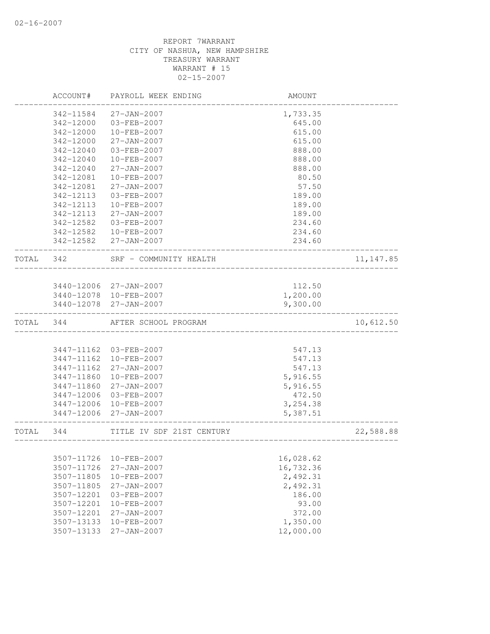|           | ACCOUNT#   | PAYROLL WEEK ENDING       | AMOUNT            |            |
|-----------|------------|---------------------------|-------------------|------------|
|           | 342-11584  | $27 - JAN - 2007$         | 1,733.35          |            |
|           | 342-12000  | 03-FEB-2007               | 645.00            |            |
|           | 342-12000  | 10-FEB-2007               | 615.00            |            |
|           | 342-12000  | $27 - JAN - 2007$         | 615.00            |            |
|           | 342-12040  | 03-FEB-2007               | 888.00            |            |
|           | 342-12040  | 10-FEB-2007               | 888.00            |            |
|           | 342-12040  | $27 - JAN - 2007$         | 888.00            |            |
|           | 342-12081  | $10 - FEB - 2007$         | 80.50             |            |
|           | 342-12081  | $27 - JAN - 2007$         | 57.50             |            |
|           | 342-12113  | 03-FEB-2007               | 189.00            |            |
|           | 342-12113  | 10-FEB-2007               | 189.00            |            |
|           | 342-12113  | 27-JAN-2007               | 189.00            |            |
|           | 342-12582  | 03-FEB-2007               | 234.60            |            |
|           | 342-12582  | 10-FEB-2007               | 234.60            |            |
|           |            | 342-12582 27-JAN-2007     | 234.60            |            |
| TOTAL 342 |            | SRF - COMMUNITY HEALTH    | _________________ | 11, 147.85 |
|           |            |                           |                   |            |
|           |            | 3440-12006 27-JAN-2007    | 112.50            |            |
|           |            | 3440-12078 10-FEB-2007    | 1,200.00          |            |
|           |            | 3440-12078 27-JAN-2007    | 9,300.00          |            |
| TOTAL     | 344        | AFTER SCHOOL PROGRAM      |                   | 10,612.50  |
|           |            |                           |                   |            |
|           | 3447-11162 | 03-FEB-2007               | 547.13            |            |
|           | 3447-11162 | 10-FEB-2007               | 547.13            |            |
|           | 3447-11162 | 27-JAN-2007               | 547.13            |            |
|           | 3447-11860 | 10-FEB-2007               | 5,916.55          |            |
|           | 3447-11860 | 27-JAN-2007               | 5,916.55          |            |
|           | 3447-12006 | 03-FEB-2007               | 472.50            |            |
|           | 3447-12006 | 10-FEB-2007               | 3, 254.38         |            |
|           | 3447-12006 | 27-JAN-2007               | 5,387.51          |            |
| TOTAL     | 344        | TITLE IV SDF 21ST CENTURY | ______________    | 22,588.88  |
|           |            |                           |                   |            |
|           | 3507-11726 | 10-FEB-2007               | 16,028.62         |            |
|           | 3507-11726 | $27 - JAN - 2007$         | 16,732.36         |            |
|           | 3507-11805 | 10-FEB-2007               | 2,492.31          |            |
|           | 3507-11805 | 27-JAN-2007               | 2,492.31          |            |
|           | 3507-12201 | 03-FEB-2007               | 186.00            |            |
|           | 3507-12201 | 10-FEB-2007               | 93.00             |            |
|           | 3507-12201 | $27 - JAN - 2007$         | 372.00            |            |
|           | 3507-13133 | 10-FEB-2007               | 1,350.00          |            |
|           | 3507-13133 | $27 - JAN - 2007$         | 12,000.00         |            |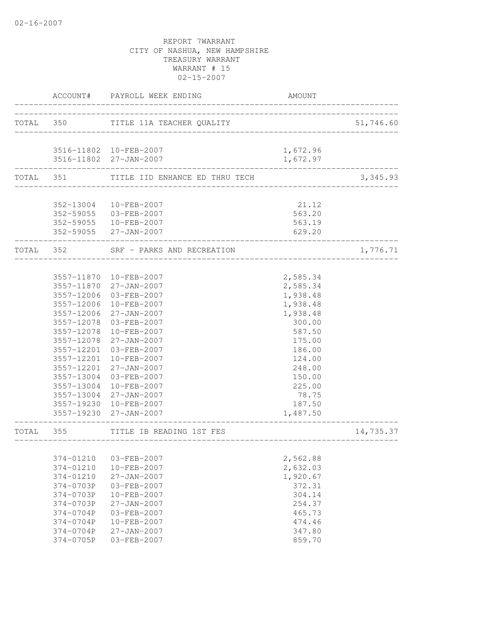|           |                          | ACCOUNT# PAYROLL WEEK ENDING                     | AMOUNT                        |           |
|-----------|--------------------------|--------------------------------------------------|-------------------------------|-----------|
|           |                          | TOTAL 350 TITLE 11A TEACHER QUALITY              | ----------------------------- | 51,746.60 |
|           |                          |                                                  |                               |           |
|           |                          | 3516-11802 10-FEB-2007<br>3516-11802 27-JAN-2007 | 1,672.96<br>1,672.97          |           |
| TOTAL 351 |                          | TITLE IID ENHANCE ED THRU TECH                   |                               | 3,345.93  |
|           | 352-13004                | 10-FEB-2007                                      | 21.12                         |           |
|           |                          | 352-59055 03-FEB-2007                            | 563.20                        |           |
|           |                          | 352-59055 10-FEB-2007                            | 563.19                        |           |
|           |                          | 352-59055 27-JAN-2007                            | 629.20                        |           |
|           |                          | TOTAL 352 SRF - PARKS AND RECREATION             |                               | 1,776.71  |
|           |                          |                                                  |                               |           |
|           | 3557-11870<br>3557-11870 | 10-FEB-2007<br>27-JAN-2007                       | 2,585.34<br>2,585.34          |           |
|           | 3557-12006               | 03-FEB-2007                                      | 1,938.48                      |           |
|           | 3557-12006               | 10-FEB-2007                                      | 1,938.48                      |           |
|           | 3557-12006               | 27-JAN-2007                                      | 1,938.48                      |           |
|           | 3557-12078               | 03-FEB-2007                                      | 300.00                        |           |
|           | 3557-12078               | 10-FEB-2007                                      | 587.50                        |           |
|           | 3557-12078               | 27-JAN-2007                                      | 175.00                        |           |
|           | 3557-12201               | 03-FEB-2007                                      | 186.00                        |           |
|           | 3557-12201               | 10-FEB-2007                                      | 124.00                        |           |
|           | 3557-12201               | $27 - JAN - 2007$                                | 248.00                        |           |
|           | 3557-13004               | 03-FEB-2007                                      | 150.00                        |           |
|           | 3557-13004               | 10-FEB-2007                                      | 225.00                        |           |
|           | 3557-13004               | 27-JAN-2007                                      | 78.75                         |           |
|           |                          | 3557-19230 10-FEB-2007                           | 187.50                        |           |
|           |                          | 3557-19230 27-JAN-2007                           | 1,487.50                      |           |
| TOTAL     | 355                      | TITLE IB READING 1ST FES                         |                               | 14,735.37 |
|           |                          |                                                  |                               |           |
|           | 374-01210                | 03-FEB-2007                                      | 2,562.88                      |           |
|           | 374-01210                | 10-FEB-2007                                      | 2,632.03                      |           |
|           | 374-01210                | 27-JAN-2007                                      | 1,920.67                      |           |
|           | 374-0703P                | 03-FEB-2007                                      | 372.31                        |           |
|           | 374-0703P                | 10-FEB-2007                                      | 304.14                        |           |
|           | 374-0703P                | $27 - JAN - 2007$                                | 254.37                        |           |
|           | 374-0704P                | 03-FEB-2007<br>10-FEB-2007                       | 465.73                        |           |
|           | 374-0704P<br>374-0704P   | 27-JAN-2007                                      | 474.46                        |           |
|           | 374-0705P                | 03-FEB-2007                                      | 347.80<br>859.70              |           |
|           |                          |                                                  |                               |           |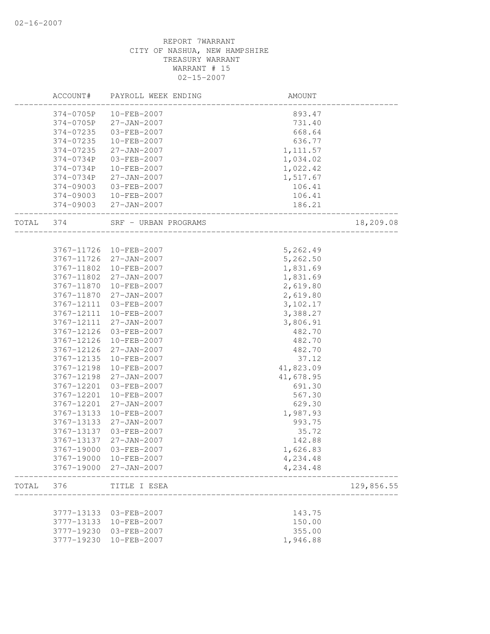|           | ACCOUNT#   | PAYROLL WEEK ENDING    | AMOUNT                                                      |            |
|-----------|------------|------------------------|-------------------------------------------------------------|------------|
|           | 374-0705P  | 10-FEB-2007            | 893.47                                                      |            |
|           | 374-0705P  | 27-JAN-2007            | 731.40                                                      |            |
|           | 374-07235  | 03-FEB-2007            | 668.64                                                      |            |
|           | 374-07235  | 10-FEB-2007            | 636.77                                                      |            |
|           | 374-07235  | 27-JAN-2007            | 1, 111.57                                                   |            |
|           | 374-0734P  | 03-FEB-2007            | 1,034.02                                                    |            |
|           | 374-0734P  | 10-FEB-2007            | 1,022.42                                                    |            |
|           | 374-0734P  | 27-JAN-2007            | 1,517.67                                                    |            |
|           | 374-09003  | 03-FEB-2007            | 106.41                                                      |            |
|           |            | 374-09003  10-FEB-2007 | 106.41                                                      |            |
|           |            | 374-09003 27-JAN-2007  | 186.21                                                      |            |
| TOTAL 374 |            | SRF - URBAN PROGRAMS   | ______________________________<br>,<br>-------------------- | 18,209.08  |
|           |            |                        |                                                             |            |
|           |            | 3767-11726 10-FEB-2007 | 5,262.49                                                    |            |
|           | 3767-11726 | 27-JAN-2007            | 5,262.50                                                    |            |
|           | 3767-11802 | 10-FEB-2007            | 1,831.69                                                    |            |
|           | 3767-11802 | 27-JAN-2007            | 1,831.69                                                    |            |
|           | 3767-11870 | 10-FEB-2007            | 2,619.80                                                    |            |
|           | 3767-11870 | 27-JAN-2007            | 2,619.80                                                    |            |
|           | 3767-12111 | 03-FEB-2007            | 3,102.17                                                    |            |
|           | 3767-12111 | 10-FEB-2007            | 3,388.27                                                    |            |
|           | 3767-12111 | 27-JAN-2007            | 3,806.91                                                    |            |
|           | 3767-12126 | 03-FEB-2007            | 482.70                                                      |            |
|           | 3767-12126 | 10-FEB-2007            | 482.70                                                      |            |
|           | 3767-12126 | 27-JAN-2007            | 482.70                                                      |            |
|           | 3767-12135 | 10-FEB-2007            | 37.12                                                       |            |
|           | 3767-12198 | 10-FEB-2007            | 41,823.09                                                   |            |
|           | 3767-12198 | 27-JAN-2007            | 41,678.95                                                   |            |
|           | 3767-12201 | 03-FEB-2007            | 691.30                                                      |            |
|           | 3767-12201 | 10-FEB-2007            | 567.30                                                      |            |
|           | 3767-12201 | 27-JAN-2007            | 629.30                                                      |            |
|           | 3767-13133 | 10-FEB-2007            | 1,987.93                                                    |            |
|           | 3767-13133 | 27-JAN-2007            | 993.75                                                      |            |
|           | 3767-13137 | 03-FEB-2007            | 35.72                                                       |            |
|           | 3767-13137 | 27-JAN-2007            | 142.88                                                      |            |
|           | 3767-19000 | 03-FEB-2007            | 1,626.83                                                    |            |
|           | 3767-19000 | 10-FEB-2007            | 4,234.48                                                    |            |
|           | 3767-19000 | 27-JAN-2007            | 4,234.48                                                    |            |
| TOTAL     | 376        | TITLE I ESEA           |                                                             | 129,856.55 |
|           |            |                        |                                                             |            |
|           | 3777-13133 | 03-FEB-2007            | 143.75                                                      |            |
|           | 3777-13133 | 10-FEB-2007            | 150.00                                                      |            |
|           | 3777-19230 | 03-FEB-2007            | 355.00                                                      |            |
|           | 3777-19230 | 10-FEB-2007            | 1,946.88                                                    |            |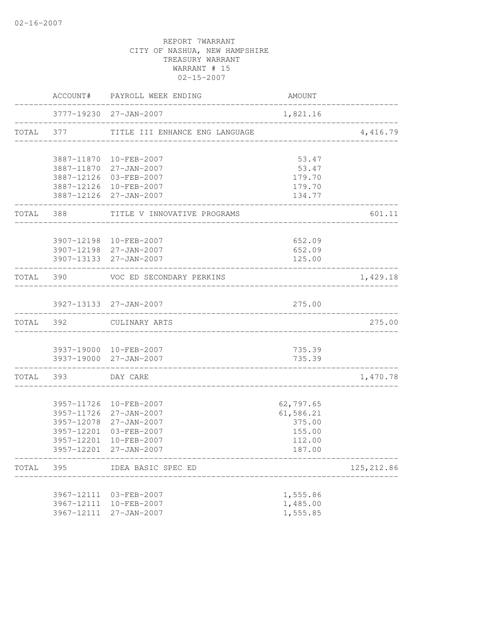|           |                    | ACCOUNT# PAYROLL WEEK ENDING                         | AMOUNT           |             |
|-----------|--------------------|------------------------------------------------------|------------------|-------------|
|           |                    | 3777-19230 27-JAN-2007                               | 1,821.16         |             |
|           |                    | TOTAL 377 TITLE III ENHANCE ENG LANGUAGE             |                  | 4,416.79    |
|           |                    | 3887-11870 10-FEB-2007                               | 53.47            |             |
|           |                    | 3887-11870 27-JAN-2007                               | 53.47            |             |
|           |                    | 3887-12126 03-FEB-2007                               | 179.70           |             |
|           |                    | 3887-12126 10-FEB-2007<br>3887-12126 27-JAN-2007     | 179.70<br>134.77 |             |
|           | . <u>.</u> .       | TOTAL 388 TITLE V INNOVATIVE PROGRAMS                |                  | 601.11      |
|           |                    | 3907-12198 10-FEB-2007                               | 652.09           |             |
|           |                    | 3907-12198 27-JAN-2007                               | 652.09           |             |
|           |                    | 3907-13133 27-JAN-2007                               | 125.00           |             |
|           | TOTAL 390          | VOC ED SECONDARY PERKINS<br>________________________ |                  | 1,429.18    |
|           |                    |                                                      |                  |             |
|           |                    | 3927-13133 27-JAN-2007                               | 275.00           |             |
| TOTAL 392 |                    | CULINARY ARTS                                        |                  | 275.00      |
|           |                    | 3937-19000 10-FEB-2007                               | 735.39           |             |
|           |                    | 3937-19000 27-JAN-2007                               | 735.39           |             |
|           | TOTAL 393 DAY CARE |                                                      |                  | 1,470.78    |
|           |                    | 3957-11726 10-FEB-2007                               | 62,797.65        |             |
|           |                    | 3957-11726 27-JAN-2007                               | 61,586.21        |             |
|           |                    | 3957-12078 27-JAN-2007                               | 375.00           |             |
|           | 3957-12201         | 03-FEB-2007                                          | 155.00           |             |
|           | 3957-12201         | $10 - FEB - 2007$                                    | 112.00           |             |
|           | 3957-12201         | $27 - JAN - 2007$                                    | 187.00           |             |
| TOTAL     | 395                | IDEA BASIC SPEC ED                                   |                  | 125, 212.86 |
|           |                    | 3967-12111 03-FEB-2007                               | 1,555.86         |             |
|           | 3967-12111         | 10-FEB-2007                                          | 1,485.00         |             |
|           | 3967-12111         | $27 - JAN - 2007$                                    | 1,555.85         |             |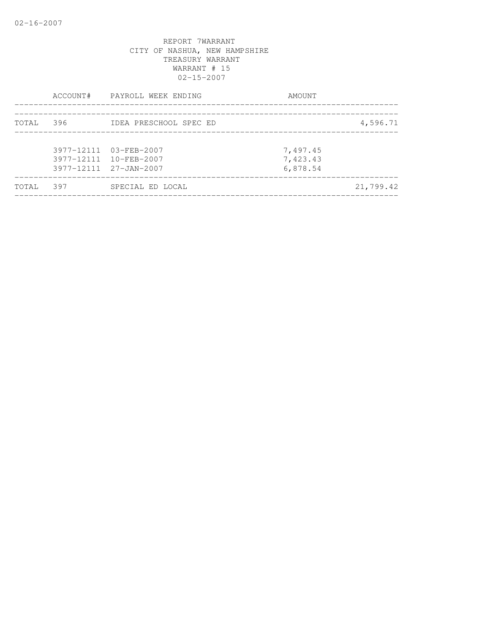|       |       | ACCOUNT# PAYROLL WEEK ENDING                                               | AMOUNT                           |           |
|-------|-------|----------------------------------------------------------------------------|----------------------------------|-----------|
| TOTAL | 396 — | IDEA PRESCHOOL SPEC ED                                                     |                                  | 4,596.71  |
|       |       | 3977-12111 03-FEB-2007<br>3977-12111 10-FEB-2007<br>3977-12111 27-JAN-2007 | 7,497.45<br>7,423.43<br>6,878.54 |           |
| TOTAL | 397   | SPECIAL ED LOCAL                                                           |                                  | 21,799.42 |
|       |       |                                                                            |                                  |           |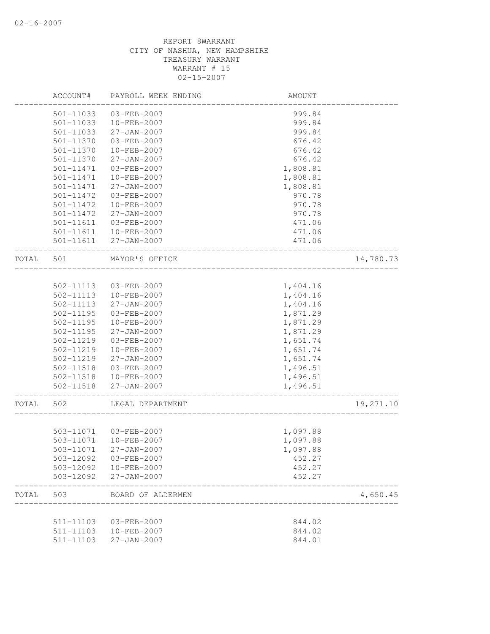|       | ACCOUNT#      | PAYROLL WEEK ENDING    | AMOUNT   |           |
|-------|---------------|------------------------|----------|-----------|
|       | 501-11033     | 03-FEB-2007            | 999.84   |           |
|       | $501 - 11033$ | 10-FEB-2007            | 999.84   |           |
|       | 501-11033     | $27 - JAN - 2007$      | 999.84   |           |
|       | 501-11370     | 03-FEB-2007            | 676.42   |           |
|       | 501-11370     | 10-FEB-2007            | 676.42   |           |
|       | 501-11370     | $27 - JAN - 2007$      | 676.42   |           |
|       | 501-11471     | 03-FEB-2007            | 1,808.81 |           |
|       | 501-11471     | 10-FEB-2007            | 1,808.81 |           |
|       | 501-11471     | $27 - JAN - 2007$      | 1,808.81 |           |
|       | 501-11472     | 03-FEB-2007            | 970.78   |           |
|       | 501-11472     | 10-FEB-2007            | 970.78   |           |
|       | 501-11472     | 27-JAN-2007            | 970.78   |           |
|       | 501-11611     | 03-FEB-2007            | 471.06   |           |
|       | 501-11611     | 10-FEB-2007            | 471.06   |           |
|       | 501-11611     | $27 - JAN - 2007$      | 471.06   |           |
| TOTAL | 501           | MAYOR'S OFFICE         |          | 14,780.73 |
|       |               |                        |          |           |
|       | 502-11113     | 03-FEB-2007            | 1,404.16 |           |
|       | 502-11113     | 10-FEB-2007            | 1,404.16 |           |
|       | 502-11113     | $27 - JAN - 2007$      | 1,404.16 |           |
|       | 502-11195     | 03-FEB-2007            | 1,871.29 |           |
|       | 502-11195     | $10 - FEB - 2007$      | 1,871.29 |           |
|       | $502 - 11195$ | $27 - JAN - 2007$      | 1,871.29 |           |
|       | 502-11219     | 03-FEB-2007            | 1,651.74 |           |
|       | 502-11219     | 10-FEB-2007            | 1,651.74 |           |
|       | 502-11219     | 27-JAN-2007            | 1,651.74 |           |
|       | 502-11518     | 03-FEB-2007            | 1,496.51 |           |
|       | 502-11518     | 10-FEB-2007            | 1,496.51 |           |
|       | 502-11518     | 27-JAN-2007            | 1,496.51 |           |
| TOTAL | 502           | LEGAL DEPARTMENT       |          | 19,271.10 |
|       |               |                        |          |           |
|       | 503-11071     | 503-11071  03-FEB-2007 | 1,097.88 |           |
|       |               | 10-FEB-2007            | 1,097.88 |           |
|       | 503-11071     | 27-JAN-2007            | 1,097.88 |           |
|       | 503-12092     | 03-FEB-2007            | 452.27   |           |
|       | 503-12092     | 10-FEB-2007            | 452.27   |           |
|       | 503-12092     | $27 - JAN - 2007$      | 452.27   |           |
| TOTAL | 503           | BOARD OF ALDERMEN      |          | 4,650.45  |
|       | 511-11103     | 03-FEB-2007            | 844.02   |           |
|       | 511-11103     | $10 - FEB - 2007$      | 844.02   |           |
|       | 511-11103     | $27 - JAN - 2007$      | 844.01   |           |
|       |               |                        |          |           |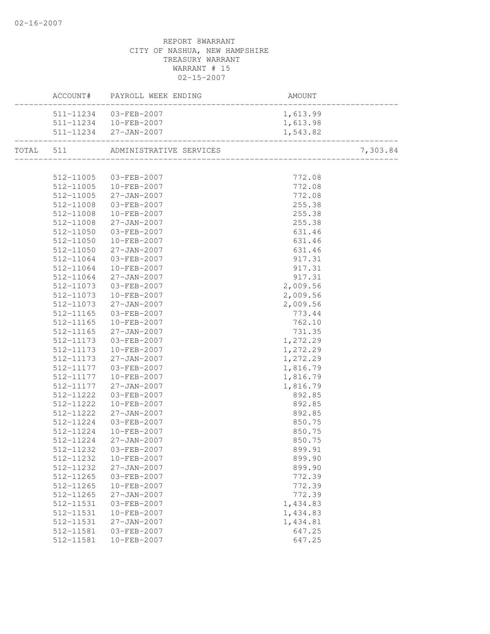|                        |                                                                                                                                                                                                                                    | AMOUNT               |          |
|------------------------|------------------------------------------------------------------------------------------------------------------------------------------------------------------------------------------------------------------------------------|----------------------|----------|
|                        | 511-11234 03-FEB-2007                                                                                                                                                                                                              | 1,613.99             |          |
|                        | $\frac{1}{1}$ , 013.99                                                                                                                                                                                                             |                      |          |
|                        | $511-11234$ $27-JAN-2007$ $1,543.82$<br>Let $511$ a notice the contract of the contract of the contract of the contract of the contract of the contract of the contract of the contract of the contract of the contract of the con |                      |          |
|                        | TOTAL 511 ADMINISTRATIVE SERVICES                                                                                                                                                                                                  |                      | 7,303.84 |
|                        |                                                                                                                                                                                                                                    |                      |          |
|                        | 512-11005 03-FEB-2007                                                                                                                                                                                                              | 772.08               |          |
|                        | 512-11005 10-FEB-2007                                                                                                                                                                                                              | 772.08               |          |
|                        | 512-11005 27-JAN-2007                                                                                                                                                                                                              | 772.08               |          |
| 512-11008              | 03-FEB-2007                                                                                                                                                                                                                        | 255.38               |          |
| 512-11008              | 10-FEB-2007                                                                                                                                                                                                                        | 255.38               |          |
| 512-11008              | $27 - JAN - 2007$                                                                                                                                                                                                                  | 255.38               |          |
| 512-11050              | 03-FEB-2007                                                                                                                                                                                                                        | 631.46               |          |
| 512-11050              | 10-FEB-2007                                                                                                                                                                                                                        | 631.46               |          |
| 512-11050              | $27 - JAN - 2007$                                                                                                                                                                                                                  | 631.46               |          |
| 512-11064              | 03-FEB-2007                                                                                                                                                                                                                        | 917.31               |          |
| 512-11064              | 10-FEB-2007                                                                                                                                                                                                                        | 917.31               |          |
| 512-11064              | 27-JAN-2007                                                                                                                                                                                                                        | 917.31               |          |
| 512-11073              | 03-FEB-2007                                                                                                                                                                                                                        | 2,009.56             |          |
| 512-11073              | 10-FEB-2007                                                                                                                                                                                                                        | 2,009.56             |          |
| 512-11073              | $27 - JAN - 2007$                                                                                                                                                                                                                  | 2,009.56             |          |
| 512-11165              | 03-FEB-2007                                                                                                                                                                                                                        | 773.44               |          |
| 512-11165              | 10-FEB-2007                                                                                                                                                                                                                        | 762.10               |          |
| 512-11165              | 27-JAN-2007<br>03-FEB-2007                                                                                                                                                                                                         | 731.35               |          |
| 512-11173<br>512-11173 |                                                                                                                                                                                                                                    | 1,272.29             |          |
| 512-11173              | 10-FEB-2007<br>$27 - JAN - 2007$                                                                                                                                                                                                   | 1,272.29<br>1,272.29 |          |
| 512-11177              | 03-FEB-2007                                                                                                                                                                                                                        | 1,816.79             |          |
| 512-11177              | 10-FEB-2007                                                                                                                                                                                                                        | 1,816.79             |          |
| 512-11177              | $27 - JAN - 2007$                                                                                                                                                                                                                  | 1,816.79             |          |
| 512-11222              | 03-FEB-2007                                                                                                                                                                                                                        | 892.85               |          |
| 512-11222              | 10-FEB-2007                                                                                                                                                                                                                        | 892.85               |          |
| 512-11222              | $27 - JAN - 2007$                                                                                                                                                                                                                  | 892.85               |          |
| 512-11224              | 03-FEB-2007                                                                                                                                                                                                                        | 850.75               |          |
|                        | 512-11224 10-FEB-2007                                                                                                                                                                                                              | 850.75               |          |
| 512-11224              | 27-JAN-2007                                                                                                                                                                                                                        | 850.75               |          |
| 512-11232              | 03-FEB-2007                                                                                                                                                                                                                        | 899.91               |          |
| 512-11232              | 10-FEB-2007                                                                                                                                                                                                                        | 899.90               |          |
| 512-11232              | $27 - JAN - 2007$                                                                                                                                                                                                                  | 899.90               |          |
| 512-11265              | 03-FEB-2007                                                                                                                                                                                                                        | 772.39               |          |
| 512-11265              | 10-FEB-2007                                                                                                                                                                                                                        | 772.39               |          |
| 512-11265              | 27-JAN-2007                                                                                                                                                                                                                        | 772.39               |          |
| 512-11531              | 03-FEB-2007                                                                                                                                                                                                                        | 1,434.83             |          |
| 512-11531              | $10 - FEB - 2007$                                                                                                                                                                                                                  | 1,434.83             |          |
| 512-11531              | $27 - JAN - 2007$                                                                                                                                                                                                                  | 1,434.81             |          |
| 512-11581              | 03-FEB-2007                                                                                                                                                                                                                        | 647.25               |          |
| 512-11581              | 10-FEB-2007                                                                                                                                                                                                                        | 647.25               |          |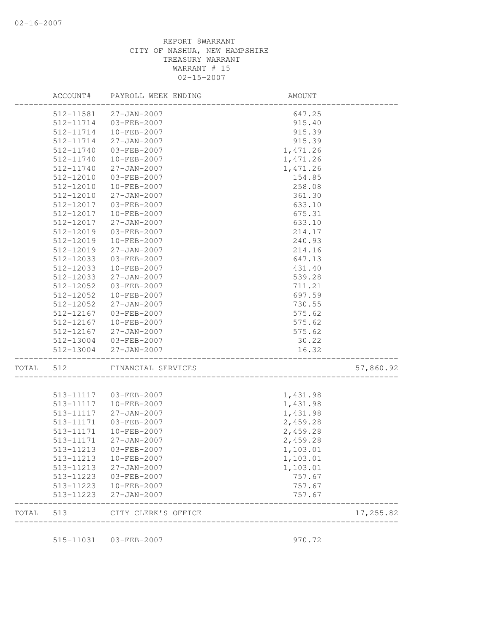|       |           | ACCOUNT# PAYROLL WEEK ENDING                             | <b>AMOUNT</b>                              |           |
|-------|-----------|----------------------------------------------------------|--------------------------------------------|-----------|
|       | 512-11581 | 27-JAN-2007                                              | 647.25                                     |           |
|       | 512-11714 | 03-FEB-2007                                              | 915.40                                     |           |
|       | 512-11714 | 10-FEB-2007                                              | 915.39                                     |           |
|       | 512-11714 | 27-JAN-2007                                              | 915.39                                     |           |
|       | 512-11740 | 03-FEB-2007                                              | 1,471.26                                   |           |
|       | 512-11740 | 10-FEB-2007                                              | 1,471.26                                   |           |
|       | 512-11740 | $27 - JAN - 2007$                                        | 1,471.26                                   |           |
|       | 512-12010 | 03-FEB-2007                                              | 154.85                                     |           |
|       | 512-12010 | $10 - FEB - 2007$                                        | 258.08                                     |           |
|       | 512-12010 | 27-JAN-2007                                              | 361.30                                     |           |
|       | 512-12017 | 03-FEB-2007                                              | 633.10                                     |           |
|       | 512-12017 | 10-FEB-2007                                              | 675.31                                     |           |
|       | 512-12017 | $27 - JAN - 2007$                                        | 633.10                                     |           |
|       | 512-12019 | 03-FEB-2007                                              | 214.17                                     |           |
|       | 512-12019 | 10-FEB-2007                                              | 240.93                                     |           |
|       | 512-12019 | 27-JAN-2007                                              | 214.16                                     |           |
|       | 512-12033 | $03 - FEB - 2007$                                        | 647.13                                     |           |
|       | 512-12033 | 10-FEB-2007                                              | 431.40                                     |           |
|       | 512-12033 | $27 - JAN - 2007$                                        | 539.28                                     |           |
|       | 512-12052 | 03-FEB-2007                                              | 711.21                                     |           |
|       | 512-12052 | 10-FEB-2007                                              | 697.59                                     |           |
|       | 512-12052 | $27 - JAN - 2007$                                        | 730.55                                     |           |
|       | 512-12167 | 03-FEB-2007                                              | 575.62                                     |           |
|       | 512-12167 | 10-FEB-2007                                              | 575.62                                     |           |
|       | 512-12167 | 27-JAN-2007                                              | 575.62                                     |           |
|       |           | 512-13004 03-FEB-2007                                    | 30.22                                      |           |
|       |           | 512-13004 27-JAN-2007                                    | 16.32<br>- -<br>-------------------------- |           |
| TOTAL | 512       | FINANCIAL SERVICES<br>---------------------------------- |                                            | 57,860.92 |
|       |           |                                                          |                                            |           |
|       |           | 513-11117  03-FEB-2007                                   | 1,431.98                                   |           |
|       | 513-11117 | 10-FEB-2007                                              | 1,431.98                                   |           |
|       | 513-11117 | $27 - JAN - 2007$                                        | 1,431.98                                   |           |
|       | 513-11171 | 03-FEB-2007                                              | 2,459.28                                   |           |
|       | 513-11171 | $10 - FEB - 2007$                                        | 2,459.28                                   |           |
|       | 513-11171 | 27-JAN-2007                                              | 2,459.28                                   |           |
|       |           | 513-11213 03-FEB-2007                                    | 1,103.01                                   |           |
|       | 513-11213 | 10-FEB-2007                                              | 1,103.01                                   |           |
|       | 513-11213 | 27-JAN-2007                                              | 1,103.01                                   |           |
|       | 513-11223 | 03-FEB-2007                                              | 757.67                                     |           |
|       | 513-11223 | 10-FEB-2007                                              | 757.67                                     |           |
|       | 513-11223 | 27-JAN-2007                                              | 757.67                                     |           |
| TOTAL | 513       | CITY CLERK'S OFFICE                                      |                                            | 17,255.82 |

515-11031 03-FEB-2007 970.72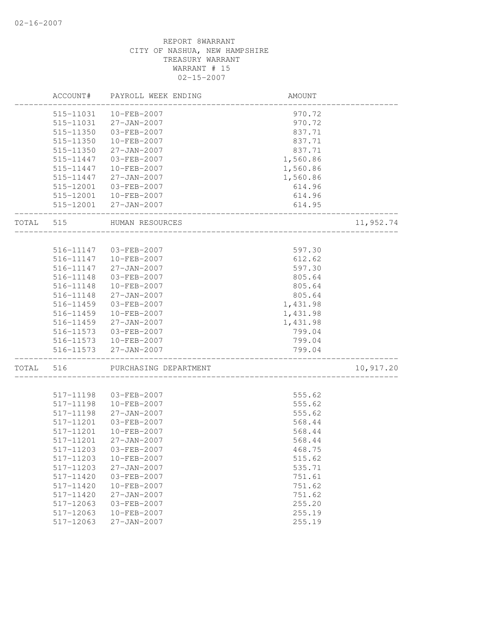|       | ACCOUNT#  | PAYROLL WEEK ENDING    | AMOUNT   |           |
|-------|-----------|------------------------|----------|-----------|
|       |           | 515-11031  10-FEB-2007 | 970.72   |           |
|       | 515-11031 | 27-JAN-2007            | 970.72   |           |
|       | 515-11350 | 03-FEB-2007            | 837.71   |           |
|       | 515-11350 | 10-FEB-2007            | 837.71   |           |
|       | 515-11350 | 27-JAN-2007            | 837.71   |           |
|       | 515-11447 | 03-FEB-2007            | 1,560.86 |           |
|       | 515-11447 | 10-FEB-2007            | 1,560.86 |           |
|       | 515-11447 | $27 - JAN - 2007$      | 1,560.86 |           |
|       | 515-12001 | 03-FEB-2007            | 614.96   |           |
|       |           | 515-12001 10-FEB-2007  | 614.96   |           |
|       |           | 515-12001 27-JAN-2007  | 614.95   |           |
| TOTAL | 515       | HUMAN RESOURCES        |          | 11,952.74 |
|       |           |                        |          |           |
|       | 516-11147 | 03-FEB-2007            | 597.30   |           |
|       | 516-11147 | 10-FEB-2007            | 612.62   |           |
|       | 516-11147 | 27-JAN-2007            | 597.30   |           |
|       | 516-11148 | 03-FEB-2007            | 805.64   |           |
|       | 516-11148 | 10-FEB-2007            | 805.64   |           |
|       | 516-11148 | $27 - JAN - 2007$      | 805.64   |           |
|       | 516-11459 | 03-FEB-2007            | 1,431.98 |           |
|       | 516-11459 | 10-FEB-2007            | 1,431.98 |           |
|       | 516-11459 | 27-JAN-2007            | 1,431.98 |           |
|       | 516-11573 | 03-FEB-2007            | 799.04   |           |
|       | 516-11573 | 10-FEB-2007            | 799.04   |           |
|       |           | 516-11573 27-JAN-2007  | 799.04   |           |
| TOTAL | 516       | PURCHASING DEPARTMENT  |          | 10,917.20 |
|       |           |                        |          |           |
|       | 517-11198 | 03-FEB-2007            | 555.62   |           |
|       | 517-11198 | 10-FEB-2007            | 555.62   |           |
|       | 517-11198 | 27-JAN-2007            | 555.62   |           |
|       | 517-11201 | 03-FEB-2007            | 568.44   |           |
|       | 517-11201 | 10-FEB-2007            | 568.44   |           |
|       | 517-11201 | 27-JAN-2007            | 568.44   |           |
|       | 517-11203 | 03-FEB-2007            | 468.75   |           |
|       | 517-11203 | 10-FEB-2007            | 515.62   |           |
|       | 517-11203 | $27 - JAN - 2007$      | 535.71   |           |
|       | 517-11420 | $03 - FEB - 2007$      | 751.61   |           |
|       | 517-11420 | 10-FEB-2007            | 751.62   |           |
|       | 517-11420 | $27 - JAN - 2007$      | 751.62   |           |
|       | 517-12063 | $03 - FEB - 2007$      | 255.20   |           |
|       | 517-12063 | 10-FEB-2007            | 255.19   |           |
|       | 517-12063 | 27-JAN-2007            | 255.19   |           |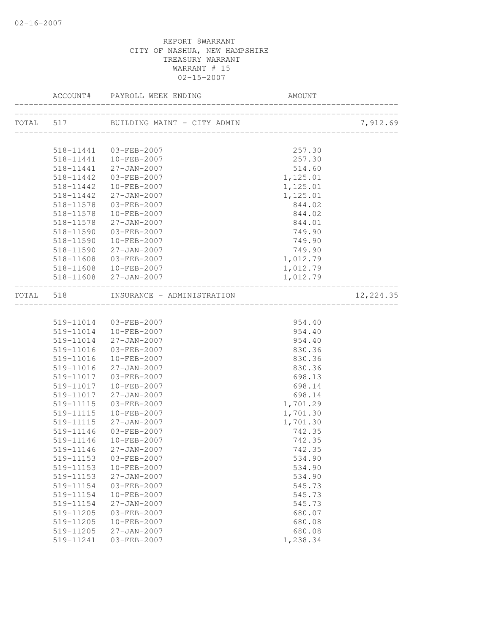|                        |                                      |                  | 7,912.69  |
|------------------------|--------------------------------------|------------------|-----------|
|                        |                                      |                  |           |
|                        | 518-11441  03-FEB-2007               | 257.30           |           |
|                        | 518-11441  10-FEB-2007               | 257.30           |           |
|                        | 518-11441 27-JAN-2007                | 514.60           |           |
| 518-11442              | 03-FEB-2007                          | 1,125.01         |           |
| 518-11442              | 10-FEB-2007                          | 1,125.01         |           |
| 518-11442              | 27-JAN-2007                          | 1,125.01         |           |
| 518-11578              | 03-FEB-2007                          | 844.02           |           |
| 518-11578              | 10-FEB-2007                          | 844.02           |           |
|                        | 518-11578 27-JAN-2007                | 844.01           |           |
| 518-11590              | 03-FEB-2007                          | 749.90           |           |
| 518-11590              | 10-FEB-2007                          | 749.90           |           |
| 518-11590              | $27 - JAN - 2007$                    | 749.90           |           |
| 518-11608              | $03 - FEB - 2007$                    | 1,012.79         |           |
|                        | $518 - 11608$ $10 - FEB - 2007$      | 1,012.79         |           |
|                        | 518-11608 27-JAN-2007                | 1,012.79         |           |
|                        | TOTAL 518 INSURANCE - ADMINISTRATION |                  | 12,224.35 |
|                        |                                      |                  |           |
|                        | 519-11014 03-FEB-2007                | 954.40           |           |
|                        | 519-11014  10-FEB-2007               | 954.40           |           |
|                        | 519-11014 27-JAN-2007                | 954.40           |           |
| 519-11016              | 03-FEB-2007                          | 830.36           |           |
| 519-11016              | 10-FEB-2007                          | 830.36           |           |
| 519-11016              | $27 - JAN - 2007$                    | 830.36           |           |
| 519-11017              | 03-FEB-2007                          | 698.13           |           |
| 519-11017              | 10-FEB-2007                          | 698.14           |           |
| 519-11017              | 27-JAN-2007                          | 698.14           |           |
| 519-11115              | 03-FEB-2007                          | 1,701.29         |           |
| 519-11115              | 10-FEB-2007                          | 1,701.30         |           |
| 519-11115              | $27 - JAN - 2007$                    | 1,701.30         |           |
| 519-11146              | 03-FEB-2007                          | 742.35           |           |
| 519-11146              | 10-FEB-2007                          | 742.35           |           |
|                        | 519-11146 27-JAN-2007                | 742.35           |           |
| 519-11153              | 03-FEB-2007                          | 534.90           |           |
| 519-11153              | 10-FEB-2007                          | 534.90           |           |
| 519-11153              | 27-JAN-2007                          | 534.90           |           |
| 519-11154              | 03-FEB-2007                          | 545.73           |           |
| 519-11154<br>519-11154 | 10-FEB-2007<br>$27 - JAN - 2007$     | 545.73           |           |
| 519-11205              | 03-FEB-2007                          | 545.73<br>680.07 |           |
| 519-11205              | $10 - FEB - 2007$                    | 680.08           |           |
| 519-11205              | $27 - JAN - 2007$                    | 680.08           |           |
| 519-11241              | 03-FEB-2007                          | 1,238.34         |           |
|                        |                                      |                  |           |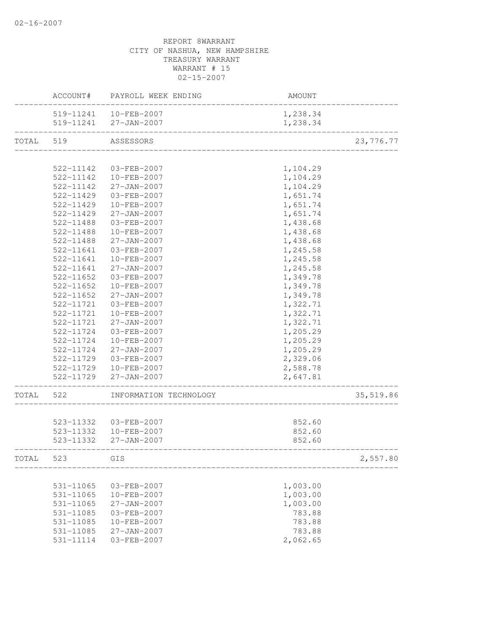|           |               | ACCOUNT# PAYROLL WEEK ENDING                 | AMOUNT   |           |
|-----------|---------------|----------------------------------------------|----------|-----------|
|           |               | 519-11241  10-FEB-2007                       | 1,238.34 |           |
|           |               | 519-11241 27-JAN-2007                        | 1,238.34 |           |
| TOTAL     | 519           | ASSESSORS<br>_______________________________ |          | 23,776.77 |
|           |               |                                              |          |           |
|           | 522-11142     | 03-FEB-2007                                  | 1,104.29 |           |
|           | 522-11142     | 10-FEB-2007                                  | 1,104.29 |           |
|           | 522-11142     | 27-JAN-2007                                  | 1,104.29 |           |
|           | 522-11429     | 03-FEB-2007                                  | 1,651.74 |           |
|           | 522-11429     | 10-FEB-2007                                  | 1,651.74 |           |
|           | 522-11429     | 27-JAN-2007                                  | 1,651.74 |           |
|           | 522-11488     | 03-FEB-2007                                  | 1,438.68 |           |
|           | 522-11488     | 10-FEB-2007                                  | 1,438.68 |           |
|           | 522-11488     | $27 - JAN - 2007$                            | 1,438.68 |           |
|           | 522-11641     | 03-FEB-2007                                  | 1,245.58 |           |
|           | 522-11641     | 10-FEB-2007                                  | 1,245.58 |           |
|           | 522-11641     | 27-JAN-2007                                  | 1,245.58 |           |
|           | 522-11652     | 03-FEB-2007                                  | 1,349.78 |           |
|           | $522 - 11652$ | 10-FEB-2007                                  | 1,349.78 |           |
|           | 522-11652     | 27-JAN-2007                                  | 1,349.78 |           |
|           | 522-11721     | 03-FEB-2007                                  | 1,322.71 |           |
|           | 522-11721     | 10-FEB-2007                                  | 1,322.71 |           |
|           | 522-11721     | 27-JAN-2007                                  | 1,322.71 |           |
|           | 522-11724     | 03-FEB-2007                                  | 1,205.29 |           |
|           | 522-11724     | 10-FEB-2007                                  | 1,205.29 |           |
|           | 522-11724     | 27-JAN-2007                                  | 1,205.29 |           |
|           |               | 522-11729 03-FEB-2007                        | 2,329.06 |           |
|           |               | 522-11729  10-FEB-2007                       | 2,588.78 |           |
|           |               | 522-11729 27-JAN-2007                        | 2,647.81 |           |
| TOTAL 522 |               | INFORMATION TECHNOLOGY                       |          | 35,519.86 |
|           |               |                                              |          |           |
|           | 523-11332     | 03-FEB-2007                                  | 852.60   |           |
|           |               | 523-11332 10-FEB-2007                        | 852.60   |           |
|           |               | 523-11332 27-JAN-2007                        | 852.60   |           |
| TOTAL     | 523           | GIS                                          |          | 2,557.80  |
|           |               |                                              |          |           |
|           | 531-11065     | 03-FEB-2007                                  | 1,003.00 |           |
|           | 531-11065     | 10-FEB-2007                                  | 1,003.00 |           |
|           | 531-11065     | 27-JAN-2007                                  | 1,003.00 |           |
|           | 531-11085     | 03-FEB-2007                                  | 783.88   |           |
|           | 531-11085     | 10-FEB-2007                                  | 783.88   |           |
|           | 531-11085     | 27-JAN-2007                                  | 783.88   |           |
|           | 531-11114     | 03-FEB-2007                                  | 2,062.65 |           |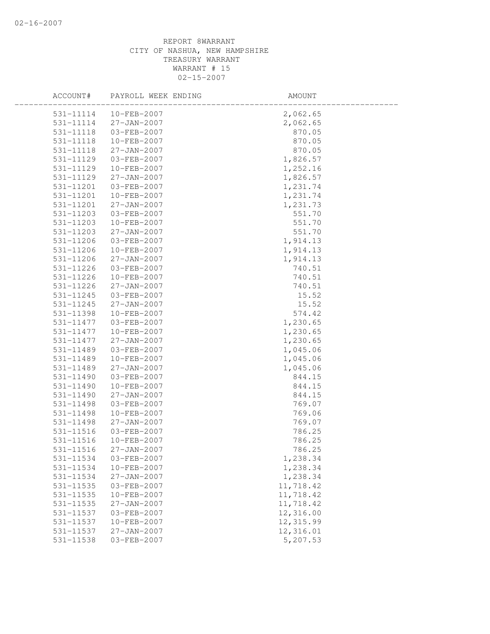| ACCOUNT#  | PAYROLL WEEK ENDING   | AMOUNT    |
|-----------|-----------------------|-----------|
|           | 531-11114 10-FEB-2007 | 2,062.65  |
| 531-11114 | 27-JAN-2007           | 2,062.65  |
| 531-11118 | 03-FEB-2007           | 870.05    |
| 531-11118 | 10-FEB-2007           | 870.05    |
| 531-11118 | $27 - JAN - 2007$     | 870.05    |
| 531-11129 | 03-FEB-2007           | 1,826.57  |
| 531-11129 | 10-FEB-2007           | 1,252.16  |
| 531-11129 | $27 - JAN - 2007$     | 1,826.57  |
| 531-11201 | 03-FEB-2007           | 1,231.74  |
| 531-11201 | 10-FEB-2007           | 1,231.74  |
| 531-11201 | 27-JAN-2007           | 1,231.73  |
| 531-11203 | 03-FEB-2007           | 551.70    |
| 531-11203 | 10-FEB-2007           | 551.70    |
| 531-11203 | $27 - JAN - 2007$     | 551.70    |
| 531-11206 | 03-FEB-2007           | 1,914.13  |
| 531-11206 | 10-FEB-2007           | 1,914.13  |
| 531-11206 | $27 - JAN - 2007$     | 1,914.13  |
| 531-11226 | 03-FEB-2007           | 740.51    |
| 531-11226 | 10-FEB-2007           | 740.51    |
| 531-11226 | 27-JAN-2007           | 740.51    |
| 531-11245 | 03-FEB-2007           | 15.52     |
| 531-11245 | 27-JAN-2007           | 15.52     |
| 531-11398 | 10-FEB-2007           | 574.42    |
| 531-11477 | 03-FEB-2007           | 1,230.65  |
| 531-11477 | 10-FEB-2007           | 1,230.65  |
| 531-11477 | 27-JAN-2007           | 1,230.65  |
| 531-11489 | 03-FEB-2007           | 1,045.06  |
| 531-11489 | 10-FEB-2007           | 1,045.06  |
| 531-11489 | $27 - JAN - 2007$     | 1,045.06  |
| 531-11490 | 03-FEB-2007           | 844.15    |
| 531-11490 | 10-FEB-2007           | 844.15    |
| 531-11490 | $27 - JAN - 2007$     | 844.15    |
| 531-11498 | 03-FEB-2007           | 769.07    |
| 531-11498 | 10-FEB-2007           | 769.06    |
| 531-11498 | $27 - JAN - 2007$     | 769.07    |
| 531-11516 | 03-FEB-2007           | 786.25    |
| 531-11516 | 10-FEB-2007           | 786.25    |
| 531-11516 | 27-JAN-2007           | 786.25    |
| 531-11534 | 03-FEB-2007           | 1,238.34  |
| 531-11534 | 10-FEB-2007           | 1,238.34  |
| 531-11534 | 27-JAN-2007           | 1,238.34  |
| 531-11535 | 03-FEB-2007           | 11,718.42 |
| 531-11535 | 10-FEB-2007           | 11,718.42 |
| 531-11535 | 27-JAN-2007           | 11,718.42 |
| 531-11537 | 03-FEB-2007           | 12,316.00 |
| 531-11537 | 10-FEB-2007           | 12,315.99 |
| 531-11537 | $27 - JAN - 2007$     | 12,316.01 |
| 531-11538 | 03-FEB-2007           | 5,207.53  |
|           |                       |           |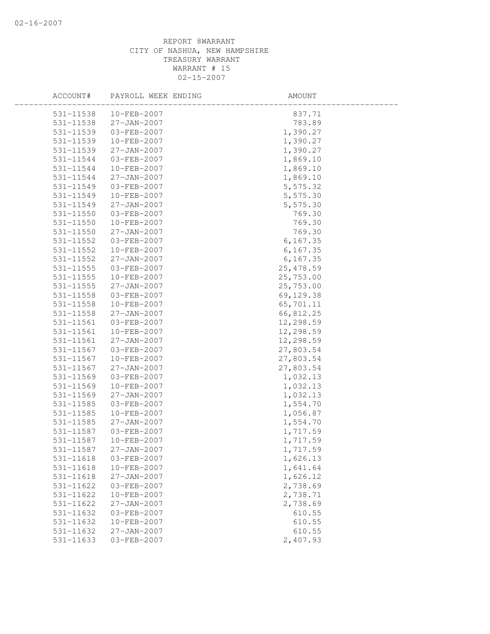| ACCOUNT#      | PAYROLL WEEK ENDING | AMOUNT     |
|---------------|---------------------|------------|
| 531-11538     | $10 - FEB - 2007$   | 837.71     |
| 531-11538     | 27-JAN-2007         | 783.89     |
| 531-11539     | 03-FEB-2007         | 1,390.27   |
| 531-11539     | 10-FEB-2007         | 1,390.27   |
| 531-11539     | 27-JAN-2007         | 1,390.27   |
| 531-11544     | 03-FEB-2007         | 1,869.10   |
| 531-11544     | 10-FEB-2007         | 1,869.10   |
| 531-11544     | $27 - JAN - 2007$   | 1,869.10   |
| 531-11549     | 03-FEB-2007         | 5,575.32   |
| 531-11549     | 10-FEB-2007         | 5,575.30   |
| 531-11549     | 27-JAN-2007         | 5,575.30   |
| 531-11550     | 03-FEB-2007         | 769.30     |
| 531-11550     | 10-FEB-2007         | 769.30     |
| 531-11550     | 27-JAN-2007         | 769.30     |
| 531-11552     | 03-FEB-2007         | 6, 167.35  |
| 531-11552     | 10-FEB-2007         | 6, 167.35  |
| 531-11552     | $27 - JAN - 2007$   | 6, 167.35  |
| 531-11555     | 03-FEB-2007         | 25, 478.59 |
| 531-11555     | 10-FEB-2007         | 25,753.00  |
| $531 - 11555$ | 27-JAN-2007         | 25,753.00  |
| 531-11558     | 03-FEB-2007         | 69,129.38  |
| 531-11558     | 10-FEB-2007         | 65,701.11  |
| 531-11558     | 27-JAN-2007         | 66,812.25  |
| 531-11561     | 03-FEB-2007         | 12,298.59  |
| 531-11561     | 10-FEB-2007         | 12,298.59  |
| 531-11561     | $27 - JAN - 2007$   | 12,298.59  |
| 531-11567     | 03-FEB-2007         | 27,803.54  |
| 531-11567     | 10-FEB-2007         | 27,803.54  |
| 531-11567     | 27-JAN-2007         | 27,803.54  |
| 531-11569     | 03-FEB-2007         | 1,032.13   |
| 531-11569     | 10-FEB-2007         | 1,032.13   |
| 531-11569     | $27 - JAN - 2007$   | 1,032.13   |
| 531-11585     | 03-FEB-2007         | 1,554.70   |
| 531-11585     | 10-FEB-2007         | 1,056.87   |
| 531-11585     | $27 - JAN - 2007$   | 1,554.70   |
| 531-11587     | 03-FEB-2007         | 1,717.59   |
| 531-11587     | 10-FEB-2007         | 1,717.59   |
| 531-11587     | 27-JAN-2007         | 1,717.59   |
| 531-11618     | 03-FEB-2007         | 1,626.13   |
| $531 - 11618$ | 10-FEB-2007         | 1,641.64   |
| $531 - 11618$ | 27-JAN-2007         | 1,626.12   |
| 531-11622     | 03-FEB-2007         | 2,738.69   |
| 531-11622     | 10-FEB-2007         | 2,738.71   |
| $531 - 11622$ | $27 - JAN - 2007$   | 2,738.69   |
| 531-11632     | 03-FEB-2007         | 610.55     |
| 531-11632     | $10 - FEB - 2007$   | 610.55     |
| 531-11632     | 27-JAN-2007         | 610.55     |
| 531-11633     | 03-FEB-2007         | 2,407.93   |
|               |                     |            |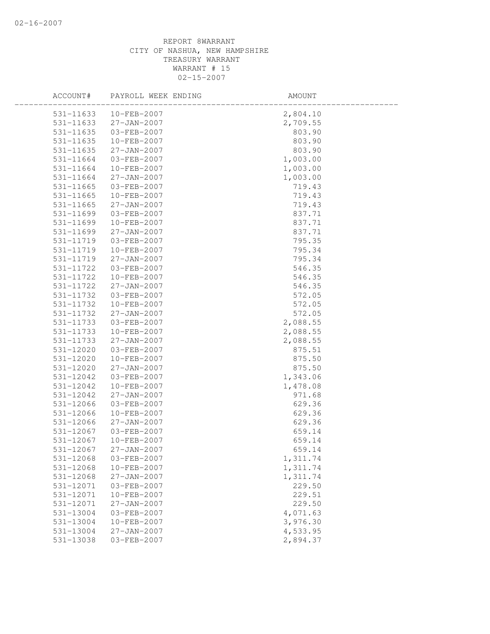| ACCOUNT#      | PAYROLL WEEK ENDING | AMOUNT   |
|---------------|---------------------|----------|
| 531-11633     | 10-FEB-2007         | 2,804.10 |
| 531-11633     | 27-JAN-2007         | 2,709.55 |
| 531-11635     | 03-FEB-2007         | 803.90   |
| 531-11635     | 10-FEB-2007         | 803.90   |
| 531-11635     | $27 - JAN - 2007$   | 803.90   |
| 531-11664     | 03-FEB-2007         | 1,003.00 |
| 531-11664     | 10-FEB-2007         | 1,003.00 |
| 531-11664     | $27 - JAN - 2007$   | 1,003.00 |
| 531-11665     | 03-FEB-2007         | 719.43   |
| 531-11665     | 10-FEB-2007         | 719.43   |
| $531 - 11665$ | 27-JAN-2007         | 719.43   |
| 531-11699     | 03-FEB-2007         | 837.71   |
| 531-11699     | 10-FEB-2007         | 837.71   |
| 531-11699     | $27 - JAN - 2007$   | 837.71   |
| 531-11719     | 03-FEB-2007         | 795.35   |
| 531-11719     | 10-FEB-2007         | 795.34   |
| 531-11719     | $27 - JAN - 2007$   | 795.34   |
| 531-11722     | 03-FEB-2007         | 546.35   |
| 531-11722     | $10-FEB-2007$       | 546.35   |
| 531-11722     | $27 - JAN - 2007$   | 546.35   |
| 531-11732     | 03-FEB-2007         | 572.05   |
| 531-11732     | 10-FEB-2007         | 572.05   |
| 531-11732     | $27 - JAN - 2007$   | 572.05   |
| 531-11733     | 03-FEB-2007         | 2,088.55 |
| 531-11733     | 10-FEB-2007         | 2,088.55 |
| 531-11733     | $27 - JAN - 2007$   | 2,088.55 |
| 531-12020     | 03-FEB-2007         | 875.51   |
| 531-12020     | 10-FEB-2007         | 875.50   |
| 531-12020     | $27 - JAN - 2007$   | 875.50   |
| 531-12042     | 03-FEB-2007         | 1,343.06 |
| 531-12042     | 10-FEB-2007         | 1,478.08 |
| 531-12042     | $27 - JAN - 2007$   | 971.68   |
| 531-12066     | 03-FEB-2007         | 629.36   |
| 531-12066     | 10-FEB-2007         | 629.36   |
| 531-12066     | $27 - JAN - 2007$   | 629.36   |
| 531-12067     | 03-FEB-2007         | 659.14   |
| 531-12067     | 10-FEB-2007         | 659.14   |
| 531-12067     | 27-JAN-2007         | 659.14   |
| 531-12068     | 03-FEB-2007         | 1,311.74 |
| 531-12068     | 10-FEB-2007         | 1,311.74 |
| 531-12068     | $27 - JAN - 2007$   | 1,311.74 |
| 531-12071     | 03-FEB-2007         | 229.50   |
| 531-12071     | 10-FEB-2007         | 229.51   |
| 531-12071     | $27 - JAN - 2007$   | 229.50   |
| 531-13004     | 03-FEB-2007         | 4,071.63 |
| 531-13004     | 10-FEB-2007         | 3,976.30 |
| 531-13004     | $27 - JAN - 2007$   | 4,533.95 |
| 531-13038     | 03-FEB-2007         | 2,894.37 |
|               |                     |          |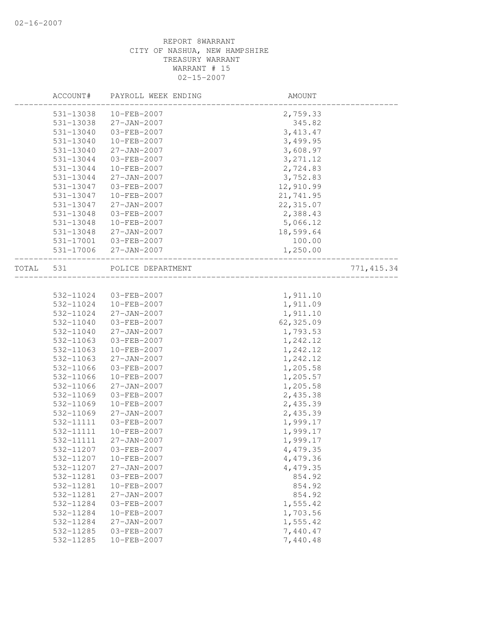|       | ACCOUNT#  | PAYROLL WEEK ENDING   | AMOUNT     |             |
|-------|-----------|-----------------------|------------|-------------|
|       | 531-13038 | $10 - FEB - 2007$     | 2,759.33   |             |
|       | 531-13038 | 27-JAN-2007           | 345.82     |             |
|       | 531-13040 | 03-FEB-2007           | 3, 413.47  |             |
|       | 531-13040 | 10-FEB-2007           | 3,499.95   |             |
|       | 531-13040 | 27-JAN-2007           | 3,608.97   |             |
|       | 531-13044 | 03-FEB-2007           | 3, 271.12  |             |
|       | 531-13044 | 10-FEB-2007           | 2,724.83   |             |
|       | 531-13044 | 27-JAN-2007           | 3,752.83   |             |
|       | 531-13047 | 03-FEB-2007           | 12,910.99  |             |
|       | 531-13047 | 10-FEB-2007           | 21,741.95  |             |
|       | 531-13047 | 27-JAN-2007           | 22, 315.07 |             |
|       | 531-13048 | 03-FEB-2007           | 2,388.43   |             |
|       | 531-13048 | 10-FEB-2007           | 5,066.12   |             |
|       | 531-13048 | 27-JAN-2007           | 18,599.64  |             |
|       | 531-17001 | 03-FEB-2007           | 100.00     |             |
|       |           | 531-17006 27-JAN-2007 | 1,250.00   |             |
| TOTAL | 531       | POLICE DEPARTMENT     |            | 771, 415.34 |
|       |           |                       |            |             |
|       | 532-11024 | 03-FEB-2007           | 1,911.10   |             |
|       | 532-11024 | 10-FEB-2007           | 1,911.09   |             |
|       | 532-11024 | 27-JAN-2007           | 1,911.10   |             |
|       | 532-11040 | 03-FEB-2007           | 62,325.09  |             |
|       | 532-11040 | 27-JAN-2007           | 1,793.53   |             |
|       | 532-11063 | 03-FEB-2007           | 1,242.12   |             |
|       | 532-11063 | 10-FEB-2007           | 1,242.12   |             |
|       | 532-11063 | 27-JAN-2007           | 1,242.12   |             |
|       | 532-11066 | 03-FEB-2007           | 1,205.58   |             |
|       | 532-11066 | 10-FEB-2007           | 1,205.57   |             |
|       | 532-11066 | 27-JAN-2007           | 1,205.58   |             |
|       | 532-11069 | 03-FEB-2007           | 2,435.38   |             |
|       | 532-11069 | 10-FEB-2007           | 2,435.39   |             |
|       | 532-11069 | $27 - JAN - 2007$     | 2,435.39   |             |
|       | 532-11111 | 03-FEB-2007           | 1,999.17   |             |
|       | 532-11111 | 10-FEB-2007           | 1,999.17   |             |
|       | 532-11111 | 27-JAN-2007           | 1,999.17   |             |
|       |           |                       | 4,479.35   |             |
|       | 532-11207 | 10-FEB-2007           | 4,479.36   |             |
|       | 532-11207 | $27 - JAN - 2007$     | 4,479.35   |             |
|       | 532-11281 | 03-FEB-2007           | 854.92     |             |
|       | 532-11281 | 10-FEB-2007           | 854.92     |             |
|       | 532-11281 | 27-JAN-2007           | 854.92     |             |
|       | 532-11284 | 03-FEB-2007           | 1,555.42   |             |
|       | 532-11284 | $10 - FEB - 2007$     | 1,703.56   |             |
|       | 532-11284 | $27 - JAN - 2007$     | 1,555.42   |             |
|       | 532-11285 | 03-FEB-2007           | 7,440.47   |             |
|       | 532-11285 | $10 - FEB - 2007$     | 7,440.48   |             |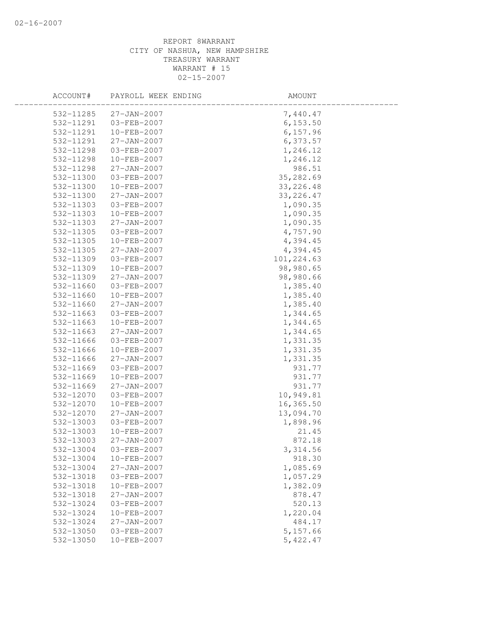| ACCOUNT#  | PAYROLL WEEK ENDING | AMOUNT     |  |
|-----------|---------------------|------------|--|
| 532-11285 | $27 - JAN - 2007$   | 7,440.47   |  |
| 532-11291 | 03-FEB-2007         | 6, 153.50  |  |
| 532-11291 | 10-FEB-2007         | 6,157.96   |  |
| 532-11291 | $27 - JAN - 2007$   | 6,373.57   |  |
| 532-11298 | 03-FEB-2007         | 1,246.12   |  |
| 532-11298 | 10-FEB-2007         | 1,246.12   |  |
| 532-11298 | $27 - JAN - 2007$   | 986.51     |  |
| 532-11300 | 03-FEB-2007         | 35,282.69  |  |
| 532-11300 | 10-FEB-2007         | 33, 226.48 |  |
| 532-11300 | 27-JAN-2007         | 33, 226.47 |  |
| 532-11303 | 03-FEB-2007         | 1,090.35   |  |
| 532-11303 | 10-FEB-2007         | 1,090.35   |  |
| 532-11303 | 27-JAN-2007         | 1,090.35   |  |
| 532-11305 | 03-FEB-2007         | 4,757.90   |  |
| 532-11305 | 10-FEB-2007         | 4,394.45   |  |
| 532-11305 | $27 - JAN - 2007$   | 4,394.45   |  |
| 532-11309 | 03-FEB-2007         | 101,224.63 |  |
| 532-11309 | $10 - FEB - 2007$   | 98,980.65  |  |
| 532-11309 | 27-JAN-2007         | 98,980.66  |  |
| 532-11660 | 03-FEB-2007         | 1,385.40   |  |
| 532-11660 | 10-FEB-2007         | 1,385.40   |  |
| 532-11660 | 27-JAN-2007         | 1,385.40   |  |
| 532-11663 | 03-FEB-2007         | 1,344.65   |  |
| 532-11663 | 10-FEB-2007         | 1,344.65   |  |
| 532-11663 | $27 - JAN - 2007$   | 1,344.65   |  |
| 532-11666 | 03-FEB-2007         | 1,331.35   |  |
| 532-11666 | 10-FEB-2007         | 1,331.35   |  |
| 532-11666 | 27-JAN-2007         | 1,331.35   |  |
| 532-11669 | 03-FEB-2007         | 931.77     |  |
| 532-11669 | 10-FEB-2007         | 931.77     |  |
| 532-11669 | $27 - JAN - 2007$   | 931.77     |  |
| 532-12070 | 03-FEB-2007         | 10,949.81  |  |
| 532-12070 | 10-FEB-2007         | 16,365.50  |  |
| 532-12070 | $27 - JAN - 2007$   | 13,094.70  |  |
| 532-13003 | $03 - FEB - 2007$   | 1,898.96   |  |
| 532-13003 | 10-FEB-2007         | 21.45      |  |
| 532-13003 | $27 - JAN - 2007$   | 872.18     |  |
| 532-13004 | 03-FEB-2007         | 3, 314.56  |  |
| 532-13004 | 10-FEB-2007         | 918.30     |  |
| 532-13004 | 27-JAN-2007         | 1,085.69   |  |
| 532-13018 | 03-FEB-2007         | 1,057.29   |  |
| 532-13018 | 10-FEB-2007         | 1,382.09   |  |
| 532-13018 | $27 - JAN - 2007$   | 878.47     |  |
| 532-13024 | 03-FEB-2007         | 520.13     |  |
| 532-13024 | 10-FEB-2007         | 1,220.04   |  |
| 532-13024 | $27 - JAN - 2007$   | 484.17     |  |
| 532-13050 | 03-FEB-2007         | 5,157.66   |  |
| 532-13050 | 10-FEB-2007         | 5,422.47   |  |
|           |                     |            |  |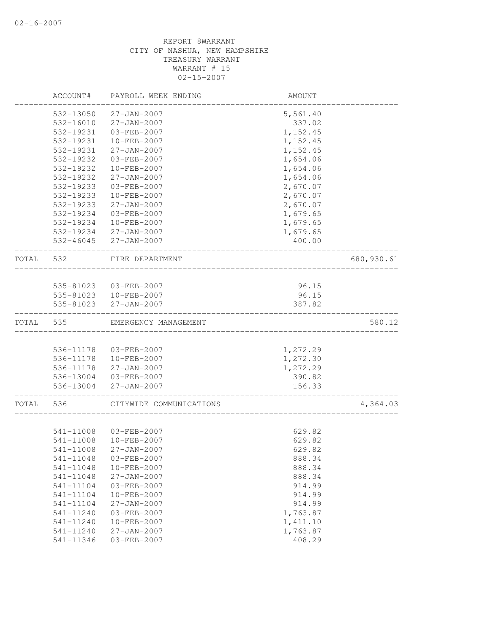|       | ACCOUNT#  | PAYROLL WEEK ENDING     | AMOUNT    |            |
|-------|-----------|-------------------------|-----------|------------|
|       | 532-13050 | 27-JAN-2007             | 5,561.40  |            |
|       | 532-16010 | 27-JAN-2007             | 337.02    |            |
|       | 532-19231 | 03-FEB-2007             | 1,152.45  |            |
|       | 532-19231 | $10 - FEB - 2007$       | 1,152.45  |            |
|       | 532-19231 | 27-JAN-2007             | 1, 152.45 |            |
|       | 532-19232 | 03-FEB-2007             | 1,654.06  |            |
|       | 532-19232 | 10-FEB-2007             | 1,654.06  |            |
|       | 532-19232 | $27 - JAN - 2007$       | 1,654.06  |            |
|       | 532-19233 | 03-FEB-2007             | 2,670.07  |            |
|       | 532-19233 | $10 - FEB - 2007$       | 2,670.07  |            |
|       | 532-19233 | $27 - JAN - 2007$       | 2,670.07  |            |
|       | 532-19234 | 03-FEB-2007             | 1,679.65  |            |
|       | 532-19234 | 10-FEB-2007             | 1,679.65  |            |
|       |           | 532-19234 27-JAN-2007   | 1,679.65  |            |
|       |           | 532-46045 27-JAN-2007   | 400.00    |            |
| TOTAL | 532       | FIRE DEPARTMENT         |           | 680,930.61 |
|       |           |                         |           |            |
|       |           | 535-81023  03-FEB-2007  | 96.15     |            |
|       |           | 535-81023  10-FEB-2007  | 96.15     |            |
|       | 535-81023 | $27 - JAN - 2007$       | 387.82    |            |
| TOTAL | 535       | EMERGENCY MANAGEMENT    |           | 580.12     |
|       |           |                         |           |            |
|       | 536-11178 | 03-FEB-2007             | 1,272.29  |            |
|       | 536-11178 | 10-FEB-2007             | 1,272.30  |            |
|       | 536-11178 | 27-JAN-2007             | 1,272.29  |            |
|       |           | 536-13004 03-FEB-2007   | 390.82    |            |
|       | 536-13004 | 27-JAN-2007             | 156.33    |            |
| TOTAL | 536       | CITYWIDE COMMUNICATIONS |           | 4,364.03   |
|       |           |                         |           |            |
|       | 541-11008 | 03-FEB-2007             | 629.82    |            |
|       | 541-11008 | 10-FEB-2007             | 629.82    |            |
|       | 541-11008 | $27 - JAN - 2007$       | 629.82    |            |
|       | 541-11048 | 03-FEB-2007             | 888.34    |            |
|       | 541-11048 | 10-FEB-2007             | 888.34    |            |
|       | 541-11048 | 27-JAN-2007             | 888.34    |            |
|       | 541-11104 | 03-FEB-2007             | 914.99    |            |
|       | 541-11104 | 10-FEB-2007             | 914.99    |            |
|       | 541-11104 | $27 - JAN - 2007$       | 914.99    |            |
|       | 541-11240 | 03-FEB-2007             | 1,763.87  |            |
|       | 541-11240 | 10-FEB-2007             | 1,411.10  |            |
|       | 541-11240 | $27 - JAN - 2007$       | 1,763.87  |            |
|       | 541-11346 | 03-FEB-2007             | 408.29    |            |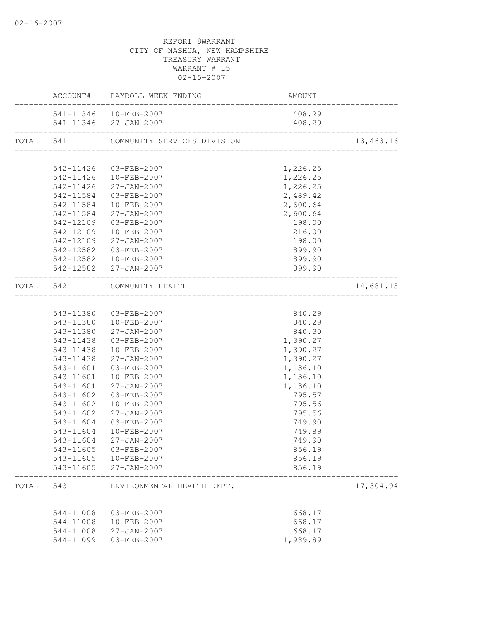|           |                        | ACCOUNT# PAYROLL WEEK ENDING                    | <b>AMOUNT</b>                          |           |
|-----------|------------------------|-------------------------------------------------|----------------------------------------|-----------|
|           |                        | 541-11346  10-FEB-2007                          | 408.29                                 |           |
|           |                        | 541-11346 27-JAN-2007                           | 408.29                                 |           |
|           |                        | TOTAL 541 COMMUNITY SERVICES DIVISION           | ______________________________________ | 13,463.16 |
|           |                        |                                                 |                                        |           |
|           |                        | 542-11426 03-FEB-2007                           | 1,226.25                               |           |
|           | 542-11426              | 10-FEB-2007                                     | 1,226.25                               |           |
|           | 542-11426<br>542-11584 | $27 - JAN - 2007$                               | 1,226.25                               |           |
|           | 542-11584              | 03-FEB-2007<br>10-FEB-2007                      | 2,489.42<br>2,600.64                   |           |
|           | 542-11584              | 27-JAN-2007                                     | 2,600.64                               |           |
|           | 542-12109              | 03-FEB-2007                                     | 198.00                                 |           |
|           | 542-12109              | 10-FEB-2007                                     | 216.00                                 |           |
|           | 542-12109              | $27 - JAN - 2007$                               | 198.00                                 |           |
|           | 542-12582              | 03-FEB-2007                                     | 899.90                                 |           |
|           |                        | 542-12582 10-FEB-2007                           | 899.90                                 |           |
|           |                        | 542-12582 27-JAN-2007                           | 899.90                                 |           |
| TOTAL 542 |                        | COMMUNITY HEALTH                                |                                        | 14,681.15 |
|           |                        |                                                 |                                        |           |
|           |                        | 543-11380 03-FEB-2007                           | 840.29                                 |           |
|           |                        | 543-11380  10-FEB-2007                          | 840.29                                 |           |
|           | 543-11380              | 27-JAN-2007                                     | 840.30                                 |           |
|           | 543-11438              | 03-FEB-2007                                     | 1,390.27                               |           |
|           | 543-11438              | 10-FEB-2007                                     | 1,390.27                               |           |
|           | 543-11438              | $27 - JAN - 2007$                               | 1,390.27                               |           |
|           | 543-11601              | 03-FEB-2007                                     | 1,136.10                               |           |
|           | 543-11601              | 10-FEB-2007                                     | 1,136.10                               |           |
|           | 543-11601              | $27 - JAN - 2007$                               | 1,136.10                               |           |
|           | 543-11602              | 03-FEB-2007                                     | 795.57                                 |           |
|           | 543-11602              | 10-FEB-2007                                     | 795.56                                 |           |
|           | 543-11602              | 27-JAN-2007                                     | 795.56                                 |           |
|           | 543-11604              | 03-FEB-2007                                     | 749.90                                 |           |
|           | 543-11604              | 10-FEB-2007                                     | 749.89<br>749.90                       |           |
|           | 543-11604              | 27-JAN-2007                                     |                                        |           |
|           |                        | 543-11605 03-FEB-2007<br>543-11605  10-FEB-2007 | 856.19                                 |           |
|           |                        | 543-11605 27-JAN-2007                           | 856.19<br>856.19                       |           |
| TOTAL 543 |                        | ENVIRONMENTAL HEALTH DEPT.                      |                                        | 17,304.94 |
|           |                        |                                                 |                                        |           |
|           | 544-11008              | 03-FEB-2007                                     | 668.17                                 |           |
|           | 544-11008              | 10-FEB-2007                                     | 668.17                                 |           |
|           | 544-11008              | 27-JAN-2007                                     | 668.17                                 |           |
|           | 544-11099              | 03-FEB-2007                                     | 1,989.89                               |           |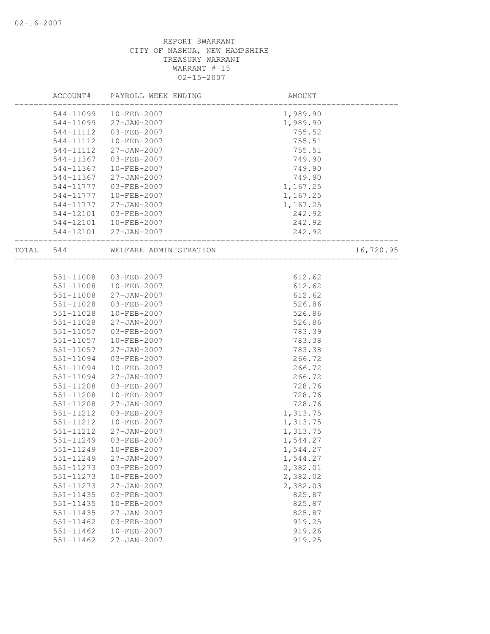|               | ACCOUNT# PAYROLL WEEK ENDING     | AMOUNT                           |           |
|---------------|----------------------------------|----------------------------------|-----------|
|               | 544-11099 10-FEB-2007            | 1,989.90                         |           |
|               | 544-11099 27-JAN-2007            | 1,989.90                         |           |
| 544-11112     | 03-FEB-2007                      | 755.52                           |           |
| 544-11112     | 10-FEB-2007                      | 755.51                           |           |
| 544-11112     | 27-JAN-2007                      | 755.51                           |           |
| 544-11367     | 03-FEB-2007                      | 749.90                           |           |
| 544-11367     | 10-FEB-2007                      | 749.90                           |           |
| 544-11367     | 27-JAN-2007                      | 749.90                           |           |
| 544-11777     | 03-FEB-2007                      | 1,167.25                         |           |
|               | 544-11777  10-FEB-2007           | 1,167.25                         |           |
| 544-11777     | 27-JAN-2007                      | 1,167.25                         |           |
| 544-12101     | 03-FEB-2007                      | 242.92                           |           |
|               | 544-12101 10-FEB-2007            | 242.92                           |           |
|               | 544-12101 27-JAN-2007            | 242.92<br>______________________ |           |
|               | TOTAL 544 WELFARE ADMINISTRATION |                                  | 16,720.95 |
|               |                                  |                                  |           |
| 551-11008     | 03-FEB-2007                      | 612.62                           |           |
|               | 551-11008 10-FEB-2007            | 612.62                           |           |
| $551 - 11008$ | 27-JAN-2007                      | 612.62                           |           |
| 551-11028     | 03-FEB-2007                      | 526.86                           |           |
| 551-11028     | 10-FEB-2007                      | 526.86                           |           |
| 551-11028     | $27 - JAN - 2007$                | 526.86                           |           |
| 551-11057     | 03-FEB-2007                      | 783.39                           |           |
| 551-11057     | 10-FEB-2007                      | 783.38                           |           |
| 551-11057     | 27-JAN-2007                      | 783.38                           |           |
| 551-11094     | 03-FEB-2007                      | 266.72                           |           |
| 551-11094     | 10-FEB-2007                      | 266.72                           |           |
| 551-11094     | 27-JAN-2007                      | 266.72                           |           |
| 551-11208     | 03-FEB-2007                      | 728.76                           |           |
| 551-11208     | $10 - FEB - 2007$                | 728.76                           |           |
| 551-11208     | 27-JAN-2007                      | 728.76                           |           |
| 551-11212     | 03-FEB-2007                      | 1,313.75                         |           |
| 551-11212     | 10-FEB-2007                      | 1,313.75                         |           |
| 551-11212     | 27-JAN-2007                      | 1,313.75                         |           |
| 551-11249     | 03-FEB-2007                      | 1,544.27                         |           |
| 551-11249     | 10-FEB-2007                      | 1,544.27                         |           |
| 551-11249     | 27-JAN-2007                      | 1,544.27                         |           |
| 551-11273     | 03-FEB-2007                      | 2,382.01                         |           |
| 551-11273     | 10-FEB-2007                      | 2,382.02                         |           |
| 551-11273     | $27 - JAN - 2007$                | 2,382.03                         |           |
| 551-11435     | 03-FEB-2007                      | 825.87                           |           |
| 551-11435     | 10-FEB-2007                      | 825.87                           |           |
| 551-11435     | $27 - JAN - 2007$                | 825.87                           |           |
| 551-11462     | 03-FEB-2007                      | 919.25                           |           |
| $551 - 11462$ | 10-FEB-2007                      | 919.26                           |           |
| $551 - 11462$ | $27 - JAN - 2007$                | 919.25                           |           |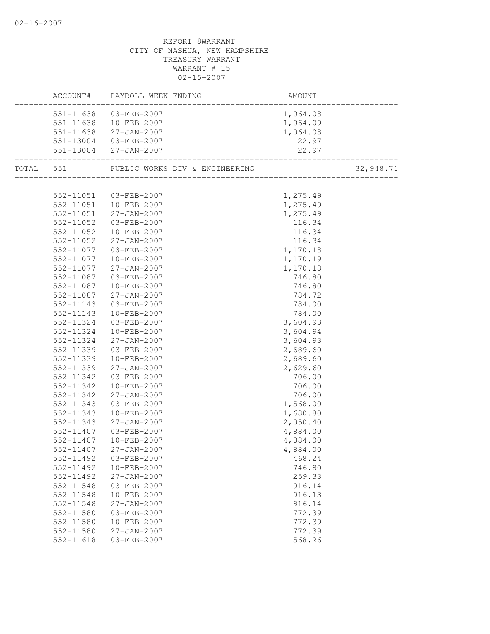|           | ACCOUNT# PAYROLL WEEK ENDING             | AMOUNT   |           |
|-----------|------------------------------------------|----------|-----------|
|           | 551-11638 03-FEB-2007                    | 1,064.08 |           |
|           | 551-11638 10-FEB-2007                    | 1,064.09 |           |
| 551-11638 | $27 - JAN - 2007$                        | 1,064.08 |           |
|           | 551-13004 03-FEB-2007                    | 22.97    |           |
|           | 551-13004 27-JAN-2007                    | 22.97    |           |
|           | TOTAL 551 PUBLIC WORKS DIV & ENGINEERING |          | 32,948.71 |
|           |                                          |          |           |
|           | 552-11051 03-FEB-2007                    | 1,275.49 |           |
| 552-11051 | $10 - FEB - 2007$                        | 1,275.49 |           |
| 552-11051 | $27 - JAN - 2007$                        | 1,275.49 |           |
| 552-11052 | 03-FEB-2007                              | 116.34   |           |
| 552-11052 | 10-FEB-2007                              | 116.34   |           |
| 552-11052 | 27-JAN-2007                              | 116.34   |           |
| 552-11077 | 03-FEB-2007                              | 1,170.18 |           |
| 552-11077 | 10-FEB-2007                              | 1,170.19 |           |
| 552-11077 | $27 - JAN - 2007$                        | 1,170.18 |           |
| 552-11087 | 03-FEB-2007                              | 746.80   |           |
| 552-11087 | 10-FEB-2007                              | 746.80   |           |
| 552-11087 | 27-JAN-2007                              | 784.72   |           |
| 552-11143 | 03-FEB-2007                              | 784.00   |           |
| 552-11143 | 10-FEB-2007                              | 784.00   |           |
| 552-11324 | 03-FEB-2007                              | 3,604.93 |           |
| 552-11324 | 10-FEB-2007                              | 3,604.94 |           |
| 552-11324 | $27 - JAN - 2007$                        | 3,604.93 |           |
| 552-11339 | 03-FEB-2007                              | 2,689.60 |           |
| 552-11339 | 10-FEB-2007                              | 2,689.60 |           |
| 552-11339 | $27 - JAN - 2007$                        | 2,629.60 |           |
| 552-11342 | 03-FEB-2007                              | 706.00   |           |
| 552-11342 | $10 - FEB - 2007$                        | 706.00   |           |
| 552-11342 | 27-JAN-2007                              | 706.00   |           |
| 552-11343 | 03-FEB-2007                              | 1,568.00 |           |
| 552-11343 | 10-FEB-2007                              | 1,680.80 |           |
| 552-11343 | $27 - JAN - 2007$                        | 2,050.40 |           |
| 552-11407 | 03-FEB-2007                              | 4,884.00 |           |
| 552-11407 | $10 - FEB - 2007$                        | 4,884.00 |           |
| 552-11407 | 27-JAN-2007                              | 4,884.00 |           |
| 552-11492 | 03-FEB-2007                              | 468.24   |           |
| 552-11492 | 10-FEB-2007                              | 746.80   |           |
| 552-11492 | $27 - JAN - 2007$                        | 259.33   |           |
| 552-11548 | 03-FEB-2007                              | 916.14   |           |
| 552-11548 | 10-FEB-2007                              | 916.13   |           |
| 552-11548 | $27 - JAN - 2007$                        | 916.14   |           |
| 552-11580 | 03-FEB-2007                              | 772.39   |           |
| 552-11580 | 10-FEB-2007                              | 772.39   |           |
| 552-11580 | $27 - JAN - 2007$                        | 772.39   |           |
| 552-11618 | 03-FEB-2007                              | 568.26   |           |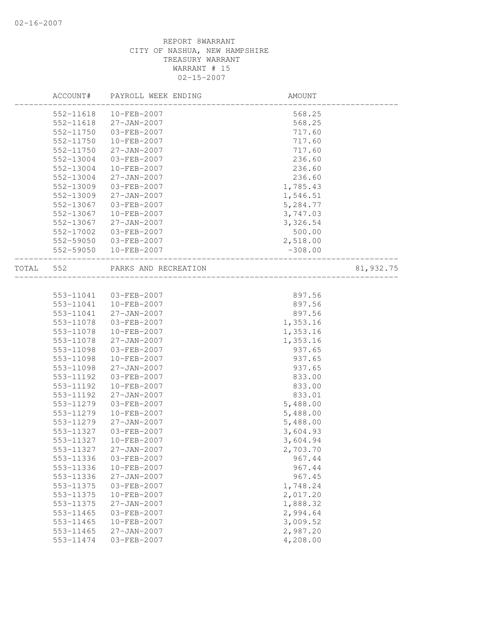| 568.25<br>552-11618<br>$10 - FEB - 2007$<br>552-11618<br>$27 - JAN - 2007$<br>568.25<br>552-11750<br>03-FEB-2007<br>717.60<br>552-11750<br>10-FEB-2007<br>717.60<br>552-11750<br>$27 - JAN - 2007$<br>717.60<br>236.60<br>552-13004<br>03-FEB-2007<br>552-13004<br>10-FEB-2007<br>236.60<br>552-13004<br>$27 - JAN - 2007$<br>236.60<br>552-13009<br>03-FEB-2007<br>1,785.43<br>552-13009<br>$27 - JAN - 2007$<br>1,546.51<br>552-13067<br>03-FEB-2007<br>5,284.77<br>552-13067<br>10-FEB-2007<br>3,747.03<br>552-13067<br>$27 - JAN - 2007$<br>3,326.54<br>552-17002<br>500.00<br>03-FEB-2007<br>552-59050<br>03-FEB-2007<br>2,518.00<br>552-59050<br>10-FEB-2007<br>$-308.00$<br>552<br>PARKS AND RECREATION<br>81,932.75<br>________________<br>553-11041<br>03-FEB-2007<br>897.56<br>553-11041<br>10-FEB-2007<br>897.56<br>553-11041<br>$27 - JAN - 2007$<br>897.56<br>553-11078<br>03-FEB-2007<br>1,353.16<br>553-11078<br>10-FEB-2007<br>1,353.16<br>553-11078<br>$27 - JAN - 2007$<br>1,353.16<br>553-11098<br>03-FEB-2007<br>937.65<br>553-11098<br>10-FEB-2007<br>937.65<br>553-11098<br>$27 - JAN - 2007$<br>937.65<br>553-11192<br>03-FEB-2007<br>833.00<br>553-11192<br>10-FEB-2007<br>833.00<br>553-11192<br>833.01<br>$27 - JAN - 2007$<br>553-11279<br>5,488.00<br>03-FEB-2007<br>553-11279<br>10-FEB-2007<br>5,488.00<br>553-11279<br>$27 - JAN - 2007$<br>5,488.00<br>3,604.93<br>553-11327<br>03-FEB-2007<br>553-11327<br>10-FEB-2007<br>3,604.94<br>553-11327<br>27-JAN-2007<br>2,703.70<br>553-11336<br>03-FEB-2007<br>967.44<br>967.44<br>553-11336<br>10-FEB-2007<br>967.45<br>27-JAN-2007<br>553-11336<br>1,748.24<br>553-11375<br>03-FEB-2007<br>2,017.20<br>10-FEB-2007<br>553-11375<br>$27 - JAN - 2007$<br>1,888.32<br>553-11375<br>2,994.64<br>553-11465<br>03-FEB-2007<br>3,009.52<br>10-FEB-2007<br>553-11465<br>553-11465<br>$27 - JAN - 2007$<br>2,987.20<br>4,208.00<br>553-11474<br>03-FEB-2007 |       | ACCOUNT# | PAYROLL WEEK ENDING | AMOUNT |  |
|-----------------------------------------------------------------------------------------------------------------------------------------------------------------------------------------------------------------------------------------------------------------------------------------------------------------------------------------------------------------------------------------------------------------------------------------------------------------------------------------------------------------------------------------------------------------------------------------------------------------------------------------------------------------------------------------------------------------------------------------------------------------------------------------------------------------------------------------------------------------------------------------------------------------------------------------------------------------------------------------------------------------------------------------------------------------------------------------------------------------------------------------------------------------------------------------------------------------------------------------------------------------------------------------------------------------------------------------------------------------------------------------------------------------------------------------------------------------------------------------------------------------------------------------------------------------------------------------------------------------------------------------------------------------------------------------------------------------------------------------------------------------------------------------------------------------------------------------------------------------------------------------------------------------------------------|-------|----------|---------------------|--------|--|
|                                                                                                                                                                                                                                                                                                                                                                                                                                                                                                                                                                                                                                                                                                                                                                                                                                                                                                                                                                                                                                                                                                                                                                                                                                                                                                                                                                                                                                                                                                                                                                                                                                                                                                                                                                                                                                                                                                                                   |       |          |                     |        |  |
|                                                                                                                                                                                                                                                                                                                                                                                                                                                                                                                                                                                                                                                                                                                                                                                                                                                                                                                                                                                                                                                                                                                                                                                                                                                                                                                                                                                                                                                                                                                                                                                                                                                                                                                                                                                                                                                                                                                                   |       |          |                     |        |  |
|                                                                                                                                                                                                                                                                                                                                                                                                                                                                                                                                                                                                                                                                                                                                                                                                                                                                                                                                                                                                                                                                                                                                                                                                                                                                                                                                                                                                                                                                                                                                                                                                                                                                                                                                                                                                                                                                                                                                   |       |          |                     |        |  |
|                                                                                                                                                                                                                                                                                                                                                                                                                                                                                                                                                                                                                                                                                                                                                                                                                                                                                                                                                                                                                                                                                                                                                                                                                                                                                                                                                                                                                                                                                                                                                                                                                                                                                                                                                                                                                                                                                                                                   |       |          |                     |        |  |
|                                                                                                                                                                                                                                                                                                                                                                                                                                                                                                                                                                                                                                                                                                                                                                                                                                                                                                                                                                                                                                                                                                                                                                                                                                                                                                                                                                                                                                                                                                                                                                                                                                                                                                                                                                                                                                                                                                                                   |       |          |                     |        |  |
|                                                                                                                                                                                                                                                                                                                                                                                                                                                                                                                                                                                                                                                                                                                                                                                                                                                                                                                                                                                                                                                                                                                                                                                                                                                                                                                                                                                                                                                                                                                                                                                                                                                                                                                                                                                                                                                                                                                                   |       |          |                     |        |  |
|                                                                                                                                                                                                                                                                                                                                                                                                                                                                                                                                                                                                                                                                                                                                                                                                                                                                                                                                                                                                                                                                                                                                                                                                                                                                                                                                                                                                                                                                                                                                                                                                                                                                                                                                                                                                                                                                                                                                   |       |          |                     |        |  |
|                                                                                                                                                                                                                                                                                                                                                                                                                                                                                                                                                                                                                                                                                                                                                                                                                                                                                                                                                                                                                                                                                                                                                                                                                                                                                                                                                                                                                                                                                                                                                                                                                                                                                                                                                                                                                                                                                                                                   |       |          |                     |        |  |
|                                                                                                                                                                                                                                                                                                                                                                                                                                                                                                                                                                                                                                                                                                                                                                                                                                                                                                                                                                                                                                                                                                                                                                                                                                                                                                                                                                                                                                                                                                                                                                                                                                                                                                                                                                                                                                                                                                                                   |       |          |                     |        |  |
|                                                                                                                                                                                                                                                                                                                                                                                                                                                                                                                                                                                                                                                                                                                                                                                                                                                                                                                                                                                                                                                                                                                                                                                                                                                                                                                                                                                                                                                                                                                                                                                                                                                                                                                                                                                                                                                                                                                                   |       |          |                     |        |  |
|                                                                                                                                                                                                                                                                                                                                                                                                                                                                                                                                                                                                                                                                                                                                                                                                                                                                                                                                                                                                                                                                                                                                                                                                                                                                                                                                                                                                                                                                                                                                                                                                                                                                                                                                                                                                                                                                                                                                   |       |          |                     |        |  |
|                                                                                                                                                                                                                                                                                                                                                                                                                                                                                                                                                                                                                                                                                                                                                                                                                                                                                                                                                                                                                                                                                                                                                                                                                                                                                                                                                                                                                                                                                                                                                                                                                                                                                                                                                                                                                                                                                                                                   |       |          |                     |        |  |
|                                                                                                                                                                                                                                                                                                                                                                                                                                                                                                                                                                                                                                                                                                                                                                                                                                                                                                                                                                                                                                                                                                                                                                                                                                                                                                                                                                                                                                                                                                                                                                                                                                                                                                                                                                                                                                                                                                                                   |       |          |                     |        |  |
|                                                                                                                                                                                                                                                                                                                                                                                                                                                                                                                                                                                                                                                                                                                                                                                                                                                                                                                                                                                                                                                                                                                                                                                                                                                                                                                                                                                                                                                                                                                                                                                                                                                                                                                                                                                                                                                                                                                                   |       |          |                     |        |  |
|                                                                                                                                                                                                                                                                                                                                                                                                                                                                                                                                                                                                                                                                                                                                                                                                                                                                                                                                                                                                                                                                                                                                                                                                                                                                                                                                                                                                                                                                                                                                                                                                                                                                                                                                                                                                                                                                                                                                   |       |          |                     |        |  |
|                                                                                                                                                                                                                                                                                                                                                                                                                                                                                                                                                                                                                                                                                                                                                                                                                                                                                                                                                                                                                                                                                                                                                                                                                                                                                                                                                                                                                                                                                                                                                                                                                                                                                                                                                                                                                                                                                                                                   |       |          |                     |        |  |
|                                                                                                                                                                                                                                                                                                                                                                                                                                                                                                                                                                                                                                                                                                                                                                                                                                                                                                                                                                                                                                                                                                                                                                                                                                                                                                                                                                                                                                                                                                                                                                                                                                                                                                                                                                                                                                                                                                                                   | TOTAL |          |                     |        |  |
|                                                                                                                                                                                                                                                                                                                                                                                                                                                                                                                                                                                                                                                                                                                                                                                                                                                                                                                                                                                                                                                                                                                                                                                                                                                                                                                                                                                                                                                                                                                                                                                                                                                                                                                                                                                                                                                                                                                                   |       |          |                     |        |  |
|                                                                                                                                                                                                                                                                                                                                                                                                                                                                                                                                                                                                                                                                                                                                                                                                                                                                                                                                                                                                                                                                                                                                                                                                                                                                                                                                                                                                                                                                                                                                                                                                                                                                                                                                                                                                                                                                                                                                   |       |          |                     |        |  |
|                                                                                                                                                                                                                                                                                                                                                                                                                                                                                                                                                                                                                                                                                                                                                                                                                                                                                                                                                                                                                                                                                                                                                                                                                                                                                                                                                                                                                                                                                                                                                                                                                                                                                                                                                                                                                                                                                                                                   |       |          |                     |        |  |
|                                                                                                                                                                                                                                                                                                                                                                                                                                                                                                                                                                                                                                                                                                                                                                                                                                                                                                                                                                                                                                                                                                                                                                                                                                                                                                                                                                                                                                                                                                                                                                                                                                                                                                                                                                                                                                                                                                                                   |       |          |                     |        |  |
|                                                                                                                                                                                                                                                                                                                                                                                                                                                                                                                                                                                                                                                                                                                                                                                                                                                                                                                                                                                                                                                                                                                                                                                                                                                                                                                                                                                                                                                                                                                                                                                                                                                                                                                                                                                                                                                                                                                                   |       |          |                     |        |  |
|                                                                                                                                                                                                                                                                                                                                                                                                                                                                                                                                                                                                                                                                                                                                                                                                                                                                                                                                                                                                                                                                                                                                                                                                                                                                                                                                                                                                                                                                                                                                                                                                                                                                                                                                                                                                                                                                                                                                   |       |          |                     |        |  |
|                                                                                                                                                                                                                                                                                                                                                                                                                                                                                                                                                                                                                                                                                                                                                                                                                                                                                                                                                                                                                                                                                                                                                                                                                                                                                                                                                                                                                                                                                                                                                                                                                                                                                                                                                                                                                                                                                                                                   |       |          |                     |        |  |
|                                                                                                                                                                                                                                                                                                                                                                                                                                                                                                                                                                                                                                                                                                                                                                                                                                                                                                                                                                                                                                                                                                                                                                                                                                                                                                                                                                                                                                                                                                                                                                                                                                                                                                                                                                                                                                                                                                                                   |       |          |                     |        |  |
|                                                                                                                                                                                                                                                                                                                                                                                                                                                                                                                                                                                                                                                                                                                                                                                                                                                                                                                                                                                                                                                                                                                                                                                                                                                                                                                                                                                                                                                                                                                                                                                                                                                                                                                                                                                                                                                                                                                                   |       |          |                     |        |  |
|                                                                                                                                                                                                                                                                                                                                                                                                                                                                                                                                                                                                                                                                                                                                                                                                                                                                                                                                                                                                                                                                                                                                                                                                                                                                                                                                                                                                                                                                                                                                                                                                                                                                                                                                                                                                                                                                                                                                   |       |          |                     |        |  |
|                                                                                                                                                                                                                                                                                                                                                                                                                                                                                                                                                                                                                                                                                                                                                                                                                                                                                                                                                                                                                                                                                                                                                                                                                                                                                                                                                                                                                                                                                                                                                                                                                                                                                                                                                                                                                                                                                                                                   |       |          |                     |        |  |
|                                                                                                                                                                                                                                                                                                                                                                                                                                                                                                                                                                                                                                                                                                                                                                                                                                                                                                                                                                                                                                                                                                                                                                                                                                                                                                                                                                                                                                                                                                                                                                                                                                                                                                                                                                                                                                                                                                                                   |       |          |                     |        |  |
|                                                                                                                                                                                                                                                                                                                                                                                                                                                                                                                                                                                                                                                                                                                                                                                                                                                                                                                                                                                                                                                                                                                                                                                                                                                                                                                                                                                                                                                                                                                                                                                                                                                                                                                                                                                                                                                                                                                                   |       |          |                     |        |  |
|                                                                                                                                                                                                                                                                                                                                                                                                                                                                                                                                                                                                                                                                                                                                                                                                                                                                                                                                                                                                                                                                                                                                                                                                                                                                                                                                                                                                                                                                                                                                                                                                                                                                                                                                                                                                                                                                                                                                   |       |          |                     |        |  |
|                                                                                                                                                                                                                                                                                                                                                                                                                                                                                                                                                                                                                                                                                                                                                                                                                                                                                                                                                                                                                                                                                                                                                                                                                                                                                                                                                                                                                                                                                                                                                                                                                                                                                                                                                                                                                                                                                                                                   |       |          |                     |        |  |
|                                                                                                                                                                                                                                                                                                                                                                                                                                                                                                                                                                                                                                                                                                                                                                                                                                                                                                                                                                                                                                                                                                                                                                                                                                                                                                                                                                                                                                                                                                                                                                                                                                                                                                                                                                                                                                                                                                                                   |       |          |                     |        |  |
|                                                                                                                                                                                                                                                                                                                                                                                                                                                                                                                                                                                                                                                                                                                                                                                                                                                                                                                                                                                                                                                                                                                                                                                                                                                                                                                                                                                                                                                                                                                                                                                                                                                                                                                                                                                                                                                                                                                                   |       |          |                     |        |  |
|                                                                                                                                                                                                                                                                                                                                                                                                                                                                                                                                                                                                                                                                                                                                                                                                                                                                                                                                                                                                                                                                                                                                                                                                                                                                                                                                                                                                                                                                                                                                                                                                                                                                                                                                                                                                                                                                                                                                   |       |          |                     |        |  |
|                                                                                                                                                                                                                                                                                                                                                                                                                                                                                                                                                                                                                                                                                                                                                                                                                                                                                                                                                                                                                                                                                                                                                                                                                                                                                                                                                                                                                                                                                                                                                                                                                                                                                                                                                                                                                                                                                                                                   |       |          |                     |        |  |
|                                                                                                                                                                                                                                                                                                                                                                                                                                                                                                                                                                                                                                                                                                                                                                                                                                                                                                                                                                                                                                                                                                                                                                                                                                                                                                                                                                                                                                                                                                                                                                                                                                                                                                                                                                                                                                                                                                                                   |       |          |                     |        |  |
|                                                                                                                                                                                                                                                                                                                                                                                                                                                                                                                                                                                                                                                                                                                                                                                                                                                                                                                                                                                                                                                                                                                                                                                                                                                                                                                                                                                                                                                                                                                                                                                                                                                                                                                                                                                                                                                                                                                                   |       |          |                     |        |  |
|                                                                                                                                                                                                                                                                                                                                                                                                                                                                                                                                                                                                                                                                                                                                                                                                                                                                                                                                                                                                                                                                                                                                                                                                                                                                                                                                                                                                                                                                                                                                                                                                                                                                                                                                                                                                                                                                                                                                   |       |          |                     |        |  |
|                                                                                                                                                                                                                                                                                                                                                                                                                                                                                                                                                                                                                                                                                                                                                                                                                                                                                                                                                                                                                                                                                                                                                                                                                                                                                                                                                                                                                                                                                                                                                                                                                                                                                                                                                                                                                                                                                                                                   |       |          |                     |        |  |
|                                                                                                                                                                                                                                                                                                                                                                                                                                                                                                                                                                                                                                                                                                                                                                                                                                                                                                                                                                                                                                                                                                                                                                                                                                                                                                                                                                                                                                                                                                                                                                                                                                                                                                                                                                                                                                                                                                                                   |       |          |                     |        |  |
|                                                                                                                                                                                                                                                                                                                                                                                                                                                                                                                                                                                                                                                                                                                                                                                                                                                                                                                                                                                                                                                                                                                                                                                                                                                                                                                                                                                                                                                                                                                                                                                                                                                                                                                                                                                                                                                                                                                                   |       |          |                     |        |  |
|                                                                                                                                                                                                                                                                                                                                                                                                                                                                                                                                                                                                                                                                                                                                                                                                                                                                                                                                                                                                                                                                                                                                                                                                                                                                                                                                                                                                                                                                                                                                                                                                                                                                                                                                                                                                                                                                                                                                   |       |          |                     |        |  |
|                                                                                                                                                                                                                                                                                                                                                                                                                                                                                                                                                                                                                                                                                                                                                                                                                                                                                                                                                                                                                                                                                                                                                                                                                                                                                                                                                                                                                                                                                                                                                                                                                                                                                                                                                                                                                                                                                                                                   |       |          |                     |        |  |
|                                                                                                                                                                                                                                                                                                                                                                                                                                                                                                                                                                                                                                                                                                                                                                                                                                                                                                                                                                                                                                                                                                                                                                                                                                                                                                                                                                                                                                                                                                                                                                                                                                                                                                                                                                                                                                                                                                                                   |       |          |                     |        |  |
|                                                                                                                                                                                                                                                                                                                                                                                                                                                                                                                                                                                                                                                                                                                                                                                                                                                                                                                                                                                                                                                                                                                                                                                                                                                                                                                                                                                                                                                                                                                                                                                                                                                                                                                                                                                                                                                                                                                                   |       |          |                     |        |  |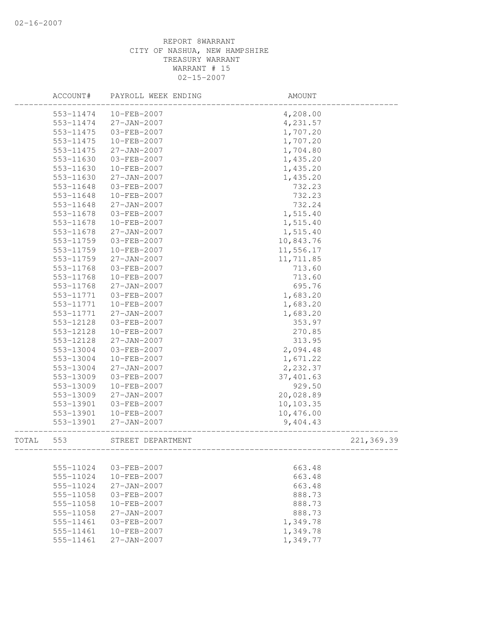|       | ACCOUNT#               | PAYROLL WEEK ENDING                    | AMOUNT    |            |
|-------|------------------------|----------------------------------------|-----------|------------|
|       | 553-11474              | $10 - FEB - 2007$                      | 4,208.00  |            |
|       | 553-11474              | 27-JAN-2007                            | 4,231.57  |            |
|       | 553-11475              | 03-FEB-2007                            | 1,707.20  |            |
|       | 553-11475              | 10-FEB-2007                            | 1,707.20  |            |
|       | 553-11475              | 27-JAN-2007                            | 1,704.80  |            |
|       | 553-11630              | 03-FEB-2007                            | 1,435.20  |            |
|       | 553-11630              | 10-FEB-2007                            | 1,435.20  |            |
|       | 553-11630              | 27-JAN-2007                            | 1,435.20  |            |
|       | 553-11648              | 03-FEB-2007                            | 732.23    |            |
|       | 553-11648              | 10-FEB-2007                            | 732.23    |            |
|       | 553-11648              | 27-JAN-2007                            | 732.24    |            |
|       | 553-11678              | 03-FEB-2007                            | 1,515.40  |            |
|       | 553-11678              | 10-FEB-2007                            | 1,515.40  |            |
|       | 553-11678              | 27-JAN-2007                            | 1,515.40  |            |
|       | 553-11759              | 03-FEB-2007                            | 10,843.76 |            |
|       | 553-11759              | 10-FEB-2007                            | 11,556.17 |            |
|       | 553-11759              | $27 - JAN - 2007$                      | 11,711.85 |            |
|       | 553-11768              | 03-FEB-2007                            | 713.60    |            |
|       | 553-11768              | 10-FEB-2007                            | 713.60    |            |
|       | 553-11768              | 27-JAN-2007                            | 695.76    |            |
|       | 553-11771              | 03-FEB-2007                            | 1,683.20  |            |
|       | 553-11771              | 10-FEB-2007                            | 1,683.20  |            |
|       | 553-11771              | 27-JAN-2007                            | 1,683.20  |            |
|       | 553-12128              | 03-FEB-2007                            | 353.97    |            |
|       | 553-12128              | 10-FEB-2007                            | 270.85    |            |
|       | 553-12128              | $27 - JAN - 2007$                      | 313.95    |            |
|       | 553-13004              | 03-FEB-2007                            | 2,094.48  |            |
|       | 553-13004              | 10-FEB-2007                            | 1,671.22  |            |
|       | 553-13004              | $27 - JAN - 2007$                      | 2,232.37  |            |
|       | 553-13009              | 03-FEB-2007                            | 37,401.63 |            |
|       | 553-13009              | 10-FEB-2007                            | 929.50    |            |
|       | 553-13009              | $27 - JAN - 2007$                      | 20,028.89 |            |
|       | 553-13901              | 03-FEB-2007                            | 10,103.35 |            |
|       | 553-13901              | 10-FEB-2007                            | 10,476.00 |            |
|       | 553-13901              | $27 - JAN - 2007$                      | 9,404.43  |            |
| TOTAL | 553                    | STREET DEPARTMENT                      |           | 221,369.39 |
|       |                        |                                        |           |            |
|       |                        | 03-FEB-2007                            |           |            |
|       | 555-11024              |                                        | 663.48    |            |
|       | 555-11024<br>555-11024 | $10 - FEB - 2007$<br>$27 - JAN - 2007$ | 663.48    |            |
|       |                        |                                        | 663.48    |            |
|       | 555-11058              | 03-FEB-2007                            | 888.73    |            |
|       | 555-11058              | $10 - FEB - 2007$                      | 888.73    |            |
|       | 555-11058              | $27 - JAN - 2007$                      | 888.73    |            |
|       | 555-11461              | $03 - FEB - 2007$                      | 1,349.78  |            |
|       | 555-11461              | 10-FEB-2007                            | 1,349.78  |            |
|       | 555-11461              | $27 - JAN - 2007$                      | 1,349.77  |            |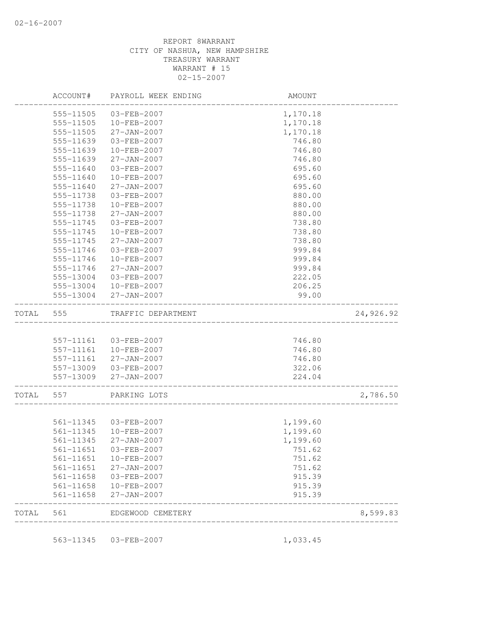| TOTAL 561 |               | EDGEWOOD CEMETERY     | -------------------------------------- | 8,599.83  |
|-----------|---------------|-----------------------|----------------------------------------|-----------|
|           | 561-11658     | $27 - JAN - 2007$     | 915.39                                 |           |
|           | 561-11658     | 10-FEB-2007           | 915.39                                 |           |
|           | 561-11658     | 03-FEB-2007           | 915.39                                 |           |
|           | $561 - 11651$ | 27-JAN-2007           | 751.62                                 |           |
|           | 561-11651     | 10-FEB-2007           | 751.62                                 |           |
|           |               | 561-11651 03-FEB-2007 | 751.62                                 |           |
|           | 561-11345     | $27 - JAN - 2007$     | 1,199.60                               |           |
|           | 561-11345     | $10 - FEB - 2007$     | 1,199.60                               |           |
|           | 561-11345     | 03-FEB-2007           | 1,199.60                               |           |
|           |               |                       |                                        |           |
| TOTAL     | 557           | PARKING LOTS          |                                        | 2,786.50  |
|           | 557-13009     | 27-JAN-2007           | 224.04                                 |           |
|           | 557-13009     | 03-FEB-2007           | 322.06                                 |           |
|           | 557-11161     | 27-JAN-2007           | 746.80                                 |           |
|           | 557-11161     | 10-FEB-2007           | 746.80                                 |           |
|           |               | 557-11161 03-FEB-2007 | 746.80                                 |           |
| TOTAL     | 555           | TRAFFIC DEPARTMENT    |                                        | 24,926.92 |
|           | 555-13004     | 27-JAN-2007           | 99.00                                  |           |
|           | 555-13004     | 10-FEB-2007           | 206.25                                 |           |
|           | 555-13004     | $03 - FEB - 2007$     | 222.05                                 |           |
|           | 555-11746     | $27 - JAN - 2007$     | 999.84                                 |           |
|           | 555-11746     | $10 - FEB - 2007$     | 999.84                                 |           |
|           | 555-11746     | 03-FEB-2007           | 999.84                                 |           |
|           | 555-11745     | 27-JAN-2007           | 738.80                                 |           |
|           | 555-11745     | $10 - FEB - 2007$     | 738.80                                 |           |
|           | 555-11745     | 03-FEB-2007           | 738.80                                 |           |
|           | 555-11738     | $27 - JAN - 2007$     | 880.00                                 |           |
|           | 555-11738     | 10-FEB-2007           | 880.00                                 |           |
|           | 555-11738     | 03-FEB-2007           | 880.00                                 |           |
|           | 555-11640     | $27 - JAN - 2007$     | 695.60                                 |           |
|           | 555-11640     | 10-FEB-2007           | 695.60                                 |           |
|           | 555-11640     | 03-FEB-2007           | 695.60                                 |           |
|           | 555-11639     | $27 - JAN - 2007$     | 746.80                                 |           |
|           | 555-11639     | $10 - FEB - 2007$     | 746.80                                 |           |
|           | 555-11639     | 03-FEB-2007           | 746.80                                 |           |
|           | 555-11505     | $27 - JAN - 2007$     | 1,170.18                               |           |
|           | 555-11505     | 10-FEB-2007           | 1,170.18                               |           |
|           | 555-11505     | 03-FEB-2007           | 1,170.18                               |           |
|           | ACCOUNT#      | PAYROLL WEEK ENDING   | AMOUNT                                 |           |
|           |               |                       |                                        |           |

563-11345 03-FEB-2007 1,033.45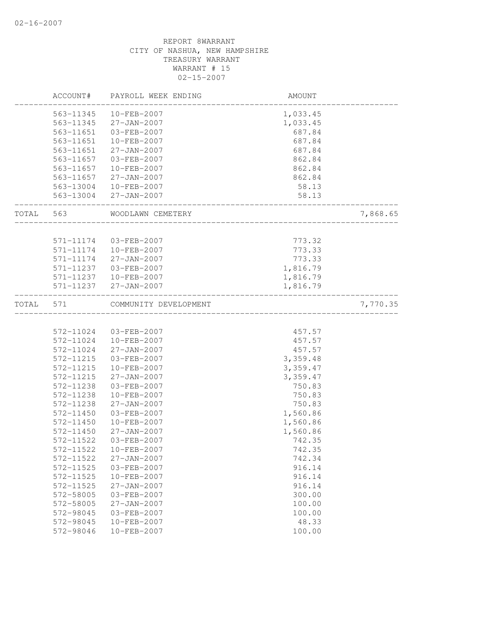|       | ACCOUNT#  | PAYROLL WEEK ENDING   | AMOUNT   |          |
|-------|-----------|-----------------------|----------|----------|
|       | 563-11345 | 10-FEB-2007           | 1,033.45 |          |
|       | 563-11345 | $27 - JAN - 2007$     | 1,033.45 |          |
|       | 563-11651 | 03-FEB-2007           | 687.84   |          |
|       | 563-11651 | 10-FEB-2007           | 687.84   |          |
|       | 563-11651 | 27-JAN-2007           | 687.84   |          |
|       | 563-11657 | 03-FEB-2007           | 862.84   |          |
|       | 563-11657 | 10-FEB-2007           | 862.84   |          |
|       | 563-11657 | 27-JAN-2007           | 862.84   |          |
|       |           | 563-13004 10-FEB-2007 | 58.13    |          |
|       |           | 563-13004 27-JAN-2007 | 58.13    |          |
| TOTAL | 563       | WOODLAWN CEMETERY     |          | 7,868.65 |
|       |           |                       |          |          |
|       | 571-11174 | 03-FEB-2007           | 773.32   |          |
|       | 571-11174 | 10-FEB-2007           | 773.33   |          |
|       | 571-11174 | 27-JAN-2007           | 773.33   |          |
|       | 571-11237 | 03-FEB-2007           | 1,816.79 |          |
|       | 571-11237 | 10-FEB-2007           | 1,816.79 |          |
|       | 571-11237 | 27-JAN-2007           | 1,816.79 |          |
| TOTAL | 571       | COMMUNITY DEVELOPMENT |          | 7,770.35 |
|       | 572-11024 | 03-FEB-2007           | 457.57   |          |
|       | 572-11024 | 10-FEB-2007           | 457.57   |          |
|       | 572-11024 | 27-JAN-2007           | 457.57   |          |
|       | 572-11215 | 03-FEB-2007           | 3,359.48 |          |
|       | 572-11215 | 10-FEB-2007           | 3,359.47 |          |
|       | 572-11215 | 27-JAN-2007           | 3,359.47 |          |
|       | 572-11238 | 03-FEB-2007           | 750.83   |          |
|       | 572-11238 | $10 - FEB - 2007$     | 750.83   |          |
|       | 572-11238 | 27-JAN-2007           | 750.83   |          |
|       | 572-11450 | 03-FEB-2007           | 1,560.86 |          |
|       |           | 10-FEB-2007           |          |          |
|       | 572-11450 |                       | 1,560.86 |          |
|       | 572-11450 | 27-JAN-2007           | 1,560.86 |          |
|       | 572-11522 | 03-FEB-2007           | 742.35   |          |
|       | 572-11522 | 10-FEB-2007           | 742.35   |          |
|       | 572-11522 | 27-JAN-2007           | 742.34   |          |
|       | 572-11525 | 03-FEB-2007           | 916.14   |          |
|       | 572-11525 | 10-FEB-2007           | 916.14   |          |
|       | 572-11525 | $27 - JAN - 2007$     | 916.14   |          |
|       | 572-58005 | 03-FEB-2007           | 300.00   |          |
|       | 572-58005 | 27-JAN-2007           | 100.00   |          |
|       | 572-98045 | $03 - FEB - 2007$     | 100.00   |          |
|       | 572-98045 | 10-FEB-2007           | 48.33    |          |
|       | 572-98046 | 10-FEB-2007           | 100.00   |          |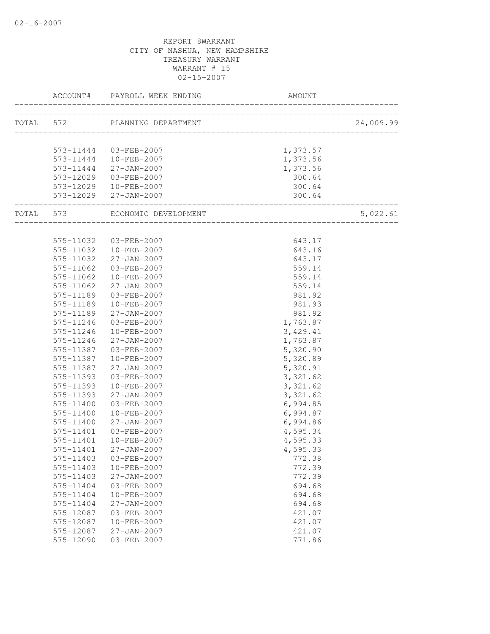|           | ACCOUNT# PAYROLL WEEK ENDING   | AMOUNT    |           |
|-----------|--------------------------------|-----------|-----------|
|           | TOTAL 572 PLANNING DEPARTMENT  |           | 24,009.99 |
|           |                                |           |           |
|           | 573-11444 03-FEB-2007          | 1,373.57  |           |
|           | 573-11444   10-FEB-2007        | 1,373.56  |           |
|           | 573-11444 27-JAN-2007          | 1,373.56  |           |
|           | 573-12029 03-FEB-2007          | 300.64    |           |
|           | 573-12029  10-FEB-2007         | 300.64    |           |
|           | 573-12029 27-JAN-2007          | 300.64    |           |
|           | TOTAL 573 ECONOMIC DEVELOPMENT |           | 5,022.61  |
|           |                                |           |           |
|           | 575-11032 03-FEB-2007          | 643.17    |           |
|           | 575-11032 10-FEB-2007          | 643.16    |           |
| 575-11032 | $27 - JAN - 2007$              | 643.17    |           |
| 575-11062 | 03-FEB-2007                    | 559.14    |           |
| 575-11062 | 10-FEB-2007                    | 559.14    |           |
| 575-11062 | 27-JAN-2007                    | 559.14    |           |
| 575-11189 | 03-FEB-2007                    | 981.92    |           |
| 575-11189 | 10-FEB-2007                    | 981.93    |           |
|           | 575-11189 27-JAN-2007          | 981.92    |           |
| 575-11246 | 03-FEB-2007                    | 1,763.87  |           |
| 575-11246 | 10-FEB-2007                    | 3,429.41  |           |
| 575-11246 | 27-JAN-2007                    | 1,763.87  |           |
|           | 575-11387 03-FEB-2007          | 5,320.90  |           |
| 575-11387 | 10-FEB-2007                    | 5,320.89  |           |
| 575-11387 | 27-JAN-2007                    | 5,320.91  |           |
| 575-11393 | 03-FEB-2007                    | 3,321.62  |           |
| 575-11393 | 10-FEB-2007                    | 3, 321.62 |           |
| 575-11393 | 27-JAN-2007                    | 3,321.62  |           |
| 575-11400 | 03-FEB-2007                    | 6,994.85  |           |
| 575-11400 | 10-FEB-2007                    | 6,994.87  |           |
| 575-11400 | 27-JAN-2007                    | 6,994.86  |           |
| 575-11401 | 03-FEB-2007                    | 4,595.34  |           |
| 575-11401 | 10-FEB-2007                    | 4,595.33  |           |
|           | 575-11401 27-JAN-2007          | 4,595.33  |           |
| 575-11403 | 03-FEB-2007                    | 772.38    |           |
| 575-11403 | 10-FEB-2007                    | 772.39    |           |
| 575-11403 | 27-JAN-2007                    | 772.39    |           |
| 575-11404 | 03-FEB-2007                    | 694.68    |           |
| 575-11404 | 10-FEB-2007                    | 694.68    |           |
| 575-11404 | 27-JAN-2007                    | 694.68    |           |
| 575-12087 | 03-FEB-2007                    | 421.07    |           |
| 575-12087 | 10-FEB-2007                    | 421.07    |           |
| 575-12087 | $27 - JAN - 2007$              | 421.07    |           |
| 575-12090 | 03-FEB-2007                    | 771.86    |           |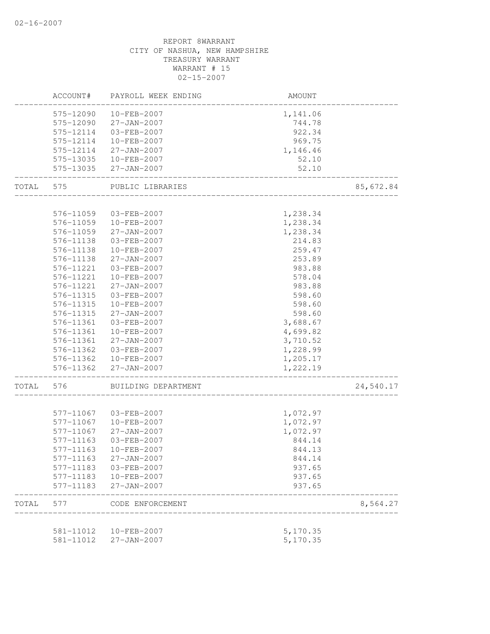# REPORT 8WARRANT CITY OF NASHUA, NEW HAMPSHIRE TREASURY WARRANT WARRANT # 15 02-15-2007 ACCOUNT# PAYROLL WEEK ENDING AMOUNT -------------------------------------------------------------------------------- 575-12090 10-FEB-2007 1,141.06 575-12090 27-JAN-2007 744.78 575-12114 03-FEB-2007 922.34 575-12114 10-FEB-2007 969.75 575-12114 27-JAN-2007 1,146.46 575-13035 10-FEB-2007 52.10 575-13035 27-JAN-2007 52.10 -------------------------------------------------------------------------------- TOTAL 575 PUBLIC LIBRARIES 85,672.84 -------------------------------------------------------------------------------- 576-11059 03-FEB-2007 1,238.34 576-11059 10-FEB-2007 1,238.34 576-11059 27-JAN-2007 1,238.34 576-11138 03-FEB-2007 214.83 576-11138 10-FEB-2007 259.47 576-11138 27-JAN-2007 253.89 576-11221 03-FEB-2007 983.88 576-11221 10-FEB-2007 578.04 576-11221 27-JAN-2007 983.88 576-11315 03-FEB-2007 598.60 576-11315 10-FEB-2007 598.60<br>576-11315 27-JAN-2007 598.60 576-11315 27-JAN-2007 576-11361 03-FEB-2007 3,688.67 576-11361 10-FEB-2007 4,699.82 576-11361 27-JAN-2007 3,710.52 576-11362 03-FEB-2007 1,228.99 576-11362 10-FEB-2007 1,205.17 576-11362 27-JAN-2007 1,222.19 -------------------------------------------------------------------------------- TOTAL 576 BUILDING DEPARTMENT 24,540.17 -------------------------------------------------------------------------------- 577-11067 03-FEB-2007 1,072.97 577-11067 10-FEB-2007 1,072.97 577-11067 27-JAN-2007 1,072.97 577-11163 03-FEB-2007 844.14 577-11163 10-FEB-2007 844.13 577-11163 27-JAN-2007 844.14 577-11183 03-FEB-2007 937.65 577-11183 10-FEB-2007 937.65 577-11183 27-JAN-2007 937.65 -------------------------------------------------------------------------------- TOTAL 577 CODE ENFORCEMENT 8,564.27 -------------------------------------------------------------------------------- 581-11012 10-FEB-2007 5,170.35 581-11012 27-JAN-2007 5,170.35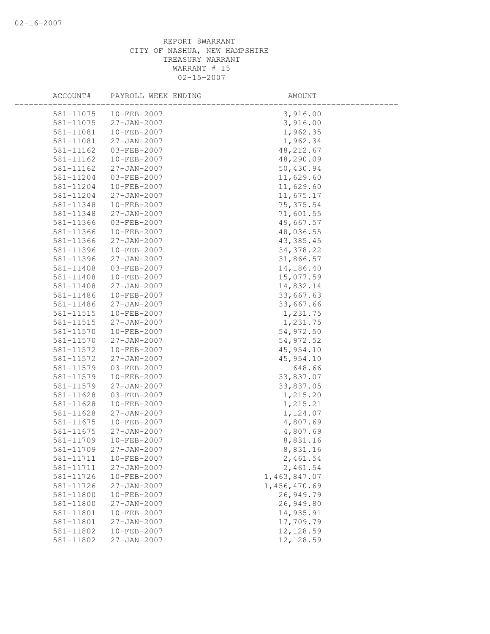| ACCOUNT#      | PAYROLL WEEK ENDING | AMOUNT       |  |
|---------------|---------------------|--------------|--|
| 581-11075     | 10-FEB-2007         | 3,916.00     |  |
| 581-11075     | 27-JAN-2007         | 3,916.00     |  |
| 581-11081     | 10-FEB-2007         | 1,962.35     |  |
| 581-11081     | $27 - JAN - 2007$   | 1,962.34     |  |
| 581-11162     | 03-FEB-2007         | 48, 212.67   |  |
| 581-11162     | 10-FEB-2007         | 48,290.09    |  |
| 581-11162     | 27-JAN-2007         | 50,430.94    |  |
| 581-11204     | 03-FEB-2007         | 11,629.60    |  |
| 581-11204     | 10-FEB-2007         | 11,629.60    |  |
| 581-11204     | $27 - JAN - 2007$   | 11,675.17    |  |
| 581-11348     | 10-FEB-2007         | 75, 375.54   |  |
| 581-11348     | $27 - JAN - 2007$   | 71,601.55    |  |
| 581-11366     | 03-FEB-2007         | 49,667.57    |  |
| 581-11366     | 10-FEB-2007         | 48,036.55    |  |
| 581-11366     | $27 - JAN - 2007$   | 43, 385.45   |  |
| 581-11396     | 10-FEB-2007         | 34, 378.22   |  |
| 581-11396     | 27-JAN-2007         | 31,866.57    |  |
| 581-11408     | 03-FEB-2007         | 14,186.40    |  |
| 581-11408     | 10-FEB-2007         | 15,077.59    |  |
| 581-11408     | 27-JAN-2007         | 14,832.14    |  |
| 581-11486     | 10-FEB-2007         | 33,667.63    |  |
| 581-11486     | 27-JAN-2007         | 33,667.66    |  |
| 581-11515     | 10-FEB-2007         | 1,231.75     |  |
| 581-11515     | $27 - JAN - 2007$   | 1,231.75     |  |
| 581-11570     | 10-FEB-2007         | 54,972.50    |  |
| 581-11570     | 27-JAN-2007         | 54, 972.52   |  |
| 581-11572     | 10-FEB-2007         | 45, 954.10   |  |
| 581-11572     | 27-JAN-2007         | 45, 954.10   |  |
| 581-11579     | 03-FEB-2007         | 648.66       |  |
| 581-11579     | $10 - FEB - 2007$   | 33,837.07    |  |
| 581-11579     | $27 - JAN - 2007$   | 33,837.05    |  |
| 581-11628     | 03-FEB-2007         | 1,215.20     |  |
| 581-11628     | 10-FEB-2007         | 1,215.21     |  |
| $581 - 11628$ | $27 - JAN - 2007$   | 1,124.07     |  |
| 581-11675     | 10-FEB-2007         | 4,807.69     |  |
| 581-11675     | 27-JAN-2007         | 4,807.69     |  |
| 581-11709     | 10-FEB-2007         | 8,831.16     |  |
| 581-11709     | 27-JAN-2007         | 8,831.16     |  |
| 581-11711     | 10-FEB-2007         | 2,461.54     |  |
| 581-11711     | $27 - JAN - 2007$   | 2,461.54     |  |
| 581-11726     | 10-FEB-2007         | 1,463,847.07 |  |
| 581-11726     | 27-JAN-2007         | 1,456,470.69 |  |
| 581-11800     | 10-FEB-2007         | 26,949.79    |  |
| 581-11800     | $27 - JAN - 2007$   | 26,949.80    |  |
| 581-11801     | $10 - FEB - 2007$   | 14,935.91    |  |
| 581-11801     | 27-JAN-2007         | 17,709.79    |  |
| 581-11802     | 10-FEB-2007         | 12, 128.59   |  |
| 581-11802     | $27 - JAN - 2007$   | 12, 128.59   |  |
|               |                     |              |  |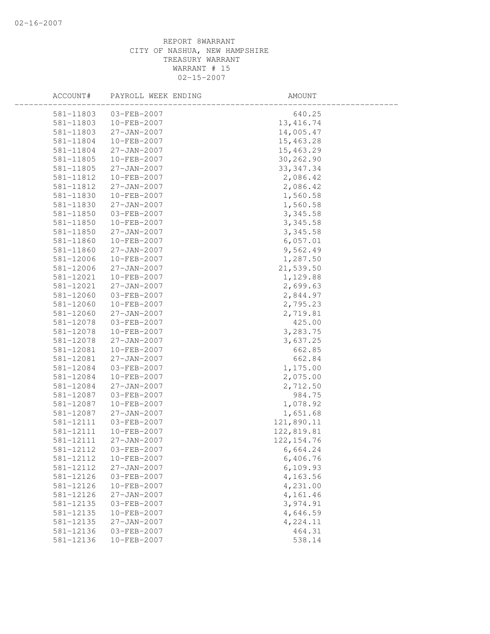| ACCOUNT#  | PAYROLL WEEK ENDING | AMOUNT      |  |
|-----------|---------------------|-------------|--|
| 581-11803 | $03 - FEB - 2007$   | 640.25      |  |
| 581-11803 | 10-FEB-2007         | 13, 416.74  |  |
| 581-11803 | 27-JAN-2007         | 14,005.47   |  |
| 581-11804 | 10-FEB-2007         | 15,463.28   |  |
| 581-11804 | $27 - JAN - 2007$   | 15,463.29   |  |
| 581-11805 | 10-FEB-2007         | 30,262.90   |  |
| 581-11805 | 27-JAN-2007         | 33, 347.34  |  |
| 581-11812 | 10-FEB-2007         | 2,086.42    |  |
| 581-11812 | 27-JAN-2007         | 2,086.42    |  |
| 581-11830 | 10-FEB-2007         | 1,560.58    |  |
| 581-11830 | 27-JAN-2007         | 1,560.58    |  |
| 581-11850 | 03-FEB-2007         | 3,345.58    |  |
| 581-11850 | 10-FEB-2007         | 3,345.58    |  |
| 581-11850 | 27-JAN-2007         | 3,345.58    |  |
| 581-11860 | 10-FEB-2007         | 6,057.01    |  |
| 581-11860 | $27 - JAN - 2007$   | 9,562.49    |  |
| 581-12006 | 10-FEB-2007         | 1,287.50    |  |
| 581-12006 | 27-JAN-2007         | 21,539.50   |  |
| 581-12021 | 10-FEB-2007         | 1,129.88    |  |
| 581-12021 | $27 - JAN - 2007$   | 2,699.63    |  |
| 581-12060 | 03-FEB-2007         | 2,844.97    |  |
| 581-12060 | 10-FEB-2007         | 2,795.23    |  |
| 581-12060 | 27-JAN-2007         | 2,719.81    |  |
| 581-12078 | 03-FEB-2007         | 425.00      |  |
| 581-12078 | 10-FEB-2007         | 3,283.75    |  |
| 581-12078 | $27 - JAN - 2007$   | 3,637.25    |  |
| 581-12081 | 10-FEB-2007         | 662.85      |  |
| 581-12081 | 27-JAN-2007         | 662.84      |  |
| 581-12084 | 03-FEB-2007         | 1,175.00    |  |
| 581-12084 | 10-FEB-2007         | 2,075.00    |  |
| 581-12084 | $27 - JAN - 2007$   | 2,712.50    |  |
| 581-12087 | 03-FEB-2007         | 984.75      |  |
| 581-12087 | 10-FEB-2007         | 1,078.92    |  |
| 581-12087 | $27 - JAN - 2007$   | 1,651.68    |  |
| 581-12111 | 03-FEB-2007         | 121,890.11  |  |
| 581-12111 | 10-FEB-2007         | 122,819.81  |  |
| 581-12111 | $27 - JAN - 2007$   | 122, 154.76 |  |
| 581-12112 | 03-FEB-2007         | 6,664.24    |  |
| 581-12112 | 10-FEB-2007         | 6,406.76    |  |
| 581-12112 | $27 - JAN - 2007$   | 6,109.93    |  |
| 581-12126 | 03-FEB-2007         | 4,163.56    |  |
| 581-12126 | 10-FEB-2007         | 4,231.00    |  |
| 581-12126 | 27-JAN-2007         | 4,161.46    |  |
| 581-12135 | 03-FEB-2007         | 3,974.91    |  |
| 581-12135 | 10-FEB-2007         | 4,646.59    |  |
| 581-12135 | 27-JAN-2007         | 4,224.11    |  |
| 581-12136 | 03-FEB-2007         | 464.31      |  |
| 581-12136 | 10-FEB-2007         | 538.14      |  |
|           |                     |             |  |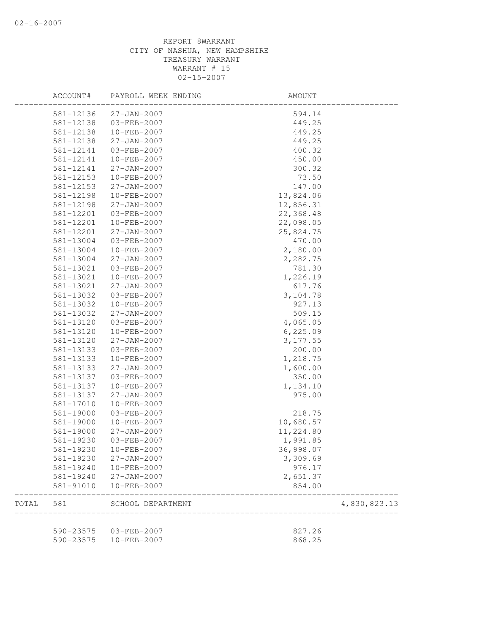|       | ACCOUNT#  | PAYROLL WEEK ENDING        | AMOUNT    |              |
|-------|-----------|----------------------------|-----------|--------------|
|       | 581-12136 | $27 - JAN - 2007$          | 594.14    |              |
|       | 581-12138 | 03-FEB-2007                | 449.25    |              |
|       | 581-12138 | 10-FEB-2007                | 449.25    |              |
|       | 581-12138 | $27 - JAN - 2007$          | 449.25    |              |
|       | 581-12141 | 03-FEB-2007                | 400.32    |              |
|       | 581-12141 | 10-FEB-2007                | 450.00    |              |
|       | 581-12141 | $27 - JAN - 2007$          | 300.32    |              |
|       | 581-12153 | 10-FEB-2007                | 73.50     |              |
|       | 581-12153 | 27-JAN-2007                | 147.00    |              |
|       | 581-12198 | 10-FEB-2007                | 13,824.06 |              |
|       | 581-12198 | $27 - JAN - 2007$          | 12,856.31 |              |
|       | 581-12201 | 03-FEB-2007                | 22,368.48 |              |
|       | 581-12201 | 10-FEB-2007                | 22,098.05 |              |
|       | 581-12201 | 27-JAN-2007                | 25,824.75 |              |
|       | 581-13004 | 03-FEB-2007                | 470.00    |              |
|       | 581-13004 | $10 - FEB - 2007$          | 2,180.00  |              |
|       | 581-13004 | $27 - JAN - 2007$          | 2,282.75  |              |
|       | 581-13021 | 03-FEB-2007                | 781.30    |              |
|       | 581-13021 | $10 - FEB - 2007$          | 1,226.19  |              |
|       | 581-13021 | $27 - JAN - 2007$          | 617.76    |              |
|       | 581-13032 | 03-FEB-2007                | 3,104.78  |              |
|       | 581-13032 | 10-FEB-2007                | 927.13    |              |
|       | 581-13032 | 27-JAN-2007                | 509.15    |              |
|       | 581-13120 | 03-FEB-2007                | 4,065.05  |              |
|       | 581-13120 | 10-FEB-2007                | 6,225.09  |              |
|       | 581-13120 | $27 - JAN - 2007$          | 3, 177.55 |              |
|       | 581-13133 | 03-FEB-2007                | 200.00    |              |
|       | 581-13133 | 10-FEB-2007                | 1,218.75  |              |
|       | 581-13133 | $27 - JAN - 2007$          | 1,600.00  |              |
|       | 581-13137 | 03-FEB-2007                |           |              |
|       |           | 10-FEB-2007                | 350.00    |              |
|       | 581-13137 |                            | 1,134.10  |              |
|       | 581-13137 | 27-JAN-2007<br>10-FEB-2007 | 975.00    |              |
|       | 581-17010 |                            |           |              |
|       | 581-19000 | $03 - FEB - 2007$          | 218.75    |              |
|       | 581-19000 | 10-FEB-2007                | 10,680.57 |              |
|       | 581-19000 | $27 - JAN - 2007$          | 11,224.80 |              |
|       | 581-19230 | 03-FEB-2007                | 1,991.85  |              |
|       | 581-19230 | $10 - FEB - 2007$          | 36,998.07 |              |
|       | 581-19230 | $27 - JAN - 2007$          | 3,309.69  |              |
|       | 581-19240 | 10-FEB-2007                | 976.17    |              |
|       | 581-19240 | $27 - JAN - 2007$          | 2,651.37  |              |
|       | 581-91010 | 10-FEB-2007                | 854.00    |              |
| TOTAL | 581       | SCHOOL DEPARTMENT          |           | 4,830,823.13 |
|       | 590-23575 | 03-FEB-2007                | 827.26    |              |
|       | 590-23575 | 10-FEB-2007                | 868.25    |              |
|       |           |                            |           |              |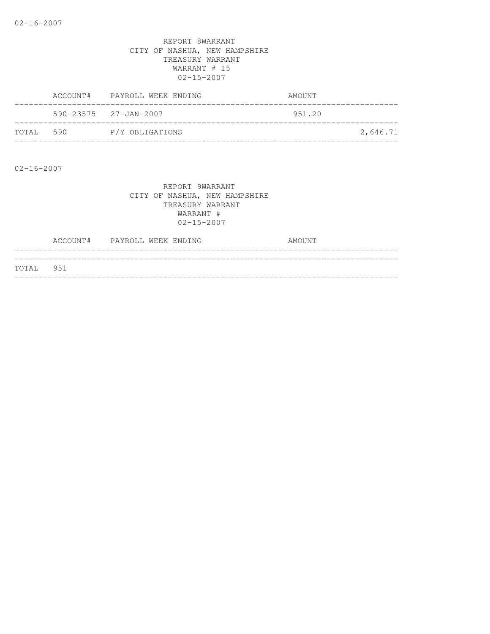|       |     | ACCOUNT# PAYROLL WEEK ENDING    | AMOUNT |          |
|-------|-----|---------------------------------|--------|----------|
|       |     | $590 - 23575$ $27 - JAN - 2007$ | 951.20 |          |
| TOTAL | 590 | P/Y OBLIGATIONS                 |        | 2,646.71 |

02-16-2007

|           | ACCOUNT# PAYROLL WEEK ENDING |  | AMOUNT |
|-----------|------------------------------|--|--------|
|           |                              |  |        |
| TOTAL 951 |                              |  |        |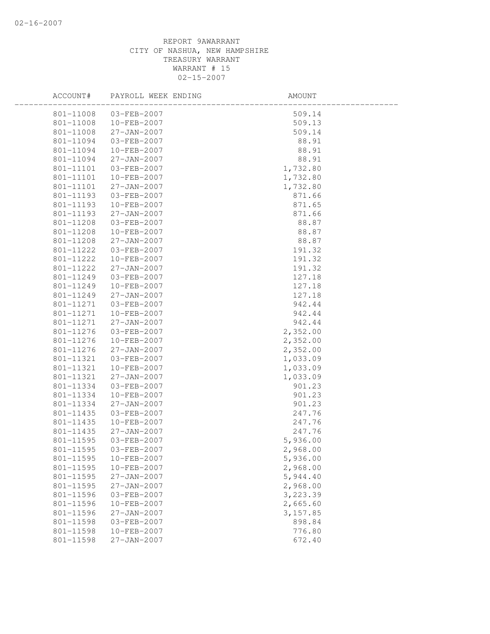| ACCOUNT#               | PAYROLL WEEK ENDING | AMOUNT    |
|------------------------|---------------------|-----------|
| 801-11008              | 03-FEB-2007         | 509.14    |
| 801-11008              | $10 - FEB - 2007$   | 509.13    |
| 801-11008              | 27-JAN-2007         | 509.14    |
| 801-11094              | 03-FEB-2007         | 88.91     |
| 801-11094              | 10-FEB-2007         | 88.91     |
| 801-11094              | $27 - JAN - 2007$   | 88.91     |
| 801-11101              | 03-FEB-2007         | 1,732.80  |
| 801-11101              | $10 - FEB - 2007$   | 1,732.80  |
| 801-11101              | $27 - JAN - 2007$   | 1,732.80  |
| 801-11193              | 03-FEB-2007         | 871.66    |
| 801-11193              | 10-FEB-2007         | 871.65    |
| 801-11193              | 27-JAN-2007         | 871.66    |
| 801-11208              | 03-FEB-2007         | 88.87     |
| 801-11208              | 10-FEB-2007         | 88.87     |
| 801-11208              | $27 - JAN - 2007$   | 88.87     |
| 801-11222              | 03-FEB-2007         | 191.32    |
| 801-11222              | 10-FEB-2007         | 191.32    |
| 801-11222              | $27 - JAN - 2007$   | 191.32    |
| 801-11249              | 03-FEB-2007         | 127.18    |
| 801-11249              | 10-FEB-2007         | 127.18    |
| 801-11249              | 27-JAN-2007         | 127.18    |
| 801-11271              | 03-FEB-2007         | 942.44    |
| 801-11271              | 10-FEB-2007         | 942.44    |
| 801-11271              | $27 - JAN - 2007$   | 942.44    |
| 801-11276              | 03-FEB-2007         | 2,352.00  |
| 801-11276              | 10-FEB-2007         | 2,352.00  |
| 801-11276              | 27-JAN-2007         | 2,352.00  |
| 801-11321              | 03-FEB-2007         | 1,033.09  |
| 801-11321              | 10-FEB-2007         | 1,033.09  |
| 801-11321              | $27 - JAN - 2007$   | 1,033.09  |
| 801-11334              | 03-FEB-2007         | 901.23    |
| 801-11334              | 10-FEB-2007         | 901.23    |
| 801-11334              | 27-JAN-2007         | 901.23    |
| 801-11435              | 03-FEB-2007         | 247.76    |
| 801-11435              | 10-FEB-2007         | 247.76    |
| 801-11435              | 27-JAN-2007         | 247.76    |
| 801-11595              | 03-FEB-2007         | 5,936.00  |
| 801-11595              | 03-FEB-2007         | 2,968.00  |
| 801-11595              | 10-FEB-2007         | 5,936.00  |
| 801-11595              | 10-FEB-2007         | 2,968.00  |
| 801-11595              | 27-JAN-2007         | 5,944.40  |
| 801-11595              | 27-JAN-2007         | 2,968.00  |
| 801-11596              | 03-FEB-2007         | 3,223.39  |
| 801-11596              | 10-FEB-2007         | 2,665.60  |
| 801-11596              | 27-JAN-2007         | 3, 157.85 |
| 801-11598<br>801-11598 | 03-FEB-2007         | 898.84    |
|                        | 10-FEB-2007         | 776.80    |
| 801-11598              | 27-JAN-2007         | 672.40    |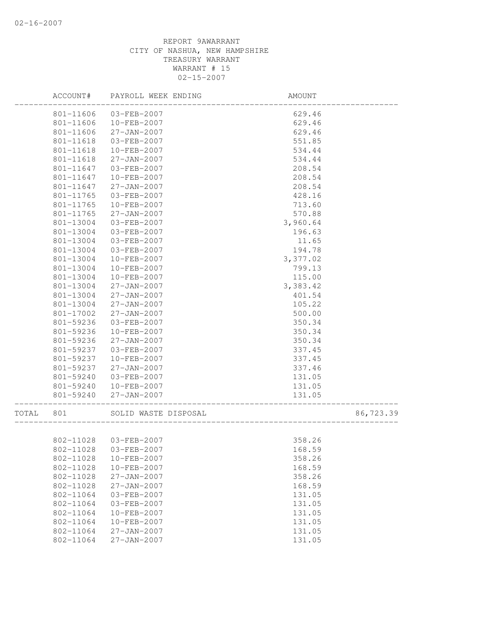|       | ACCOUNT#  | PAYROLL WEEK ENDING   | AMOUNT                             |           |
|-------|-----------|-----------------------|------------------------------------|-----------|
|       | 801-11606 | 03-FEB-2007           | 629.46                             |           |
|       | 801-11606 | 10-FEB-2007           | 629.46                             |           |
|       | 801-11606 | $27 - JAN - 2007$     | 629.46                             |           |
|       | 801-11618 | 03-FEB-2007           | 551.85                             |           |
|       | 801-11618 | 10-FEB-2007           | 534.44                             |           |
|       | 801-11618 | $27 - JAN - 2007$     | 534.44                             |           |
|       | 801-11647 | 03-FEB-2007           | 208.54                             |           |
|       | 801-11647 | 10-FEB-2007           | 208.54                             |           |
|       | 801-11647 | 27-JAN-2007           | 208.54                             |           |
|       | 801-11765 | 03-FEB-2007           | 428.16                             |           |
|       | 801-11765 | 10-FEB-2007           | 713.60                             |           |
|       | 801-11765 | $27 - JAN - 2007$     | 570.88                             |           |
|       | 801-13004 | 03-FEB-2007           | 3,960.64                           |           |
|       | 801-13004 | 03-FEB-2007           | 196.63                             |           |
|       | 801-13004 | 03-FEB-2007           | 11.65                              |           |
|       | 801-13004 | 03-FEB-2007           | 194.78                             |           |
|       | 801-13004 | 10-FEB-2007           | 3,377.02                           |           |
|       | 801-13004 | 10-FEB-2007           | 799.13                             |           |
|       | 801-13004 | 10-FEB-2007           | 115.00                             |           |
|       | 801-13004 | $27 - JAN - 2007$     | 3,383.42                           |           |
|       | 801-13004 | $27 - JAN - 2007$     | 401.54                             |           |
|       | 801-13004 | 27-JAN-2007           | 105.22                             |           |
|       | 801-17002 | $27 - JAN - 2007$     | 500.00                             |           |
|       | 801-59236 | 03-FEB-2007           | 350.34                             |           |
|       | 801-59236 | 10-FEB-2007           | 350.34                             |           |
|       | 801-59236 | $27 - JAN - 2007$     | 350.34                             |           |
|       | 801-59237 | 03-FEB-2007           | 337.45                             |           |
|       | 801-59237 | 10-FEB-2007           | 337.45                             |           |
|       | 801-59237 | $27 - JAN - 2007$     | 337.46                             |           |
|       | 801-59240 | 03-FEB-2007           | 131.05                             |           |
|       | 801-59240 | 10-FEB-2007           | 131.05                             |           |
|       | 801-59240 | $27 - JAN - 2007$     | 131.05<br>________________________ |           |
| TOTAL | 801       | SOLID WASTE DISPOSAL  |                                    | 86,723.39 |
|       |           |                       |                                    |           |
|       | 802-11028 | 03-FEB-2007           | 358.26                             |           |
|       |           | 802-11028 03-FEB-2007 | 168.59                             |           |
|       | 802-11028 | 10-FEB-2007           | 358.26                             |           |
|       | 802-11028 | 10-FEB-2007           | 168.59                             |           |
|       | 802-11028 | 27-JAN-2007           | 358.26                             |           |
|       | 802-11028 | 27-JAN-2007           | 168.59                             |           |
|       | 802-11064 | 03-FEB-2007           | 131.05                             |           |
|       | 802-11064 | 03-FEB-2007           | 131.05                             |           |
|       | 802-11064 | 10-FEB-2007           | 131.05                             |           |
|       | 802-11064 | 10-FEB-2007           | 131.05                             |           |
|       | 802-11064 | $27 - JAN - 2007$     | 131.05                             |           |
|       | 802-11064 | 27-JAN-2007           | 131.05                             |           |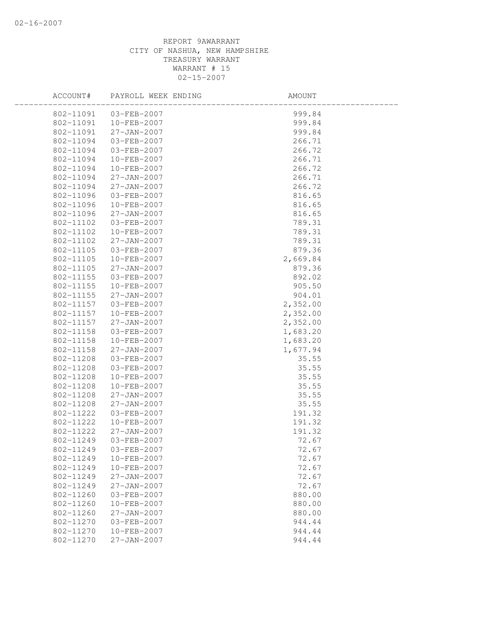| ACCOUNT#  | PAYROLL WEEK ENDING | AMOUNT   |  |
|-----------|---------------------|----------|--|
| 802-11091 | 03-FEB-2007         | 999.84   |  |
| 802-11091 | 10-FEB-2007         | 999.84   |  |
| 802-11091 | 27-JAN-2007         | 999.84   |  |
| 802-11094 | 03-FEB-2007         | 266.71   |  |
| 802-11094 | 03-FEB-2007         | 266.72   |  |
| 802-11094 | 10-FEB-2007         | 266.71   |  |
| 802-11094 | 10-FEB-2007         | 266.72   |  |
| 802-11094 | $27 - JAN - 2007$   | 266.71   |  |
| 802-11094 | 27-JAN-2007         | 266.72   |  |
| 802-11096 | 03-FEB-2007         | 816.65   |  |
| 802-11096 | 10-FEB-2007         | 816.65   |  |
| 802-11096 | 27-JAN-2007         | 816.65   |  |
| 802-11102 | 03-FEB-2007         | 789.31   |  |
| 802-11102 | 10-FEB-2007         | 789.31   |  |
| 802-11102 | $27 - JAN - 2007$   | 789.31   |  |
| 802-11105 | 03-FEB-2007         | 879.36   |  |
| 802-11105 | 10-FEB-2007         | 2,669.84 |  |
| 802-11105 | $27 - JAN - 2007$   | 879.36   |  |
| 802-11155 | $03 - FEB - 2007$   | 892.02   |  |
| 802-11155 | $10 - FEB - 2007$   | 905.50   |  |
| 802-11155 | 27-JAN-2007         | 904.01   |  |
| 802-11157 | 03-FEB-2007         | 2,352.00 |  |
| 802-11157 | 10-FEB-2007         | 2,352.00 |  |
| 802-11157 | $27 - JAN - 2007$   | 2,352.00 |  |
| 802-11158 | 03-FEB-2007         | 1,683.20 |  |
| 802-11158 | 10-FEB-2007         | 1,683.20 |  |
| 802-11158 | 27-JAN-2007         | 1,677.94 |  |
| 802-11208 | 03-FEB-2007         | 35.55    |  |
| 802-11208 | 03-FEB-2007         | 35.55    |  |
| 802-11208 | 10-FEB-2007         | 35.55    |  |
| 802-11208 | 10-FEB-2007         | 35.55    |  |
| 802-11208 | $27 - JAN - 2007$   | 35.55    |  |
| 802-11208 | $27 - JAN - 2007$   | 35.55    |  |
| 802-11222 | 03-FEB-2007         | 191.32   |  |
| 802-11222 | $10 - FEB - 2007$   | 191.32   |  |
| 802-11222 | 27-JAN-2007         | 191.32   |  |
| 802-11249 | 03-FEB-2007         | 72.67    |  |
| 802-11249 | 03-FEB-2007         | 72.67    |  |
| 802-11249 | 10-FEB-2007         | 72.67    |  |
| 802-11249 | 10-FEB-2007         | 72.67    |  |
| 802-11249 | $27 - JAN - 2007$   | 72.67    |  |
| 802-11249 | $27 - JAN - 2007$   | 72.67    |  |
| 802-11260 | $03 - FEB - 2007$   | 880.00   |  |
| 802-11260 | 10-FEB-2007         | 880.00   |  |
| 802-11260 | $27 - JAN - 2007$   | 880.00   |  |
| 802-11270 | 03-FEB-2007         | 944.44   |  |
| 802-11270 | 10-FEB-2007         | 944.44   |  |
| 802-11270 | $27 - JAN - 2007$   | 944.44   |  |
|           |                     |          |  |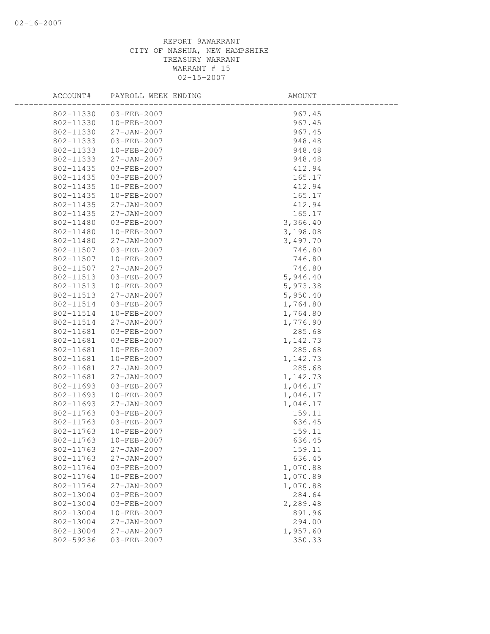| ACCOUNT#  | PAYROLL WEEK ENDING | AMOUNT   |
|-----------|---------------------|----------|
| 802-11330 | 03-FEB-2007         | 967.45   |
| 802-11330 | $10 - FEB - 2007$   | 967.45   |
| 802-11330 | 27-JAN-2007         | 967.45   |
| 802-11333 | 03-FEB-2007         | 948.48   |
| 802-11333 | 10-FEB-2007         | 948.48   |
| 802-11333 | $27 - JAN - 2007$   | 948.48   |
| 802-11435 | 03-FEB-2007         | 412.94   |
| 802-11435 | 03-FEB-2007         | 165.17   |
| 802-11435 | 10-FEB-2007         | 412.94   |
| 802-11435 | 10-FEB-2007         | 165.17   |
| 802-11435 | 27-JAN-2007         | 412.94   |
| 802-11435 | 27-JAN-2007         | 165.17   |
| 802-11480 | 03-FEB-2007         | 3,366.40 |
| 802-11480 | 10-FEB-2007         | 3,198.08 |
| 802-11480 | $27 - JAN - 2007$   | 3,497.70 |
| 802-11507 | 03-FEB-2007         | 746.80   |
| 802-11507 | 10-FEB-2007         | 746.80   |
| 802-11507 | 27-JAN-2007         | 746.80   |
| 802-11513 | 03-FEB-2007         | 5,946.40 |
| 802-11513 | 10-FEB-2007         | 5,973.38 |
| 802-11513 | 27-JAN-2007         | 5,950.40 |
| 802-11514 | 03-FEB-2007         | 1,764.80 |
| 802-11514 | 10-FEB-2007         | 1,764.80 |
| 802-11514 | $27 - JAN - 2007$   | 1,776.90 |
| 802-11681 | 03-FEB-2007         | 285.68   |
| 802-11681 | 03-FEB-2007         | 1,142.73 |
| 802-11681 | 10-FEB-2007         | 285.68   |
| 802-11681 | 10-FEB-2007         | 1,142.73 |
| 802-11681 | $27 - JAN - 2007$   | 285.68   |
| 802-11681 | $27 - JAN - 2007$   | 1,142.73 |
| 802-11693 | 03-FEB-2007         | 1,046.17 |
| 802-11693 | 10-FEB-2007         | 1,046.17 |
| 802-11693 | 27-JAN-2007         | 1,046.17 |
| 802-11763 | 03-FEB-2007         | 159.11   |
| 802-11763 | 03-FEB-2007         | 636.45   |
| 802-11763 | 10-FEB-2007         | 159.11   |
| 802-11763 | 10-FEB-2007         | 636.45   |
| 802-11763 | 27-JAN-2007         | 159.11   |
| 802-11763 | $27 - JAN - 2007$   | 636.45   |
| 802-11764 | 03-FEB-2007         | 1,070.88 |
| 802-11764 | 10-FEB-2007         | 1,070.89 |
| 802-11764 | $27 - JAN - 2007$   | 1,070.88 |
| 802-13004 | 03-FEB-2007         | 284.64   |
| 802-13004 | 03-FEB-2007         | 2,289.48 |
| 802-13004 | 10-FEB-2007         | 891.96   |
| 802-13004 | $27 - JAN - 2007$   | 294.00   |
| 802-13004 | $27 - JAN - 2007$   | 1,957.60 |
| 802-59236 | 03-FEB-2007         | 350.33   |
|           |                     |          |